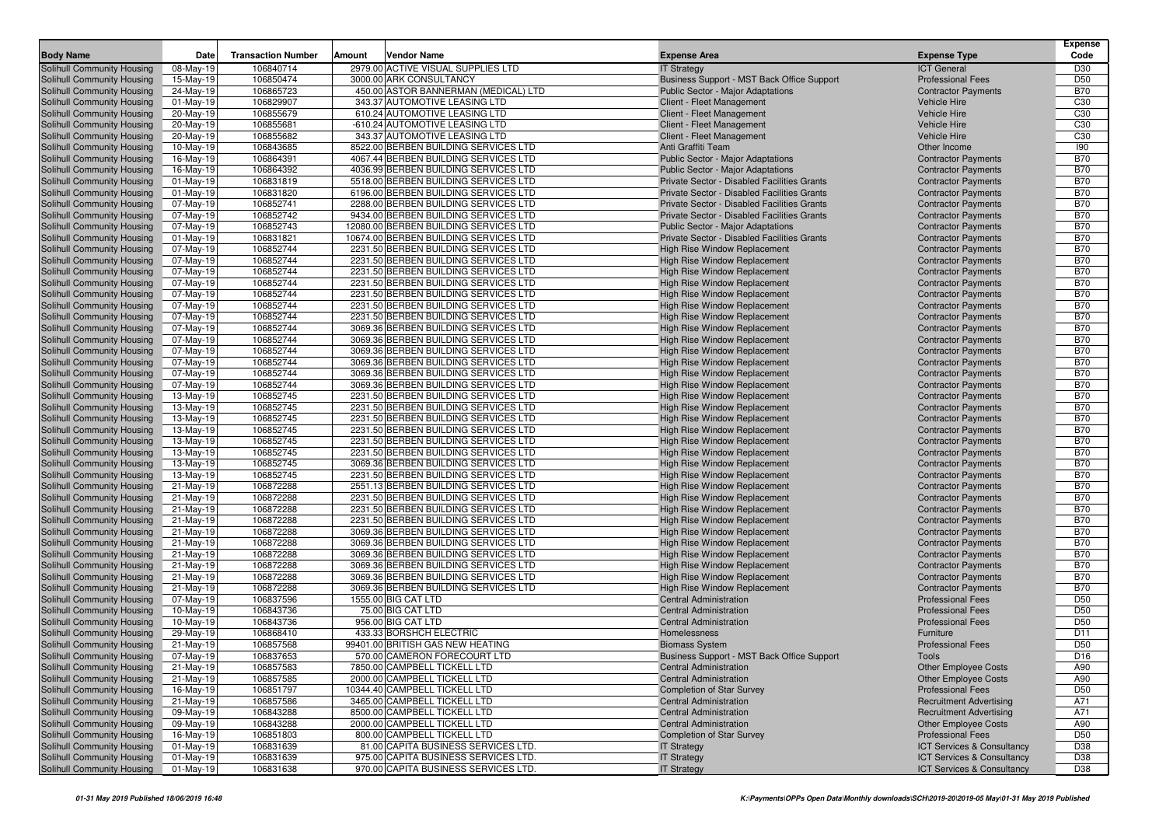|                                                          |                          |                           |        |                                                                               |                                                                                            |                                                          | <b>Expense</b>           |
|----------------------------------------------------------|--------------------------|---------------------------|--------|-------------------------------------------------------------------------------|--------------------------------------------------------------------------------------------|----------------------------------------------------------|--------------------------|
| <b>Body Name</b>                                         | <b>Date</b>              | <b>Transaction Number</b> | Amount | <b>Vendor Name</b>                                                            | <b>Expense Area</b>                                                                        | <b>Expense Type</b>                                      | Code                     |
| <b>Solihull Community Housing</b>                        | 08-May-19                | 106840714                 |        | 2979.00 ACTIVE VISUAL SUPPLIES LTD                                            | <b>IT Strategy</b>                                                                         | <b>ICT</b> General                                       | D30                      |
| Solihull Community Housing                               | 15-May-19                | 106850474                 |        | 3000.00 ARK CONSULTANCY                                                       | Business Support - MST Back Office Support                                                 | <b>Professional Fees</b>                                 | D <sub>50</sub>          |
| Solihull Community Housing                               | 24-May-19                | 106865723                 |        | 450.00 ASTOR BANNERMAN (MEDICAL) LTD                                          | Public Sector - Major Adaptations                                                          | <b>Contractor Payments</b>                               | <b>B70</b>               |
| Solihull Community Housing                               | $01$ -May-19             | 106829907                 |        | 343.37 AUTOMOTIVE LEASING LTD                                                 | Client - Fleet Management                                                                  | Vehicle Hire                                             | C <sub>30</sub>          |
| Solihull Community Housing                               | 20-May-19                | 106855679                 |        | 610.24 AUTOMOTIVE LEASING LTD                                                 | Client - Fleet Management                                                                  | <b>Vehicle Hire</b>                                      | C <sub>30</sub>          |
| Solihull Community Housing                               | 20-May-19                | 106855681                 |        | -610.24 AUTOMOTIVE LEASING LTD                                                | Client - Fleet Management                                                                  | <b>Vehicle Hire</b>                                      | C <sub>30</sub>          |
| Solihull Community Housing                               | 20-May-19                | 106855682                 |        | 343.37 AUTOMOTIVE LEASING LTD                                                 | Client - Fleet Management                                                                  | <b>Vehicle Hire</b>                                      | C <sub>30</sub>          |
| Solihull Community Housing                               | 10-May-19                | 106843685                 |        | 8522.00 BERBEN BUILDING SERVICES LTD                                          | Anti Graffiti Team                                                                         | Other Income                                             | 190                      |
| Solihull Community Housing                               | 16-May-19                | 106864391                 |        | 4067.44 BERBEN BUILDING SERVICES LTD                                          | Public Sector - Major Adaptations                                                          | <b>Contractor Payments</b>                               | <b>B70</b>               |
| Solihull Community Housing                               | 16-May-19                | 106864392                 |        | 4036.99 BERBEN BUILDING SERVICES LTD                                          | <b>Public Sector - Major Adaptations</b>                                                   | <b>Contractor Payments</b>                               | <b>B70</b>               |
| <b>Solihull Community Housing</b>                        | 01-May-19                | 106831819                 |        | 5518.00 BERBEN BUILDING SERVICES LTD                                          | Private Sector - Disabled Facilities Grants                                                | <b>Contractor Payments</b>                               | <b>B70</b>               |
| Solihull Community Housing                               | $01-May-19$              | 106831820                 |        | 6196.00 BERBEN BUILDING SERVICES LTD                                          | Private Sector - Disabled Facilities Grants<br>Private Sector - Disabled Facilities Grants | <b>Contractor Payments</b>                               | <b>B70</b>               |
| Solihull Community Housing                               | 07-May-19                | 106852741                 |        | 2288.00 BERBEN BUILDING SERVICES LTD                                          | Private Sector - Disabled Facilities Grants                                                | <b>Contractor Payments</b>                               | <b>B70</b>               |
| Solihull Community Housing                               | 07-May-19                | 106852742                 |        | 9434.00 BERBEN BUILDING SERVICES LTD<br>12080.00 BERBEN BUILDING SERVICES LTD |                                                                                            | <b>Contractor Payments</b>                               | <b>B70</b><br><b>B70</b> |
| Solihull Community Housing<br>Solihull Community Housing | 07-May-19<br>$01-May-19$ | 106852743<br>106831821    |        | 10674.00 BERBEN BUILDING SERVICES LTD                                         | Public Sector - Major Adaptations<br>Private Sector - Disabled Facilities Grants           | <b>Contractor Payments</b><br><b>Contractor Payments</b> | <b>B70</b>               |
| Solihull Community Housing                               | 07-May-19                | 106852744                 |        | 2231.50 BERBEN BUILDING SERVICES LTD                                          | High Rise Window Replacement                                                               |                                                          | <b>B70</b>               |
| Solihull Community Housing                               | 07-May-19                | 106852744                 |        | 2231.50 BERBEN BUILDING SERVICES LTD                                          | High Rise Window Replacement                                                               | <b>Contractor Payments</b><br><b>Contractor Payments</b> | <b>B70</b>               |
| Solihull Community Housing                               | 07-May-19                | 106852744                 |        | 2231.50 BERBEN BUILDING SERVICES LTD                                          | High Rise Window Replacement                                                               | <b>Contractor Payments</b>                               | <b>B70</b>               |
| Solihull Community Housing                               | 07-May-19                | 106852744                 |        | 2231.50 BERBEN BUILDING SERVICES LTD                                          | High Rise Window Replacement                                                               | <b>Contractor Payments</b>                               | <b>B70</b>               |
| Solihull Community Housing                               | 07-May-19                | 106852744                 |        | 2231.50 BERBEN BUILDING SERVICES LTD                                          | High Rise Window Replacement                                                               | <b>Contractor Payments</b>                               | <b>B70</b>               |
| Solihull Community Housing                               | 07-May-19                | 106852744                 |        | 2231.50 BERBEN BUILDING SERVICES LTD                                          | High Rise Window Replacement                                                               | <b>Contractor Payments</b>                               | <b>B70</b>               |
| Solihull Community Housing                               | 07-May-19                | 106852744                 |        | 2231.50 BERBEN BUILDING SERVICES LTD                                          | High Rise Window Replacement                                                               | <b>Contractor Payments</b>                               | <b>B70</b>               |
| Solihull Community Housing                               | 07-May-19                | 106852744                 |        | 3069.36 BERBEN BUILDING SERVICES LTD                                          | High Rise Window Replacement                                                               | <b>Contractor Payments</b>                               | <b>B70</b>               |
| Solihull Community Housing                               | 07-May-19                | 106852744                 |        | 3069.36 BERBEN BUILDING SERVICES LTD                                          | <b>High Rise Window Replacement</b>                                                        | <b>Contractor Payments</b>                               | <b>B70</b>               |
| Solihull Community Housing                               | 07-May-19                | 106852744                 |        | 3069.36 BERBEN BUILDING SERVICES LTD                                          | High Rise Window Replacement                                                               | <b>Contractor Payments</b>                               | <b>B70</b>               |
| Solihull Community Housing                               | 07-May-19                | 106852744                 |        | 3069.36 BERBEN BUILDING SERVICES LTD                                          | High Rise Window Replacement                                                               | <b>Contractor Payments</b>                               | <b>B70</b>               |
| Solihull Community Housing                               | 07-May-19                | 106852744                 |        | 3069.36 BERBEN BUILDING SERVICES LTD                                          | High Rise Window Replacement                                                               | <b>Contractor Payments</b>                               | <b>B70</b>               |
| Solihull Community Housing                               | 07-May-19                | 106852744                 |        | 3069.36 BERBEN BUILDING SERVICES LTD                                          | High Rise Window Replacement                                                               | <b>Contractor Payments</b>                               | <b>B70</b>               |
| Solihull Community Housing                               | 13-May-19                | 106852745                 |        | 2231.50 BERBEN BUILDING SERVICES LTD                                          | <b>High Rise Window Replacement</b>                                                        | <b>Contractor Payments</b>                               | <b>B70</b>               |
| Solihull Community Housing                               | 13-May-19                | 106852745                 |        | 2231.50 BERBEN BUILDING SERVICES LTD                                          | High Rise Window Replacement                                                               | <b>Contractor Payments</b>                               | <b>B70</b>               |
| Solihull Community Housing                               | 13-May-19                | 106852745                 |        | 2231.50 BERBEN BUILDING SERVICES LTD                                          | High Rise Window Replacement                                                               | <b>Contractor Payments</b>                               | <b>B70</b>               |
| Solihull Community Housing                               | 13-May-19                | 106852745                 |        | 2231.50 BERBEN BUILDING SERVICES LTD                                          | High Rise Window Replacement                                                               | <b>Contractor Payments</b>                               | <b>B70</b>               |
| Solihull Community Housing                               | 13-May-19                | 106852745                 |        | 2231.50 BERBEN BUILDING SERVICES LTD                                          | High Rise Window Replacement                                                               | <b>Contractor Payments</b>                               | <b>B70</b>               |
| Solihull Community Housing                               | 13-May-19                | 106852745                 |        | 2231.50 BERBEN BUILDING SERVICES LTD                                          | High Rise Window Replacement                                                               | <b>Contractor Payments</b>                               | <b>B70</b>               |
| Solihull Community Housing                               | 13-May-19                | 106852745                 |        | 3069.36 BERBEN BUILDING SERVICES LTD                                          | High Rise Window Replacement                                                               | <b>Contractor Payments</b>                               | <b>B70</b>               |
| Solihull Community Housing                               | 13-May-19                | 106852745                 |        | 2231.50 BERBEN BUILDING SERVICES LTD                                          | High Rise Window Replacement                                                               | <b>Contractor Payments</b>                               | <b>B70</b>               |
| Solihull Community Housing                               | 21-May-19                | 106872288                 |        | 2551.13 BERBEN BUILDING SERVICES LTD                                          | High Rise Window Replacement                                                               | <b>Contractor Payments</b>                               | <b>B70</b>               |
| Solihull Community Housing                               | 21-May-19                | 106872288                 |        | 2231.50 BERBEN BUILDING SERVICES LTD                                          | High Rise Window Replacement                                                               | <b>Contractor Payments</b>                               | <b>B70</b>               |
| Solihull Community Housing                               | 21-May-19                | 106872288                 |        | 2231.50 BERBEN BUILDING SERVICES LTD                                          | High Rise Window Replacement                                                               | <b>Contractor Payments</b>                               | <b>B70</b>               |
| Solihull Community Housing                               | 21-May-19                | 106872288                 |        | 2231.50 BERBEN BUILDING SERVICES LTD                                          | High Rise Window Replacement                                                               | <b>Contractor Payments</b>                               | <b>B70</b>               |
| Solihull Community Housing                               | 21-May-19                | 106872288                 |        | 3069.36 BERBEN BUILDING SERVICES LTD                                          | High Rise Window Replacement                                                               | <b>Contractor Payments</b>                               | <b>B70</b>               |
| Solihull Community Housing                               | 21-May-19                | 106872288                 |        | 3069.36 BERBEN BUILDING SERVICES LTD                                          | High Rise Window Replacement                                                               | <b>Contractor Payments</b>                               | <b>B70</b>               |
| Solihull Community Housing                               | 21-May-19                | 106872288                 |        | 3069.36 BERBEN BUILDING SERVICES LTD                                          | High Rise Window Replacement                                                               | <b>Contractor Payments</b>                               | <b>B70</b>               |
| Solihull Community Housing<br>Solihull Community Housing | 21-May-19<br>21-May-19   | 106872288<br>106872288    |        | 3069.36 BERBEN BUILDING SERVICES LTD<br>3069.36 BERBEN BUILDING SERVICES LTD  | High Rise Window Replacement<br>High Rise Window Replacement                               | <b>Contractor Payments</b><br><b>Contractor Payments</b> | <b>B70</b><br><b>B70</b> |
| Solihull Community Housing                               | 21-May-19                | 106872288                 |        | 3069.36 BERBEN BUILDING SERVICES LTD                                          | High Rise Window Replacement                                                               | <b>Contractor Payments</b>                               | <b>B70</b>               |
| Solihull Community Housing                               | 07-May-19                | 106837596                 |        | 1555.00 BIG CAT LTD                                                           | <b>Central Administration</b>                                                              | <b>Professional Fees</b>                                 | D <sub>50</sub>          |
| Solihull Community Housing                               | 10-May-19                | 106843736                 |        | 75.00 BIG CAT LTD                                                             | <b>Central Administration</b>                                                              | <b>Professional Fees</b>                                 | D <sub>50</sub>          |
| Solihull Community Housing                               | 10-May-19                | 106843736                 |        | 956.00 BIG CAT LTD                                                            | <b>Central Administration</b>                                                              | <b>Professional Fees</b>                                 | D <sub>50</sub>          |
| Solihull Community Housing                               | 29-May-19                | 106868410                 |        | 433.33 BORSHCH ELECTRIC                                                       | Homelessness                                                                               | Furniture                                                | D11                      |
| Solihull Community Housing                               | 21-May-19                | 106857568                 |        | 99401.00 BRITISH GAS NEW HEATING                                              | <b>Biomass System</b>                                                                      | <b>Professional Fees</b>                                 | D <sub>50</sub>          |
| Solihull Community Housing                               | 07-May-19                | 106837653                 |        | 570.00 CAMERON FORECOURT LTD                                                  | Business Support - MST Back Office Support                                                 | Tools                                                    | D <sub>16</sub>          |
| Solihull Community Housing                               | 21-May-19                | 106857583                 |        | 7850.00 CAMPBELL TICKELL LTD                                                  | Central Administration                                                                     | <b>Other Employee Costs</b>                              | A90                      |
| Solihull Community Housing                               | 21-May-19                | 106857585                 |        | 2000.00 CAMPBELL TICKELL LTD                                                  | <b>Central Administration</b>                                                              | <b>Other Employee Costs</b>                              | A90                      |
| Solihull Community Housing                               | 16-May-19                | 106851797                 |        | 10344.40 CAMPBELL TICKELL LTD                                                 | <b>Completion of Star Survey</b>                                                           | <b>Professional Fees</b>                                 | D <sub>50</sub>          |
| Solihull Community Housing                               | 21-May-19                | 106857586                 |        | 3465.00 CAMPBELL TICKELL LTD                                                  | <b>Central Administration</b>                                                              | <b>Recruitment Advertising</b>                           | A71                      |
| Solihull Community Housing                               | 09-May-19                | 106843288                 |        | 8500.00 CAMPBELL TICKELL LTD                                                  | <b>Central Administration</b>                                                              | <b>Recruitment Advertising</b>                           | A71                      |
| Solihull Community Housing                               | 09-May-19                | 106843288                 |        | 2000.00 CAMPBELL TICKELL LTD                                                  | <b>Central Administration</b>                                                              | <b>Other Employee Costs</b>                              | A90                      |
| Solihull Community Housing                               | 16-May-19                | 106851803                 |        | 800.00 CAMPBELL TICKELL LTD                                                   | <b>Completion of Star Survey</b>                                                           | <b>Professional Fees</b>                                 | D <sub>50</sub>          |
| Solihull Community Housing                               | 01-May-19                | 106831639                 |        | 81.00 CAPITA BUSINESS SERVICES LTD.                                           | <b>IT Strategy</b>                                                                         | ICT Services & Consultancy                               | D38                      |
| Solihull Community Housing                               | 01-May-19                | 106831639                 |        | 975.00 CAPITA BUSINESS SERVICES LTD.                                          | <b>IT Strategy</b>                                                                         | ICT Services & Consultancy                               | D38                      |
| Solihull Community Housing                               | $01-May-19$              | 106831638                 |        | 970.00 CAPITA BUSINESS SERVICES LTD.                                          | <b>IT Strategy</b>                                                                         | <b>ICT Services &amp; Consultancy</b>                    | D38                      |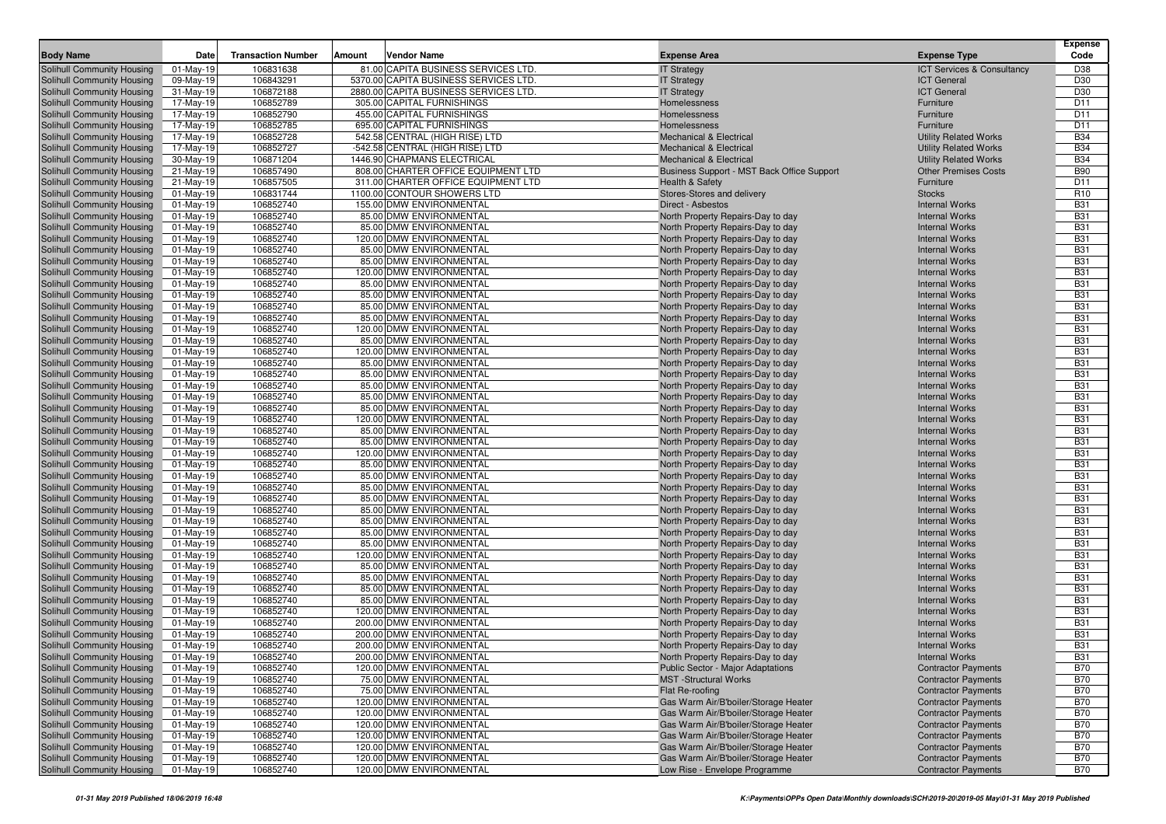|                                                          |                           |                           |               |                                                                               |                                                                        |                                                | <b>Expense</b>           |
|----------------------------------------------------------|---------------------------|---------------------------|---------------|-------------------------------------------------------------------------------|------------------------------------------------------------------------|------------------------------------------------|--------------------------|
| <b>Body Name</b>                                         | Date                      | <b>Transaction Number</b> | <b>Amount</b> | <b>Vendor Name</b>                                                            | <b>Expense Area</b>                                                    | <b>Expense Type</b>                            | Code                     |
| Solihull Community Housing                               | 01-May-19                 | 106831638                 |               | 81.00 CAPITA BUSINESS SERVICES LTD                                            | <b>IT Strategy</b>                                                     | ICT Services & Consultancy                     | D38                      |
| Solihull Community Housing                               | 09-May-19                 | 106843291<br>106872188    |               | 5370.00 CAPITA BUSINESS SERVICES LTD<br>2880.00 CAPITA BUSINESS SERVICES LTD. | <b>IT Strategy</b>                                                     | <b>ICT General</b><br><b>ICT General</b>       | D30<br>D30               |
| Solihull Community Housing<br>Solihull Community Housing | 31-May-19<br>17-May-19    | 106852789                 |               | 305.00 CAPITAL FURNISHINGS                                                    | <b>IT Strategy</b><br>Homelessness                                     | Furniture                                      | D <sub>11</sub>          |
| Solihull Community Housing                               | 17-May-19                 | 106852790                 |               | 455.00 CAPITAL FURNISHINGS                                                    | Homelessness                                                           | Furniture                                      | D <sub>11</sub>          |
| Solihull Community Housing                               | 17-May-19                 | 106852785                 |               | 695.00 CAPITAL FURNISHINGS                                                    | Homelessness                                                           | Furniture                                      | D <sub>11</sub>          |
| Solihull Community Housing                               | 17-May-19                 | 106852728                 |               | 542.58 CENTRAL (HIGH RISE) LTD                                                | <b>Mechanical &amp; Electrical</b>                                     | <b>Utility Related Works</b>                   | <b>B34</b>               |
| Solihull Community Housing                               | 17-May-19                 | 106852727                 |               | -542.58 CENTRAL (HIGH RISE) LTD                                               | <b>Mechanical &amp; Electrical</b>                                     | <b>Utility Related Works</b>                   | <b>B34</b>               |
| Solihull Community Housing                               | 30-May-19                 | 106871204                 |               | 1446.90 CHAPMANS ELECTRICAL                                                   | <b>Mechanical &amp; Electrical</b>                                     | <b>Utility Related Works</b>                   | <b>B34</b>               |
| Solihull Community Housing                               | 21-May-19                 | 106857490                 |               | 808.00 CHARTER OFFICE EQUIPMENT LTD                                           | Business Support - MST Back Office Support                             | <b>Other Premises Costs</b>                    | <b>B90</b>               |
| Solihull Community Housing                               | 21-May-19                 | 106857505                 |               | 311.00 CHARTER OFFICE EQUIPMENT LTD                                           | <b>Health &amp; Safety</b>                                             | Furniture                                      | D <sub>11</sub>          |
| Solihull Community Housing                               | 01-May-19                 | 106831744                 |               | 1100.00 CONTOUR SHOWERS LTD                                                   | Stores-Stores and delivery                                             | <b>Stocks</b>                                  | R <sub>10</sub>          |
| Solihull Community Housing                               | $01-May-19$               | 106852740                 |               | 155.00 DMW ENVIRONMENTAL                                                      | Direct - Asbestos                                                      | <b>Internal Works</b>                          | <b>B31</b>               |
| Solihull Community Housing                               | $01$ -May-19              | 106852740                 |               | 85.00 DMW ENVIRONMENTAL                                                       | North Property Repairs-Day to day                                      | <b>Internal Works</b>                          | <b>B31</b>               |
| Solihull Community Housing                               | 01-May-19                 | 106852740                 |               | 85.00 DMW ENVIRONMENTAL                                                       | North Property Repairs-Day to day                                      | <b>Internal Works</b>                          | <b>B31</b>               |
| Solihull Community Housing                               | $01-May-19$               | 106852740                 |               | 120.00 DMW ENVIRONMENTAL                                                      | North Property Repairs-Day to day                                      | <b>Internal Works</b>                          | <b>B31</b>               |
| Solihull Community Housing                               | 01-May-19                 | 106852740                 |               | 85.00 DMW ENVIRONMENTAL                                                       | North Property Repairs-Day to day                                      | <b>Internal Works</b>                          | <b>B31</b>               |
| Solihull Community Housing                               | 01-May-19                 | 106852740                 |               | 85.00 DMW ENVIRONMENTAL                                                       | North Property Repairs-Day to day                                      | <b>Internal Works</b>                          | <b>B31</b>               |
| Solihull Community Housing                               | 01-May-19                 | 106852740                 |               | 120.00 DMW ENVIRONMENTAL                                                      | North Property Repairs-Day to day                                      | <b>Internal Works</b>                          | <b>B31</b>               |
| Solihull Community Housing<br>Solihull Community Housing | $01$ -May-19<br>01-May-19 | 106852740<br>106852740    |               | 85.00 DMW ENVIRONMENTAL<br>85.00 DMW ENVIRONMENTAL                            | North Property Repairs-Day to day<br>North Property Repairs-Day to day | <b>Internal Works</b><br><b>Internal Works</b> | <b>B31</b><br><b>B31</b> |
| Solihull Community Housing                               | 01-May-19                 | 106852740                 |               | 85.00 DMW ENVIRONMENTAL                                                       | North Property Repairs-Day to day                                      | <b>Internal Works</b>                          | <b>B31</b>               |
| Solihull Community Housing                               | $01-May-19$               | 106852740                 |               | 85.00 DMW ENVIRONMENTAL                                                       | North Property Repairs-Day to day                                      | <b>Internal Works</b>                          | <b>B31</b>               |
| Solihull Community Housing                               | 01-May-19                 | 106852740                 |               | 120.00 DMW ENVIRONMENTAL                                                      | North Property Repairs-Day to day                                      | <b>Internal Works</b>                          | <b>B31</b>               |
| Solihull Community Housing                               | 01-May-19                 | 106852740                 |               | 85.00 DMW ENVIRONMENTAL                                                       | North Property Repairs-Day to day                                      | <b>Internal Works</b>                          | <b>B31</b>               |
| Solihull Community Housing                               | 01-May-19                 | 106852740                 |               | 120.00 DMW ENVIRONMENTAL                                                      | North Property Repairs-Day to day                                      | <b>Internal Works</b>                          | <b>B31</b>               |
| Solihull Community Housing                               | 01-May-19                 | 106852740                 |               | 85.00 DMW ENVIRONMENTAL                                                       | North Property Repairs-Day to day                                      | <b>Internal Works</b>                          | <b>B31</b>               |
| Solihull Community Housing                               | 01-May-19                 | 106852740                 |               | 85.00 DMW ENVIRONMENTAL                                                       | North Property Repairs-Day to day                                      | <b>Internal Works</b>                          | <b>B31</b>               |
| Solihull Community Housing                               | 01-May-19                 | 106852740                 |               | 85.00 DMW ENVIRONMENTAL                                                       | North Property Repairs-Day to day                                      | <b>Internal Works</b>                          | <b>B31</b>               |
| Solihull Community Housing                               | $01-May-19$               | 106852740                 |               | 85.00 DMW ENVIRONMENTAL                                                       | North Property Repairs-Day to day                                      | <b>Internal Works</b>                          | <b>B31</b>               |
| Solihull Community Housing                               | 01-May-19                 | 106852740                 |               | 85.00 DMW ENVIRONMENTAL                                                       | North Property Repairs-Day to day                                      | <b>Internal Works</b>                          | <b>B31</b>               |
| Solihull Community Housing                               | $01-May-19$               | 106852740                 |               | 120.00 DMW ENVIRONMENTAL                                                      | North Property Repairs-Day to day                                      | <b>Internal Works</b>                          | <b>B31</b>               |
| Solihull Community Housing                               | 01-May-19                 | 106852740                 |               | 85.00 DMW ENVIRONMENTAL                                                       | North Property Repairs-Day to day                                      | <b>Internal Works</b>                          | <b>B31</b>               |
| Solihull Community Housing                               | $01-May-19$               | 106852740                 |               | 85.00 DMW ENVIRONMENTAL                                                       | North Property Repairs-Day to day                                      | <b>Internal Works</b>                          | <b>B31</b>               |
| Solihull Community Housing<br>Solihull Community Housing | 01-May-19                 | 106852740<br>106852740    |               | 120.00 DMW ENVIRONMENTAL<br>85.00 DMW ENVIRONMENTAL                           | North Property Repairs-Day to day                                      | <b>Internal Works</b><br><b>Internal Works</b> | <b>B31</b><br><b>B31</b> |
| Solihull Community Housing                               | 01-May-19<br>01-May-19    | 106852740                 |               | 85.00 DMW ENVIRONMENTAL                                                       | North Property Repairs-Day to day<br>North Property Repairs-Day to day | <b>Internal Works</b>                          | <b>B31</b>               |
| Solihull Community Housing                               | $01-May-19$               | 106852740                 |               | 85.00 DMW ENVIRONMENTAL                                                       | North Property Repairs-Day to day                                      | <b>Internal Works</b>                          | <b>B31</b>               |
| Solihull Community Housing                               | 01-May-19                 | 106852740                 |               | 85.00 DMW ENVIRONMENTAL                                                       | North Property Repairs-Day to day                                      | <b>Internal Works</b>                          | <b>B31</b>               |
| Solihull Community Housing                               | 01-May-19                 | 106852740                 |               | 85.00 DMW ENVIRONMENTAL                                                       | North Property Repairs-Day to day                                      | <b>Internal Works</b>                          | <b>B31</b>               |
| Solihull Community Housing                               | $01-May-19$               | 106852740                 |               | 85.00 DMW ENVIRONMENTAL                                                       | North Property Repairs-Day to day                                      | <b>Internal Works</b>                          | <b>B31</b>               |
| Solihull Community Housing                               | 01-May-19                 | 106852740                 |               | 85.00 DMW ENVIRONMENTAL                                                       | North Property Repairs-Day to day                                      | <b>Internal Works</b>                          | <b>B31</b>               |
| Solihull Community Housing                               | 01-May-19                 | 106852740                 |               | 85.00 DMW ENVIRONMENTAL                                                       | North Property Repairs-Day to day                                      | <b>Internal Works</b>                          | <b>B31</b>               |
| Solihull Community Housing                               | 01-May-19                 | 106852740                 |               | 120.00 DMW ENVIRONMENTAL                                                      | North Property Repairs-Day to day                                      | <b>Internal Works</b>                          | <b>B31</b>               |
| Solihull Community Housing                               | $01-May-19$               | 106852740                 |               | 85.00 DMW ENVIRONMENTAL                                                       | North Property Repairs-Day to day                                      | <b>Internal Works</b>                          | <b>B31</b>               |
| Solihull Community Housing                               | 01-May-19                 | 106852740                 |               | 85.00 DMW ENVIRONMENTAL                                                       | North Property Repairs-Day to day                                      | <b>Internal Works</b>                          | <b>B31</b>               |
| Solihull Community Housing                               | $01-May-19$               | 106852740                 |               | 85.00 DMW ENVIRONMENTAL                                                       | North Property Repairs-Day to day                                      | <b>Internal Works</b>                          | <b>B31</b>               |
| Solihull Community Housing                               | $01-May-19$               | 106852740                 |               | 85.00 DMW ENVIRONMENTAL                                                       | North Property Repairs-Day to day                                      | <b>Internal Works</b><br><b>Internal Works</b> | <b>B31</b>               |
| Solihull Community Housing                               | 01-May-19                 | 106852740<br>106852740    |               | 120.00 DMW ENVIRONMENTAL<br>200.00 DMW ENVIRONMENTAL                          | North Property Repairs-Day to day<br>North Property Repairs-Day to day |                                                | <b>B31</b><br><b>B31</b> |
| Solihull Community Housing<br>Solihull Community Housing | 01-May-19<br>01-May-19    | 106852740                 |               | 200.00 DMW ENVIRONMENTAL                                                      | North Property Repairs-Day to day                                      | <b>Internal Works</b><br><b>Internal Works</b> | <b>B31</b>               |
| Solihull Community Housing                               | $01$ -May-19              | 106852740                 |               | 200.00 DMW ENVIRONMENTAL                                                      | North Property Repairs-Day to day                                      | <b>Internal Works</b>                          | <b>B31</b>               |
| Solihull Community Housing                               | $01-Mav-19$               | 106852740                 |               | 200.00 DMW ENVIRONMENTAL                                                      | North Property Repairs-Day to day                                      | <b>Internal Works</b>                          | B31                      |
| Solihull Community Housing                               | 01-May-19                 | 106852740                 |               | 120.00 DMW ENVIRONMENTAL                                                      | Public Sector - Major Adaptations                                      | <b>Contractor Payments</b>                     | <b>B70</b>               |
| Solihull Community Housing                               | 01-May-19                 | 106852740                 |               | 75.00 DMW ENVIRONMENTAL                                                       | <b>MST</b> -Structural Works                                           | <b>Contractor Payments</b>                     | <b>B70</b>               |
| Solihull Community Housing                               | 01-May-19                 | 106852740                 |               | 75.00 DMW ENVIRONMENTAL                                                       | Flat Re-roofing                                                        | <b>Contractor Payments</b>                     | <b>B70</b>               |
| Solihull Community Housing                               | $01-May-19$               | 106852740                 |               | 120.00 DMW ENVIRONMENTAL                                                      | Gas Warm Air/B'boiler/Storage Heater                                   | <b>Contractor Payments</b>                     | <b>B70</b>               |
| Solihull Community Housing                               | 01-May-19                 | 106852740                 |               | 120.00 DMW ENVIRONMENTAL                                                      | Gas Warm Air/B'boiler/Storage Heater                                   | <b>Contractor Payments</b>                     | <b>B70</b>               |
| Solihull Community Housing                               | 01-May-19                 | 106852740                 |               | 120.00 DMW ENVIRONMENTAL                                                      | Gas Warm Air/B'boiler/Storage Heater                                   | <b>Contractor Payments</b>                     | <b>B70</b>               |
| Solihull Community Housing                               | 01-May-19                 | 106852740                 |               | 120.00 DMW ENVIRONMENTAL                                                      | Gas Warm Air/B'boiler/Storage Heater                                   | <b>Contractor Payments</b>                     | <b>B70</b>               |
| Solihull Community Housing                               | 01-May-19                 | 106852740                 |               | 120.00 DMW ENVIRONMENTAL                                                      | Gas Warm Air/B'boiler/Storage Heater                                   | <b>Contractor Payments</b>                     | <b>B70</b>               |
| Solihull Community Housing                               | 01-May-19                 | 106852740                 |               | 120.00 DMW ENVIRONMENTAL                                                      | Gas Warm Air/B'boiler/Storage Heater                                   | <b>Contractor Payments</b>                     | <b>B70</b>               |
| Solihull Community Housing                               | $01$ -May-19              | 106852740                 |               | 120.00 DMW ENVIRONMENTAL                                                      | Low Rise - Envelope Programme                                          | <b>Contractor Payments</b>                     | <b>B70</b>               |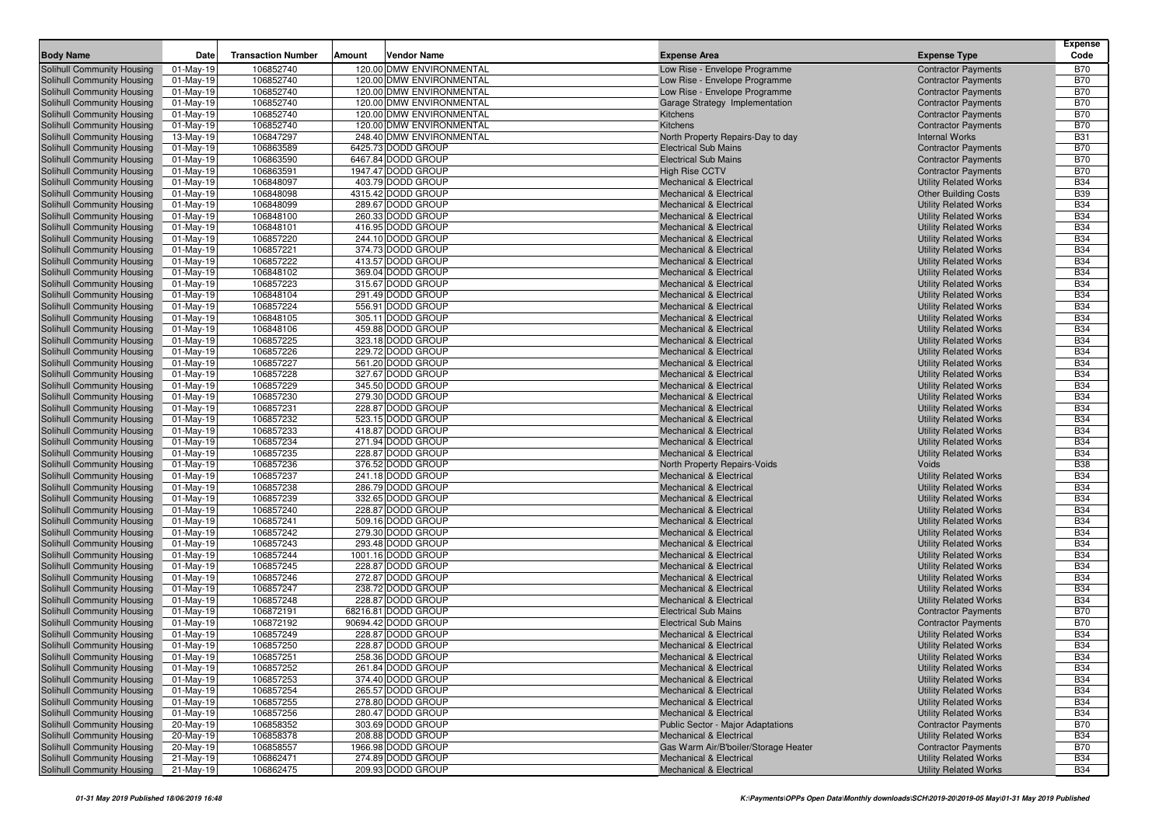| <b>Body Name</b>                                         | <b>Date</b>              | <b>Transaction Number</b> | Amount | Vendor Name                             | <b>Expense Area</b>                                                      | <b>Expense Type</b>                                          | <b>Expense</b><br>Code   |
|----------------------------------------------------------|--------------------------|---------------------------|--------|-----------------------------------------|--------------------------------------------------------------------------|--------------------------------------------------------------|--------------------------|
| Solihull Community Housing                               | $01-May-19$              | 106852740                 |        | 120.00 DMW ENVIRONMENTAL                | Low Rise - Envelope Programme                                            | <b>Contractor Payments</b>                                   | <b>B70</b>               |
| Solihull Community Housing                               | $01-May-19$              | 106852740                 |        | 120.00 DMW ENVIRONMENTAL                | Low Rise - Envelope Programme                                            | <b>Contractor Payments</b>                                   | <b>B70</b>               |
| Solihull Community Housing                               | $01$ -May-19             | 106852740                 |        | 120.00 DMW ENVIRONMENTAL                | Low Rise - Envelope Programme                                            | <b>Contractor Payments</b>                                   | <b>B70</b>               |
| Solihull Community Housing                               | $01-May-19$              | 106852740                 |        | 120.00 DMW ENVIRONMENTAL                | Garage Strategy Implementation                                           | <b>Contractor Payments</b>                                   | <b>B70</b>               |
| Solihull Community Housing                               | $01-May-19$              | 106852740                 |        | 120.00 DMW ENVIRONMENTAL                | Kitchens                                                                 | <b>Contractor Payments</b>                                   | <b>B70</b>               |
| Solihull Community Housing                               | 01-May-19                | 106852740                 |        | 120.00 DMW ENVIRONMENTAL                | Kitchens                                                                 | <b>Contractor Payments</b>                                   | <b>B70</b>               |
| Solihull Community Housing                               | 13-May-19                | 106847297                 |        | 248.40 DMW ENVIRONMENTAL                | North Property Repairs-Day to day                                        | <b>Internal Works</b>                                        | <b>B31</b>               |
| Solihull Community Housing                               | $01-May-19$              | 106863589                 |        | 6425.73 DODD GROUP                      | <b>Electrical Sub Mains</b>                                              | <b>Contractor Payments</b>                                   | <b>B70</b>               |
| Solihull Community Housing                               | 01-May-19                | 106863590                 |        | 6467.84 DODD GROUP                      | <b>Electrical Sub Mains</b>                                              | <b>Contractor Payments</b>                                   | <b>B70</b>               |
| Solihull Community Housing                               | $01-May-19$              | 106863591                 |        | 1947.47 DODD GROUP                      | <b>High Rise CCTV</b>                                                    | <b>Contractor Payments</b>                                   | <b>B70</b>               |
| Solihull Community Housing                               | 01-May-19                | 106848097                 |        | 403.79 DODD GROUP                       | <b>Mechanical &amp; Electrical</b>                                       | <b>Utility Related Works</b>                                 | <b>B34</b>               |
| Solihull Community Housing                               | $01-May-19$              | 106848098                 |        | 4315.42 DODD GROUP                      | <b>Mechanical &amp; Electrical</b>                                       | <b>Other Building Costs</b>                                  | <b>B39</b>               |
| Solihull Community Housing                               | 01-May-19                | 106848099                 |        | 289.67 DODD GROUP                       | Mechanical & Electrical                                                  | <b>Utility Related Works</b>                                 | <b>B34</b>               |
| Solihull Community Housing                               | 01-May-19                | 106848100                 |        | 260.33 DODD GROUP                       | <b>Mechanical &amp; Electrical</b>                                       | <b>Utility Related Works</b>                                 | <b>B34</b>               |
| Solihull Community Housing                               | $01-May-19$              | 106848101                 |        | 416.95 DODD GROUP                       | <b>Mechanical &amp; Electrical</b>                                       | <b>Utility Related Works</b>                                 | <b>B34</b>               |
| Solihull Community Housing                               | $01-May-19$              | 106857220                 |        | 244.10 DODD GROUP                       | <b>Mechanical &amp; Electrical</b>                                       | <b>Utility Related Works</b>                                 | <b>B34</b>               |
| Solihull Community Housing                               | $01-May-19$              | 106857221                 |        | 374.73 DODD GROUP                       | <b>Mechanical &amp; Electrical</b>                                       | <b>Utility Related Works</b>                                 | <b>B34</b>               |
| Solihull Community Housing                               | $01-May-19$              | 106857222                 |        | 413.57 DODD GROUP                       | <b>Mechanical &amp; Electrical</b>                                       | <b>Utility Related Works</b>                                 | <b>B34</b>               |
| Solihull Community Housing                               | $01-May-19$              | 106848102                 |        | 369.04 DODD GROUP                       | <b>Mechanical &amp; Electrical</b>                                       | <b>Utility Related Works</b>                                 | <b>B34</b>               |
| Solihull Community Housing                               | 01-May-19                | 106857223                 |        | 315.67 DODD GROUP                       | <b>Mechanical &amp; Electrical</b>                                       | <b>Utility Related Works</b>                                 | <b>B34</b>               |
| Solihull Community Housing                               | 01-May-19                | 106848104                 |        | 291.49 DODD GROUP                       | <b>Mechanical &amp; Electrical</b>                                       | <b>Utility Related Works</b>                                 | <b>B34</b>               |
| Solihull Community Housing                               | 01-May-19                | 106857224                 |        | 556.91 DODD GROUP<br>305.11 DODD GROUP  | <b>Mechanical &amp; Electrical</b>                                       | <b>Utility Related Works</b>                                 | <b>B34</b><br><b>B34</b> |
| Solihull Community Housing<br>Solihull Community Housing | $01-May-19$<br>01-May-19 | 106848105<br>106848106    |        | 459.88 DODD GROUP                       | <b>Mechanical &amp; Electrical</b><br><b>Mechanical &amp; Electrical</b> | <b>Utility Related Works</b><br><b>Utility Related Works</b> | <b>B34</b>               |
| Solihull Community Housing                               | $01-May-19$              | 106857225                 |        | 323.18 DODD GROUP                       | <b>Mechanical &amp; Electrical</b>                                       | <b>Utility Related Works</b>                                 | <b>B34</b>               |
| Solihull Community Housing                               | 01-May-19                | 106857226                 |        | 229.72 DODD GROUP                       | <b>Mechanical &amp; Electrical</b>                                       | <b>Utility Related Works</b>                                 | <b>B34</b>               |
| Solihull Community Housing                               | 01-May-19                | 106857227                 |        | 561.20 DODD GROUP                       | Mechanical & Electrical                                                  | <b>Utility Related Works</b>                                 | <b>B34</b>               |
| Solihull Community Housing                               | $01-May-19$              | 106857228                 |        | 327.67 DODD GROUP                       | <b>Mechanical &amp; Electrical</b>                                       | <b>Utility Related Works</b>                                 | <b>B34</b>               |
| Solihull Community Housing                               | $01-May-19$              | 106857229                 |        | 345.50 DODD GROUP                       | <b>Mechanical &amp; Electrical</b>                                       | <b>Utility Related Works</b>                                 | <b>B34</b>               |
| Solihull Community Housing                               | $01-May-19$              | 106857230                 |        | 279.30 DODD GROUP                       | <b>Mechanical &amp; Electrical</b>                                       | <b>Utility Related Works</b>                                 | <b>B34</b>               |
| Solihull Community Housing                               | 01-May-19                | 106857231                 |        | 228.87 DODD GROUP                       | <b>Mechanical &amp; Electrical</b>                                       | <b>Utility Related Works</b>                                 | <b>B34</b>               |
| Solihull Community Housing                               | $01-May-19$              | 106857232                 |        | 523.15 DODD GROUP                       | <b>Mechanical &amp; Electrical</b>                                       | <b>Utility Related Works</b>                                 | <b>B34</b>               |
| Solihull Community Housing                               | $01-May-19$              | 106857233                 |        | 418.87 DODD GROUP                       | <b>Mechanical &amp; Electrical</b>                                       | <b>Utility Related Works</b>                                 | <b>B34</b>               |
| Solihull Community Housing                               | $01-May-19$              | 106857234                 |        | 271.94 DODD GROUP                       | <b>Mechanical &amp; Electrical</b>                                       | <b>Utility Related Works</b>                                 | <b>B34</b>               |
| Solihull Community Housing                               | 01-May-19                | 106857235                 |        | 228.87 DODD GROUP                       | Mechanical & Electrical                                                  | <b>Utility Related Works</b>                                 | <b>B34</b>               |
| Solihull Community Housing                               | 01-May-19                | 106857236                 |        | 376.52 DODD GROUP                       | North Property Repairs-Voids                                             | Voids                                                        | <b>B38</b>               |
| Solihull Community Housing                               | $01-May-19$              | 106857237                 |        | 241.18 DODD GROUP                       | <b>Mechanical &amp; Electrical</b>                                       | <b>Utility Related Works</b>                                 | <b>B34</b>               |
| Solihull Community Housing                               | 01-May-19                | 106857238                 |        | 286.79 DODD GROUP                       | Mechanical & Electrical                                                  | <b>Utility Related Works</b>                                 | <b>B34</b>               |
| Solihull Community Housing                               | 01-May-19                | 106857239                 |        | 332.65 DODD GROUP                       | <b>Mechanical &amp; Electrical</b>                                       | <b>Utility Related Works</b>                                 | <b>B34</b>               |
| Solihull Community Housing                               | 01-May-19                | 106857240                 |        | 228.87 DODD GROUP                       | <b>Mechanical &amp; Electrical</b>                                       | <b>Utility Related Works</b>                                 | <b>B34</b>               |
| Solihull Community Housing                               | $01-May-19$              | 106857241                 |        | 509.16 DODD GROUP                       | <b>Mechanical &amp; Electrical</b>                                       | <b>Utility Related Works</b>                                 | <b>B34</b>               |
| Solihull Community Housing                               | $01-May-19$              | 106857242                 |        | 279.30 DODD GROUP                       | <b>Mechanical &amp; Electrical</b>                                       | <b>Utility Related Works</b>                                 | <b>B34</b>               |
| Solihull Community Housing                               | $01-May-19$              | 106857243                 |        | 293.48 DODD GROUP                       | Mechanical & Electrical                                                  | <b>Utility Related Works</b>                                 | <b>B34</b>               |
| Solihull Community Housing                               | $01-May-19$              | 106857244                 |        | 1001.16 DODD GROUP<br>228.87 DODD GROUP | <b>Mechanical &amp; Electrical</b>                                       | <b>Utility Related Works</b>                                 | <b>B34</b><br><b>B34</b> |
| Solihull Community Housing                               | $01-May-19$              | 106857245<br>106857246    |        | 272.87 DODD GROUP                       | <b>Mechanical &amp; Electrical</b>                                       | <b>Utility Related Works</b>                                 | <b>B34</b>               |
| Solihull Community Housing<br>Solihull Community Housing | 01-May-19<br>01-May-19   | 106857247                 |        | 238.72 DODD GROUP                       | <b>Mechanical &amp; Electrical</b><br><b>Mechanical &amp; Electrical</b> | <b>Utility Related Works</b><br><b>Utility Related Works</b> | <b>B34</b>               |
| Solihull Community Housing                               | $01-May-19$              | 106857248                 |        | 228.87 DODD GROUP                       | Mechanical & Electrical                                                  | <b>Utility Related Works</b>                                 | <b>B34</b>               |
| Solihull Community Housing                               | 01-May-19                | 106872191                 |        | 68216.81 DODD GROUP                     | <b>Electrical Sub Mains</b>                                              | <b>Contractor Payments</b>                                   | <b>B70</b>               |
| Solihull Community Housing                               | 01-May-19                | 106872192                 |        | 90694.42 DODD GROUP                     | <b>Electrical Sub Mains</b>                                              | <b>Contractor Payments</b>                                   | B70                      |
| Solihull Community Housing                               | $01-May-19$              | 106857249                 |        | 228.87 DODD GROUP                       | <b>Mechanical &amp; Electrical</b>                                       | <b>Utility Related Works</b>                                 | <b>B34</b>               |
| Solihull Community Housing                               | $01-May-19$              | 106857250                 |        | 228.87 DODD GROUP                       | <b>Mechanical &amp; Electrical</b>                                       | <b>Utility Related Works</b>                                 | <b>B34</b>               |
| Solihull Community Housing                               | $01-May-19$              | 106857251                 |        | 258.36 DODD GROUP                       | <b>Mechanical &amp; Electrical</b>                                       | <b>Utility Related Works</b>                                 | <b>B34</b>               |
| Solihull Community Housing                               | 01-May-19                | 106857252                 |        | 261.84 DODD GROUP                       | <b>Mechanical &amp; Electrical</b>                                       | <b>Utility Related Works</b>                                 | <b>B34</b>               |
| Solihull Community Housing                               | 01-May-19                | 106857253                 |        | 374.40 DODD GROUP                       | Mechanical & Electrical                                                  | <b>Utility Related Works</b>                                 | <b>B34</b>               |
| Solihull Community Housing                               | $01-May-19$              | 106857254                 |        | 265.57 DODD GROUP                       | <b>Mechanical &amp; Electrical</b>                                       | <b>Utility Related Works</b>                                 | <b>B34</b>               |
| Solihull Community Housing                               | 01-May-19                | 106857255                 |        | 278.80 DODD GROUP                       | Mechanical & Electrical                                                  | <b>Utility Related Works</b>                                 | <b>B34</b>               |
| Solihull Community Housing                               | $\overline{0}$ 1-May-19  | 106857256                 |        | 280.47 DODD GROUP                       | Mechanical & Electrical                                                  | <b>Utility Related Works</b>                                 | <b>B34</b>               |
| Solihull Community Housing                               | 20-May-19                | 106858352                 |        | 303.69 DODD GROUP                       | <b>Public Sector - Major Adaptations</b>                                 | <b>Contractor Payments</b>                                   | <b>B70</b>               |
| Solihull Community Housing                               | 20-May-19                | 106858378                 |        | 208.88 DODD GROUP                       | <b>Mechanical &amp; Electrical</b>                                       | <b>Utility Related Works</b>                                 | <b>B34</b>               |
| Solihull Community Housing                               | 20-May-19                | 106858557                 |        | 1966.98 DODD GROUP                      | Gas Warm Air/B'boiler/Storage Heater                                     | <b>Contractor Payments</b>                                   | <b>B70</b>               |
| Solihull Community Housing                               | 21-May-19                | 106862471                 |        | 274.89 DODD GROUP                       | Mechanical & Electrical                                                  | <b>Utility Related Works</b>                                 | <b>B34</b>               |
| Solihull Community Housing                               | 21-May-19                | 106862475                 |        | 209.93 DODD GROUP                       | Mechanical & Electrical                                                  | <b>Utility Related Works</b>                                 | <b>B34</b>               |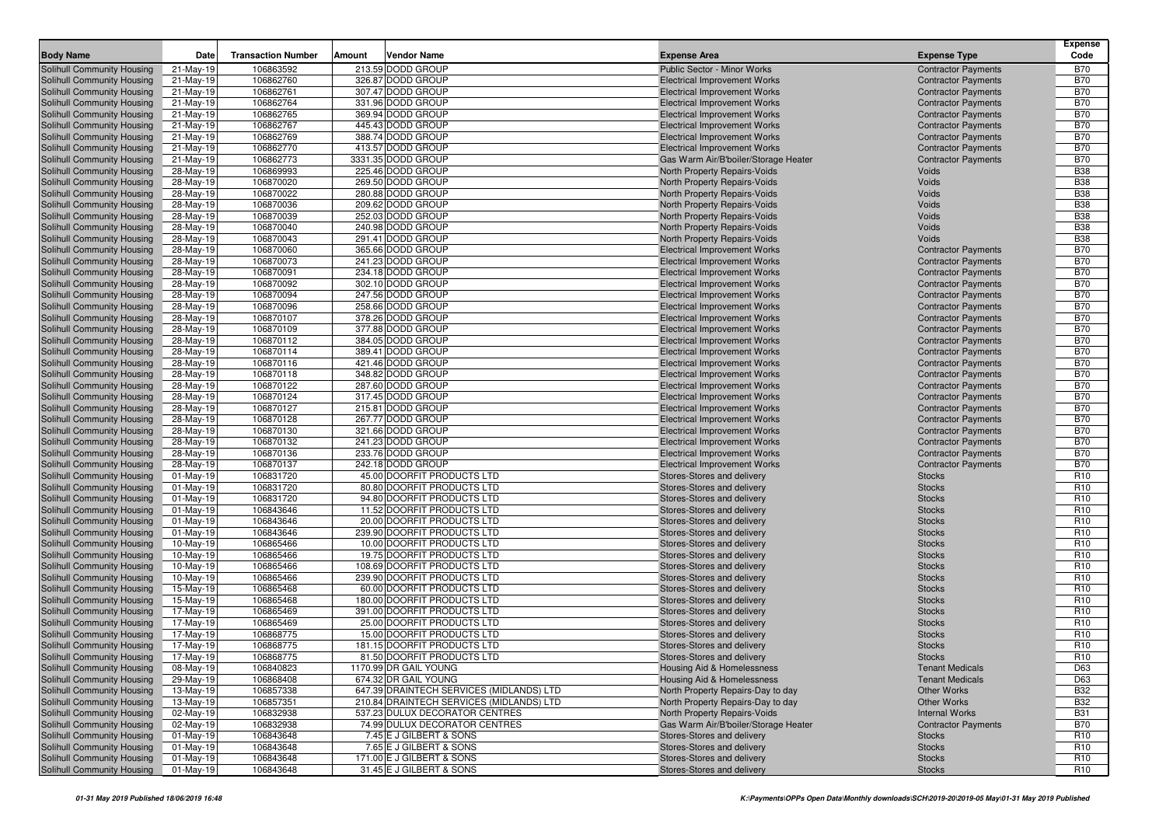|                                                          | Date                    |                           |        | Vendor Name                                               |                                                                            |                                                          | Expense<br>Code                    |
|----------------------------------------------------------|-------------------------|---------------------------|--------|-----------------------------------------------------------|----------------------------------------------------------------------------|----------------------------------------------------------|------------------------------------|
| <b>Body Name</b>                                         |                         | <b>Transaction Number</b> | Amount |                                                           | <b>Expense Area</b>                                                        | <b>Expense Type</b>                                      |                                    |
| Solihull Community Housing<br>Solihull Community Housing | 21-May-19               | 106863592                 |        | 213.59 DODD GROUP                                         | <b>Public Sector - Minor Works</b>                                         | <b>Contractor Payments</b>                               | <b>B70</b><br><b>B70</b>           |
| Solihull Community Housing                               | 21-May-19<br>21-May-19  | 106862760<br>106862761    |        | 326.87 DODD GROUP<br>307.47 DODD GROUP                    | <b>Electrical Improvement Works</b><br><b>Electrical Improvement Works</b> | <b>Contractor Payments</b><br><b>Contractor Payments</b> | <b>B70</b>                         |
| Solihull Community Housing                               | 21-May-19               | 106862764                 |        | 331.96 DODD GROUP                                         | <b>Electrical Improvement Works</b>                                        | <b>Contractor Payments</b>                               | <b>B70</b>                         |
| <b>Solihull Community Housing</b>                        | 21-May-19               | 106862765                 |        | 369.94 DODD GROUP                                         | <b>Electrical Improvement Works</b>                                        | <b>Contractor Payments</b>                               | <b>B70</b>                         |
| Solihull Community Housing                               | 21-May-19               | 106862767                 |        | 445.43 DODD GROUP                                         | <b>Electrical Improvement Works</b>                                        | <b>Contractor Payments</b>                               | <b>B70</b>                         |
| Solihull Community Housing                               | 21-May-19               | 106862769                 |        | 388.74 DODD GROUP                                         | <b>Electrical Improvement Works</b>                                        | <b>Contractor Payments</b>                               | <b>B70</b>                         |
| Solihull Community Housing                               | 21-May-19               | 106862770                 |        | 413.57 DODD GROUP                                         | <b>Electrical Improvement Works</b>                                        | <b>Contractor Payments</b>                               | <b>B70</b>                         |
| Solihull Community Housing                               | 21-May-19               | 106862773                 |        | 3331.35 DODD GROUP                                        | Gas Warm Air/B'boiler/Storage Heater                                       | <b>Contractor Payments</b>                               | <b>B70</b>                         |
| Solihull Community Housing                               | 28-May-19               | 106869993                 |        | 225.46 DODD GROUP                                         | North Property Repairs-Voids                                               | Voids                                                    | <b>B38</b>                         |
| Solihull Community Housing                               | 28-May-19               | 106870020                 |        | 269.50 DODD GROUP                                         | North Property Repairs-Voids                                               | Voids                                                    | <b>B38</b>                         |
| Solihull Community Housing                               | 28-May-19               | 106870022                 |        | 280.88 DODD GROUP                                         | <b>North Property Repairs-Voids</b>                                        | Voids                                                    | <b>B38</b>                         |
| Solihull Community Housing                               | 28-May-19               | 106870036                 |        | 209.62 DODD GROUP                                         | North Property Repairs-Voids                                               | Voids                                                    | <b>B38</b>                         |
| Solihull Community Housing                               | 28-May-19               | 106870039                 |        | 252.03 DODD GROUP                                         | <b>North Property Repairs-Voids</b>                                        | Voids                                                    | <b>B38</b>                         |
| Solihull Community Housing                               | 28-May-19               | 106870040                 |        | 240.98 DODD GROUP                                         | North Property Repairs-Voids                                               | Voids                                                    | <b>B38</b>                         |
| Solihull Community Housing                               | 28-May-19               | 106870043                 |        | 291.41 DODD GROUP                                         | North Property Repairs-Voids                                               | Voids                                                    | <b>B38</b>                         |
| Solihull Community Housing                               | 28-May-19               | 106870060                 |        | 365.66 DODD GROUP                                         | <b>Electrical Improvement Works</b>                                        | <b>Contractor Payments</b>                               | <b>B70</b>                         |
| Solihull Community Housing                               | 28-May-19               | 106870073                 |        | 241.23 DODD GROUP                                         | <b>Electrical Improvement Works</b>                                        | <b>Contractor Payments</b>                               | <b>B70</b>                         |
| Solihull Community Housing                               | 28-May-19               | 106870091                 |        | 234.18 DODD GROUP                                         | <b>Electrical Improvement Works</b>                                        | <b>Contractor Payments</b>                               | <b>B70</b><br><b>B70</b>           |
| Solihull Community Housing                               | 28-May-19               | 106870092                 |        | 302.10 DODD GROUP<br>247.56 DODD GROUP                    | <b>Electrical Improvement Works</b>                                        | <b>Contractor Payments</b>                               | <b>B70</b>                         |
| Solihull Community Housing<br>Solihull Community Housing | 28-May-19               | 106870094<br>106870096    |        | 258.66 DODD GROUP                                         | <b>Electrical Improvement Works</b><br><b>Electrical Improvement Works</b> | <b>Contractor Payments</b><br><b>Contractor Payments</b> | <b>B70</b>                         |
| Solihull Community Housing                               | 28-May-19<br>28-May-19  | 106870107                 |        | 378.26 DODD GROUP                                         | <b>Electrical Improvement Works</b>                                        | <b>Contractor Payments</b>                               | <b>B70</b>                         |
| Solihull Community Housing                               | 28-May-19               | 106870109                 |        | 377.88 DODD GROUP                                         | <b>Electrical Improvement Works</b>                                        | <b>Contractor Payments</b>                               | <b>B70</b>                         |
| Solihull Community Housing                               | 28-May-19               | 106870112                 |        | 384.05 DODD GROUP                                         | <b>Electrical Improvement Works</b>                                        | <b>Contractor Payments</b>                               | <b>B70</b>                         |
| Solihull Community Housing                               | 28-May-19               | 106870114                 |        | 389.41 DODD GROUP                                         | <b>Electrical Improvement Works</b>                                        | <b>Contractor Payments</b>                               | <b>B70</b>                         |
| Solihull Community Housing                               | 28-May-19               | 106870116                 |        | 421.46 DODD GROUP                                         | <b>Electrical Improvement Works</b>                                        | <b>Contractor Payments</b>                               | <b>B70</b>                         |
| Solihull Community Housing                               | 28-May-19               | 106870118                 |        | 348.82 DODD GROUP                                         | <b>Electrical Improvement Works</b>                                        | <b>Contractor Payments</b>                               | <b>B70</b>                         |
| Solihull Community Housing                               | 28-May-19               | 106870122                 |        | 287.60 DODD GROUP                                         | <b>Electrical Improvement Works</b>                                        | <b>Contractor Payments</b>                               | <b>B70</b>                         |
| <b>Solihull Community Housing</b>                        | 28-May-19               | 106870124                 |        | 317.45 DODD GROUP                                         | <b>Electrical Improvement Works</b>                                        | <b>Contractor Payments</b>                               | <b>B70</b>                         |
| Solihull Community Housing                               | 28-May-19               | 106870127                 |        | 215.81 DODD GROUP                                         | <b>Electrical Improvement Works</b>                                        | <b>Contractor Payments</b>                               | <b>B70</b>                         |
| Solihull Community Housing                               | 28-May-19               | 106870128                 |        | 267.77 DODD GROUP                                         | <b>Electrical Improvement Works</b>                                        | <b>Contractor Payments</b>                               | <b>B70</b>                         |
| Solihull Community Housing                               | 28-May-19               | 106870130                 |        | 321.66 DODD GROUP                                         | <b>Electrical Improvement Works</b>                                        | <b>Contractor Payments</b>                               | <b>B70</b>                         |
| Solihull Community Housing                               | 28-May-19               | 106870132                 |        | 241.23 DODD GROUP                                         | <b>Electrical Improvement Works</b>                                        | <b>Contractor Payments</b>                               | <b>B70</b>                         |
| Solihull Community Housing                               | 28-May-19               | 106870136                 |        | 233.76 DODD GROUP                                         | <b>Electrical Improvement Works</b>                                        | <b>Contractor Payments</b>                               | <b>B70</b>                         |
| Solihull Community Housing                               | 28-May-19<br>01-May-19  | 106870137<br>106831720    |        | 242.18 DODD GROUP<br>45.00 DOORFIT PRODUCTS LTD           | <b>Electrical Improvement Works</b>                                        | <b>Contractor Payments</b><br><b>Stocks</b>              | <b>B70</b><br>R <sub>10</sub>      |
| Solihull Community Housing<br>Solihull Community Housing | 01-May-19               | 106831720                 |        | 80.80 DOORFIT PRODUCTS LTD                                | Stores-Stores and delivery<br>Stores-Stores and delivery                   | <b>Stocks</b>                                            | R <sub>10</sub>                    |
| <b>Solihull Community Housing</b>                        | $01$ -May-19            | 106831720                 |        | 94.80 DOORFIT PRODUCTS LTD                                | Stores-Stores and delivery                                                 | <b>Stocks</b>                                            | R <sub>10</sub>                    |
| Solihull Community Housing                               | 01-May-19               | 106843646                 |        | 11.52 DOORFIT PRODUCTS LTD                                | Stores-Stores and delivery                                                 | <b>Stocks</b>                                            | R <sub>10</sub>                    |
| Solihull Community Housing                               | $01$ -May-19            | 106843646                 |        | 20.00 DOORFIT PRODUCTS LTD                                | Stores-Stores and delivery                                                 | <b>Stocks</b>                                            | R <sub>10</sub>                    |
| Solihull Community Housing                               | 01-May-19               | 106843646                 |        | 239.90 DOORFIT PRODUCTS LTD                               | Stores-Stores and delivery                                                 | <b>Stocks</b>                                            | R <sub>10</sub>                    |
| Solihull Community Housing                               | 10-May-19               | 106865466                 |        | 10.00 DOORFIT PRODUCTS LTD                                | Stores-Stores and delivery                                                 | <b>Stocks</b>                                            | R <sub>10</sub>                    |
| Solihull Community Housing                               | 10-May-19               | 106865466                 |        | 19.75 DOORFIT PRODUCTS LTD                                | Stores-Stores and delivery                                                 | <b>Stocks</b>                                            | R <sub>10</sub>                    |
| Solihull Community Housing                               | 10-May-19               | 106865466                 |        | 108.69 DOORFIT PRODUCTS LTD                               | Stores-Stores and delivery                                                 | <b>Stocks</b>                                            | R <sub>10</sub>                    |
| Solihull Community Housing                               | 10-May-19               | 106865466                 |        | 239.90 DOORFIT PRODUCTS LTD                               | Stores-Stores and delivery                                                 | <b>Stocks</b>                                            | R <sub>10</sub>                    |
| Solihull Community Housing                               | 15-May-19               | 106865468                 |        | 60.00 DOORFIT PRODUCTS LTD                                | Stores-Stores and delivery                                                 | <b>Stocks</b>                                            | R <sub>10</sub>                    |
| Solihull Community Housing                               | 15-May-19               | 106865468                 |        | 180.00 DOORFIT PRODUCTS LTD                               | Stores-Stores and delivery                                                 | <b>Stocks</b>                                            | R <sub>10</sub>                    |
| Solihull Community Housing                               | 17-May-19               | 106865469                 |        | 391.00 DOORFIT PRODUCTS LTD                               | Stores-Stores and delivery                                                 | <b>Stocks</b>                                            | R <sub>10</sub>                    |
| Solihull Community Housing                               | 17-May-19               | 106865469                 |        | 25.00 DOORFIT PRODUCTS LTD                                | Stores-Stores and delivery                                                 | <b>Stocks</b>                                            | R <sub>10</sub>                    |
| Solihull Community Housing                               | 17-May-19               | 106868775                 |        | 15.00 DOORFIT PRODUCTS LTD                                | Stores-Stores and delivery                                                 | <b>Stocks</b>                                            | R <sub>10</sub>                    |
| Solihull Community Housing                               | 17-May-19               | 106868775                 |        | 181.15 DOORFIT PRODUCTS LTD<br>81.50 DOORFIT PRODUCTS LTD | Stores-Stores and delivery                                                 | <b>Stocks</b>                                            | R <sub>10</sub><br>R <sub>10</sub> |
| Solihull Community Housing                               | 17-May-19               | 106868775                 |        |                                                           | Stores-Stores and delivery                                                 | <b>Stocks</b>                                            |                                    |
| Solihull Community Housing<br>Solihull Community Housing | 08-May-19<br>29-May-19  | 106840823<br>106868408    |        | 1170.99 DR GAIL YOUNG<br>674.32 DR GAIL YOUNG             | Housing Aid & Homelessness<br>Housing Aid & Homelessness                   | <b>Tenant Medicals</b><br><b>Tenant Medicals</b>         | D63<br>D63                         |
| Solihull Community Housing                               | 13-May-19               | 106857338                 |        | 647.39 DRAINTECH SERVICES (MIDLANDS) LTD                  | North Property Repairs-Day to day                                          | Other Works                                              | <b>B32</b>                         |
| Solihull Community Housing                               | 13-May-19               | 106857351                 |        | 210.84 DRAINTECH SERVICES (MIDLANDS) LTD                  | North Property Repairs-Day to day                                          | Other Works                                              | <b>B32</b>                         |
| Solihull Community Housing                               | 02-May-19               | 106832938                 |        | 537.23 DULUX DECORATOR CENTRES                            | North Property Repairs-Voids                                               | <b>Internal Works</b>                                    | <b>B31</b>                         |
| Solihull Community Housing                               | 02-May-19               | 106832938                 |        | 74.99 DULUX DECORATOR CENTRES                             | Gas Warm Air/B'boiler/Storage Heater                                       | <b>Contractor Payments</b>                               | <b>B70</b>                         |
| Solihull Community Housing                               | $01-May-19$             | 106843648                 |        | 7.45 E J GILBERT & SONS                                   | Stores-Stores and delivery                                                 | <b>Stocks</b>                                            | R <sub>10</sub>                    |
| Solihull Community Housing                               | 01-May-19               | 106843648                 |        | 7.65 E J GILBERT & SONS                                   | Stores-Stores and delivery                                                 | <b>Stocks</b>                                            | R <sub>10</sub>                    |
| Solihull Community Housing                               | $\overline{0}$ 1-May-19 | 106843648                 |        | 171.00 E J GILBERT & SONS                                 | Stores-Stores and delivery                                                 | <b>Stocks</b>                                            | R <sub>10</sub>                    |
| Solihull Community Housing                               | 01-May-19               | 106843648                 |        | 31.45 E J GILBERT & SONS                                  | Stores-Stores and delivery                                                 | <b>Stocks</b>                                            | R <sub>10</sub>                    |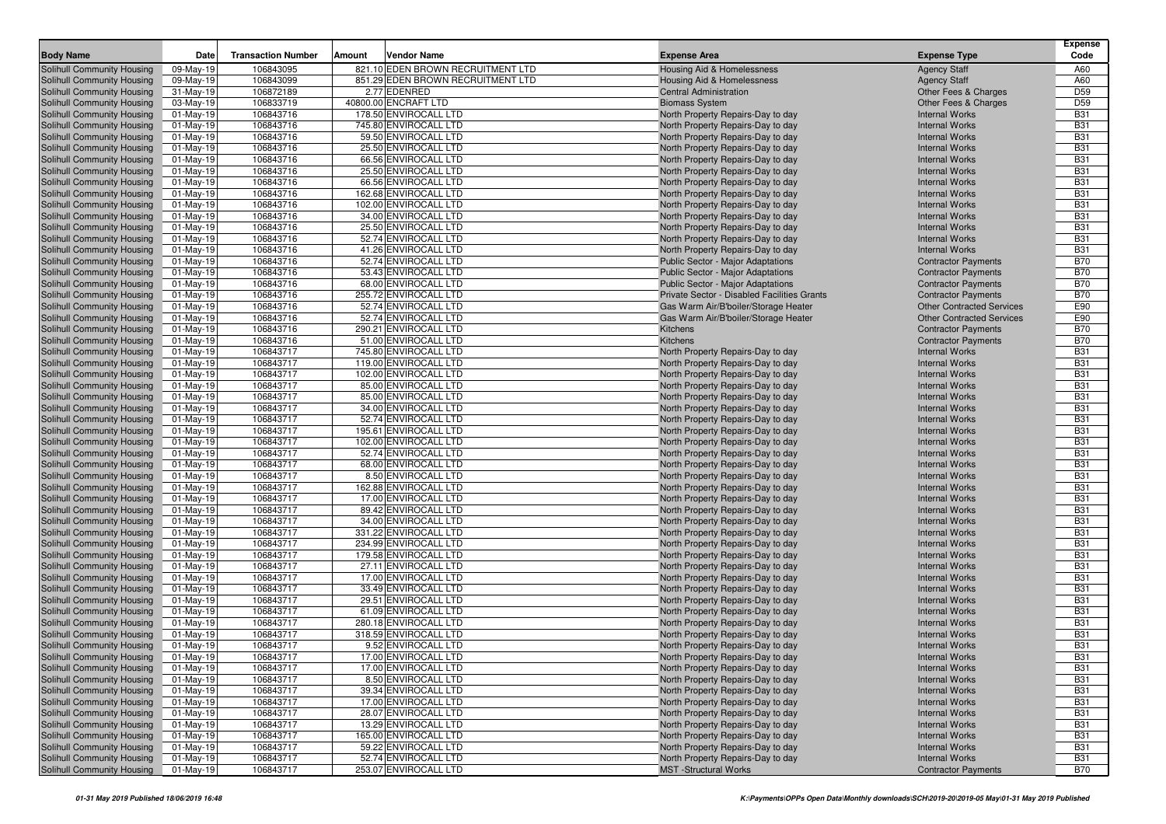|                                                          |                           |                           |        |                                                |                                                                        |                                                | <b>Expense</b>           |
|----------------------------------------------------------|---------------------------|---------------------------|--------|------------------------------------------------|------------------------------------------------------------------------|------------------------------------------------|--------------------------|
| <b>Body Name</b>                                         | Date                      | <b>Transaction Number</b> | Amount | Vendor Name                                    | <b>Expense Area</b>                                                    | <b>Expense Type</b>                            | Code                     |
| Solihull Community Housing                               | 09-May-19                 | 106843095                 |        | 821.10 EDEN BROWN RECRUITMENT LTD              | <b>Housing Aid &amp; Homelessness</b>                                  | <b>Agency Staff</b>                            | A60                      |
| Solihull Community Housing                               | 09-May-19                 | 106843099                 |        | 851.29 EDEN BROWN RECRUITMENT LTD              | Housing Aid & Homelessness                                             | <b>Agency Staff</b>                            | A60                      |
| Solihull Community Housing                               | 31-May-19                 | 106872189                 |        | 2.77 EDENRED                                   | <b>Central Administration</b>                                          | Other Fees & Charges                           | D <sub>59</sub>          |
| Solihull Community Housing                               | 03-May-19                 | 106833719                 |        | 40800.00 ENCRAFT LTD                           | <b>Biomass System</b>                                                  | Other Fees & Charges                           | D <sub>59</sub>          |
| Solihull Community Housing                               | 01-May-19                 | 106843716                 |        | 178.50 ENVIROCALL LTD                          | North Property Repairs-Day to day                                      | <b>Internal Works</b><br><b>Internal Works</b> | <b>B31</b>               |
| Solihull Community Housing                               | $01$ -May-19              | 106843716<br>106843716    |        | 745.80 ENVIROCALL LTD<br>59.50 ENVIROCALL LTD  | North Property Repairs-Day to day<br>North Property Repairs-Day to day | <b>Internal Works</b>                          | <b>B31</b><br><b>B31</b> |
| Solihull Community Housing<br>Solihull Community Housing | $01$ -May-19<br>01-May-19 | 106843716                 |        | 25.50 ENVIROCALL LTD                           | North Property Repairs-Day to day                                      | <b>Internal Works</b>                          | <b>B31</b>               |
| Solihull Community Housing                               | 01-May-19                 | 106843716                 |        | 66.56 ENVIROCALL LTD                           | North Property Repairs-Day to day                                      | <b>Internal Works</b>                          | <b>B31</b>               |
| Solihull Community Housing                               | 01-May-19                 | 106843716                 |        | 25.50 ENVIROCALL LTD                           | North Property Repairs-Day to day                                      | <b>Internal Works</b>                          | <b>B31</b>               |
| Solihull Community Housing                               | $01-May-19$               | 106843716                 |        | 66.56 ENVIROCALL LTD                           | North Property Repairs-Day to day                                      | <b>Internal Works</b>                          | <b>B31</b>               |
| Solihull Community Housing                               | 01-May-19                 | 106843716                 |        | 162.68 ENVIROCALL LTD                          | North Property Repairs-Day to day                                      | <b>Internal Works</b>                          | <b>B31</b>               |
| Solihull Community Housing                               | $01$ -May-19              | 106843716                 |        | 102.00 ENVIROCALL LTD                          | North Property Repairs-Day to day                                      | <b>Internal Works</b>                          | <b>B31</b>               |
| Solihull Community Housing                               | 01-May-19                 | 106843716                 |        | 34.00 ENVIROCALL LTD                           | North Property Repairs-Day to day                                      | <b>Internal Works</b>                          | <b>B31</b>               |
| Solihull Community Housing                               | $01-May-19$               | 106843716                 |        | 25.50 ENVIROCALL LTD                           | North Property Repairs-Day to day                                      | <b>Internal Works</b>                          | <b>B31</b>               |
| Solihull Community Housing                               | 01-May-19                 | 106843716                 |        | 52.74 ENVIROCALL LTD                           | North Property Repairs-Day to day                                      | <b>Internal Works</b>                          | <b>B31</b>               |
| Solihull Community Housing                               | $01$ -May-19              | 106843716                 |        | 41.26 ENVIROCALL LTD                           | North Property Repairs-Day to day                                      | <b>Internal Works</b>                          | <b>B31</b>               |
| Solihull Community Housing                               | $01$ -May-19              | 106843716                 |        | 52.74 ENVIROCALL LTD                           | <b>Public Sector - Major Adaptations</b>                               | <b>Contractor Payments</b>                     | <b>B70</b>               |
| Solihull Community Housing                               | 01-May-19                 | 106843716                 |        | 53.43 ENVIROCALL LTD                           | Public Sector - Major Adaptations                                      | <b>Contractor Payments</b>                     | <b>B70</b>               |
| Solihull Community Housing                               | $01$ -May-19              | 106843716                 |        | 68.00 ENVIROCALL LTD                           | <b>Public Sector - Major Adaptations</b>                               | <b>Contractor Payments</b>                     | <b>B70</b>               |
| Solihull Community Housing                               | 01-May-19                 | 106843716                 |        | 255.72 ENVIROCALL LTD                          | Private Sector - Disabled Facilities Grants                            | <b>Contractor Payments</b>                     | <b>B70</b>               |
| Solihull Community Housing                               | $01-May-19$               | 106843716                 |        | 52.74 ENVIROCALL LTD                           | Gas Warm Air/B'boiler/Storage Heater                                   | <b>Other Contracted Services</b>               | E90                      |
| Solihull Community Housing                               | $01$ -May-19              | 106843716                 |        | 52.74 ENVIROCALL LTD                           | Gas Warm Air/B'boiler/Storage Heater                                   | <b>Other Contracted Services</b>               | E90                      |
| Solihull Community Housing                               | 01-May-19                 | 106843716                 |        | 290.21 ENVIROCALL LTD                          | Kitchens                                                               | <b>Contractor Payments</b>                     | <b>B70</b>               |
| Solihull Community Housing                               | 01-May-19                 | 106843716                 |        | 51.00 ENVIROCALL LTD                           | Kitchens                                                               | <b>Contractor Payments</b>                     | <b>B70</b>               |
| Solihull Community Housing                               | $01-May-19$               | 106843717                 |        | 745.80 ENVIROCALL LTD                          | North Property Repairs-Day to day                                      | <b>Internal Works</b>                          | <b>B31</b>               |
| Solihull Community Housing                               | $01$ -May-19              | 106843717                 |        | 119.00 ENVIROCALL LTD                          | North Property Repairs-Day to day                                      | <b>Internal Works</b>                          | <b>B31</b>               |
| Solihull Community Housing                               | $01$ -May-19              | 106843717                 |        | 102.00 ENVIROCALL LTD                          | North Property Repairs-Day to day                                      | <b>Internal Works</b>                          | <b>B31</b>               |
| Solihull Community Housing                               | $01$ -May-19              | 106843717                 |        | 85.00 ENVIROCALL LTD                           | North Property Repairs-Day to day                                      | <b>Internal Works</b>                          | <b>B31</b>               |
| Solihull Community Housing                               | 01-May-19                 | 106843717                 |        | 85.00 ENVIROCALL LTD                           | North Property Repairs-Day to day                                      | <b>Internal Works</b>                          | <b>B31</b>               |
| Solihull Community Housing                               | 01-May-19                 | 106843717                 |        | 34.00 ENVIROCALL LTD                           | North Property Repairs-Day to day                                      | <b>Internal Works</b>                          | <b>B31</b>               |
| Solihull Community Housing<br>Solihull Community Housing | 01-May-19                 | 106843717                 |        | 52.74 ENVIROCALL LTD                           | North Property Repairs-Day to day                                      | <b>Internal Works</b><br><b>Internal Works</b> | <b>B31</b><br><b>B31</b> |
| Solihull Community Housing                               | 01-May-19<br>$01$ -May-19 | 106843717<br>106843717    |        | 195.61 ENVIROCALL LTD<br>102.00 ENVIROCALL LTD | North Property Repairs-Day to day<br>North Property Repairs-Day to day | <b>Internal Works</b>                          | <b>B31</b>               |
| Solihull Community Housing                               | $01$ -May-19              | 106843717                 |        | 52.74 ENVIROCALL LTD                           | North Property Repairs-Day to day                                      | <b>Internal Works</b>                          | <b>B31</b>               |
| Solihull Community Housing                               | $01$ -May-19              | 106843717                 |        | 68.00 ENVIROCALL LTD                           | North Property Repairs-Day to day                                      | <b>Internal Works</b>                          | <b>B31</b>               |
| Solihull Community Housing                               | 01-May-19                 | 106843717                 |        | 8.50 ENVIROCALL LTD                            | North Property Repairs-Day to day                                      | <b>Internal Works</b>                          | <b>B31</b>               |
| Solihull Community Housing                               | $01$ -May-19              | 106843717                 |        | 162.88 ENVIROCALL LTD                          | North Property Repairs-Day to day                                      | <b>Internal Works</b>                          | <b>B31</b>               |
| Solihull Community Housing                               | $01-May-19$               | 106843717                 |        | 17.00 ENVIROCALL LTD                           | North Property Repairs-Day to day                                      | <b>Internal Works</b>                          | <b>B31</b>               |
| Solihull Community Housing                               | $01$ -May-19              | 106843717                 |        | 89.42 ENVIROCALL LTD                           | North Property Repairs-Day to day                                      | <b>Internal Works</b>                          | <b>B31</b>               |
| Solihull Community Housing                               | 01-May-19                 | 106843717                 |        | 34.00 ENVIROCALL LTD                           | North Property Repairs-Day to day                                      | <b>Internal Works</b>                          | <b>B31</b>               |
| Solihull Community Housing                               | 01-May-19                 | 106843717                 |        | 331.22 ENVIROCALL LTD                          | North Property Repairs-Day to day                                      | <b>Internal Works</b>                          | <b>B31</b>               |
| Solihull Community Housing                               | $01$ -May-19              | 106843717                 |        | 234.99 ENVIROCALL LTD                          | North Property Repairs-Day to day                                      | <b>Internal Works</b>                          | <b>B31</b>               |
| Solihull Community Housing                               | 01-May-19                 | 106843717                 |        | 179.58 ENVIROCALL LTD                          | North Property Repairs-Day to day                                      | <b>Internal Works</b>                          | <b>B31</b>               |
| Solihull Community Housing                               | $01$ -May-19              | 106843717                 |        | 27.11 ENVIROCALL LTD                           | North Property Repairs-Day to day                                      | <b>Internal Works</b>                          | <b>B31</b>               |
| Solihull Community Housing                               | $01$ -May-19              | 106843717                 |        | 17.00 ENVIROCALL LTD                           | North Property Repairs-Day to day                                      | <b>Internal Works</b>                          | <b>B31</b>               |
| Solihull Community Housing                               | $01$ -May-19              | 106843717                 |        | 33.49 ENVIROCALL LTD                           | North Property Repairs-Day to day                                      | <b>Internal Works</b>                          | <b>B31</b>               |
| Solihull Community Housing                               | 01-May-19                 | 106843717                 |        | 29.51 ENVIROCALL LTD                           | North Property Repairs-Day to day                                      | <b>Internal Works</b>                          | <b>B31</b>               |
| Solihull Community Housing                               | 01-May-19                 | 106843717                 |        | 61.09 ENVIROCALL LTD                           | North Property Repairs-Day to day                                      | <b>Internal Works</b>                          | <b>B31</b>               |
| Solihull Community Housing                               | 01-May-19                 | 106843717                 |        | 280.18 ENVIROCALL LTD                          | North Property Repairs-Day to day                                      | <b>Internal Works</b>                          | <b>B31</b>               |
| Solihull Community Housing                               | 01-May-19                 | 106843717                 |        | 318.59 ENVIROCALL LTD                          | North Property Repairs-Day to day                                      | <b>Internal Works</b>                          | <b>B31</b>               |
| Solihull Community Housing                               | 01-May-19                 | 106843717                 |        | 9.52 ENVIROCALL LTD                            | North Property Repairs-Day to day                                      | <b>Internal Works</b>                          | <b>B31</b>               |
| <b>Solihull Community Housing</b>                        | 01-May-19                 | 106843717                 |        | 17.00 ENVIROCALL LTD                           | North Property Repairs-Day to day                                      | <b>Internal Works</b>                          | <b>B31</b>               |
| Solihull Community Housing                               | $01$ -May-19              | 106843717                 |        | 17.00 ENVIROCALL LTD                           | North Property Repairs-Day to day                                      | <b>Internal Works</b>                          | <b>B31</b>               |
| Solihull Community Housing                               | 01-May-19                 | 106843717                 |        | 8.50 ENVIROCALL LTD                            | North Property Repairs-Day to day<br>North Property Repairs-Day to day | <b>Internal Works</b>                          | <b>B31</b>               |
| Solihull Community Housing<br>Solihull Community Housing | 01-May-19                 | 106843717<br>106843717    |        | 39.34 ENVIROCALL LTD<br>17.00 ENVIROCALL LTD   | North Property Repairs-Day to day                                      | <b>Internal Works</b><br><b>Internal Works</b> | <b>B31</b><br><b>B31</b> |
| Solihull Community Housing                               | 01-May-19                 | 106843717                 |        | 28.07 ENVIROCALL LTD                           | North Property Repairs-Day to day                                      | <b>Internal Works</b>                          | <b>B31</b>               |
| Solihull Community Housing                               | 01-May-19<br>01-May-19    | 106843717                 |        | 13.29 ENVIROCALL LTD                           | North Property Repairs-Day to day                                      | <b>Internal Works</b>                          | <b>B31</b>               |
| Solihull Community Housing                               | 01-May-19                 | 106843717                 |        | 165.00 ENVIROCALL LTD                          | North Property Repairs-Day to day                                      | <b>Internal Works</b>                          | <b>B31</b>               |
| Solihull Community Housing                               | 01-May-19                 | 106843717                 |        | 59.22 ENVIROCALL LTD                           | North Property Repairs-Day to day                                      | <b>Internal Works</b>                          | <b>B31</b>               |
| Solihull Community Housing                               | 01-May-19                 | 106843717                 |        | 52.74 ENVIROCALL LTD                           | North Property Repairs-Day to day                                      | <b>Internal Works</b>                          | <b>B31</b>               |
| Solihull Community Housing                               | 01-May-19                 | 106843717                 |        | 253.07 ENVIROCALL LTD                          | <b>MST</b> -Structural Works                                           | <b>Contractor Payments</b>                     | <b>B70</b>               |
|                                                          |                           |                           |        |                                                |                                                                        |                                                |                          |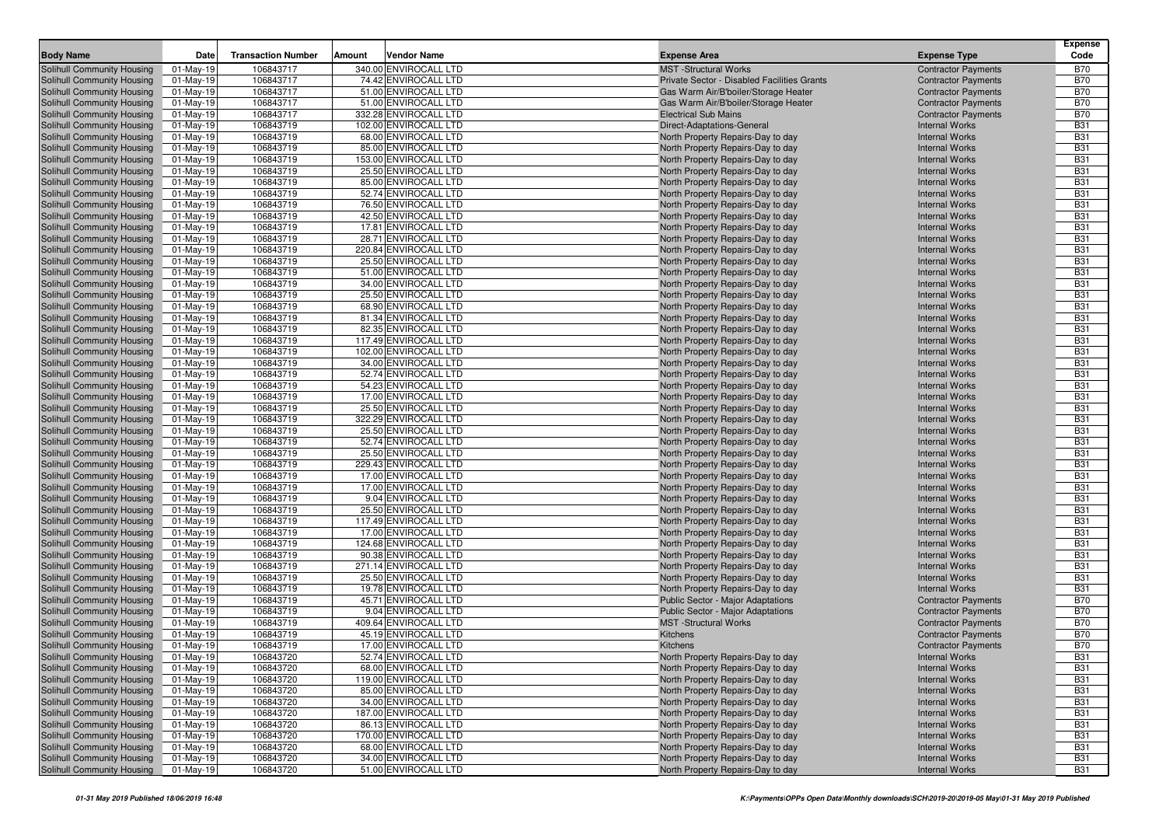| <b>Body Name</b>                                         | Date                     | <b>Transaction Number</b> | Amount | <b>Vendor Name</b>                            | <b>Expense Area</b>                                                    | <b>Expense Type</b>                                 | <b>Expense</b><br>Code   |
|----------------------------------------------------------|--------------------------|---------------------------|--------|-----------------------------------------------|------------------------------------------------------------------------|-----------------------------------------------------|--------------------------|
| Solihull Community Housing                               | 01-May-19                | 106843717                 |        | 340.00 ENVIROCALL LTD                         | <b>MST</b> -Structural Works                                           | <b>Contractor Payments</b>                          | <b>B70</b>               |
| Solihull Community Housing                               | 01-May-19                | 106843717                 |        | 74.42 ENVIROCALL LTD                          | Private Sector - Disabled Facilities Grants                            | <b>Contractor Payments</b>                          | <b>B70</b>               |
| Solihull Community Housing                               | $01-May-19$              | 106843717                 |        | 51.00 ENVIROCALL LTD                          | Gas Warm Air/B'boiler/Storage Heater                                   | <b>Contractor Payments</b>                          | <b>B70</b>               |
| Solihull Community Housing                               | $01-May-19$              | 106843717                 |        | 51.00 ENVIROCALL LTD                          | Gas Warm Air/B'boiler/Storage Heater                                   | <b>Contractor Payments</b>                          | <b>B70</b>               |
| Solihull Community Housing                               | $01$ -May-19             | 106843717                 |        | 332.28 ENVIROCALL LTD                         | <b>Electrical Sub Mains</b>                                            | <b>Contractor Payments</b>                          | <b>B70</b>               |
| Solihull Community Housing                               | 01-May-19                | 106843719                 |        | 102.00 ENVIROCALL LTD                         | Direct-Adaptations-General                                             | <b>Internal Works</b>                               | <b>B31</b>               |
| Solihull Community Housing                               | $01-May-19$              | 106843719                 |        | 68.00 ENVIROCALL LTD                          | North Property Repairs-Day to day                                      | <b>Internal Works</b>                               | <b>B31</b>               |
| Solihull Community Housing                               | 01-May-19                | 106843719                 |        | 85.00 ENVIROCALL LTD                          | North Property Repairs-Day to day                                      | <b>Internal Works</b>                               | <b>B31</b>               |
| Solihull Community Housing                               | $01$ -May-19             | 106843719                 |        | 153.00 ENVIROCALL LTD                         | North Property Repairs-Day to day                                      | <b>Internal Works</b>                               | <b>B31</b>               |
| Solihull Community Housing                               | 01-May-19                | 106843719                 |        | 25.50 ENVIROCALL LTD                          | North Property Repairs-Day to day                                      | <b>Internal Works</b>                               | <b>B31</b>               |
| Solihull Community Housing                               | 01-May-19                | 106843719                 |        | 85.00 ENVIROCALL LTD                          | North Property Repairs-Day to day                                      | <b>Internal Works</b>                               | <b>B31</b>               |
| Solihull Community Housing                               | $01-May-19$              | 106843719                 |        | 52.74 ENVIROCALL LTD                          | North Property Repairs-Day to day                                      | <b>Internal Works</b>                               | <b>B31</b>               |
| Solihull Community Housing                               | $01-May-19$              | 106843719                 |        | 76.50 ENVIROCALL LTD                          | North Property Repairs-Day to day                                      | <b>Internal Works</b>                               | <b>B31</b>               |
| Solihull Community Housing                               | $01$ -May-19             | 106843719                 |        | 42.50 ENVIROCALL LTD                          | North Property Repairs-Day to day                                      | <b>Internal Works</b>                               | <b>B31</b>               |
| Solihull Community Housing                               | 01-May-19                | 106843719                 |        | 17.81 ENVIROCALL LTD                          | North Property Repairs-Day to day                                      | <b>Internal Works</b>                               | <b>B31</b>               |
| Solihull Community Housing                               | $01-May-19$              | 106843719                 |        | 28.71 ENVIROCALL LTD                          | North Property Repairs-Day to day                                      | <b>Internal Works</b>                               | <b>B31</b>               |
| Solihull Community Housing                               | $01-May-19$              | 106843719                 |        | 220.84 ENVIROCALL LTD                         | North Property Repairs-Day to day                                      | <b>Internal Works</b><br><b>Internal Works</b>      | <b>B31</b><br><b>B31</b> |
| Solihull Community Housing<br>Solihull Community Housing | $01-May-19$<br>01-May-19 | 106843719<br>106843719    |        | 25.50 ENVIROCALL LTD<br>51.00 ENVIROCALL LTD  | North Property Repairs-Day to day<br>North Property Repairs-Day to day | <b>Internal Works</b>                               | <b>B31</b>               |
| Solihull Community Housing                               | $01$ -May-19             | 106843719                 |        | 34.00 ENVIROCALL LTD                          | North Property Repairs-Day to day                                      | <b>Internal Works</b>                               | <b>B31</b>               |
| Solihull Community Housing                               | 01-May-19                | 106843719                 |        | 25.50 ENVIROCALL LTD                          | North Property Repairs-Day to day                                      | <b>Internal Works</b>                               | <b>B31</b>               |
| Solihull Community Housing                               | $01-May-19$              | 106843719                 |        | 68.90 ENVIROCALL LTD                          | North Property Repairs-Day to day                                      | <b>Internal Works</b>                               | <b>B31</b>               |
| Solihull Community Housing                               | $01-May-19$              | 106843719                 |        | 81.34 ENVIROCALL LTD                          | North Property Repairs-Day to day                                      | <b>Internal Works</b>                               | <b>B31</b>               |
| Solihull Community Housing                               | 01-May-19                | 106843719                 |        | 82.35 ENVIROCALL LTD                          | North Property Repairs-Day to day                                      | <b>Internal Works</b>                               | <b>B31</b>               |
| Solihull Community Housing                               | $01$ -May-19             | 106843719                 |        | 117.49 ENVIROCALL LTD                         | North Property Repairs-Day to day                                      | <b>Internal Works</b>                               | <b>B31</b>               |
| Solihull Community Housing                               | 01-May-19                | 106843719                 |        | 102.00 ENVIROCALL LTD                         | North Property Repairs-Day to day                                      | <b>Internal Works</b>                               | <b>B31</b>               |
| Solihull Community Housing                               | $01-May-19$              | 106843719                 |        | 34.00 ENVIROCALL LTD                          | North Property Repairs-Day to day                                      | <b>Internal Works</b>                               | <b>B31</b>               |
| Solihull Community Housing                               | 01-May-19                | 106843719                 |        | 52.74 ENVIROCALL LTD                          | North Property Repairs-Day to day                                      | <b>Internal Works</b>                               | <b>B31</b>               |
| Solihull Community Housing                               | $01-May-19$              | 106843719                 |        | 54.23 ENVIROCALL LTD                          | North Property Repairs-Day to day                                      | <b>Internal Works</b>                               | <b>B31</b>               |
| Solihull Community Housing                               | 01-May-19                | 106843719                 |        | 17.00 ENVIROCALL LTD                          | North Property Repairs-Day to day                                      | <b>Internal Works</b>                               | <b>B31</b>               |
| Solihull Community Housing                               | 01-May-19                | 106843719                 |        | 25.50 ENVIROCALL LTD                          | North Property Repairs-Day to day                                      | <b>Internal Works</b>                               | <b>B31</b>               |
| Solihull Community Housing                               | $01-May-19$              | 106843719                 |        | 322.29 ENVIROCALL LTD                         | North Property Repairs-Day to day                                      | <b>Internal Works</b>                               | <b>B31</b>               |
| Solihull Community Housing                               | 01-May-19                | 106843719                 |        | 25.50 ENVIROCALL LTD                          | North Property Repairs-Day to day                                      | <b>Internal Works</b>                               | <b>B31</b>               |
| Solihull Community Housing                               | $01$ -May-19             | 106843719                 |        | 52.74 ENVIROCALL LTD                          | North Property Repairs-Day to day                                      | <b>Internal Works</b>                               | <b>B31</b>               |
| Solihull Community Housing<br>Solihull Community Housing | 01-May-19                | 106843719<br>106843719    |        | 25.50 ENVIROCALL LTD<br>229.43 ENVIROCALL LTD | North Property Repairs-Day to day                                      | <b>Internal Works</b><br><b>Internal Works</b>      | <b>B31</b><br><b>B31</b> |
| Solihull Community Housing                               | 01-May-19<br>01-May-19   | 106843719                 |        | 17.00 ENVIROCALL LTD                          | North Property Repairs-Day to day<br>North Property Repairs-Day to day | <b>Internal Works</b>                               | <b>B31</b>               |
| Solihull Community Housing                               | $01-May-19$              | 106843719                 |        | 17.00 ENVIROCALL LTD                          | North Property Repairs-Day to day                                      | <b>Internal Works</b>                               | <b>B31</b>               |
| Solihull Community Housing                               | $01-May-19$              | 106843719                 |        | 9.04 ENVIROCALL LTD                           | North Property Repairs-Day to day                                      | <b>Internal Works</b>                               | <b>B31</b>               |
| Solihull Community Housing                               | $01-May-19$              | 106843719                 |        | 25.50 ENVIROCALL LTD                          | North Property Repairs-Day to day                                      | <b>Internal Works</b>                               | <b>B31</b>               |
| Solihull Community Housing                               | $01-May-19$              | 106843719                 |        | 117.49 ENVIROCALL LTD                         | North Property Repairs-Day to day                                      | <b>Internal Works</b>                               | <b>B31</b>               |
| Solihull Community Housing                               | $01-May-19$              | 106843719                 |        | 17.00 ENVIROCALL LTD                          | North Property Repairs-Day to day                                      | <b>Internal Works</b>                               | <b>B31</b>               |
| Solihull Community Housing                               | $01$ -May-19             | 106843719                 |        | 124.68 ENVIROCALL LTD                         | North Property Repairs-Day to day                                      | <b>Internal Works</b>                               | <b>B31</b>               |
| Solihull Community Housing                               | $01-May-19$              | 106843719                 |        | 90.38 ENVIROCALL LTD                          | North Property Repairs-Day to day                                      | <b>Internal Works</b>                               | <b>B31</b>               |
| Solihull Community Housing                               | $01$ -May-19             | 106843719                 |        | 271.14 ENVIROCALL LTD                         | North Property Repairs-Day to day                                      | <b>Internal Works</b>                               | <b>B31</b>               |
| Solihull Community Housing                               | 01-May-19                | 106843719                 |        | 25.50 ENVIROCALL LTD                          | North Property Repairs-Day to day                                      | <b>Internal Works</b>                               | <b>B31</b>               |
| Solihull Community Housing                               | $01-May-19$              | 106843719                 |        | 19.78 ENVIROCALL LTD                          | North Property Repairs-Day to day                                      | <b>Internal Works</b>                               | <b>B31</b>               |
| Solihull Community Housing                               | $01-May-19$              | 106843719                 |        | 45.71 ENVIROCALL LTD                          | <b>Public Sector - Major Adaptations</b>                               | <b>Contractor Payments</b>                          | <b>B70</b>               |
| Solihull Community Housing                               | 01-May-19                | 106843719                 |        | 9.04 ENVIROCALL LTD                           | Public Sector - Major Adaptations                                      | <b>Contractor Payments</b>                          | <b>B70</b>               |
| Solihull Community Housing                               | 01-May-19                | 106843719                 |        | 409.64 ENVIROCALL LTD                         | <b>MST</b> -Structural Works                                           | <b>Contractor Payments</b>                          | <b>B70</b>               |
| Solihull Community Housing                               | 01-May-19                | 106843719                 |        | 45.19 ENVIROCALL LTD                          | Kitchens                                                               | <b>Contractor Payments</b>                          | <b>B70</b>               |
| Solihull Community Housing<br>Solihull Community Housing | 01-May-19<br>01-May-19   | 106843719<br>106843720    |        | 17.00 ENVIROCALL LTD<br>52.74 ENVIROCALL LTD  | Kitchens                                                               | <b>Contractor Payments</b><br><b>Internal Works</b> | <b>B70</b><br>B31        |
| Solihull Community Housing                               | 01-May-19                | 106843720                 |        | 68.00 ENVIROCALL LTD                          | North Property Repairs-Day to day<br>North Property Repairs-Day to day | <b>Internal Works</b>                               | <b>B31</b>               |
| Solihull Community Housing                               | 01-May-19                | 106843720                 |        | 119.00 ENVIROCALL LTD                         | North Property Repairs-Day to day                                      | <b>Internal Works</b>                               | <b>B31</b>               |
| Solihull Community Housing                               | 01-May-19                | 106843720                 |        | 85.00 ENVIROCALL LTD                          | North Property Repairs-Day to day                                      | <b>Internal Works</b>                               | <b>B31</b>               |
| Solihull Community Housing                               | $01-May-19$              | 106843720                 |        | 34.00 ENVIROCALL LTD                          | North Property Repairs-Day to day                                      | <b>Internal Works</b>                               | <b>B31</b>               |
| Solihull Community Housing                               | 01-May-19                | 106843720                 |        | 187.00 ENVIROCALL LTD                         | North Property Repairs-Day to day                                      | <b>Internal Works</b>                               | <b>B31</b>               |
| Solihull Community Housing                               | 01-May-19                | 106843720                 |        | 86.13 ENVIROCALL LTD                          | North Property Repairs-Day to day                                      | <b>Internal Works</b>                               | <b>B31</b>               |
| Solihull Community Housing                               | 01-May-19                | 106843720                 |        | 170.00 ENVIROCALL LTD                         | North Property Repairs-Day to day                                      | <b>Internal Works</b>                               | <b>B31</b>               |
| Solihull Community Housing                               | 01-May-19                | 106843720                 |        | 68.00 ENVIROCALL LTD                          | North Property Repairs-Day to day                                      | <b>Internal Works</b>                               | <b>B31</b>               |
| Solihull Community Housing                               | 01-May-19                | 106843720                 |        | 34.00 ENVIROCALL LTD                          | North Property Repairs-Day to day                                      | <b>Internal Works</b>                               | <b>B31</b>               |
| Solihull Community Housing                               | $01$ -May-19             | 106843720                 |        | 51.00 ENVIROCALL LTD                          | North Property Repairs-Day to day                                      | <b>Internal Works</b>                               | <b>B31</b>               |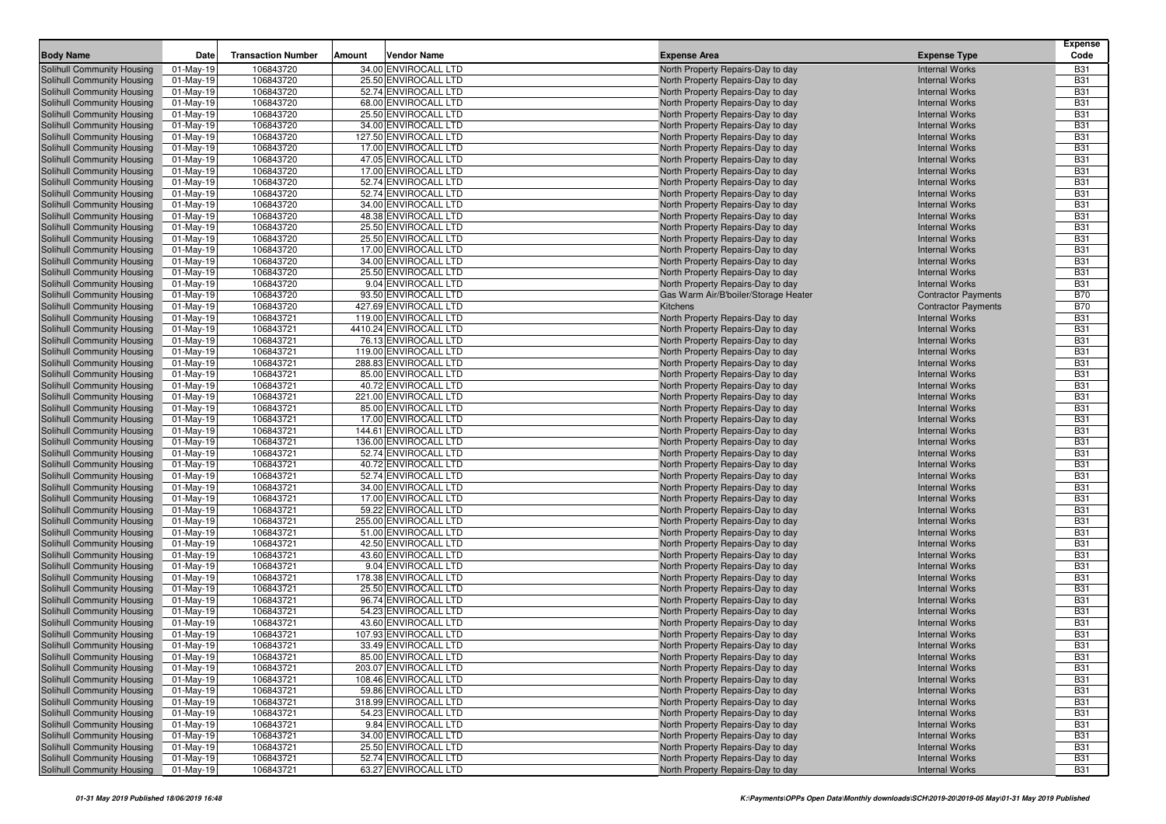| <b>Body Name</b>                                         | Date                         | <b>Transaction Number</b> | Amount<br>Vendor Name                         | <b>Expense Area</b>                                                    | <b>Expense Type</b>                                 | <b>Expense</b><br>Code   |
|----------------------------------------------------------|------------------------------|---------------------------|-----------------------------------------------|------------------------------------------------------------------------|-----------------------------------------------------|--------------------------|
|                                                          |                              | 106843720                 | 34.00 ENVIROCALL LTD                          |                                                                        | <b>Internal Works</b>                               | <b>B31</b>               |
| Solihull Community Housing<br>Solihull Community Housing | $01$ -May-19<br>01-May-19    | 106843720                 | 25.50 ENVIROCALL LTD                          | North Property Repairs-Day to day<br>North Property Repairs-Day to day | <b>Internal Works</b>                               | <b>B31</b>               |
| Solihull Community Housing                               | $01$ -May-19                 | 106843720                 | 52.74 ENVIROCALL LTD                          | North Property Repairs-Day to day                                      | <b>Internal Works</b>                               | <b>B31</b>               |
| Solihull Community Housing                               | $01$ -May-19                 | 106843720                 | 68.00 ENVIROCALL LTD                          | North Property Repairs-Day to day                                      | <b>Internal Works</b>                               | <b>B31</b>               |
| Solihull Community Housing                               | 01-May-19                    | 106843720                 | 25.50 ENVIROCALL LTD                          | North Property Repairs-Day to day                                      | <b>Internal Works</b>                               | <b>B31</b>               |
| Solihull Community Housing                               | $01$ -May-19                 | 106843720                 | 34.00 ENVIROCALL LTD                          | North Property Repairs-Day to day                                      | <b>Internal Works</b>                               | <b>B31</b>               |
| Solihull Community Housing                               | $01-May-19$                  | 106843720                 | 127.50 ENVIROCALL LTD                         | North Property Repairs-Day to day                                      | <b>Internal Works</b>                               | <b>B31</b>               |
| Solihull Community Housing                               | 01-May-19                    | 106843720                 | 17.00 ENVIROCALL LTD                          | North Property Repairs-Day to day                                      | <b>Internal Works</b>                               | <b>B31</b>               |
| Solihull Community Housing                               | $01$ -May-19                 | 106843720                 | 47.05 ENVIROCALL LTD                          | North Property Repairs-Day to day                                      | <b>Internal Works</b>                               | <b>B31</b>               |
| Solihull Community Housing                               | $01$ -May-19                 | 106843720                 | 17.00 ENVIROCALL LTD                          | North Property Repairs-Day to day                                      | <b>Internal Works</b>                               | <b>B31</b>               |
| Solihull Community Housing                               | $01$ -May-19                 | 106843720                 | 52.74 ENVIROCALL LTD                          | North Property Repairs-Day to day                                      | <b>Internal Works</b>                               | <b>B31</b>               |
| Solihull Community Housing                               | 01-May-19                    | 106843720                 | 52.74 ENVIROCALL LTD                          | North Property Repairs-Day to day                                      | <b>Internal Works</b>                               | <b>B31</b>               |
| Solihull Community Housing                               | $01-May-19$                  | 106843720                 | 34.00 ENVIROCALL LTD                          | North Property Repairs-Day to day                                      | <b>Internal Works</b>                               | <b>B31</b>               |
| Solihull Community Housing                               | $01-May-19$                  | 106843720                 | 48.38 ENVIROCALL LTD                          | North Property Repairs-Day to day                                      | <b>Internal Works</b>                               | <b>B31</b>               |
| Solihull Community Housing                               | $01$ -May-19                 | 106843720                 | 25.50 ENVIROCALL LTD                          | North Property Repairs-Day to day                                      | <b>Internal Works</b>                               | <b>B31</b>               |
| Solihull Community Housing                               | $01$ -May-19                 | 106843720                 | 25.50 ENVIROCALL LTD                          | North Property Repairs-Day to day                                      | <b>Internal Works</b>                               | <b>B31</b>               |
| Solihull Community Housing                               | $01$ -May-19                 | 106843720                 | 17.00 ENVIROCALL LTD                          | North Property Repairs-Day to day                                      | <b>Internal Works</b>                               | <b>B31</b>               |
| Solihull Community Housing                               | $01$ -May-19                 | 106843720                 | 34.00 ENVIROCALL LTD                          | North Property Repairs-Day to day                                      | <b>Internal Works</b>                               | <b>B31</b>               |
| Solihull Community Housing                               | $01$ -May-19                 | 106843720                 | 25.50 ENVIROCALL LTD                          | North Property Repairs-Day to day                                      | <b>Internal Works</b>                               | <b>B31</b>               |
| Solihull Community Housing                               | $01$ -May-19                 | 106843720                 | 9.04 ENVIROCALL LTD                           | North Property Repairs-Day to day                                      | <b>Internal Works</b>                               | <b>B31</b>               |
| Solihull Community Housing                               | $01$ -May-19                 | 106843720                 | 93.50 ENVIROCALL LTD<br>427.69 ENVIROCALL LTD | Gas Warm Air/B'boiler/Storage Heater                                   | <b>Contractor Payments</b>                          | <b>B70</b>               |
| Solihull Community Housing<br>Solihull Community Housing | $01$ -May-19<br>$01-May-19$  | 106843720<br>106843721    | 119.00 ENVIROCALL LTD                         | Kitchens<br>North Property Repairs-Day to day                          | <b>Contractor Payments</b><br><b>Internal Works</b> | <b>B70</b><br><b>B31</b> |
| Solihull Community Housing                               | $01$ -May-19                 | 106843721                 | 4410.24 ENVIROCALL LTD                        | North Property Repairs-Day to day                                      | <b>Internal Works</b>                               | <b>B31</b>               |
| Solihull Community Housing                               | $01$ -May-19                 | 106843721                 | 76.13 ENVIROCALL LTD                          | North Property Repairs-Day to day                                      | <b>Internal Works</b>                               | <b>B31</b>               |
| Solihull Community Housing                               | $01-May-19$                  | 106843721                 | 119.00 ENVIROCALL LTD                         | North Property Repairs-Day to day                                      | <b>Internal Works</b>                               | <b>B31</b>               |
| Solihull Community Housing                               | $01$ -May-19                 | 106843721                 | 288.83 ENVIROCALL LTD                         | North Property Repairs-Day to day                                      | <b>Internal Works</b>                               | <b>B31</b>               |
| Solihull Community Housing                               | $01$ -May-19                 | 106843721                 | 85.00 ENVIROCALL LTD                          | North Property Repairs-Day to day                                      | <b>Internal Works</b>                               | <b>B31</b>               |
| Solihull Community Housing                               | $01-May-19$                  | 106843721                 | 40.72 ENVIROCALL LTD                          | North Property Repairs-Day to day                                      | <b>Internal Works</b>                               | <b>B31</b>               |
| Solihull Community Housing                               | 01-May-19                    | 106843721                 | 221.00 ENVIROCALL LTD                         | North Property Repairs-Day to day                                      | <b>Internal Works</b>                               | <b>B31</b>               |
| Solihull Community Housing                               | $01$ -May-19                 | 106843721                 | 85.00 ENVIROCALL LTD                          | North Property Repairs-Day to day                                      | <b>Internal Works</b>                               | <b>B31</b>               |
| Solihull Community Housing                               | $01-May-19$                  | 106843721                 | 17.00 ENVIROCALL LTD                          | North Property Repairs-Day to day                                      | <b>Internal Works</b>                               | <b>B31</b>               |
| Solihull Community Housing                               | 01-May-19                    | 106843721                 | 144.61 ENVIROCALL LTD                         | North Property Repairs-Day to day                                      | <b>Internal Works</b>                               | <b>B31</b>               |
| Solihull Community Housing                               | $01$ -May-19                 | 106843721                 | 136.00 ENVIROCALL LTD                         | North Property Repairs-Day to day                                      | <b>Internal Works</b>                               | <b>B31</b>               |
| Solihull Community Housing                               | $01-May-19$                  | 106843721                 | 52.74 ENVIROCALL LTD                          | North Property Repairs-Day to day                                      | <b>Internal Works</b>                               | <b>B31</b>               |
| Solihull Community Housing                               | 01-May-19                    | 106843721                 | 40.72 ENVIROCALL LTD                          | North Property Repairs-Day to day                                      | <b>Internal Works</b>                               | <b>B31</b>               |
| Solihull Community Housing                               | $01$ -May-19                 | 106843721                 | 52.74 ENVIROCALL LTD                          | North Property Repairs-Day to day                                      | <b>Internal Works</b>                               | <b>B31</b>               |
| Solihull Community Housing                               | $01$ -May-19                 | 106843721                 | 34.00 ENVIROCALL LTD                          | North Property Repairs-Day to day                                      | <b>Internal Works</b>                               | <b>B31</b>               |
| Solihull Community Housing                               | $01$ -May-19                 | 106843721                 | 17.00 ENVIROCALL LTD                          | North Property Repairs-Day to day                                      | <b>Internal Works</b>                               | <b>B31</b>               |
| Solihull Community Housing                               | $01-May-19$                  | 106843721                 | 59.22 ENVIROCALL LTD                          | North Property Repairs-Day to day                                      | <b>Internal Works</b>                               | <b>B31</b>               |
| Solihull Community Housing                               | $01$ -May-19                 | 106843721                 | 255.00 ENVIROCALL LTD<br>51.00 ENVIROCALL LTD | North Property Repairs-Day to day                                      | <b>Internal Works</b>                               | <b>B31</b>               |
| Solihull Community Housing<br>Solihull Community Housing | $01$ -May-19<br>$01$ -May-19 | 106843721<br>106843721    | 42.50 ENVIROCALL LTD                          | North Property Repairs-Day to day<br>North Property Repairs-Day to day | <b>Internal Works</b><br><b>Internal Works</b>      | <b>B31</b><br><b>B31</b> |
| Solihull Community Housing                               | $01$ -May-19                 | 106843721                 | 43.60 ENVIROCALL LTD                          | North Property Repairs-Day to day                                      | <b>Internal Works</b>                               | <b>B31</b>               |
| Solihull Community Housing                               | $01$ -May-19                 | 106843721                 | 9.04 ENVIROCALL LTD                           | North Property Repairs-Day to day                                      | <b>Internal Works</b>                               | <b>B31</b>               |
| Solihull Community Housing                               | $01$ -May-19                 | 106843721                 | 178.38 ENVIROCALL LTD                         | North Property Repairs-Day to day                                      | <b>Internal Works</b>                               | <b>B31</b>               |
| Solihull Community Housing                               | $01$ -May-19                 | 106843721                 | 25.50 ENVIROCALL LTD                          | North Property Repairs-Day to day                                      | <b>Internal Works</b>                               | <b>B31</b>               |
| Solihull Community Housing                               | $01$ -May-19                 | 106843721                 | 96.74 ENVIROCALL LTD                          | North Property Repairs-Day to day                                      | <b>Internal Works</b>                               | <b>B31</b>               |
| Solihull Community Housing                               | 01-May-19                    | 106843721                 | 54.23 ENVIROCALL LTD                          | North Property Repairs-Day to day                                      | <b>Internal Works</b>                               | <b>B31</b>               |
| Solihull Community Housing                               | $01$ -May-19                 | 106843721                 | 43.60 ENVIROCALL LTD                          | North Property Repairs-Day to day                                      | <b>Internal Works</b>                               | <b>B31</b>               |
| Solihull Community Housing                               | 01-May-19                    | 106843721                 | 107.93 ENVIROCALL LTD                         | North Property Repairs-Day to day                                      | <b>Internal Works</b>                               | <b>B31</b>               |
| Solihull Community Housing                               | $01-May-19$                  | 106843721                 | 33.49 ENVIROCALL LTD                          | North Property Repairs-Day to day                                      | <b>Internal Works</b>                               | <b>B31</b>               |
| Solihull Community Housing                               | 01-Mav-19                    | 106843721                 | 85.00 ENVIROCALL LTD                          | North Property Repairs-Day to day                                      | <b>Internal Works</b>                               | <b>B31</b>               |
| Solihull Community Housing                               | 01-May-19                    | 106843721                 | 203.07 ENVIROCALL LTD                         | North Property Repairs-Day to day                                      | <b>Internal Works</b>                               | <b>B31</b>               |
| Solihull Community Housing                               | 01-May-19                    | 106843721                 | 108.46 ENVIROCALL LTD                         | North Property Repairs-Day to day                                      | <b>Internal Works</b>                               | <b>B31</b>               |
| Solihull Community Housing                               | 01-May-19                    | 106843721                 | 59.86 ENVIROCALL LTD                          | North Property Repairs-Day to day                                      | <b>Internal Works</b>                               | <b>B31</b>               |
| Solihull Community Housing                               | 01-May-19                    | 106843721                 | 318.99 ENVIROCALL LTD                         | North Property Repairs-Day to day                                      | <b>Internal Works</b>                               | <b>B31</b>               |
| Solihull Community Housing                               | 01-May-19                    | 106843721                 | 54.23 ENVIROCALL LTD                          | North Property Repairs-Day to day                                      | <b>Internal Works</b>                               | <b>B31</b>               |
| Solihull Community Housing                               | 01-May-19                    | 106843721                 | 9.84 ENVIROCALL LTD                           | North Property Repairs-Day to day                                      | <b>Internal Works</b>                               | <b>B31</b>               |
| Solihull Community Housing                               | 01-May-19                    | 106843721                 | 34.00 ENVIROCALL LTD                          | North Property Repairs-Day to day                                      | <b>Internal Works</b>                               | <b>B31</b>               |
| Solihull Community Housing                               | 01-May-19                    | 106843721                 | 25.50 ENVIROCALL LTD<br>52.74 ENVIROCALL LTD  | North Property Repairs-Day to day<br>North Property Repairs-Day to day | <b>Internal Works</b>                               | <b>B31</b>               |
| Solihull Community Housing                               | 01-May-19                    | 106843721                 |                                               |                                                                        | <b>Internal Works</b>                               | <b>B31</b>               |
| Solihull Community Housing                               | 01-May-19                    | 106843721                 | 63.27 ENVIROCALL LTD                          | North Property Repairs-Day to day                                      | <b>Internal Works</b>                               | <b>B31</b>               |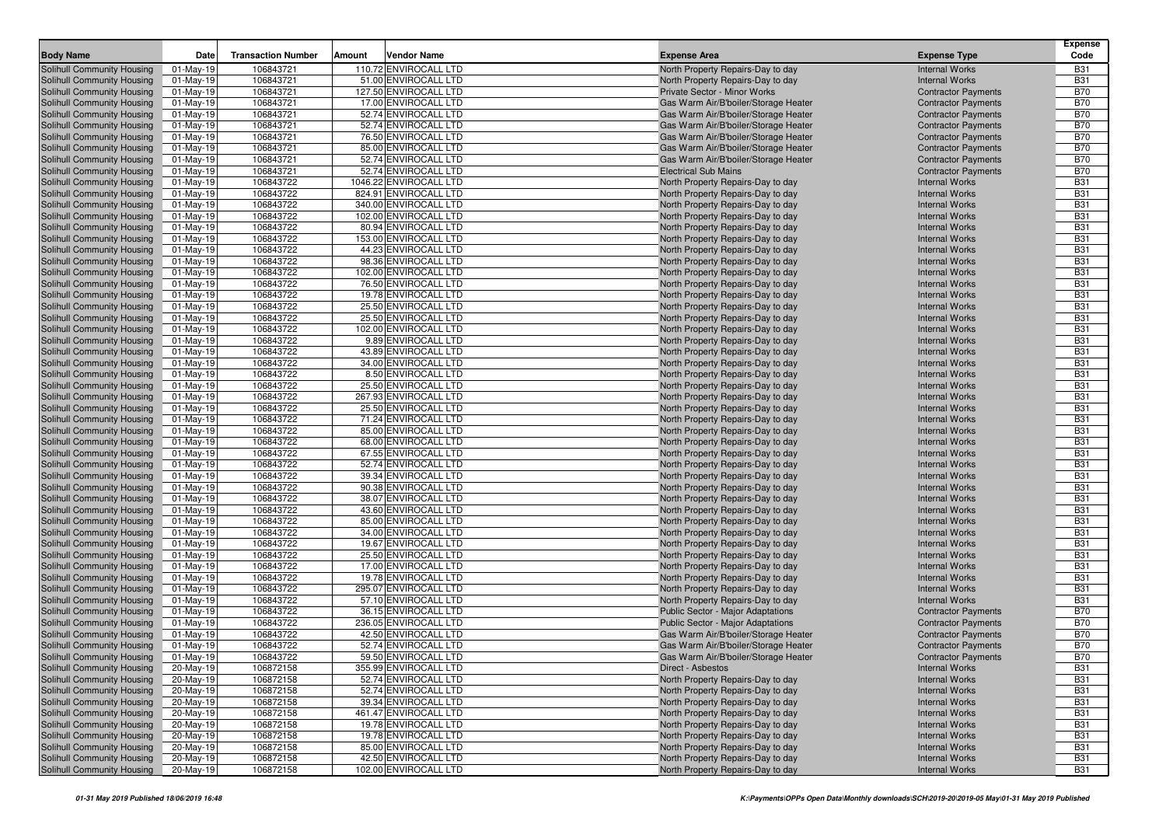|                            |              |                           |                        |                                          |                            | <b>Expense</b> |
|----------------------------|--------------|---------------------------|------------------------|------------------------------------------|----------------------------|----------------|
| <b>Body Name</b>           | Date         | <b>Transaction Number</b> | Amount<br>Vendor Name  | <b>Expense Area</b>                      | <b>Expense Type</b>        | Code           |
| Solihull Community Housing | 01-May-19    | 106843721                 | 110.72 ENVIROCALL LTD  | North Property Repairs-Day to day        | <b>Internal Works</b>      | <b>B31</b>     |
| Solihull Community Housing | 01-May-19    | 106843721                 | 51.00 ENVIROCALL LTD   | North Property Repairs-Day to day        | <b>Internal Works</b>      | <b>B31</b>     |
| Solihull Community Housing | $01$ -May-19 | 106843721                 | 127.50 ENVIROCALL LTD  | Private Sector - Minor Works             | <b>Contractor Payments</b> | <b>B70</b>     |
| Solihull Community Housing | $01$ -May-19 | 106843721                 | 17.00 ENVIROCALL LTD   | Gas Warm Air/B'boiler/Storage Heater     | <b>Contractor Payments</b> | <b>B70</b>     |
| Solihull Community Housing | $01$ -May-19 | 106843721                 | 52.74 ENVIROCALL LTD   | Gas Warm Air/B'boiler/Storage Heater     | <b>Contractor Payments</b> | <b>B70</b>     |
| Solihull Community Housing | $01$ -May-19 | 106843721                 | 52.74 ENVIROCALL LTD   | Gas Warm Air/B'boiler/Storage Heater     | <b>Contractor Payments</b> | <b>B70</b>     |
| Solihull Community Housing | $01-May-19$  | 106843721                 | 76.50 ENVIROCALL LTD   | Gas Warm Air/B'boiler/Storage Heater     | <b>Contractor Payments</b> | <b>B70</b>     |
| Solihull Community Housing | 01-May-19    | 106843721                 | 85.00 ENVIROCALL LTD   | Gas Warm Air/B'boiler/Storage Heater     | <b>Contractor Payments</b> | <b>B70</b>     |
| Solihull Community Housing | 01-May-19    | 106843721                 | 52.74 ENVIROCALL LTD   | Gas Warm Air/B'boiler/Storage Heater     | <b>Contractor Payments</b> | <b>B70</b>     |
| Solihull Community Housing | $01$ -May-19 | 106843721                 | 52.74 ENVIROCALL LTD   | <b>Electrical Sub Mains</b>              | <b>Contractor Payments</b> | <b>B70</b>     |
| Solihull Community Housing | 01-May-19    | 106843722                 | 1046.22 ENVIROCALL LTD | North Property Repairs-Day to day        | <b>Internal Works</b>      | <b>B31</b>     |
| Solihull Community Housing | $01$ -May-19 | 106843722                 | 824.91 ENVIROCALL LTD  | North Property Repairs-Day to day        | <b>Internal Works</b>      | <b>B31</b>     |
| Solihull Community Housing | $01$ -May-19 | 106843722                 | 340.00 ENVIROCALL LTD  | North Property Repairs-Day to day        | <b>Internal Works</b>      | <b>B31</b>     |
| Solihull Community Housing | 01-May-19    | 106843722                 | 102.00 ENVIROCALL LTD  | North Property Repairs-Day to day        | <b>Internal Works</b>      | <b>B31</b>     |
| Solihull Community Housing | $01$ -May-19 | 106843722                 | 80.94 ENVIROCALL LTD   | North Property Repairs-Day to day        | <b>Internal Works</b>      | <b>B31</b>     |
| Solihull Community Housing | $01$ -May-19 | 106843722                 | 153.00 ENVIROCALL LTD  | North Property Repairs-Day to day        | <b>Internal Works</b>      | <b>B31</b>     |
| Solihull Community Housing | 01-May-19    | 106843722                 | 44.23 ENVIROCALL LTD   | North Property Repairs-Day to day        | <b>Internal Works</b>      | <b>B31</b>     |
| Solihull Community Housing | 01-May-19    | 106843722                 | 98.36 ENVIROCALL LTD   | North Property Repairs-Day to day        | <b>Internal Works</b>      | <b>B31</b>     |
| Solihull Community Housing | $01-May-19$  | 106843722                 | 102.00 ENVIROCALL LTD  | North Property Repairs-Day to day        | <b>Internal Works</b>      | <b>B31</b>     |
| Solihull Community Housing | 01-May-19    | 106843722                 | 76.50 ENVIROCALL LTD   | North Property Repairs-Day to day        | <b>Internal Works</b>      | <b>B31</b>     |
| Solihull Community Housing | $01$ -May-19 | 106843722                 | 19.78 ENVIROCALL LTD   | North Property Repairs-Day to day        | <b>Internal Works</b>      | <b>B31</b>     |
| Solihull Community Housing | $01$ -May-19 | 106843722                 | 25.50 ENVIROCALL LTD   | North Property Repairs-Day to day        | <b>Internal Works</b>      | <b>B31</b>     |
| Solihull Community Housing | $01-May-19$  | 106843722                 | 25.50 ENVIROCALL LTD   | North Property Repairs-Day to day        | <b>Internal Works</b>      | <b>B31</b>     |
| Solihull Community Housing | 01-May-19    | 106843722                 | 102.00 ENVIROCALL LTD  | North Property Repairs-Day to day        | <b>Internal Works</b>      | <b>B31</b>     |
| Solihull Community Housing | 01-May-19    | 106843722                 | 9.89 ENVIROCALL LTD    | North Property Repairs-Day to day        | <b>Internal Works</b>      | <b>B31</b>     |
| Solihull Community Housing | $01$ -May-19 | 106843722                 | 43.89 ENVIROCALL LTD   | North Property Repairs-Day to day        | <b>Internal Works</b>      | <b>B31</b>     |
| Solihull Community Housing | 01-May-19    | 106843722                 | 34.00 ENVIROCALL LTD   | North Property Repairs-Day to day        | <b>Internal Works</b>      | <b>B31</b>     |
| Solihull Community Housing | 01-May-19    | 106843722                 | 8.50 ENVIROCALL LTD    | North Property Repairs-Day to day        | <b>Internal Works</b>      | <b>B31</b>     |
| Solihull Community Housing | $01$ -May-19 | 106843722                 | 25.50 ENVIROCALL LTD   | North Property Repairs-Day to day        | <b>Internal Works</b>      | <b>B31</b>     |
| Solihull Community Housing | $01$ -May-19 | 106843722                 | 267.93 ENVIROCALL LTD  | North Property Repairs-Day to day        | <b>Internal Works</b>      | <b>B31</b>     |
| Solihull Community Housing | 01-May-19    | 106843722                 | 25.50 ENVIROCALL LTD   | North Property Repairs-Day to day        | <b>Internal Works</b>      | <b>B31</b>     |
| Solihull Community Housing | 01-May-19    | 106843722                 | 71.24 ENVIROCALL LTD   | North Property Repairs-Day to day        | <b>Internal Works</b>      | <b>B31</b>     |
| Solihull Community Housing | $01$ -May-19 | 106843722                 | 85.00 ENVIROCALL LTD   | North Property Repairs-Day to day        | <b>Internal Works</b>      | <b>B31</b>     |
| Solihull Community Housing | 01-May-19    | 106843722                 | 68.00 ENVIROCALL LTD   | North Property Repairs-Day to day        | <b>Internal Works</b>      | <b>B31</b>     |
| Solihull Community Housing | $01$ -May-19 | 106843722                 | 67.55 ENVIROCALL LTD   | North Property Repairs-Day to day        | <b>Internal Works</b>      | <b>B31</b>     |
| Solihull Community Housing | 01-May-19    | 106843722                 | 52.74 ENVIROCALL LTD   | North Property Repairs-Day to day        | <b>Internal Works</b>      | <b>B31</b>     |
| Solihull Community Housing | $01$ -May-19 | 106843722                 | 39.34 ENVIROCALL LTD   | North Property Repairs-Day to day        | <b>Internal Works</b>      | <b>B31</b>     |
| Solihull Community Housing | $01$ -May-19 | 106843722                 | 90.38 ENVIROCALL LTD   | North Property Repairs-Day to day        | <b>Internal Works</b>      | <b>B31</b>     |
| Solihull Community Housing | $01$ -May-19 | 106843722                 | 38.07 ENVIROCALL LTD   | North Property Repairs-Day to day        | <b>Internal Works</b>      | <b>B31</b>     |
| Solihull Community Housing | 01-May-19    | 106843722                 | 43.60 ENVIROCALL LTD   | North Property Repairs-Day to day        | <b>Internal Works</b>      | <b>B31</b>     |
| Solihull Community Housing | 01-May-19    | 106843722                 | 85.00 ENVIROCALL LTD   | North Property Repairs-Day to day        | <b>Internal Works</b>      | <b>B31</b>     |
| Solihull Community Housing | $01$ -May-19 | 106843722                 | 34.00 ENVIROCALL LTD   | North Property Repairs-Day to day        | <b>Internal Works</b>      | <b>B31</b>     |
| Solihull Community Housing | 01-May-19    | 106843722                 | 19.67 ENVIROCALL LTD   | North Property Repairs-Day to day        | <b>Internal Works</b>      | <b>B31</b>     |
| Solihull Community Housing | $01$ -May-19 | 106843722                 | 25.50 ENVIROCALL LTD   | North Property Repairs-Day to day        | <b>Internal Works</b>      | <b>B31</b>     |
| Solihull Community Housing | 01-May-19    | 106843722                 | 17.00 ENVIROCALL LTD   | North Property Repairs-Day to day        | <b>Internal Works</b>      | <b>B31</b>     |
| Solihull Community Housing | $01$ -May-19 | 106843722                 | 19.78 ENVIROCALL LTD   | North Property Repairs-Day to day        | <b>Internal Works</b>      | <b>B31</b>     |
| Solihull Community Housing | 01-May-19    | 106843722                 | 295.07 ENVIROCALL LTD  | North Property Repairs-Day to day        | <b>Internal Works</b>      | <b>B31</b>     |
| Solihull Community Housing | 01-May-19    | 106843722                 | 57.10 ENVIROCALL LTD   | North Property Repairs-Day to day        | <b>Internal Works</b>      | <b>B31</b>     |
| Solihull Community Housing | 01-May-19    | 106843722                 | 36.15 ENVIROCALL LTD   | <b>Public Sector - Major Adaptations</b> | <b>Contractor Payments</b> | <b>B70</b>     |
| Solihull Community Housing | 01-May-19    | 106843722                 | 236.05 ENVIROCALL LTD  | <b>Public Sector - Major Adaptations</b> | <b>Contractor Payments</b> | <b>B70</b>     |
| Solihull Community Housing | 01-May-19    | 106843722                 | 42.50 ENVIROCALL LTD   | Gas Warm Air/B'boiler/Storage Heater     | <b>Contractor Payments</b> | <b>B70</b>     |
| Solihull Community Housing | 01-May-19    | 106843722                 | 52.74 ENVIROCALL LTD   | Gas Warm Air/B'boiler/Storage Heater     | <b>Contractor Payments</b> | <b>B70</b>     |
| Solihull Community Housing | 01-May-19    | 106843722                 | 59.50 ENVIROCALL LTD   | Gas Warm Air/B'boiler/Storage Heater     | <b>Contractor Payments</b> | <b>B70</b>     |
| Solihull Community Housing | 20-May-19    | 106872158                 | 355.99 ENVIROCALL LTD  | Direct - Asbestos                        | <b>Internal Works</b>      | <b>B31</b>     |
| Solihull Community Housing | 20-May-19    | 106872158                 | 52.74 ENVIROCALL LTD   | North Property Repairs-Day to day        | <b>Internal Works</b>      | <b>B31</b>     |
| Solihull Community Housing | 20-May-19    | 106872158                 | 52.74 ENVIROCALL LTD   | North Property Repairs-Day to day        | <b>Internal Works</b>      | <b>B31</b>     |
| Solihull Community Housing | 20-May-19    | 106872158                 | 39.34 ENVIROCALL LTD   | North Property Repairs-Day to day        | <b>Internal Works</b>      | <b>B31</b>     |
| Solihull Community Housing | 20-May-19    | 106872158                 | 461.47 ENVIROCALL LTD  | North Property Repairs-Day to day        | <b>Internal Works</b>      | <b>B31</b>     |
| Solihull Community Housing | 20-May-19    | 106872158                 | 19.78 ENVIROCALL LTD   | North Property Repairs-Day to day        | <b>Internal Works</b>      | <b>B31</b>     |
| Solihull Community Housing | 20-May-19    | 106872158                 | 19.78 ENVIROCALL LTD   | North Property Repairs-Day to day        | <b>Internal Works</b>      | <b>B31</b>     |
| Solihull Community Housing | 20-May-19    | 106872158                 | 85.00 ENVIROCALL LTD   | North Property Repairs-Day to day        | <b>Internal Works</b>      | <b>B31</b>     |
| Solihull Community Housing | 20-May-19    | 106872158                 | 42.50 ENVIROCALL LTD   | North Property Repairs-Day to day        | <b>Internal Works</b>      | <b>B31</b>     |
| Solihull Community Housing | 20-May-19    | 106872158                 | 102.00 ENVIROCALL LTD  | North Property Repairs-Day to day        | <b>Internal Works</b>      | <b>B31</b>     |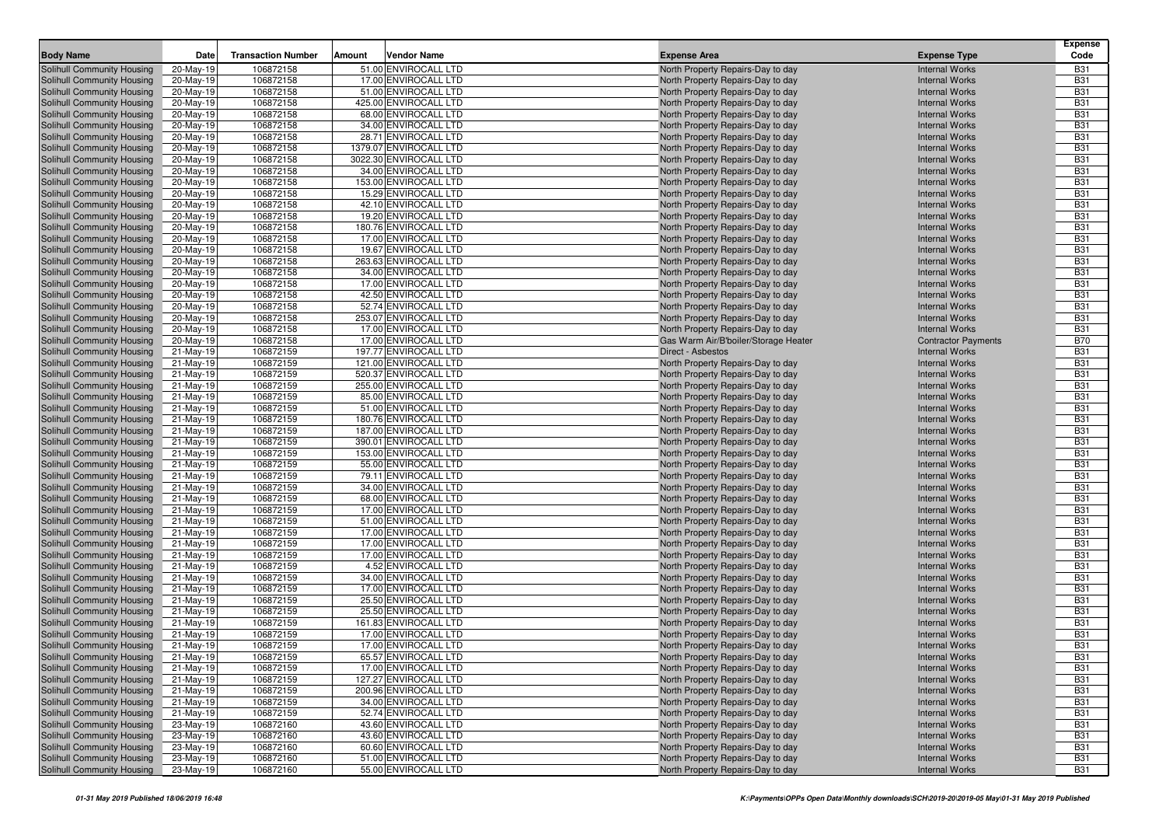| <b>Body Name</b>                                         | Date                   | <b>Transaction Number</b> | Amount | Vendor Name                                  | <b>Expense Area</b>                                                    | <b>Expense Type</b>                            | <b>Expense</b><br>Code   |
|----------------------------------------------------------|------------------------|---------------------------|--------|----------------------------------------------|------------------------------------------------------------------------|------------------------------------------------|--------------------------|
| <b>Solihull Community Housing</b>                        | 20-May-19              | 106872158                 |        | 51.00 ENVIROCALL LTD                         | North Property Repairs-Day to day                                      | <b>Internal Works</b>                          | <b>B31</b>               |
| Solihull Community Housing                               | 20-May-19              | 106872158                 |        | 17.00 ENVIROCALL LTD                         | North Property Repairs-Day to day                                      | <b>Internal Works</b>                          | <b>B31</b>               |
| Solihull Community Housing                               | 20-May-19              | 106872158                 |        | 51.00 ENVIROCALL LTD                         | North Property Repairs-Day to day                                      | <b>Internal Works</b>                          | <b>B31</b>               |
| Solihull Community Housing                               | 20-May-19              | 106872158                 |        | 425.00 ENVIROCALL LTD                        | North Property Repairs-Day to day                                      | <b>Internal Works</b>                          | <b>B31</b>               |
| Solihull Community Housing                               | 20-May-19              | 106872158                 |        | 68.00 ENVIROCALL LTD                         | North Property Repairs-Day to day                                      | <b>Internal Works</b>                          | <b>B31</b>               |
| Solihull Community Housing                               | 20-May-19              | 106872158                 |        | 34.00 ENVIROCALL LTD                         | North Property Repairs-Day to day                                      | <b>Internal Works</b>                          | <b>B31</b>               |
| Solihull Community Housing                               | 20-May-19              | 106872158                 |        | 28.71 ENVIROCALL LTD                         | North Property Repairs-Day to day                                      | <b>Internal Works</b>                          | <b>B31</b>               |
| Solihull Community Housing                               | 20-May-19              | 106872158                 |        | 1379.07 ENVIROCALL LTD                       | North Property Repairs-Day to day                                      | <b>Internal Works</b>                          | <b>B31</b>               |
| Solihull Community Housing                               | 20-May-19              | 106872158                 |        | 3022.30 ENVIROCALL LTD                       | North Property Repairs-Day to day                                      | <b>Internal Works</b>                          | <b>B31</b>               |
| Solihull Community Housing                               | 20-May-19              | 106872158                 |        | 34.00 ENVIROCALL LTD                         | North Property Repairs-Day to day                                      | <b>Internal Works</b>                          | <b>B31</b>               |
| Solihull Community Housing                               | 20-May-19              | 106872158                 |        | 153.00 ENVIROCALL LTD                        | North Property Repairs-Day to day                                      | <b>Internal Works</b>                          | <b>B31</b>               |
| Solihull Community Housing                               | 20-May-19              | 106872158                 |        | 15.29 ENVIROCALL LTD                         | North Property Repairs-Day to day                                      | <b>Internal Works</b>                          | <b>B31</b>               |
| Solihull Community Housing                               | 20-May-19              | 106872158                 |        | 42.10 ENVIROCALL LTD                         | North Property Repairs-Day to day                                      | <b>Internal Works</b>                          | <b>B31</b>               |
| Solihull Community Housing                               | 20-May-19              | 106872158                 |        | 19.20 ENVIROCALL LTD                         | North Property Repairs-Day to day                                      | <b>Internal Works</b>                          | <b>B31</b>               |
| Solihull Community Housing                               | 20-May-19              | 106872158                 |        | 180.76 ENVIROCALL LTD                        | North Property Repairs-Day to day                                      | <b>Internal Works</b>                          | <b>B31</b>               |
| Solihull Community Housing                               | 20-May-19              | 106872158                 |        | 17.00 ENVIROCALL LTD                         | North Property Repairs-Day to day                                      | <b>Internal Works</b>                          | <b>B31</b>               |
| Solihull Community Housing                               | 20-May-19              | 106872158                 |        | 19.67 ENVIROCALL LTD                         | North Property Repairs-Day to day                                      | <b>Internal Works</b>                          | <b>B31</b>               |
| Solihull Community Housing                               | 20-May-19              | 106872158                 |        | 263.63 ENVIROCALL LTD                        | North Property Repairs-Day to day                                      | <b>Internal Works</b>                          | <b>B31</b>               |
| Solihull Community Housing                               | 20-May-19              | 106872158                 |        | 34.00 ENVIROCALL LTD                         | North Property Repairs-Day to day                                      | <b>Internal Works</b>                          | <b>B31</b>               |
| Solihull Community Housing                               | 20-May-19              | 106872158                 |        | 17.00 ENVIROCALL LTD                         | North Property Repairs-Day to day                                      | <b>Internal Works</b>                          | <b>B31</b>               |
| Solihull Community Housing                               | 20-May-19              | 106872158                 |        | 42.50 ENVIROCALL LTD                         | North Property Repairs-Day to day                                      | <b>Internal Works</b>                          | <b>B31</b>               |
| Solihull Community Housing                               | 20-May-19              | 106872158                 |        | 52.74 ENVIROCALL LTD                         | North Property Repairs-Day to day                                      | <b>Internal Works</b>                          | <b>B31</b>               |
| Solihull Community Housing                               | 20-May-19              | 106872158                 |        | 253.07 ENVIROCALL LTD                        | North Property Repairs-Day to day                                      | <b>Internal Works</b>                          | <b>B31</b>               |
| Solihull Community Housing                               | 20-May-19              | 106872158                 |        | 17.00 ENVIROCALL LTD                         | North Property Repairs-Day to day                                      | <b>Internal Works</b>                          | <b>B31</b>               |
| Solihull Community Housing                               | 20-May-19              | 106872158                 |        | 17.00 ENVIROCALL LTD                         | Gas Warm Air/B'boiler/Storage Heater                                   | <b>Contractor Payments</b>                     | <b>B70</b>               |
| Solihull Community Housing                               | 21-May-19              | 106872159                 |        | 197.77 ENVIROCALL LTD                        | Direct - Asbestos                                                      | <b>Internal Works</b>                          | <b>B31</b>               |
| Solihull Community Housing                               | 21-May-19              | 106872159                 |        | 121.00 ENVIROCALL LTD                        | North Property Repairs-Day to day                                      | <b>Internal Works</b>                          | <b>B31</b>               |
| Solihull Community Housing                               | 21-May-19              | 106872159                 |        | 520.37 ENVIROCALL LTD                        | North Property Repairs-Day to day                                      | <b>Internal Works</b>                          | <b>B31</b>               |
| Solihull Community Housing                               | 21-May-19              | 106872159                 |        | 255.00 ENVIROCALL LTD                        | North Property Repairs-Day to day                                      | <b>Internal Works</b>                          | <b>B31</b>               |
| Solihull Community Housing                               | 21-May-19              | 106872159                 |        | 85.00 ENVIROCALL LTD                         | North Property Repairs-Day to day                                      | <b>Internal Works</b>                          | <b>B31</b>               |
| Solihull Community Housing                               | 21-May-19              | 106872159                 |        | 51.00 ENVIROCALL LTD                         | North Property Repairs-Day to day                                      | <b>Internal Works</b>                          | <b>B31</b>               |
| Solihull Community Housing                               | 21-May-19              | 106872159                 |        | 180.76 ENVIROCALL LTD                        | North Property Repairs-Day to day                                      | <b>Internal Works</b>                          | <b>B31</b>               |
| Solihull Community Housing                               | 21-May-19              | 106872159                 |        | 187.00 ENVIROCALL LTD                        | North Property Repairs-Day to day                                      | <b>Internal Works</b>                          | <b>B31</b>               |
| Solihull Community Housing                               | 21-May-19              | 106872159                 |        | 390.01 ENVIROCALL LTD                        | North Property Repairs-Day to day                                      | <b>Internal Works</b>                          | <b>B31</b>               |
| Solihull Community Housing                               | 21-May-19              | 106872159                 |        | 153.00 ENVIROCALL LTD                        | North Property Repairs-Day to day                                      | <b>Internal Works</b>                          | <b>B31</b>               |
| Solihull Community Housing                               | 21-May-19              | 106872159                 |        | 55.00 ENVIROCALL LTD                         | North Property Repairs-Day to day                                      | <b>Internal Works</b>                          | <b>B31</b>               |
| Solihull Community Housing                               | 21-May-19              | 106872159                 |        | 79.11 ENVIROCALL LTD                         | North Property Repairs-Day to day                                      | <b>Internal Works</b>                          | <b>B31</b><br><b>B31</b> |
| Solihull Community Housing                               | 21-May-19              | 106872159                 |        | 34.00 ENVIROCALL LTD                         | North Property Repairs-Day to day                                      | <b>Internal Works</b>                          | <b>B31</b>               |
| Solihull Community Housing<br>Solihull Community Housing | 21-May-19              | 106872159<br>106872159    |        | 68.00 ENVIROCALL LTD<br>17.00 ENVIROCALL LTD | North Property Repairs-Day to day<br>North Property Repairs-Day to day | <b>Internal Works</b><br><b>Internal Works</b> | <b>B31</b>               |
| Solihull Community Housing                               | 21-May-19<br>21-May-19 | 106872159                 |        | 51.00 ENVIROCALL LTD                         | North Property Repairs-Day to day                                      | <b>Internal Works</b>                          | <b>B31</b>               |
| Solihull Community Housing                               | 21-May-19              | 106872159                 |        | 17.00 ENVIROCALL LTD                         | North Property Repairs-Day to day                                      | <b>Internal Works</b>                          | <b>B31</b>               |
| Solihull Community Housing                               | 21-May-19              | 106872159                 |        | 17.00 ENVIROCALL LTD                         | North Property Repairs-Day to day                                      | <b>Internal Works</b>                          | <b>B31</b>               |
| Solihull Community Housing                               | 21-May-19              | 106872159                 |        | 17.00 ENVIROCALL LTD                         | North Property Repairs-Day to day                                      | <b>Internal Works</b>                          | <b>B31</b>               |
| Solihull Community Housing                               | 21-May-19              | 106872159                 |        | 4.52 ENVIROCALL LTD                          | North Property Repairs-Day to day                                      | <b>Internal Works</b>                          | <b>B31</b>               |
| Solihull Community Housing                               | 21-May-19              | 106872159                 |        | 34.00 ENVIROCALL LTD                         | North Property Repairs-Day to day                                      | <b>Internal Works</b>                          | <b>B31</b>               |
| Solihull Community Housing                               | 21-May-19              | 106872159                 |        | 17.00 ENVIROCALL LTD                         | North Property Repairs-Day to day                                      | <b>Internal Works</b>                          | <b>B31</b>               |
| Solihull Community Housing                               | 21-May-19              | 106872159                 |        | 25.50 ENVIROCALL LTD                         | North Property Repairs-Day to day                                      | <b>Internal Works</b>                          | <b>B31</b>               |
| Solihull Community Housing                               | 21-May-19              | 106872159                 |        | 25.50 ENVIROCALL LTD                         | North Property Repairs-Day to day                                      | <b>Internal Works</b>                          | <b>B31</b>               |
| Solihull Community Housing                               | 21-May-19              | 106872159                 |        | 161.83 ENVIROCALL LTD                        | North Property Repairs-Day to day                                      | <b>Internal Works</b>                          | <b>B31</b>               |
| Solihull Community Housing                               | 21-May-19              | 106872159                 |        | 17.00 ENVIROCALL LTD                         | North Property Repairs-Day to day                                      | <b>Internal Works</b>                          | <b>B31</b>               |
| Solihull Community Housing                               | 21-May-19              | 106872159                 |        | 17.00 ENVIROCALL LTD                         | North Property Repairs-Day to day                                      | <b>Internal Works</b>                          | <b>B31</b>               |
| Solihull Community Housing                               | 21-May-19              | 106872159                 |        | 65.57 ENVIROCALL LTD                         | North Property Repairs-Day to day                                      | <b>Internal Works</b>                          | <b>B31</b>               |
| <b>Solihull Community Housing</b>                        | 21-May-19              | 106872159                 |        | 17.00 ENVIROCALL LTD                         | North Property Repairs-Day to day                                      | <b>Internal Works</b>                          | <b>B31</b>               |
| Solihull Community Housing                               | 21-May-19              | 106872159                 |        | 127.27 ENVIROCALL LTD                        | North Property Repairs-Day to day                                      | <b>Internal Works</b>                          | <b>B31</b>               |
| Solihull Community Housing                               | 21-May-19              | 106872159                 |        | 200.96 ENVIROCALL LTD                        | North Property Repairs-Day to day                                      | <b>Internal Works</b>                          | <b>B31</b>               |
| Solihull Community Housing                               | 21-May-19              | 106872159                 |        | 34.00 ENVIROCALL LTD                         | North Property Repairs-Day to day                                      | <b>Internal Works</b>                          | <b>B31</b>               |
| Solihull Community Housing                               | 21-May-19              | 106872159                 |        | 52.74 ENVIROCALL LTD                         | North Property Repairs-Day to day                                      | <b>Internal Works</b>                          | <b>B31</b>               |
| Solihull Community Housing                               | 23-May-19              | 106872160                 |        | 43.60 ENVIROCALL LTD                         | North Property Repairs-Day to day                                      | <b>Internal Works</b>                          | <b>B31</b>               |
| Solihull Community Housing                               | 23-May-19              | 106872160                 |        | 43.60 ENVIROCALL LTD                         | North Property Repairs-Day to day                                      | <b>Internal Works</b>                          | <b>B31</b>               |
| Solihull Community Housing                               | 23-May-19              | 106872160                 |        | 60.60 ENVIROCALL LTD                         | North Property Repairs-Day to day                                      | <b>Internal Works</b>                          | <b>B31</b>               |
| Solihull Community Housing                               | 23-May-19              | 106872160                 |        | 51.00 ENVIROCALL LTD                         | North Property Repairs-Day to day                                      | <b>Internal Works</b>                          | <b>B31</b>               |
| Solihull Community Housing                               | 23-May-19              | 106872160                 |        | 55.00 ENVIROCALL LTD                         | North Property Repairs-Day to day                                      | <b>Internal Works</b>                          | <b>B31</b>               |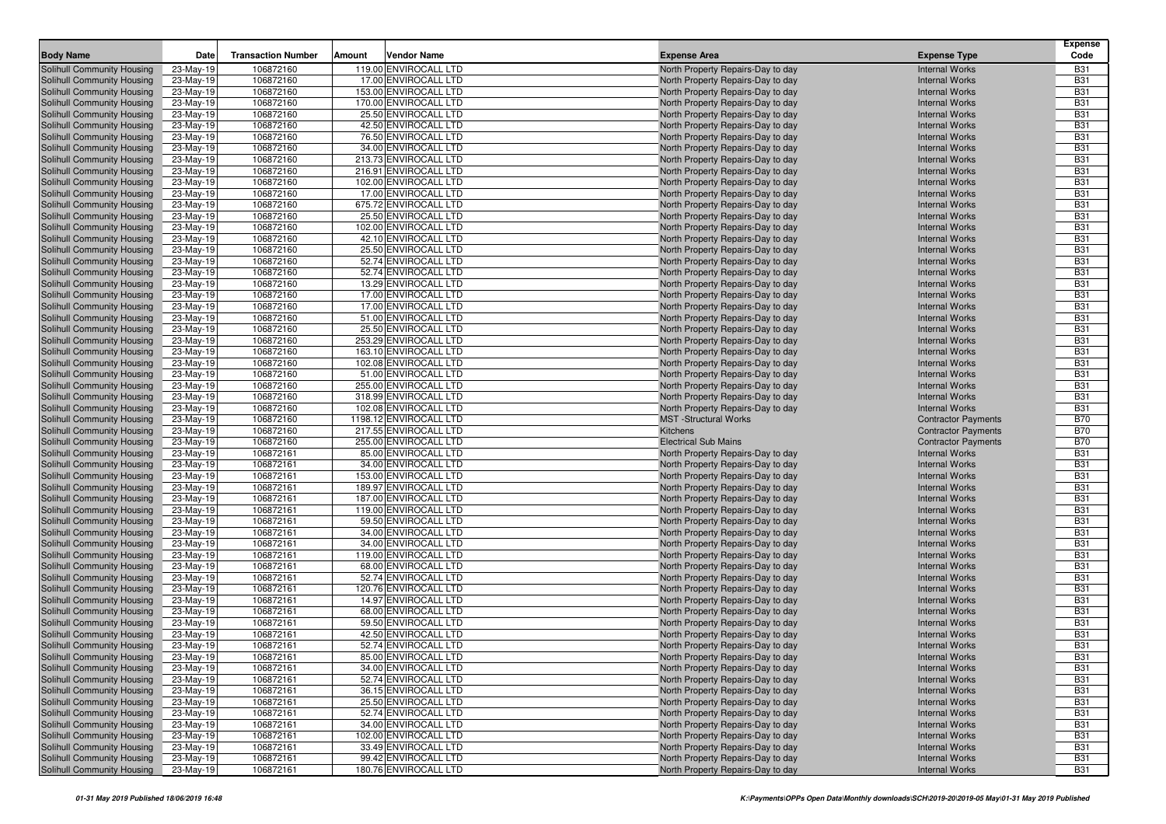| <b>Body Name</b>                                         | Date                   | <b>Transaction Number</b> | Amount<br>Vendor Name                          | <b>Expense Area</b>                                                    | <b>Expense Type</b>                            | <b>Expense</b><br>Code   |
|----------------------------------------------------------|------------------------|---------------------------|------------------------------------------------|------------------------------------------------------------------------|------------------------------------------------|--------------------------|
| Solihull Community Housing                               | 23-May-19              | 106872160                 | 119.00 ENVIROCALL LTD                          | North Property Repairs-Day to day                                      | <b>Internal Works</b>                          | <b>B31</b>               |
| Solihull Community Housing                               | 23-May-19              | 106872160                 | 17.00 ENVIROCALL LTD                           | North Property Repairs-Day to day                                      | <b>Internal Works</b>                          | <b>B31</b>               |
| Solihull Community Housing                               | 23-May-19              | 106872160                 | 153.00 ENVIROCALL LTD                          | North Property Repairs-Day to day                                      | <b>Internal Works</b>                          | <b>B31</b>               |
| Solihull Community Housing                               | 23-May-19              | 106872160                 | 170.00 ENVIROCALL LTD                          | North Property Repairs-Day to day                                      | <b>Internal Works</b>                          | <b>B31</b>               |
| Solihull Community Housing                               | 23-May-19              | 106872160                 | 25.50 ENVIROCALL LTD                           | North Property Repairs-Day to day                                      | <b>Internal Works</b>                          | <b>B31</b>               |
| Solihull Community Housing                               | 23-May-19              | 106872160                 | 42.50 ENVIROCALL LTD                           | North Property Repairs-Day to day                                      | <b>Internal Works</b>                          | <b>B31</b>               |
| Solihull Community Housing                               | 23-May-19              | 106872160                 | 76.50 ENVIROCALL LTD                           | North Property Repairs-Day to day                                      | <b>Internal Works</b>                          | <b>B31</b>               |
| Solihull Community Housing                               | 23-May-19              | 106872160                 | 34.00 ENVIROCALL LTD                           | North Property Repairs-Day to day                                      | <b>Internal Works</b>                          | <b>B31</b>               |
| Solihull Community Housing                               | 23-May-19              | 106872160                 | 213.73 ENVIROCALL LTD                          | North Property Repairs-Day to day                                      | <b>Internal Works</b>                          | <b>B31</b>               |
| Solihull Community Housing                               | 23-May-19              | 106872160                 | 216.91 ENVIROCALL LTD                          | North Property Repairs-Day to day                                      | <b>Internal Works</b>                          | <b>B31</b>               |
| Solihull Community Housing                               | 23-May-19              | 106872160                 | 102.00 ENVIROCALL LTD                          | North Property Repairs-Day to day                                      | <b>Internal Works</b>                          | <b>B31</b>               |
| Solihull Community Housing                               | 23-May-19              | 106872160                 | 17.00 ENVIROCALL LTD                           | North Property Repairs-Day to day                                      | <b>Internal Works</b>                          | <b>B31</b>               |
| Solihull Community Housing                               | 23-May-19              | 106872160                 | 675.72 ENVIROCALL LTD                          | North Property Repairs-Day to day                                      | <b>Internal Works</b>                          | <b>B31</b>               |
| Solihull Community Housing                               | 23-May-19              | 106872160                 | 25.50 ENVIROCALL LTD                           | North Property Repairs-Day to day                                      | <b>Internal Works</b>                          | <b>B31</b>               |
| Solihull Community Housing                               | 23-May-19              | 106872160                 | 102.00 ENVIROCALL LTD                          | North Property Repairs-Day to day                                      | <b>Internal Works</b>                          | <b>B31</b>               |
| Solihull Community Housing                               | 23-May-19              | 106872160                 | 42.10 ENVIROCALL LTD                           | North Property Repairs-Day to day                                      | <b>Internal Works</b>                          | <b>B31</b>               |
| Solihull Community Housing                               | 23-May-19              | 106872160                 | 25.50 ENVIROCALL LTD                           | North Property Repairs-Day to day                                      | <b>Internal Works</b>                          | <b>B31</b>               |
| Solihull Community Housing                               | 23-May-19              | 106872160                 | 52.74 ENVIROCALL LTD                           | North Property Repairs-Day to day                                      | <b>Internal Works</b>                          | <b>B31</b>               |
| Solihull Community Housing                               | 23-May-19              | 106872160                 | 52.74 ENVIROCALL LTD                           | North Property Repairs-Day to day                                      | <b>Internal Works</b>                          | <b>B31</b>               |
| Solihull Community Housing                               | 23-May-19              | 106872160                 | 13.29 ENVIROCALL LTD                           | North Property Repairs-Day to day                                      | <b>Internal Works</b>                          | <b>B31</b>               |
| Solihull Community Housing                               | 23-May-19              | 106872160                 | 17.00 ENVIROCALL LTD                           | North Property Repairs-Day to day                                      | <b>Internal Works</b>                          | <b>B31</b>               |
| Solihull Community Housing                               | 23-May-19              | 106872160                 | 17.00 ENVIROCALL LTD                           | North Property Repairs-Day to day                                      | <b>Internal Works</b>                          | <b>B31</b>               |
| Solihull Community Housing                               | 23-May-19              | 106872160                 | 51.00 ENVIROCALL LTD                           | North Property Repairs-Day to day                                      | <b>Internal Works</b>                          | <b>B31</b>               |
| Solihull Community Housing                               | 23-May-19              | 106872160                 | 25.50 ENVIROCALL LTD                           | North Property Repairs-Day to day                                      | <b>Internal Works</b><br><b>Internal Works</b> | <b>B31</b>               |
| Solihull Community Housing                               | 23-May-19              | 106872160                 | 253.29 ENVIROCALL LTD                          | North Property Repairs-Day to day                                      |                                                | <b>B31</b>               |
| Solihull Community Housing<br>Solihull Community Housing | 23-May-19<br>23-May-19 | 106872160<br>106872160    | 163.10 ENVIROCALL LTD<br>102.08 ENVIROCALL LTD | North Property Repairs-Day to day<br>North Property Repairs-Day to day | <b>Internal Works</b><br><b>Internal Works</b> | <b>B31</b><br><b>B31</b> |
| Solihull Community Housing                               | 23-May-19              | 106872160                 | 51.00 ENVIROCALL LTD                           | North Property Repairs-Day to day                                      | <b>Internal Works</b>                          | <b>B31</b>               |
| Solihull Community Housing                               | 23-May-19              | 106872160                 | 255.00 ENVIROCALL LTD                          | North Property Repairs-Day to day                                      | <b>Internal Works</b>                          | <b>B31</b>               |
| Solihull Community Housing                               | 23-May-19              | 106872160                 | 318.99 ENVIROCALL LTD                          | North Property Repairs-Day to day                                      | <b>Internal Works</b>                          | <b>B31</b>               |
| Solihull Community Housing                               | 23-May-19              | 106872160                 | 102.08 ENVIROCALL LTD                          | North Property Repairs-Day to day                                      | <b>Internal Works</b>                          | <b>B31</b>               |
| Solihull Community Housing                               | 23-May-19              | 106872160                 | 1198.12 ENVIROCALL LTD                         | <b>MST</b> -Structural Works                                           | <b>Contractor Payments</b>                     | <b>B70</b>               |
| Solihull Community Housing                               | 23-May-19              | 106872160                 | 217.55 ENVIROCALL LTD                          | Kitchens                                                               | <b>Contractor Payments</b>                     | <b>B70</b>               |
| Solihull Community Housing                               | 23-May-19              | 106872160                 | 255.00 ENVIROCALL LTD                          | <b>Electrical Sub Mains</b>                                            | <b>Contractor Payments</b>                     | <b>B70</b>               |
| Solihull Community Housing                               | 23-May-19              | 106872161                 | 85.00 ENVIROCALL LTD                           | North Property Repairs-Day to day                                      | <b>Internal Works</b>                          | <b>B31</b>               |
| Solihull Community Housing                               | 23-May-19              | 106872161                 | 34.00 ENVIROCALL LTD                           | North Property Repairs-Day to day                                      | <b>Internal Works</b>                          | <b>B31</b>               |
| Solihull Community Housing                               | 23-May-19              | 106872161                 | 153.00 ENVIROCALL LTD                          | North Property Repairs-Day to day                                      | <b>Internal Works</b>                          | <b>B31</b>               |
| Solihull Community Housing                               | 23-May-19              | 106872161                 | 189.97 ENVIROCALL LTD                          | North Property Repairs-Day to day                                      | <b>Internal Works</b>                          | <b>B31</b>               |
| Solihull Community Housing                               | 23-May-19              | 106872161                 | 187.00 ENVIROCALL LTD                          | North Property Repairs-Day to day                                      | <b>Internal Works</b>                          | <b>B31</b>               |
| Solihull Community Housing                               | 23-May-19              | 106872161                 | 119.00 ENVIROCALL LTD                          | North Property Repairs-Day to day                                      | <b>Internal Works</b>                          | <b>B31</b>               |
| Solihull Community Housing                               | 23-May-19              | 106872161                 | 59.50 ENVIROCALL LTD                           | North Property Repairs-Day to day                                      | <b>Internal Works</b>                          | <b>B31</b>               |
| Solihull Community Housing                               | 23-May-19              | 106872161                 | 34.00 ENVIROCALL LTD                           | North Property Repairs-Day to day                                      | <b>Internal Works</b>                          | <b>B31</b>               |
| Solihull Community Housing                               | 23-May-19              | 106872161                 | 34.00 ENVIROCALL LTD                           | North Property Repairs-Day to day                                      | <b>Internal Works</b>                          | <b>B31</b>               |
| Solihull Community Housing                               | 23-May-19              | 106872161                 | 119.00 ENVIROCALL LTD                          | North Property Repairs-Day to day                                      | <b>Internal Works</b>                          | <b>B31</b>               |
| Solihull Community Housing                               | 23-May-19              | 106872161                 | 68.00 ENVIROCALL LTD                           | North Property Repairs-Day to day                                      | <b>Internal Works</b>                          | <b>B31</b>               |
| Solihull Community Housing                               | 23-May-19              | 106872161                 | 52.74 ENVIROCALL LTD                           | North Property Repairs-Day to day                                      | <b>Internal Works</b>                          | <b>B31</b>               |
| Solihull Community Housing                               | 23-May-19              | 106872161                 | 120.76 ENVIROCALL LTD                          | North Property Repairs-Day to day                                      | <b>Internal Works</b>                          | <b>B31</b>               |
| Solihull Community Housing                               | 23-May-19              | 106872161                 | 14.97 ENVIROCALL LTD                           | North Property Repairs-Day to day                                      | <b>Internal Works</b>                          | <b>B31</b><br><b>B31</b> |
| Solihull Community Housing<br>Solihull Community Housing | 23-May-19              | 106872161<br>106872161    | 68.00 ENVIROCALL LTD<br>59.50 ENVIROCALL LTD   | North Property Repairs-Day to day                                      | <b>Internal Works</b><br><b>Internal Works</b> | <b>B31</b>               |
| Solihull Community Housing                               | 23-May-19<br>23-May-19 | 106872161                 | 42.50 ENVIROCALL LTD                           | North Property Repairs-Day to day                                      | <b>Internal Works</b>                          | <b>B31</b>               |
| <b>Solihull Community Housing</b>                        | 23-May-19              | 106872161                 | 52.74 ENVIROCALL LTD                           | North Property Repairs-Day to day<br>North Property Repairs-Day to day | <b>Internal Works</b>                          | <b>B31</b>               |
| Solihull Community Housing                               | 23-May-19              | 106872161                 | 85.00 ENVIROCALL LTD                           | North Property Repairs-Day to day                                      | <b>Internal Works</b>                          | <b>B31</b>               |
| <b>Solihull Community Housing</b>                        | 23-May-19              | 106872161                 | 34.00 ENVIROCALL LTD                           | North Property Repairs-Day to day                                      | <b>Internal Works</b>                          | <b>B31</b>               |
| Solihull Community Housing                               | 23-May-19              | 106872161                 | 52.74 ENVIROCALL LTD                           | North Property Repairs-Day to day                                      | <b>Internal Works</b>                          | <b>B31</b>               |
| Solihull Community Housing                               | 23-May-19              | 106872161                 | 36.15 ENVIROCALL LTD                           | North Property Repairs-Day to day                                      | <b>Internal Works</b>                          | <b>B31</b>               |
| Solihull Community Housing                               | 23-May-19              | 106872161                 | 25.50 ENVIROCALL LTD                           | North Property Repairs-Day to day                                      | <b>Internal Works</b>                          | <b>B31</b>               |
| Solihull Community Housing                               | 23-May-19              | 106872161                 | 52.74 ENVIROCALL LTD                           | North Property Repairs-Day to day                                      | <b>Internal Works</b>                          | <b>B31</b>               |
| Solihull Community Housing                               | 23-May-19              | 106872161                 | 34.00 ENVIROCALL LTD                           | North Property Repairs-Day to day                                      | <b>Internal Works</b>                          | <b>B31</b>               |
| Solihull Community Housing                               | 23-May-19              | 106872161                 | 102.00 ENVIROCALL LTD                          | North Property Repairs-Day to day                                      | <b>Internal Works</b>                          | <b>B31</b>               |
| Solihull Community Housing                               | 23-May-19              | 106872161                 | 33.49 ENVIROCALL LTD                           | North Property Repairs-Day to day                                      | <b>Internal Works</b>                          | <b>B31</b>               |
| Solihull Community Housing                               | 23-May-19              | 106872161                 | 99.42 ENVIROCALL LTD                           | North Property Repairs-Day to day                                      | <b>Internal Works</b>                          | <b>B31</b>               |
| Solihull Community Housing                               | 23-May-19              | 106872161                 | 180.76 ENVIROCALL LTD                          | North Property Repairs-Day to day                                      | <b>Internal Works</b>                          | <b>B31</b>               |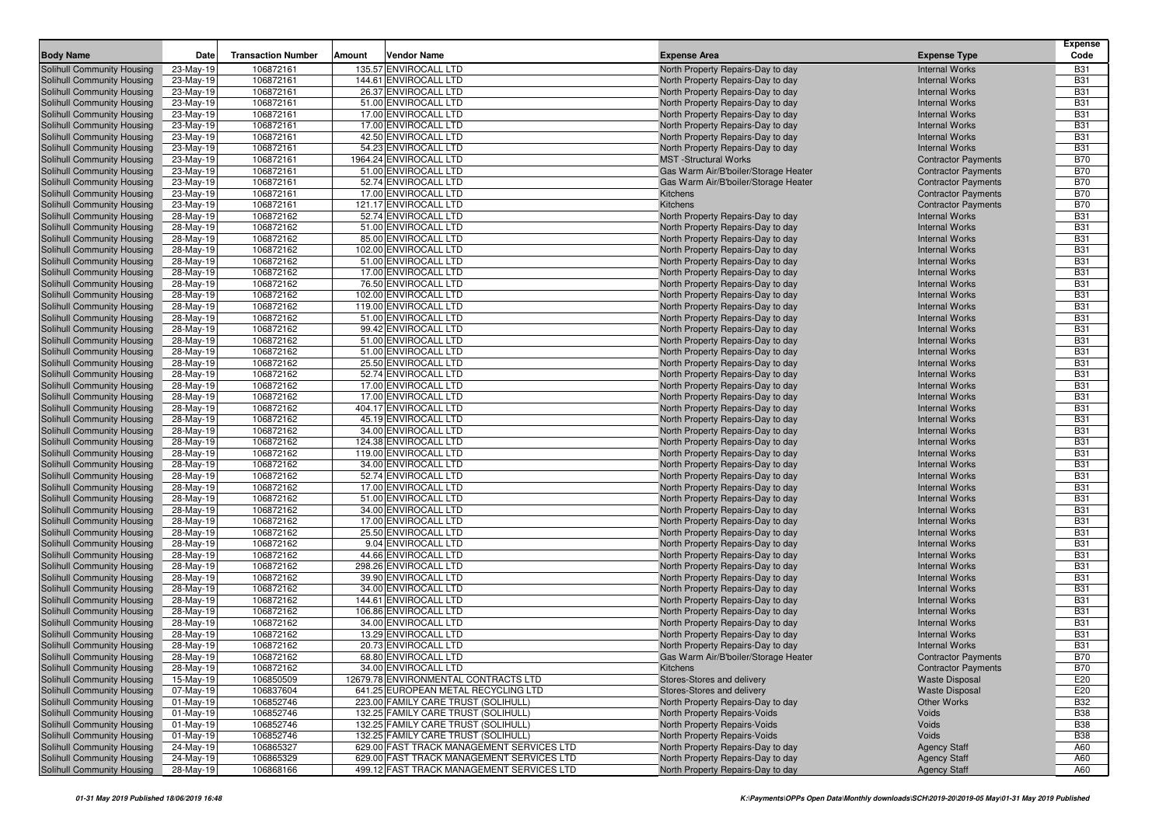| <b>Body Name</b>                                         | Date                   | <b>Transaction Number</b> | Vendor Name<br>Amount                        | <b>Expense Area</b>                                                    | <b>Expense Type</b>                            | <b>Expense</b><br>Code   |
|----------------------------------------------------------|------------------------|---------------------------|----------------------------------------------|------------------------------------------------------------------------|------------------------------------------------|--------------------------|
| Solihull Community Housing                               | 23-May-19              | 106872161                 | 135.57 ENVIROCALL LTD                        | North Property Repairs-Day to day                                      | <b>Internal Works</b>                          | <b>B31</b>               |
| Solihull Community Housing                               | 23-May-19              | 106872161                 | 144.61 ENVIROCALL LTD                        | North Property Repairs-Day to day                                      | <b>Internal Works</b>                          | <b>B31</b>               |
| Solihull Community Housing                               | 23-May-19              | 106872161                 | 26.37 ENVIROCALL LTD                         | North Property Repairs-Day to day                                      | <b>Internal Works</b>                          | <b>B31</b>               |
| Solihull Community Housing                               | 23-May-19              | 106872161                 | 51.00 ENVIROCALL LTD                         | North Property Repairs-Day to day                                      | <b>Internal Works</b>                          | <b>B31</b>               |
| Solihull Community Housing                               | 23-May-19              | 106872161                 | 17.00 ENVIROCALL LTD                         | North Property Repairs-Day to day                                      | <b>Internal Works</b>                          | <b>B31</b>               |
| Solihull Community Housing                               | 23-May-19              | 106872161                 | 17.00 ENVIROCALL LTD                         | North Property Repairs-Day to day                                      | <b>Internal Works</b>                          | <b>B31</b>               |
| Solihull Community Housing                               | 23-May-19              | 106872161                 | 42.50 ENVIROCALL LTD                         | North Property Repairs-Day to day                                      | <b>Internal Works</b>                          | <b>B31</b>               |
| Solihull Community Housing                               | 23-May-19              | 106872161                 | 54.23 ENVIROCALL LTD                         | North Property Repairs-Day to day                                      | <b>Internal Works</b>                          | <b>B31</b>               |
| Solihull Community Housing                               | 23-May-19              | 106872161                 | 1964.24 ENVIROCALL LTD                       | <b>MST</b> -Structural Works                                           | <b>Contractor Payments</b>                     | <b>B70</b>               |
| Solihull Community Housing                               | 23-May-19              | 106872161                 | 51.00 ENVIROCALL LTD                         | Gas Warm Air/B'boiler/Storage Heater                                   | <b>Contractor Payments</b>                     | <b>B70</b>               |
| Solihull Community Housing                               | 23-May-19              | 106872161                 | 52.74 ENVIROCALL LTD                         | Gas Warm Air/B'boiler/Storage Heater                                   | <b>Contractor Payments</b>                     | <b>B70</b>               |
| Solihull Community Housing                               | 23-May-19              | 106872161                 | 17.00 ENVIROCALL LTD                         | <b>Kitchens</b>                                                        | <b>Contractor Payments</b>                     | <b>B70</b>               |
| <b>Solihull Community Housing</b>                        | 23-May-19              | 106872161                 | 121.17 ENVIROCALL LTD                        | Kitchens                                                               | <b>Contractor Payments</b>                     | <b>B70</b>               |
| Solihull Community Housing                               | 28-May-19              | 106872162                 | 52.74 ENVIROCALL LTD                         | North Property Repairs-Day to day                                      | <b>Internal Works</b>                          | <b>B31</b>               |
| Solihull Community Housing                               | 28-May-19              | 106872162                 | 51.00 ENVIROCALL LTD                         | North Property Repairs-Day to day                                      | <b>Internal Works</b>                          | <b>B31</b>               |
| Solihull Community Housing                               | 28-May-19              | 106872162                 | 85.00 ENVIROCALL LTD                         | North Property Repairs-Day to day                                      | <b>Internal Works</b>                          | <b>B31</b>               |
| Solihull Community Housing                               | 28-May-19              | 106872162                 | 102.00 ENVIROCALL LTD                        | North Property Repairs-Day to day                                      | <b>Internal Works</b>                          | <b>B31</b>               |
| Solihull Community Housing                               | 28-May-19              | 106872162                 | 51.00 ENVIROCALL LTD                         | North Property Repairs-Day to day                                      | <b>Internal Works</b>                          | <b>B31</b>               |
| Solihull Community Housing                               | 28-May-19              | 106872162                 | 17.00 ENVIROCALL LTD                         | North Property Repairs-Day to day                                      | <b>Internal Works</b>                          | <b>B31</b>               |
| Solihull Community Housing                               | 28-May-19              | 106872162                 | 76.50 ENVIROCALL LTD                         | North Property Repairs-Day to day                                      | <b>Internal Works</b>                          | <b>B31</b>               |
| Solihull Community Housing                               | 28-May-19              | 106872162                 | 102.00 ENVIROCALL LTD                        | North Property Repairs-Day to day                                      | <b>Internal Works</b>                          | <b>B31</b>               |
| Solihull Community Housing                               | 28-May-19              | 106872162                 | 119.00 ENVIROCALL LTD                        | North Property Repairs-Day to day                                      | <b>Internal Works</b>                          | <b>B31</b>               |
| Solihull Community Housing                               | 28-May-19              | 106872162                 | 51.00 ENVIROCALL LTD                         | North Property Repairs-Day to day                                      | <b>Internal Works</b>                          | <b>B31</b>               |
| Solihull Community Housing                               | 28-May-19              | 106872162                 | 99.42 ENVIROCALL LTD                         | North Property Repairs-Day to day                                      | <b>Internal Works</b>                          | <b>B31</b>               |
| Solihull Community Housing                               | 28-May-19              | 106872162                 | 51.00 ENVIROCALL LTD                         | North Property Repairs-Day to day                                      | <b>Internal Works</b>                          | <b>B31</b>               |
| Solihull Community Housing                               | 28-May-19              | 106872162                 | 51.00 ENVIROCALL LTD                         | North Property Repairs-Day to day                                      | <b>Internal Works</b>                          | <b>B31</b>               |
| Solihull Community Housing                               | 28-May-19              | 106872162                 | 25.50 ENVIROCALL LTD                         | North Property Repairs-Day to day                                      | <b>Internal Works</b>                          | <b>B31</b>               |
| Solihull Community Housing                               | 28-May-19              | 106872162                 | 52.74 ENVIROCALL LTD                         | North Property Repairs-Day to day                                      | <b>Internal Works</b>                          | <b>B31</b>               |
| Solihull Community Housing                               | 28-May-19              | 106872162                 | 17.00 ENVIROCALL LTD                         | North Property Repairs-Day to day                                      | <b>Internal Works</b>                          | <b>B31</b>               |
| Solihull Community Housing                               | 28-May-19              | 106872162                 | 17.00 ENVIROCALL LTD                         | North Property Repairs-Day to day                                      | <b>Internal Works</b>                          | <b>B31</b>               |
| Solihull Community Housing                               | 28-May-19              | 106872162                 | 404.17 ENVIROCALL LTD                        | North Property Repairs-Day to day                                      | <b>Internal Works</b>                          | <b>B31</b>               |
| Solihull Community Housing                               | 28-May-19              | 106872162                 | 45.19 ENVIROCALL LTD                         | North Property Repairs-Day to day                                      | <b>Internal Works</b>                          | <b>B31</b>               |
| Solihull Community Housing                               | 28-May-19              | 106872162                 | 34.00 ENVIROCALL LTD                         | North Property Repairs-Day to day                                      | <b>Internal Works</b>                          | <b>B31</b>               |
| Solihull Community Housing                               | 28-May-19              | 106872162                 | 124.38 ENVIROCALL LTD                        | North Property Repairs-Day to day                                      | <b>Internal Works</b>                          | <b>B31</b>               |
| Solihull Community Housing                               | 28-May-19              | 106872162                 | 119.00 ENVIROCALL LTD                        | North Property Repairs-Day to day                                      | <b>Internal Works</b>                          | <b>B31</b>               |
| Solihull Community Housing                               | 28-May-19              | 106872162                 | 34.00 ENVIROCALL LTD                         | North Property Repairs-Day to day                                      | <b>Internal Works</b>                          | <b>B31</b>               |
| Solihull Community Housing                               | 28-May-19              | 106872162                 | 52.74 ENVIROCALL LTD                         | North Property Repairs-Day to day                                      | <b>Internal Works</b>                          | <b>B31</b><br><b>B31</b> |
| Solihull Community Housing                               | 28-May-19              | 106872162                 | 17.00 ENVIROCALL LTD                         | North Property Repairs-Day to day                                      | <b>Internal Works</b>                          | <b>B31</b>               |
| Solihull Community Housing<br>Solihull Community Housing | 28-May-19<br>28-May-19 | 106872162<br>106872162    | 51.00 ENVIROCALL LTD<br>34.00 ENVIROCALL LTD | North Property Repairs-Day to day<br>North Property Repairs-Day to day | <b>Internal Works</b><br><b>Internal Works</b> | <b>B31</b>               |
| Solihull Community Housing                               | 28-May-19              | 106872162                 | 17.00 ENVIROCALL LTD                         | North Property Repairs-Day to day                                      | <b>Internal Works</b>                          | <b>B31</b>               |
| Solihull Community Housing                               | 28-May-19              | 106872162                 | 25.50 ENVIROCALL LTD                         | North Property Repairs-Day to day                                      | <b>Internal Works</b>                          | <b>B31</b>               |
| Solihull Community Housing                               | 28-May-19              | 106872162                 | 9.04 ENVIROCALL LTD                          | North Property Repairs-Day to day                                      | <b>Internal Works</b>                          | <b>B31</b>               |
| Solihull Community Housing                               | 28-May-19              | 106872162                 | 44.66 ENVIROCALL LTD                         | North Property Repairs-Day to day                                      | <b>Internal Works</b>                          | <b>B31</b>               |
| Solihull Community Housing                               | 28-May-19              | 106872162                 | 298.26 ENVIROCALL LTD                        | North Property Repairs-Day to day                                      | <b>Internal Works</b>                          | <b>B31</b>               |
| Solihull Community Housing                               | 28-May-19              | 106872162                 | 39.90 ENVIROCALL LTD                         | North Property Repairs-Day to day                                      | <b>Internal Works</b>                          | <b>B31</b>               |
| Solihull Community Housing                               | 28-May-19              | 106872162                 | 34.00 ENVIROCALL LTD                         | North Property Repairs-Day to day                                      | <b>Internal Works</b>                          | <b>B31</b>               |
| Solihull Community Housing                               | 28-May-19              | 106872162                 | 144.61 ENVIROCALL LTD                        | North Property Repairs-Day to day                                      | <b>Internal Works</b>                          | <b>B31</b>               |
| Solihull Community Housing                               | 28-May-19              | 106872162                 | 106.86 ENVIROCALL LTD                        | North Property Repairs-Day to day                                      | <b>Internal Works</b>                          | <b>B31</b>               |
| Solihull Community Housing                               | 28-May-19              | 106872162                 | 34.00 ENVIROCALL LTD                         | North Property Repairs-Day to day                                      | <b>Internal Works</b>                          | <b>B31</b>               |
| Solihull Community Housing                               | 28-May-19              | 106872162                 | 13.29 ENVIROCALL LTD                         | North Property Repairs-Day to day                                      | <b>Internal Works</b>                          | <b>B31</b>               |
| <b>Solihull Community Housing</b>                        | 28-May-19              | 106872162                 | 20.73 ENVIROCALL LTD                         | North Property Repairs-Day to day                                      | <b>Internal Works</b>                          | <b>B31</b>               |
| Solihull Community Housing                               | 28-May-19              | 106872162                 | 68.80 ENVIROCALL LTD                         | Gas Warm Air/B'boiler/Storage Heater                                   | <b>Contractor Payments</b>                     | <b>B70</b>               |
| Solihull Community Housing                               | 28-May-19              | 106872162                 | 34.00 ENVIROCALL LTD                         | Kitchens                                                               | <b>Contractor Payments</b>                     | <b>B70</b>               |
| Solihull Community Housing                               | 15-May-19              | 106850509                 | 12679.78 ENVIRONMENTAL CONTRACTS LTD         | Stores-Stores and delivery                                             | <b>Waste Disposal</b>                          | E20                      |
| Solihull Community Housing                               | 07-May-19              | 106837604                 | 641.25 EUROPEAN METAL RECYCLING LTD          | Stores-Stores and delivery                                             | <b>Waste Disposal</b>                          | E20                      |
| Solihull Community Housing                               | $01-May-19$            | 106852746                 | 223.00 FAMILY CARE TRUST (SOLIHULL)          | North Property Repairs-Day to day                                      | Other Works                                    | <b>B32</b>               |
| Solihull Community Housing                               | 01-May-19              | 106852746                 | 132.25 FAMILY CARE TRUST (SOLIHULL)          | North Property Repairs-Voids                                           | Voids                                          | <b>B38</b>               |
| Solihull Community Housing                               | 01-May-19              | 106852746                 | 132.25 FAMILY CARE TRUST (SOLIHULL)          | North Property Repairs-Voids                                           | Voids                                          | <b>B38</b>               |
| Solihull Community Housing                               | 01-May-19              | 106852746                 | 132.25 FAMILY CARE TRUST (SOLIHULL)          | North Property Repairs-Voids                                           | Voids                                          | <b>B38</b>               |
| Solihull Community Housing                               | 24-May-19              | 106865327                 | 629.00 FAST TRACK MANAGEMENT SERVICES LTD    | North Property Repairs-Day to day                                      | <b>Agency Staff</b>                            | A60                      |
| Solihull Community Housing                               | 24-May-19              | 106865329                 | 629.00 FAST TRACK MANAGEMENT SERVICES LTD    | North Property Repairs-Day to day                                      | <b>Agency Staff</b>                            | A60                      |
| Solihull Community Housing                               | 28-May-19              | 106868166                 | 499.12 FAST TRACK MANAGEMENT SERVICES LTD    | North Property Repairs-Day to day                                      | <b>Agency Staff</b>                            | A60                      |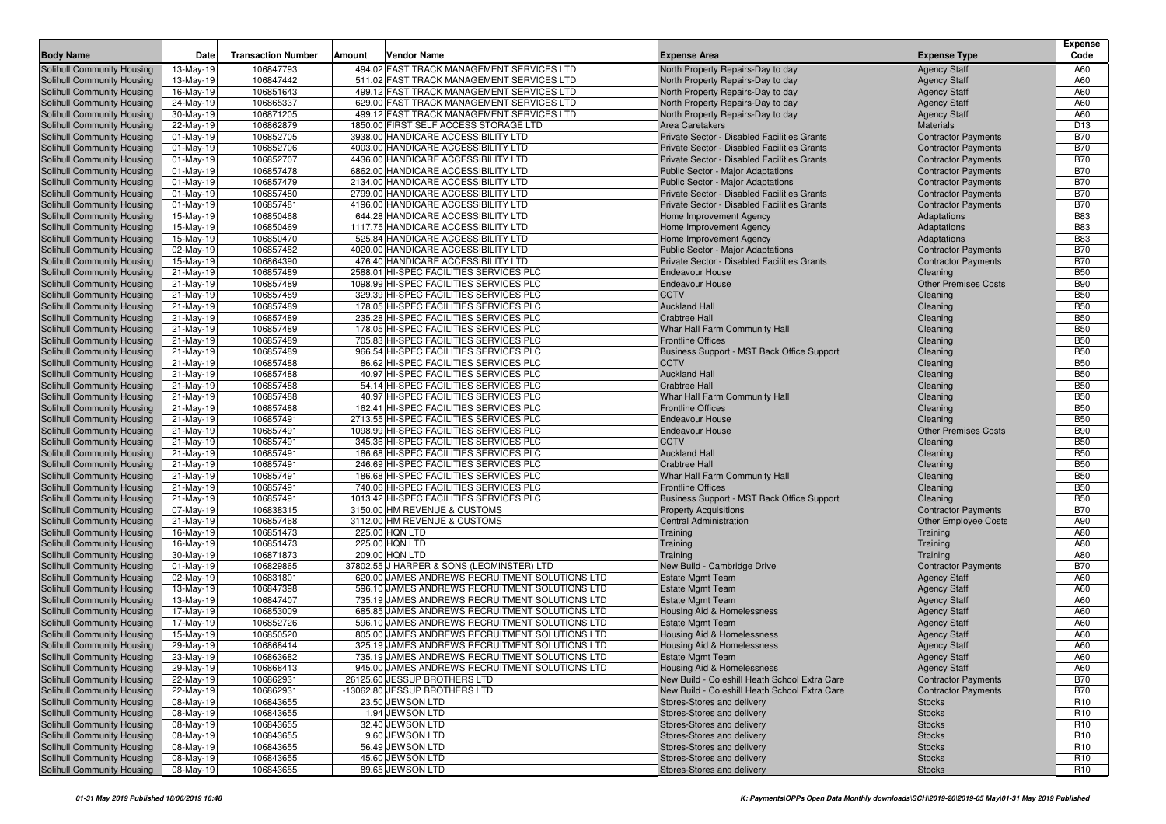|                                                          |                           |                           |                                                                                    |                                                                |                                                          | <b>Expense</b>           |
|----------------------------------------------------------|---------------------------|---------------------------|------------------------------------------------------------------------------------|----------------------------------------------------------------|----------------------------------------------------------|--------------------------|
| <b>Body Name</b>                                         | Date                      | <b>Transaction Number</b> | Vendor Name<br>Amount                                                              | <b>Expense Area</b>                                            | <b>Expense Type</b>                                      | Code                     |
| Solihull Community Housing                               | 13-May-19                 | 106847793                 | 494.02 FAST TRACK MANAGEMENT SERVICES LTD                                          | North Property Repairs-Day to day                              | <b>Agency Staff</b>                                      | A60                      |
| Solihull Community Housing                               | 13-May-19                 | 106847442                 | 511.02 FAST TRACK MANAGEMENT SERVICES LTD                                          | North Property Repairs-Day to day                              | <b>Agency Staff</b>                                      | A60                      |
| Solihull Community Housing                               | 16-May-19                 | 106851643                 | 499.12 FAST TRACK MANAGEMENT SERVICES LTD                                          | North Property Repairs-Day to day                              | <b>Agency Staff</b>                                      | A60                      |
| Solihull Community Housing                               | 24-May-19                 | 106865337                 | 629.00 FAST TRACK MANAGEMENT SERVICES LTD                                          | North Property Repairs-Day to day                              | <b>Agency Staff</b>                                      | A60                      |
| Solihull Community Housing                               | 30-May-19                 | 106871205                 | 499.12 FAST TRACK MANAGEMENT SERVICES LTD<br>1850.00 FIRST SELF ACCESS STORAGE LTD | North Property Repairs-Day to day                              | <b>Agency Staff</b>                                      | A60<br>D <sub>13</sub>   |
| Solihull Community Housing<br>Solihull Community Housing | 22-May-19<br>$01$ -May-19 | 106862879<br>106852705    | 3938.00 HANDICARE ACCESSIBILITY LTD                                                | Area Caretakers<br>Private Sector - Disabled Facilities Grants | Materials                                                | <b>B70</b>               |
| Solihull Community Housing                               | $01$ -May-19              | 106852706                 | 4003.00 HANDICARE ACCESSIBILITY LTD                                                | Private Sector - Disabled Facilities Grants                    | <b>Contractor Payments</b><br><b>Contractor Payments</b> | <b>B70</b>               |
| Solihull Community Housing                               | $01$ -May-19              | 106852707                 | 4436.00 HANDICARE ACCESSIBILITY LTD                                                | Private Sector - Disabled Facilities Grants                    | <b>Contractor Payments</b>                               | <b>B70</b>               |
| Solihull Community Housing                               | 01-May-19                 | 106857478                 | 6862.00 HANDICARE ACCESSIBILITY LTD                                                | Public Sector - Major Adaptations                              | <b>Contractor Payments</b>                               | <b>B70</b>               |
| Solihull Community Housing                               | $01-May-19$               | 106857479                 | 2134.00 HANDICARE ACCESSIBILITY LTD                                                | <b>Public Sector - Major Adaptations</b>                       | <b>Contractor Payments</b>                               | <b>B70</b>               |
| Solihull Community Housing                               | $01$ -May-19              | 106857480                 | 2799.00 HANDICARE ACCESSIBILITY LTD                                                | Private Sector - Disabled Facilities Grants                    | <b>Contractor Payments</b>                               | <b>B70</b>               |
| Solihull Community Housing                               | $01$ -May-19              | 106857481                 | 4196.00 HANDICARE ACCESSIBILITY LTD                                                | Private Sector - Disabled Facilities Grants                    | <b>Contractor Payments</b>                               | <b>B70</b>               |
| Solihull Community Housing                               | 15-May-19                 | 106850468                 | 644.28 HANDICARE ACCESSIBILITY LTD                                                 | Home Improvement Agency                                        | Adaptations                                              | <b>B83</b>               |
| Solihull Community Housing                               | 15-May-19                 | 106850469                 | 1117.75 HANDICARE ACCESSIBILITY LTD                                                | Home Improvement Agency                                        | Adaptations                                              | <b>B83</b>               |
| Solihull Community Housing                               | 15-May-19                 | 106850470                 | 525.84 HANDICARE ACCESSIBILITY LTD                                                 | Home Improvement Agency                                        | Adaptations                                              | <b>B83</b>               |
| Solihull Community Housing                               | 02-May-19                 | 106857482                 | 4020.00 HANDICARE ACCESSIBILITY LTD                                                | <b>Public Sector - Major Adaptations</b>                       | <b>Contractor Payments</b>                               | <b>B70</b>               |
| Solihull Community Housing                               | 15-May-19                 | 106864390                 | 476.40 HANDICARE ACCESSIBILITY LTD                                                 | Private Sector - Disabled Facilities Grants                    | <b>Contractor Payments</b>                               | <b>B70</b>               |
| Solihull Community Housing                               | 21-May-19                 | 106857489                 | 2588.01 HI-SPEC FACILITIES SERVICES PLC                                            | <b>Endeavour House</b>                                         | Cleaning                                                 | <b>B50</b>               |
| Solihull Community Housing                               | 21-May-19                 | 106857489                 | 1098.99 HI-SPEC FACILITIES SERVICES PLC                                            | <b>Endeavour House</b>                                         | <b>Other Premises Costs</b>                              | <b>B90</b>               |
| Solihull Community Housing                               | 21-May-19                 | 106857489                 | 329.39 HI-SPEC FACILITIES SERVICES PLC                                             | <b>CCTV</b>                                                    | Cleaning                                                 | <b>B50</b>               |
| Solihull Community Housing                               | 21-May-19                 | 106857489                 | 178.05 HI-SPEC FACILITIES SERVICES PLC                                             | <b>Auckland Hall</b>                                           | Cleaning                                                 | <b>B50</b>               |
| Solihull Community Housing                               | 21-May-19                 | 106857489                 | 235.28 HI-SPEC FACILITIES SERVICES PLC                                             | <b>Crabtree Hall</b>                                           | Cleaning                                                 | <b>B50</b>               |
| Solihull Community Housing                               | 21-May-19                 | 106857489                 | 178.05 HI-SPEC FACILITIES SERVICES PLC                                             | Whar Hall Farm Community Hall                                  | Cleaning                                                 | <b>B50</b>               |
| Solihull Community Housing                               | 21-May-19                 | 106857489                 | 705.83 HI-SPEC FACILITIES SERVICES PLC                                             | <b>Frontline Offices</b>                                       | Cleaning                                                 | <b>B50</b>               |
| Solihull Community Housing                               | 21-May-19                 | 106857489                 | 966.54 HI-SPEC FACILITIES SERVICES PLC                                             | Business Support - MST Back Office Support                     | Cleaning                                                 | <b>B50</b>               |
| Solihull Community Housing                               | 21-May-19                 | 106857488                 | 86.62 HI-SPEC FACILITIES SERVICES PLC                                              | <b>CCTV</b>                                                    | Cleaning                                                 | <b>B50</b>               |
| Solihull Community Housing                               | 21-May-19                 | 106857488                 | 40.97 HI-SPEC FACILITIES SERVICES PLC                                              | <b>Auckland Hall</b>                                           | Cleaning                                                 | <b>B50</b>               |
| Solihull Community Housing                               | 21-May-19                 | 106857488                 | 54.14 HI-SPEC FACILITIES SERVICES PLC                                              | <b>Crabtree Hall</b>                                           | Cleaning                                                 | <b>B50</b>               |
| Solihull Community Housing                               | 21-May-19                 | 106857488                 | 40.97 HI-SPEC FACILITIES SERVICES PLC                                              | Whar Hall Farm Community Hall                                  | Cleaning                                                 | <b>B50</b>               |
| Solihull Community Housing                               | 21-May-19                 | 106857488                 | 162.41 HI-SPEC FACILITIES SERVICES PLC                                             | <b>Frontline Offices</b>                                       | Cleaning                                                 | <b>B50</b>               |
| Solihull Community Housing                               | 21-May-19                 | 106857491                 | 2713.55 HI-SPEC FACILITIES SERVICES PLC                                            | <b>Endeavour House</b>                                         | Cleaning                                                 | <b>B50</b>               |
| Solihull Community Housing                               | 21-May-19                 | 106857491                 | 1098.99 HI-SPEC FACILITIES SERVICES PLC                                            | <b>Endeavour House</b>                                         | <b>Other Premises Costs</b>                              | <b>B90</b>               |
| Solihull Community Housing                               | 21-May-19                 | 106857491                 | 345.36 HI-SPEC FACILITIES SERVICES PLC                                             | <b>CCTV</b>                                                    | Cleaning                                                 | <b>B50</b>               |
| Solihull Community Housing<br>Solihull Community Housing | 21-May-19<br>21-May-19    | 106857491<br>106857491    | 186.68 HI-SPEC FACILITIES SERVICES PLC<br>246.69 HI-SPEC FACILITIES SERVICES PLC   | <b>Auckland Hall</b><br><b>Crabtree Hall</b>                   | Cleaning<br>Cleaning                                     | <b>B50</b><br><b>B50</b> |
| Solihull Community Housing                               | 21-May-19                 | 106857491                 | 186.68 HI-SPEC FACILITIES SERVICES PLC                                             | Whar Hall Farm Community Hall                                  | Cleaning                                                 | <b>B50</b>               |
| Solihull Community Housing                               | 21-May-19                 | 106857491                 | 740.06 HI-SPEC FACILITIES SERVICES PLC                                             | <b>Frontline Offices</b>                                       | Cleaning                                                 | <b>B50</b>               |
| Solihull Community Housing                               | 21-May-19                 | 106857491                 | 1013.42 HI-SPEC FACILITIES SERVICES PLC                                            | Business Support - MST Back Office Support                     | Cleaning                                                 | <b>B50</b>               |
| Solihull Community Housing                               | 07-May-19                 | 106838315                 | 3150.00 HM REVENUE & CUSTOMS                                                       | <b>Property Acquisitions</b>                                   | <b>Contractor Payments</b>                               | <b>B70</b>               |
| Solihull Community Housing                               | 21-May-19                 | 106857468                 | 3112.00 HM REVENUE & CUSTOMS                                                       | <b>Central Administration</b>                                  | <b>Other Employee Costs</b>                              | A90                      |
| Solihull Community Housing                               | 16-May-19                 | 106851473                 | 225.00 HQN LTD                                                                     | Training                                                       | Training                                                 | A80                      |
| Solihull Community Housing                               | 16-May-19                 | 106851473                 | 225.00 HQN LTD                                                                     | Training                                                       | Training                                                 | A80                      |
| Solihull Community Housing                               | 30-May-19                 | 106871873                 | 209.00 HQN LTD                                                                     | Training                                                       | Training                                                 | A80                      |
| Solihull Community Housing                               | $01$ -May-19              | 106829865                 | 37802.55 J HARPER & SONS (LEOMINSTER) LTD                                          | New Build - Cambridge Drive                                    | <b>Contractor Payments</b>                               | <b>B70</b>               |
| Solihull Community Housing                               | 02-May-19                 | 106831801                 | 620.00 JAMES ANDREWS RECRUITMENT SOLUTIONS LTD                                     | <b>Estate Mgmt Team</b>                                        | <b>Agency Staff</b>                                      | A60                      |
| Solihull Community Housing                               | 13-May-19                 | 106847398                 | 596.10 JAMES ANDREWS RECRUITMENT SOLUTIONS LTD                                     | <b>Estate Mgmt Team</b>                                        | <b>Agency Staff</b>                                      | A60                      |
| Solihull Community Housing                               | 13-May-19                 | 106847407                 | 735.19 JAMES ANDREWS RECRUITMENT SOLUTIONS LTD                                     | <b>Estate Mgmt Team</b>                                        | <b>Agency Staff</b>                                      | A60                      |
| Solihull Community Housing                               | 17-May-19                 | 106853009                 | 685.85 JAMES ANDREWS RECRUITMENT SOLUTIONS LTD                                     | Housing Aid & Homelessness                                     | <b>Agency Staff</b>                                      | A60                      |
| Solihull Community Housing                               | 17-May-19                 | 106852726                 | 596.10 JAMES ANDREWS RECRUITMENT SOLUTIONS LTD                                     | <b>Estate Mgmt Team</b>                                        | <b>Agency Staff</b>                                      | A60                      |
| Solihull Community Housing                               | 15-May-19                 | 106850520                 | 805.00 JAMES ANDREWS RECRUITMENT SOLUTIONS LTD                                     | Housing Aid & Homelessness                                     | <b>Agency Staff</b>                                      | A60                      |
| Solihull Community Housing                               | 29-May-19                 | 106868414                 | 325.19 JAMES ANDREWS RECRUITMENT SOLUTIONS LTD                                     | Housing Aid & Homelessness                                     | <b>Agency Staff</b>                                      | A60                      |
| Solihull Community Housing                               | 23-May-19                 | 106863682                 | 735.19 JAMES ANDREWS RECRUITMENT SOLUTIONS LTD                                     | Estate Mgmt Team                                               | <b>Agency Staff</b>                                      | A60                      |
| Solihull Community Housing                               | 29-May-19                 | 106868413                 | 945.00 JAMES ANDREWS RECRUITMENT SOLUTIONS LTD                                     | Housing Aid & Homelessness                                     | <b>Agency Staff</b>                                      | A60                      |
| Solihull Community Housing                               | 22-May-19                 | 106862931                 | 26125.60 JESSUP BROTHERS LTD                                                       | New Build - Coleshill Heath School Extra Care                  | <b>Contractor Payments</b>                               | <b>B70</b>               |
| Solihull Community Housing                               | 22-May-19                 | 106862931                 | -13062.80 JESSUP BROTHERS LTD                                                      | New Build - Coleshill Heath School Extra Care                  | <b>Contractor Payments</b>                               | <b>B70</b>               |
| Solihull Community Housing                               | 08-May-19                 | 106843655                 | 23.50 JEWSON LTD                                                                   | Stores-Stores and delivery                                     | <b>Stocks</b>                                            | R <sub>10</sub>          |
| Solihull Community Housing                               | 08-May-19                 | 106843655                 | 1.94 JEWSON LTD                                                                    | Stores-Stores and delivery                                     | <b>Stocks</b>                                            | R <sub>10</sub>          |
| Solihull Community Housing                               | 08-May-19                 | 106843655                 | 32.40 JEWSON LTD                                                                   | Stores-Stores and delivery                                     | <b>Stocks</b>                                            | R <sub>10</sub>          |
| Solihull Community Housing                               | 08-May-19                 | 106843655                 | 9.60 JEWSON LTD                                                                    | Stores-Stores and delivery                                     | <b>Stocks</b>                                            | R <sub>10</sub>          |
| Solihull Community Housing                               | 08-May-19                 | 106843655                 | 56.49 JEWSON LTD                                                                   | Stores-Stores and delivery                                     | <b>Stocks</b>                                            | R <sub>10</sub>          |
| Solihull Community Housing                               | 08-May-19                 | 106843655                 | 45.60 JEWSON LTD                                                                   | Stores-Stores and delivery                                     | <b>Stocks</b>                                            | R <sub>10</sub>          |
| Solihull Community Housing                               | 08-May-19                 | 106843655                 | 89.65 JEWSON LTD                                                                   | Stores-Stores and delivery                                     | <b>Stocks</b>                                            | R <sub>10</sub>          |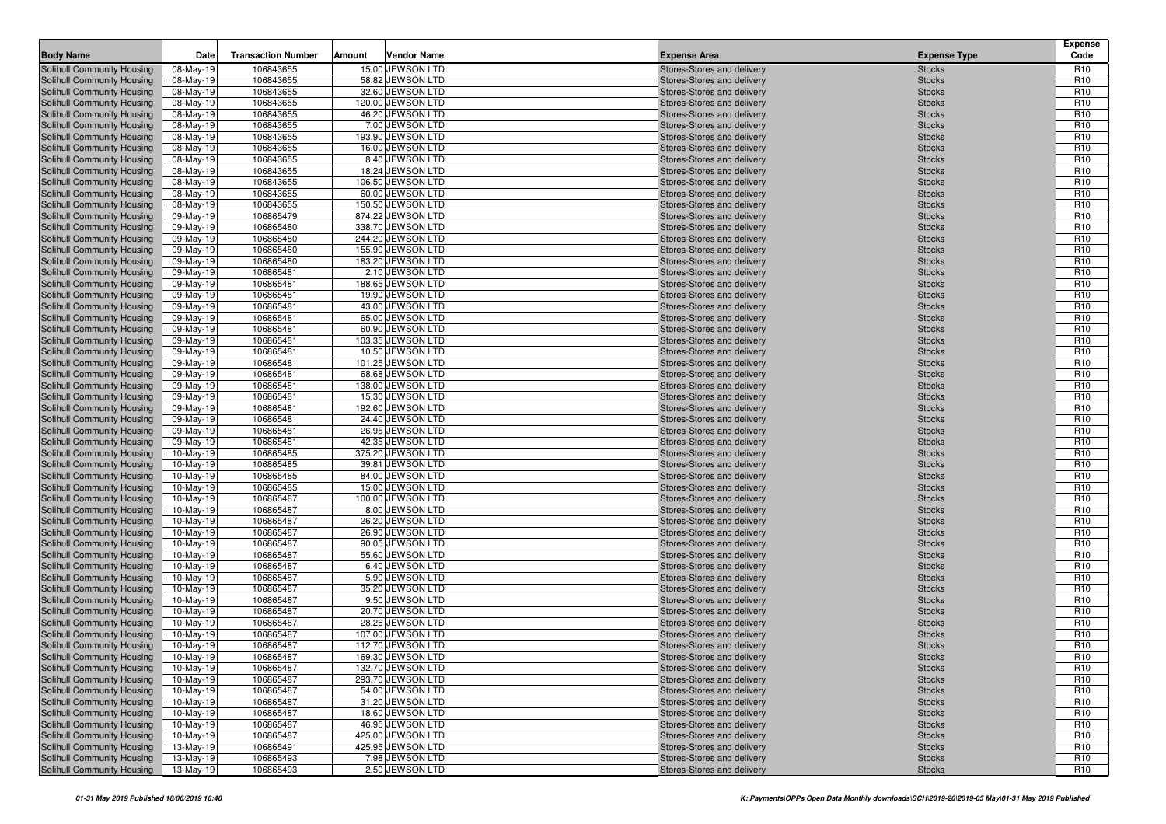| <b>Body Name</b>                                         | Date                   | <b>Transaction Number</b> | Amount | <b>Vendor Name</b>                  | <b>Expense Area</b>                                      | <b>Expense Type</b>            | <b>Expense</b><br>Code             |
|----------------------------------------------------------|------------------------|---------------------------|--------|-------------------------------------|----------------------------------------------------------|--------------------------------|------------------------------------|
| Solihull Community Housing                               | 08-May-19              | 106843655                 |        | 15.00 JEWSON LTD                    | Stores-Stores and delivery                               | <b>Stocks</b>                  | R <sub>10</sub>                    |
| Solihull Community Housing                               | 08-May-19              | 106843655                 |        | 58.82 JEWSON LTD                    | Stores-Stores and delivery                               | <b>Stocks</b>                  | R <sub>10</sub>                    |
| Solihull Community Housing                               | 08-May-19              | 106843655                 |        | 32.60 JEWSON LTD                    | Stores-Stores and delivery                               | <b>Stocks</b>                  | R <sub>10</sub>                    |
| Solihull Community Housing                               | 08-May-19              | 106843655                 |        | 120.00 JEWSON LTD                   | Stores-Stores and delivery                               | <b>Stocks</b>                  | R <sub>10</sub>                    |
| Solihull Community Housing                               | 08-May-19              | 106843655                 |        | 46.20 JEWSON LTD                    | Stores-Stores and delivery                               | <b>Stocks</b>                  | R <sub>10</sub>                    |
| Solihull Community Housing                               | 08-May-19              | 106843655                 |        | 7.00 JEWSON LTD                     | Stores-Stores and delivery                               | <b>Stocks</b>                  | R <sub>10</sub>                    |
| Solihull Community Housing                               | 08-May-19              | 106843655                 |        | 193.90 JEWSON LTD                   | Stores-Stores and delivery                               | <b>Stocks</b>                  | R <sub>10</sub>                    |
| Solihull Community Housing                               | 08-May-19              | 106843655                 |        | 16.00 JEWSON LTD                    | Stores-Stores and delivery                               | <b>Stocks</b>                  | R <sub>10</sub>                    |
| Solihull Community Housing                               | 08-May-19              | 106843655                 |        | 8.40 JEWSON LTD                     | Stores-Stores and delivery                               | <b>Stocks</b>                  | R <sub>10</sub>                    |
| Solihull Community Housing                               | 08-May-19              | 106843655                 |        | 18.24 JEWSON LTD                    | Stores-Stores and delivery                               | <b>Stocks</b>                  | R <sub>10</sub>                    |
| Solihull Community Housing                               | 08-May-19              | 106843655                 |        | 106.50 JEWSON LTD                   | Stores-Stores and delivery                               | <b>Stocks</b>                  | R <sub>10</sub>                    |
| Solihull Community Housing                               | 08-May-19              | 106843655                 |        | 60.00 JEWSON LTD                    | Stores-Stores and delivery                               | <b>Stocks</b>                  | R <sub>10</sub>                    |
| Solihull Community Housing                               | 08-May-19              | 106843655                 |        | 150.50 JEWSON LTD                   | Stores-Stores and delivery                               | <b>Stocks</b>                  | R <sub>10</sub>                    |
| <b>Solihull Community Housing</b>                        | 09-May-19              | 106865479                 |        | 874.22 JEWSON LTD                   | Stores-Stores and delivery                               | <b>Stocks</b>                  | R <sub>10</sub>                    |
| Solihull Community Housing                               | 09-May-19              | 106865480                 |        | 338.70 JEWSON LTD                   | Stores-Stores and delivery                               | <b>Stocks</b>                  | R <sub>10</sub>                    |
| Solihull Community Housing                               | 09-May-19              | 106865480                 |        | 244.20 JEWSON LTD                   | Stores-Stores and delivery                               | <b>Stocks</b>                  | R <sub>10</sub>                    |
| Solihull Community Housing                               | 09-May-19              | 106865480                 |        | 155.90 JEWSON LTD                   | Stores-Stores and delivery                               | <b>Stocks</b>                  | R <sub>10</sub>                    |
| Solihull Community Housing                               | 09-May-19              | 106865480                 |        | 183.20 JEWSON LTD                   | Stores-Stores and delivery                               | <b>Stocks</b>                  | R <sub>10</sub>                    |
| Solihull Community Housing                               | 09-May-19              | 106865481                 |        | 2.10 JEWSON LTD                     | Stores-Stores and delivery                               | <b>Stocks</b>                  | R <sub>10</sub>                    |
| Solihull Community Housing                               | 09-May-19              | 106865481                 |        | 188.65 JEWSON LTD                   | Stores-Stores and delivery                               | <b>Stocks</b>                  | R <sub>10</sub>                    |
| Solihull Community Housing                               | 09-May-19              | 106865481                 |        | 19.90 JEWSON LTD                    | Stores-Stores and delivery                               | <b>Stocks</b>                  | R <sub>10</sub>                    |
| Solihull Community Housing                               | 09-May-19              | 106865481                 |        | 43.00 JEWSON LTD                    | Stores-Stores and delivery                               | <b>Stocks</b>                  | R <sub>10</sub>                    |
| Solihull Community Housing                               | 09-May-19              | 106865481                 |        | 65.00 JEWSON LTD                    | Stores-Stores and delivery                               | <b>Stocks</b>                  | R <sub>10</sub>                    |
| Solihull Community Housing                               | 09-May-19              | 106865481                 |        | 60.90 JEWSON LTD                    | Stores-Stores and delivery                               | <b>Stocks</b>                  | R <sub>10</sub>                    |
| Solihull Community Housing                               | 09-May-19              | 106865481                 |        | 103.35 JEWSON LTD                   | Stores-Stores and delivery                               | <b>Stocks</b>                  | R <sub>10</sub>                    |
| Solihull Community Housing                               | 09-May-19              | 106865481                 |        | 10.50 JEWSON LTD                    | Stores-Stores and delivery                               | <b>Stocks</b>                  | R <sub>10</sub>                    |
| Solihull Community Housing                               | 09-May-19              | 106865481                 |        | 101.25 JEWSON LTD                   | Stores-Stores and delivery                               | <b>Stocks</b>                  | R <sub>10</sub>                    |
| Solihull Community Housing                               | 09-May-19              | 106865481                 |        | 68.68 JEWSON LTD                    | Stores-Stores and delivery                               | <b>Stocks</b>                  | R <sub>10</sub>                    |
| Solihull Community Housing                               | 09-May-19              | 106865481                 |        | 138.00 JEWSON LTD                   | Stores-Stores and delivery                               | <b>Stocks</b>                  | R <sub>10</sub>                    |
| Solihull Community Housing                               | 09-May-19              | 106865481                 |        | 15.30 JEWSON LTD                    | Stores-Stores and delivery                               | <b>Stocks</b>                  | R <sub>10</sub>                    |
| Solihull Community Housing                               | 09-May-19              | 106865481                 |        | 192.60 JEWSON LTD                   | Stores-Stores and delivery                               | <b>Stocks</b>                  | R <sub>10</sub>                    |
| Solihull Community Housing                               | 09-May-19              | 106865481                 |        | 24.40 JEWSON LTD                    | Stores-Stores and delivery                               | <b>Stocks</b>                  | R <sub>10</sub>                    |
| Solihull Community Housing                               | 09-May-19              | 106865481                 |        | 26.95 JEWSON LTD                    | Stores-Stores and delivery                               | <b>Stocks</b>                  | R <sub>10</sub>                    |
| Solihull Community Housing                               | 09-May-19              | 106865481                 |        | 42.35 JEWSON LTD                    | Stores-Stores and delivery                               | <b>Stocks</b>                  | R <sub>10</sub>                    |
| Solihull Community Housing                               | 10-May-19              | 106865485                 |        | 375.20 JEWSON LTD                   | Stores-Stores and delivery                               | <b>Stocks</b>                  | R <sub>10</sub>                    |
| Solihull Community Housing                               | 10-May-19              | 106865485                 |        | 39.81 JEWSON LTD                    | Stores-Stores and delivery                               | <b>Stocks</b>                  | R <sub>10</sub>                    |
| Solihull Community Housing                               | 10-May-19              | 106865485                 |        | 84.00 JEWSON LTD                    | Stores-Stores and delivery                               | <b>Stocks</b>                  | R <sub>10</sub>                    |
| Solihull Community Housing                               | 10-May-19              | 106865485                 |        | 15.00 JEWSON LTD                    | Stores-Stores and delivery                               | <b>Stocks</b>                  | R <sub>10</sub>                    |
| Solihull Community Housing                               | 10-May-19              | 106865487                 |        | 100.00 JEWSON LTD                   | Stores-Stores and delivery                               | <b>Stocks</b>                  | R <sub>10</sub>                    |
| Solihull Community Housing                               | 10-May-19              | 106865487                 |        | 8.00 JEWSON LTD                     | Stores-Stores and delivery                               | <b>Stocks</b>                  | R <sub>10</sub>                    |
| Solihull Community Housing                               | 10-May-19              | 106865487                 |        | 26.20 JEWSON LTD                    | Stores-Stores and delivery                               | <b>Stocks</b>                  | R <sub>10</sub>                    |
| Solihull Community Housing                               | 10-May-19              | 106865487                 |        | 26.90 JEWSON LTD                    | Stores-Stores and delivery                               | <b>Stocks</b>                  | R <sub>10</sub>                    |
| Solihull Community Housing                               | 10-May-19              | 106865487                 |        | 90.05 JEWSON LTD                    | Stores-Stores and delivery                               | <b>Stocks</b>                  | R <sub>10</sub>                    |
| Solihull Community Housing                               | 10-May-19              | 106865487                 |        | 55.60 JEWSON LTD                    | Stores-Stores and delivery                               | <b>Stocks</b>                  | R <sub>10</sub>                    |
| Solihull Community Housing                               | 10-May-19              | 106865487                 |        | 6.40 JEWSON LTD                     | Stores-Stores and delivery                               | <b>Stocks</b>                  | R <sub>10</sub>                    |
| Solihull Community Housing                               | 10-May-19              | 106865487                 |        | 5.90 JEWSON LTD<br>35.20 JEWSON LTD | Stores-Stores and delivery                               | <b>Stocks</b>                  | R <sub>10</sub>                    |
| Solihull Community Housing                               | 10-May-19              | 106865487<br>106865487    |        |                                     | Stores-Stores and delivery<br>Stores-Stores and delivery | <b>Stocks</b>                  | R <sub>10</sub><br>R <sub>10</sub> |
| <b>Solihull Community Housing</b>                        | 10-May-19<br>10-May-19 | 106865487                 |        | 9.50 JEWSON LTD<br>20.70 JEWSON LTD |                                                          | <b>Stocks</b>                  | R <sub>10</sub>                    |
| Solihull Community Housing<br>Solihull Community Housing |                        | 106865487                 |        | 28.26 JEWSON LTD                    | Stores-Stores and delivery                               | <b>Stocks</b>                  | R <sub>10</sub>                    |
|                                                          | 10-May-19              |                           |        | 107.00 JEWSON LTD                   | Stores-Stores and delivery                               | <b>Stocks</b>                  |                                    |
| Solihull Community Housing<br>Solihull Community Housing | 10-May-19<br>10-May-19 | 106865487<br>106865487    |        | 112.70 JEWSON LTD                   | Stores-Stores and delivery<br>Stores-Stores and delivery | <b>Stocks</b>                  | R <sub>10</sub><br>R <sub>10</sub> |
| Solihull Community Housing                               | $10$ -May-19           | 106865487                 |        | 169.30 JEWSON LTD                   | Stores-Stores and delivery                               | <b>Stocks</b><br><b>Stocks</b> | R <sub>10</sub>                    |
| Solihull Community Housing                               |                        | 106865487                 |        | 132.70 JEWSON LTD                   | Stores-Stores and delivery                               |                                | R <sub>10</sub>                    |
| Solihull Community Housing                               | 10-May-19<br>10-May-19 | 106865487                 |        | 293.70 JEWSON LTD                   | Stores-Stores and delivery                               | <b>Stocks</b><br><b>Stocks</b> | R <sub>10</sub>                    |
| Solihull Community Housing                               | 10-May-19              | 106865487                 |        | 54.00 JEWSON LTD                    | Stores-Stores and delivery                               |                                | R <sub>10</sub>                    |
| Solihull Community Housing                               | 10-May-19              | 106865487                 |        | 31.20 JEWSON LTD                    | Stores-Stores and delivery                               | <b>Stocks</b><br><b>Stocks</b> | R <sub>10</sub>                    |
| Solihull Community Housing                               | 10-May-19              | 106865487                 |        | 18.60 JEWSON LTD                    | Stores-Stores and delivery                               | <b>Stocks</b>                  | R <sub>10</sub>                    |
| Solihull Community Housing                               |                        | 106865487                 |        | 46.95 JEWSON LTD                    | Stores-Stores and delivery                               |                                | R <sub>10</sub>                    |
| Solihull Community Housing                               | 10-May-19<br>10-May-19 | 106865487                 |        | 425.00 JEWSON LTD                   | Stores-Stores and delivery                               | <b>Stocks</b><br><b>Stocks</b> | R <sub>10</sub>                    |
| Solihull Community Housing                               | 13-May-19              | 106865491                 |        | 425.95 JEWSON LTD                   | Stores-Stores and delivery                               | <b>Stocks</b>                  | R <sub>10</sub>                    |
| Solihull Community Housing                               | 13-May-19              | 106865493                 |        | 7.98 JEWSON LTD                     | Stores-Stores and delivery                               | <b>Stocks</b>                  | R <sub>10</sub>                    |
| Solihull Community Housing                               | 13-May-19              | 106865493                 |        | 2.50 JEWSON LTD                     | Stores-Stores and delivery                               | <b>Stocks</b>                  | R <sub>10</sub>                    |
|                                                          |                        |                           |        |                                     |                                                          |                                |                                    |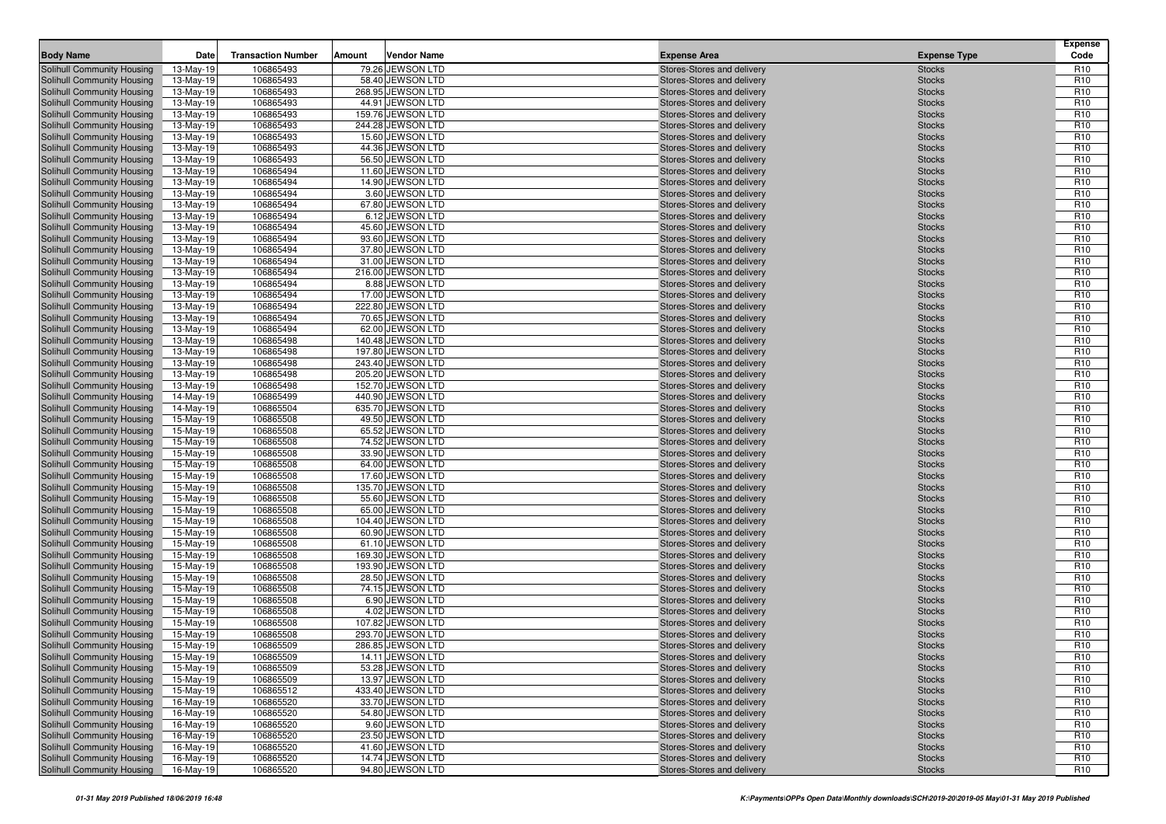| <b>Body Name</b>                                         | Date                   | <b>Transaction Number</b> | Amount | <b>Vendor Name</b>                    | <b>Expense Area</b>                                      | <b>Expense Type</b>            | <b>Expense</b><br>Code             |
|----------------------------------------------------------|------------------------|---------------------------|--------|---------------------------------------|----------------------------------------------------------|--------------------------------|------------------------------------|
| Solihull Community Housing                               | 13-May-19              | 106865493                 |        | 79.26 JEWSON LTD                      | Stores-Stores and delivery                               | <b>Stocks</b>                  | R <sub>10</sub>                    |
| Solihull Community Housing                               | 13-May-19              | 106865493                 |        | 58.40 JEWSON LTD                      | Stores-Stores and delivery                               | <b>Stocks</b>                  | R <sub>10</sub>                    |
| Solihull Community Housing                               | 13-May-19              | 106865493                 |        | 268.95 JEWSON LTD                     | Stores-Stores and delivery                               | <b>Stocks</b>                  | R <sub>10</sub>                    |
| Solihull Community Housing                               | 13-May-19              | 106865493                 |        | 44.91 JEWSON LTD                      | Stores-Stores and delivery                               | <b>Stocks</b>                  | R <sub>10</sub>                    |
| Solihull Community Housing                               | 13-May-19              | 106865493                 |        | 159.76 JEWSON LTD                     | Stores-Stores and delivery                               | <b>Stocks</b>                  | R <sub>10</sub>                    |
| Solihull Community Housing                               | 13-May-19              | 106865493                 |        | 244.28 JEWSON LTD                     | Stores-Stores and delivery                               | <b>Stocks</b>                  | R <sub>10</sub>                    |
| Solihull Community Housing                               | 13-May-19              | 106865493                 |        | 15.60 JEWSON LTD                      | Stores-Stores and delivery                               | <b>Stocks</b>                  | R <sub>10</sub>                    |
| Solihull Community Housing                               | 13-May-19              | 106865493                 |        | 44.36 JEWSON LTD                      | Stores-Stores and delivery                               | <b>Stocks</b>                  | R <sub>10</sub>                    |
| Solihull Community Housing                               | 13-May-19              | 106865493                 |        | 56.50 JEWSON LTD                      | Stores-Stores and delivery                               | <b>Stocks</b>                  | R <sub>10</sub>                    |
| Solihull Community Housing                               | 13-May-19              | 106865494                 |        | 11.60 JEWSON LTD                      | Stores-Stores and delivery                               | <b>Stocks</b>                  | R <sub>10</sub>                    |
| Solihull Community Housing                               | 13-May-19              | 106865494                 |        | 14.90 JEWSON LTD                      | Stores-Stores and delivery                               | <b>Stocks</b>                  | R <sub>10</sub>                    |
| Solihull Community Housing                               | 13-May-19              | 106865494                 |        | 3.60 JEWSON LTD                       | Stores-Stores and delivery                               | <b>Stocks</b>                  | R <sub>10</sub>                    |
| Solihull Community Housing<br>Solihull Community Housing | 13-May-19              | 106865494<br>106865494    |        | 67.80 JEWSON LTD<br>6.12 JEWSON LTD   | Stores-Stores and delivery                               | <b>Stocks</b><br><b>Stocks</b> | R <sub>10</sub><br>R <sub>10</sub> |
| Solihull Community Housing                               | 13-May-19<br>13-May-19 | 106865494                 |        | 45.60 JEWSON LTD                      | Stores-Stores and delivery<br>Stores-Stores and delivery | <b>Stocks</b>                  | R <sub>10</sub>                    |
| Solihull Community Housing                               | 13-May-19              | 106865494                 |        | 93.60 JEWSON LTD                      | Stores-Stores and delivery                               | <b>Stocks</b>                  | R <sub>10</sub>                    |
| Solihull Community Housing                               | 13-May-19              | 106865494                 |        | 37.80 JEWSON LTD                      | Stores-Stores and delivery                               | <b>Stocks</b>                  | R <sub>10</sub>                    |
| Solihull Community Housing                               | 13-May-19              | 106865494                 |        | 31.00 JEWSON LTD                      | Stores-Stores and delivery                               | <b>Stocks</b>                  | R <sub>10</sub>                    |
| Solihull Community Housing                               | 13-May-19              | 106865494                 |        | 216.00 JEWSON LTD                     | Stores-Stores and delivery                               | <b>Stocks</b>                  | R <sub>10</sub>                    |
| Solihull Community Housing                               | 13-May-19              | 106865494                 |        | 8.88 JEWSON LTD                       | Stores-Stores and delivery                               | <b>Stocks</b>                  | R <sub>10</sub>                    |
| Solihull Community Housing                               | 13-May-19              | 106865494                 |        | 17.00 JEWSON LTD                      | Stores-Stores and delivery                               | <b>Stocks</b>                  | R <sub>10</sub>                    |
| Solihull Community Housing                               | 13-May-19              | 106865494                 |        | 222.80 JEWSON LTD                     | Stores-Stores and delivery                               | <b>Stocks</b>                  | R <sub>10</sub>                    |
| Solihull Community Housing                               | 13-May-19              | 106865494                 |        | 70.65 JEWSON LTD                      | Stores-Stores and delivery                               | <b>Stocks</b>                  | R <sub>10</sub>                    |
| Solihull Community Housing                               | 13-May-19              | 106865494                 |        | 62.00 JEWSON LTD                      | Stores-Stores and delivery                               | <b>Stocks</b>                  | R <sub>10</sub>                    |
| Solihull Community Housing                               | 13-May-19              | 106865498                 |        | 140.48 JEWSON LTD                     | Stores-Stores and delivery                               | <b>Stocks</b>                  | R <sub>10</sub>                    |
| Solihull Community Housing                               | 13-May-19              | 106865498                 |        | 197.80 JEWSON LTD                     | Stores-Stores and delivery                               | <b>Stocks</b>                  | R <sub>10</sub>                    |
| Solihull Community Housing                               | 13-May-19              | 106865498                 |        | 243.40 JEWSON LTD                     | Stores-Stores and delivery                               | <b>Stocks</b>                  | R <sub>10</sub>                    |
| Solihull Community Housing                               | 13-May-19              | 106865498                 |        | 205.20 JEWSON LTD                     | Stores-Stores and delivery                               | <b>Stocks</b>                  | R <sub>10</sub>                    |
| Solihull Community Housing                               | 13-May-19              | 106865498                 |        | 152.70 JEWSON LTD                     | Stores-Stores and delivery                               | <b>Stocks</b>                  | R <sub>10</sub>                    |
| Solihull Community Housing                               | 14-May-19              | 106865499                 |        | 440.90 JEWSON LTD                     | Stores-Stores and delivery                               | <b>Stocks</b>                  | R <sub>10</sub>                    |
| Solihull Community Housing                               | 14-May-19              | 106865504                 |        | 635.70 JEWSON LTD                     | Stores-Stores and delivery                               | <b>Stocks</b>                  | R <sub>10</sub>                    |
| Solihull Community Housing                               | 15-May-19              | 106865508                 |        | 49.50 JEWSON LTD                      | Stores-Stores and delivery                               | <b>Stocks</b>                  | R <sub>10</sub>                    |
| Solihull Community Housing                               | 15-May-19              | 106865508                 |        | 65.52 JEWSON LTD                      | Stores-Stores and delivery                               | <b>Stocks</b>                  | R <sub>10</sub>                    |
| Solihull Community Housing                               | 15-May-19              | 106865508                 |        | 74.52 JEWSON LTD                      | Stores-Stores and delivery                               | <b>Stocks</b>                  | R <sub>10</sub><br>R <sub>10</sub> |
| Solihull Community Housing<br>Solihull Community Housing | 15-May-19<br>15-May-19 | 106865508<br>106865508    |        | 33.90 JEWSON LTD<br>64.00 JEWSON LTD  | Stores-Stores and delivery<br>Stores-Stores and delivery | <b>Stocks</b><br><b>Stocks</b> | R <sub>10</sub>                    |
| Solihull Community Housing                               | 15-May-19              | 106865508                 |        | 17.60 JEWSON LTD                      | Stores-Stores and delivery                               | <b>Stocks</b>                  | R <sub>10</sub>                    |
| Solihull Community Housing                               | 15-May-19              | 106865508                 |        | 135.70 JEWSON LTD                     | Stores-Stores and delivery                               | <b>Stocks</b>                  | R <sub>10</sub>                    |
| Solihull Community Housing                               | 15-May-19              | 106865508                 |        | 55.60 JEWSON LTD                      | Stores-Stores and delivery                               | <b>Stocks</b>                  | R <sub>10</sub>                    |
| Solihull Community Housing                               | 15-May-19              | 106865508                 |        | 65.00 JEWSON LTD                      | Stores-Stores and delivery                               | <b>Stocks</b>                  | R <sub>10</sub>                    |
| Solihull Community Housing                               | 15-May-19              | 106865508                 |        | 104.40 JEWSON LTD                     | Stores-Stores and delivery                               | <b>Stocks</b>                  | R <sub>10</sub>                    |
| Solihull Community Housing                               | 15-May-19              | 106865508                 |        | 60.90 JEWSON LTD                      | Stores-Stores and delivery                               | <b>Stocks</b>                  | R <sub>10</sub>                    |
| Solihull Community Housing                               | 15-May-19              | 106865508                 |        | 61.10 JEWSON LTD                      | Stores-Stores and delivery                               | <b>Stocks</b>                  | R <sub>10</sub>                    |
| Solihull Community Housing                               | 15-May-19              | 106865508                 |        | 169.30 JEWSON LTD                     | Stores-Stores and delivery                               | <b>Stocks</b>                  | R <sub>10</sub>                    |
| Solihull Community Housing                               | 15-May-19              | 106865508                 |        | 193.90 JEWSON LTD                     | Stores-Stores and delivery                               | <b>Stocks</b>                  | R <sub>10</sub>                    |
| Solihull Community Housing                               | 15-May-19              | 106865508                 |        | 28.50 JEWSON LTD                      | Stores-Stores and delivery                               | <b>Stocks</b>                  | R <sub>10</sub>                    |
| Solihull Community Housing                               | 15-May-19              | 106865508                 |        | 74.15 JEWSON LTD                      | Stores-Stores and delivery                               | <b>Stocks</b>                  | R <sub>10</sub>                    |
| Solihull Community Housing                               | 15-May-19              | 106865508                 |        | 6.90 JEWSON LTD                       | Stores-Stores and delivery                               | <b>Stocks</b>                  | R <sub>10</sub>                    |
| Solihull Community Housing                               | 15-May-19              | 106865508                 |        | 4.02 JEWSON LTD                       | Stores-Stores and delivery                               | <b>Stocks</b>                  | R <sub>10</sub>                    |
| Solihull Community Housing                               | 15-May-19              | 106865508                 |        | 107.82 JEWSON LTD                     | Stores-Stores and delivery                               | <b>Stocks</b>                  | R <sub>10</sub>                    |
| Solihull Community Housing                               | 15-May-19              | 106865508                 |        | 293.70 JEWSON LTD                     | Stores-Stores and delivery                               | <b>Stocks</b>                  | R <sub>10</sub>                    |
| Solihull Community Housing                               | 15-May-19              | 106865509                 |        | 286.85 JEWSON LTD                     | Stores-Stores and delivery                               | <b>Stocks</b>                  | R <sub>10</sub>                    |
| Solihull Community Housing                               | 15-May-19              | 106865509                 |        | 14.11 JEWSON LTD                      | Stores-Stores and delivery                               | <b>Stocks</b>                  | R <sub>10</sub>                    |
| Solihull Community Housing                               | 15-May-19              | 106865509                 |        | 53.28 JEWSON LTD                      | Stores-Stores and delivery                               | <b>Stocks</b>                  | R <sub>10</sub>                    |
| Solihull Community Housing                               | 15-May-19              | 106865509                 |        | 13.97 JEWSON LTD                      | Stores-Stores and delivery                               | <b>Stocks</b>                  | R <sub>10</sub>                    |
| Solihull Community Housing<br>Solihull Community Housing | 15-May-19<br>16-May-19 | 106865512<br>106865520    |        | 433.40 JEWSON LTD<br>33.70 JEWSON LTD | Stores-Stores and delivery<br>Stores-Stores and delivery | <b>Stocks</b>                  | R <sub>10</sub><br>R <sub>10</sub> |
| Solihull Community Housing                               |                        | 106865520                 |        | 54.80 JEWSON LTD                      | Stores-Stores and delivery                               | <b>Stocks</b><br><b>Stocks</b> | R <sub>10</sub>                    |
| Solihull Community Housing                               | 16-May-19<br>16-May-19 | 106865520                 |        | 9.60 JEWSON LTD                       | Stores-Stores and delivery                               | <b>Stocks</b>                  | R <sub>10</sub>                    |
| Solihull Community Housing                               | 16-May-19              | 106865520                 |        | 23.50 JEWSON LTD                      | Stores-Stores and delivery                               | <b>Stocks</b>                  | R <sub>10</sub>                    |
| Solihull Community Housing                               | 16-May-19              | 106865520                 |        | 41.60 JEWSON LTD                      | Stores-Stores and delivery                               | <b>Stocks</b>                  | R <sub>10</sub>                    |
| Solihull Community Housing                               | 16-May-19              | 106865520                 |        | 14.74 JEWSON LTD                      | Stores-Stores and delivery                               | <b>Stocks</b>                  | R <sub>10</sub>                    |
| Solihull Community Housing                               | 16-May-19              | 106865520                 |        | 94.80 JEWSON LTD                      | Stores-Stores and delivery                               | <b>Stocks</b>                  | R <sub>10</sub>                    |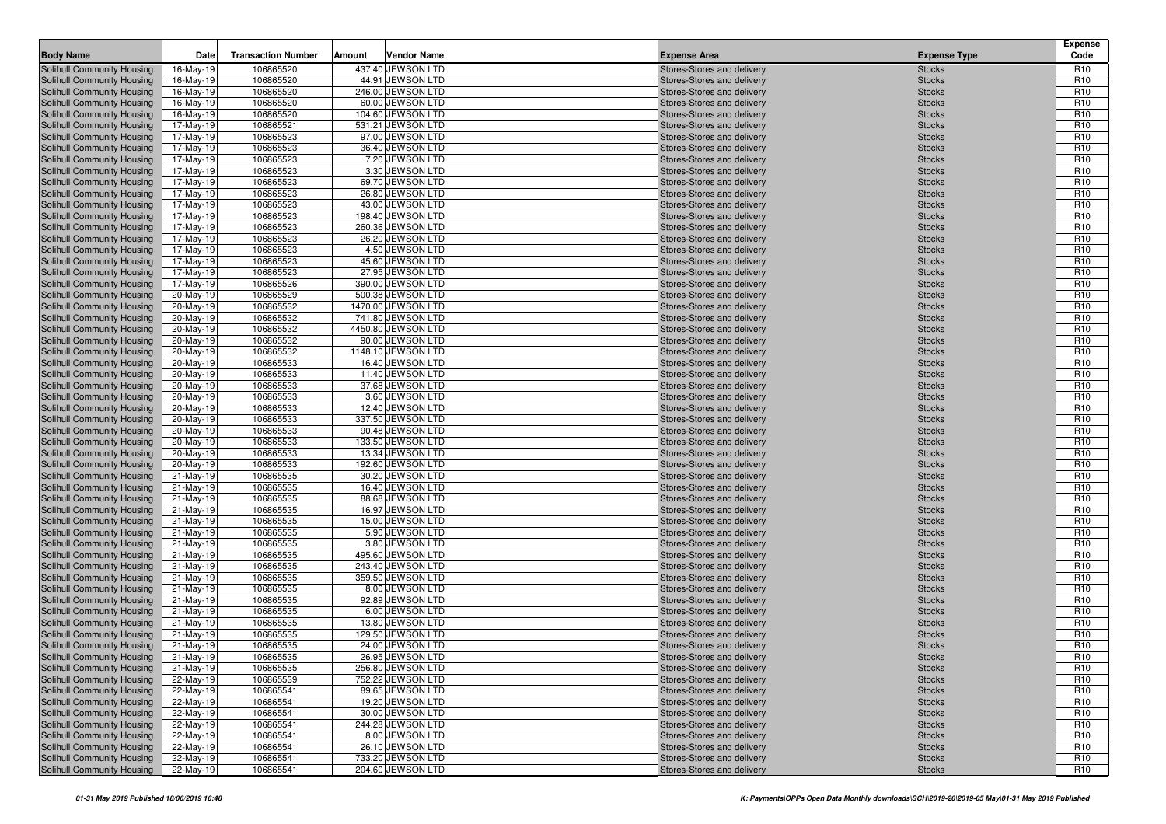| <b>Body Name</b>                                                | Date                   | <b>Transaction Number</b> | Amount | <b>Vendor Name</b>                  | <b>Expense Area</b>                                      | <b>Expense Type</b>            | <b>Expense</b><br>Code             |
|-----------------------------------------------------------------|------------------------|---------------------------|--------|-------------------------------------|----------------------------------------------------------|--------------------------------|------------------------------------|
| Solihull Community Housing                                      | 16-May-19              | 106865520                 |        | 437.40 JEWSON LTD                   | Stores-Stores and delivery                               | <b>Stocks</b>                  | R <sub>10</sub>                    |
| Solihull Community Housing                                      | 16-May-19              | 106865520                 |        | 44.91 JEWSON LTD                    | Stores-Stores and delivery                               | <b>Stocks</b>                  | R <sub>10</sub>                    |
| Solihull Community Housing                                      | 16-May-19              | 106865520                 |        | 246.00 JEWSON LTD                   | Stores-Stores and delivery                               | <b>Stocks</b>                  | R <sub>10</sub>                    |
| Solihull Community Housing                                      | 16-May-19              | 106865520                 |        | 60.00 JEWSON LTD                    | Stores-Stores and delivery                               | <b>Stocks</b>                  | R <sub>10</sub>                    |
| Solihull Community Housing                                      | 16-May-19              | 106865520                 |        | 104.60 JEWSON LTD                   | Stores-Stores and delivery                               | <b>Stocks</b>                  | R <sub>10</sub>                    |
| Solihull Community Housing                                      | 17-May-19              | 106865521                 |        | 531.21 JEWSON LTD                   | Stores-Stores and delivery                               | <b>Stocks</b>                  | R <sub>10</sub>                    |
| Solihull Community Housing                                      | 17-May-19              | 106865523                 |        | 97.00 JEWSON LTD                    | Stores-Stores and delivery                               | <b>Stocks</b>                  | R <sub>10</sub>                    |
| Solihull Community Housing                                      | 17-May-19              | 106865523                 |        | 36.40 JEWSON LTD                    | Stores-Stores and delivery                               | <b>Stocks</b>                  | R <sub>10</sub>                    |
| Solihull Community Housing                                      | 17-May-19              | 106865523                 |        | 7.20 JEWSON LTD                     | Stores-Stores and delivery                               | <b>Stocks</b>                  | R <sub>10</sub>                    |
| <b>Solihull Community Housing</b><br>Solihull Community Housing | 17-May-19              | 106865523<br>106865523    |        | 3.30 JEWSON LTD<br>69.70 JEWSON LTD | Stores-Stores and delivery                               | <b>Stocks</b><br><b>Stocks</b> | R <sub>10</sub><br>R <sub>10</sub> |
| Solihull Community Housing                                      | 17-May-19<br>17-May-19 | 106865523                 |        | 26.80 JEWSON LTD                    | Stores-Stores and delivery<br>Stores-Stores and delivery | <b>Stocks</b>                  | R <sub>10</sub>                    |
| Solihull Community Housing                                      | 17-May-19              | 106865523                 |        | 43.00 JEWSON LTD                    | Stores-Stores and delivery                               | <b>Stocks</b>                  | R <sub>10</sub>                    |
| <b>Solihull Community Housing</b>                               | 17-May-19              | 106865523                 |        | 198.40 JEWSON LTD                   | Stores-Stores and delivery                               | <b>Stocks</b>                  | R <sub>10</sub>                    |
| Solihull Community Housing                                      | 17-May-19              | 106865523                 |        | 260.36 JEWSON LTD                   | Stores-Stores and delivery                               | <b>Stocks</b>                  | R <sub>10</sub>                    |
| Solihull Community Housing                                      | 17-May-19              | 106865523                 |        | 26.20 JEWSON LTD                    | Stores-Stores and delivery                               | <b>Stocks</b>                  | R <sub>10</sub>                    |
| Solihull Community Housing                                      | 17-May-19              | 106865523                 |        | 4.50 JEWSON LTD                     | Stores-Stores and delivery                               | <b>Stocks</b>                  | R <sub>10</sub>                    |
| Solihull Community Housing                                      | 17-May-19              | 106865523                 |        | 45.60 JEWSON LTD                    | Stores-Stores and delivery                               | <b>Stocks</b>                  | R <sub>10</sub>                    |
| Solihull Community Housing                                      | 17-May-19              | 106865523                 |        | 27.95 JEWSON LTD                    | Stores-Stores and delivery                               | <b>Stocks</b>                  | R <sub>10</sub>                    |
| Solihull Community Housing                                      | 17-May-19              | 106865526                 |        | 390.00 JEWSON LTD                   | Stores-Stores and delivery                               | <b>Stocks</b>                  | R <sub>10</sub>                    |
| Solihull Community Housing                                      | 20-May-19              | 106865529                 |        | 500.38 JEWSON LTD                   | Stores-Stores and delivery                               | <b>Stocks</b>                  | R <sub>10</sub>                    |
| Solihull Community Housing                                      | 20-May-19              | 106865532                 |        | 1470.00 JEWSON LTD                  | Stores-Stores and delivery                               | <b>Stocks</b>                  | R <sub>10</sub>                    |
| Solihull Community Housing                                      | 20-May-19              | 106865532                 |        | 741.80 JEWSON LTD                   | Stores-Stores and delivery                               | <b>Stocks</b>                  | R <sub>10</sub>                    |
| Solihull Community Housing                                      | 20-May-19              | 106865532                 |        | 4450.80 JEWSON LTD                  | Stores-Stores and delivery                               | <b>Stocks</b>                  | R <sub>10</sub>                    |
| Solihull Community Housing                                      | 20-May-19              | 106865532                 |        | 90.00 JEWSON LTD                    | Stores-Stores and delivery                               | <b>Stocks</b>                  | R <sub>10</sub>                    |
| Solihull Community Housing                                      | 20-May-19              | 106865532                 |        | 1148.10 JEWSON LTD                  | Stores-Stores and delivery                               | <b>Stocks</b>                  | R <sub>10</sub>                    |
| Solihull Community Housing                                      | 20-May-19              | 106865533                 |        | 16.40 JEWSON LTD                    | Stores-Stores and delivery                               | <b>Stocks</b>                  | R <sub>10</sub>                    |
| Solihull Community Housing                                      | 20-May-19              | 106865533                 |        | 11.40 JEWSON LTD                    | Stores-Stores and delivery                               | <b>Stocks</b>                  | R <sub>10</sub>                    |
| Solihull Community Housing                                      | 20-May-19              | 106865533                 |        | 37.68 JEWSON LTD                    | Stores-Stores and delivery                               | <b>Stocks</b>                  | R <sub>10</sub>                    |
| Solihull Community Housing<br>Solihull Community Housing        | 20-May-19              | 106865533<br>106865533    |        | 3.60 JEWSON LTD<br>12.40 JEWSON LTD | Stores-Stores and delivery<br>Stores-Stores and delivery | <b>Stocks</b><br><b>Stocks</b> | R <sub>10</sub><br>R <sub>10</sub> |
| Solihull Community Housing                                      | 20-May-19<br>20-May-19 | 106865533                 |        | 337.50 JEWSON LTD                   | Stores-Stores and delivery                               | <b>Stocks</b>                  | R <sub>10</sub>                    |
| Solihull Community Housing                                      | 20-May-19              | 106865533                 |        | 90.48 JEWSON LTD                    | Stores-Stores and delivery                               | <b>Stocks</b>                  | R <sub>10</sub>                    |
| Solihull Community Housing                                      | 20-May-19              | 106865533                 |        | 133.50 JEWSON LTD                   | Stores-Stores and delivery                               | <b>Stocks</b>                  | R <sub>10</sub>                    |
| Solihull Community Housing                                      | 20-May-19              | 106865533                 |        | 13.34 JEWSON LTD                    | Stores-Stores and delivery                               | <b>Stocks</b>                  | R <sub>10</sub>                    |
| Solihull Community Housing                                      | 20-May-19              | 106865533                 |        | 192.60 JEWSON LTD                   | Stores-Stores and delivery                               | <b>Stocks</b>                  | R <sub>10</sub>                    |
| Solihull Community Housing                                      | 21-May-19              | 106865535                 |        | 30.20 JEWSON LTD                    | Stores-Stores and delivery                               | <b>Stocks</b>                  | R <sub>10</sub>                    |
| Solihull Community Housing                                      | 21-May-19              | 106865535                 |        | 16.40 JEWSON LTD                    | Stores-Stores and delivery                               | <b>Stocks</b>                  | R <sub>10</sub>                    |
| Solihull Community Housing                                      | 21-May-19              | 106865535                 |        | 88.68 JEWSON LTD                    | Stores-Stores and delivery                               | <b>Stocks</b>                  | R <sub>10</sub>                    |
| Solihull Community Housing                                      | 21-May-19              | 106865535                 |        | 16.97 JEWSON LTD                    | Stores-Stores and delivery                               | <b>Stocks</b>                  | R <sub>10</sub>                    |
| Solihull Community Housing                                      | 21-May-19              | 106865535                 |        | 15.00 JEWSON LTD                    | Stores-Stores and delivery                               | <b>Stocks</b>                  | R <sub>10</sub>                    |
| Solihull Community Housing                                      | 21-May-19              | 106865535                 |        | 5.90 JEWSON LTD                     | Stores-Stores and delivery                               | <b>Stocks</b>                  | R <sub>10</sub>                    |
| Solihull Community Housing                                      | 21-May-19              | 106865535                 |        | 3.80 JEWSON LTD                     | Stores-Stores and delivery                               | <b>Stocks</b>                  | R <sub>10</sub>                    |
| Solihull Community Housing                                      | 21-May-19              | 106865535                 |        | 495.60 JEWSON LTD                   | Stores-Stores and delivery                               | <b>Stocks</b>                  | R <sub>10</sub>                    |
| Solihull Community Housing                                      | 21-May-19              | 106865535                 |        | 243.40 JEWSON LTD                   | Stores-Stores and delivery                               | <b>Stocks</b>                  | R <sub>10</sub>                    |
| Solihull Community Housing                                      | 21-May-19              | 106865535                 |        | 359.50 JEWSON LTD                   | Stores-Stores and delivery                               | <b>Stocks</b>                  | R <sub>10</sub>                    |
| Solihull Community Housing<br>Solihull Community Housing        | 21-May-19<br>21-May-19 | 106865535<br>106865535    |        | 8.00 JEWSON LTD<br>92.89 JEWSON LTD | Stores-Stores and delivery<br>Stores-Stores and delivery | <b>Stocks</b><br><b>Stocks</b> | R <sub>10</sub><br>R <sub>10</sub> |
| Solihull Community Housing                                      | 21-May-19              | 106865535                 |        | 6.00 JEWSON LTD                     | Stores-Stores and delivery                               | <b>Stocks</b>                  | R <sub>10</sub>                    |
| Solihull Community Housing                                      | 21-May-19              | 106865535                 |        | 13.80 JEWSON LTD                    | Stores-Stores and delivery                               | <b>Stocks</b>                  | R <sub>10</sub>                    |
| Solihull Community Housing                                      | 21-May-19              | 106865535                 |        | 129.50 JEWSON LTD                   | Stores-Stores and delivery                               | <b>Stocks</b>                  | R <sub>10</sub>                    |
| Solihull Community Housing                                      | 21-May-19              | 106865535                 |        | 24.00 JEWSON LTD                    | Stores-Stores and delivery                               | <b>Stocks</b>                  | R <sub>10</sub>                    |
| Solihull Community Housing                                      | 21-May-19              | 106865535                 |        | 26.95 JEWSON LTD                    | Stores-Stores and delivery                               | <b>Stocks</b>                  | R <sub>10</sub>                    |
| Solihull Community Housing                                      | 21-May-19              | 106865535                 |        | 256.80 JEWSON LTD                   | Stores-Stores and delivery                               | <b>Stocks</b>                  | R <sub>10</sub>                    |
| Solihull Community Housing                                      | 22-May-19              | 106865539                 |        | 752.22 JEWSON LTD                   | Stores-Stores and delivery                               | <b>Stocks</b>                  | R <sub>10</sub>                    |
| Solihull Community Housing                                      | 22-May-19              | 106865541                 |        | 89.65 JEWSON LTD                    | Stores-Stores and delivery                               | <b>Stocks</b>                  | R <sub>10</sub>                    |
| Solihull Community Housing                                      | 22-May-19              | 106865541                 |        | 19.20 JEWSON LTD                    | Stores-Stores and delivery                               | <b>Stocks</b>                  | R <sub>10</sub>                    |
| Solihull Community Housing                                      | 22-May-19              | 106865541                 |        | 30.00 JEWSON LTD                    | Stores-Stores and delivery                               | <b>Stocks</b>                  | R <sub>10</sub>                    |
| Solihull Community Housing                                      | 22-May-19              | 106865541                 |        | 244.28 JEWSON LTD                   | Stores-Stores and delivery                               | <b>Stocks</b>                  | R <sub>10</sub>                    |
| Solihull Community Housing                                      | 22-May-19              | 106865541                 |        | 8.00 JEWSON LTD                     | Stores-Stores and delivery                               | <b>Stocks</b>                  | R <sub>10</sub>                    |
| Solihull Community Housing                                      | 22-May-19              | 106865541                 |        | 26.10 JEWSON LTD                    | Stores-Stores and delivery                               | <b>Stocks</b>                  | R <sub>10</sub>                    |
| Solihull Community Housing                                      | 22-May-19              | 106865541                 |        | 733.20 JEWSON LTD                   | Stores-Stores and delivery                               | <b>Stocks</b>                  | R <sub>10</sub>                    |
| Solihull Community Housing                                      | 22-May-19              | 106865541                 |        | 204.60 JEWSON LTD                   | Stores-Stores and delivery                               | <b>Stocks</b>                  | R <sub>10</sub>                    |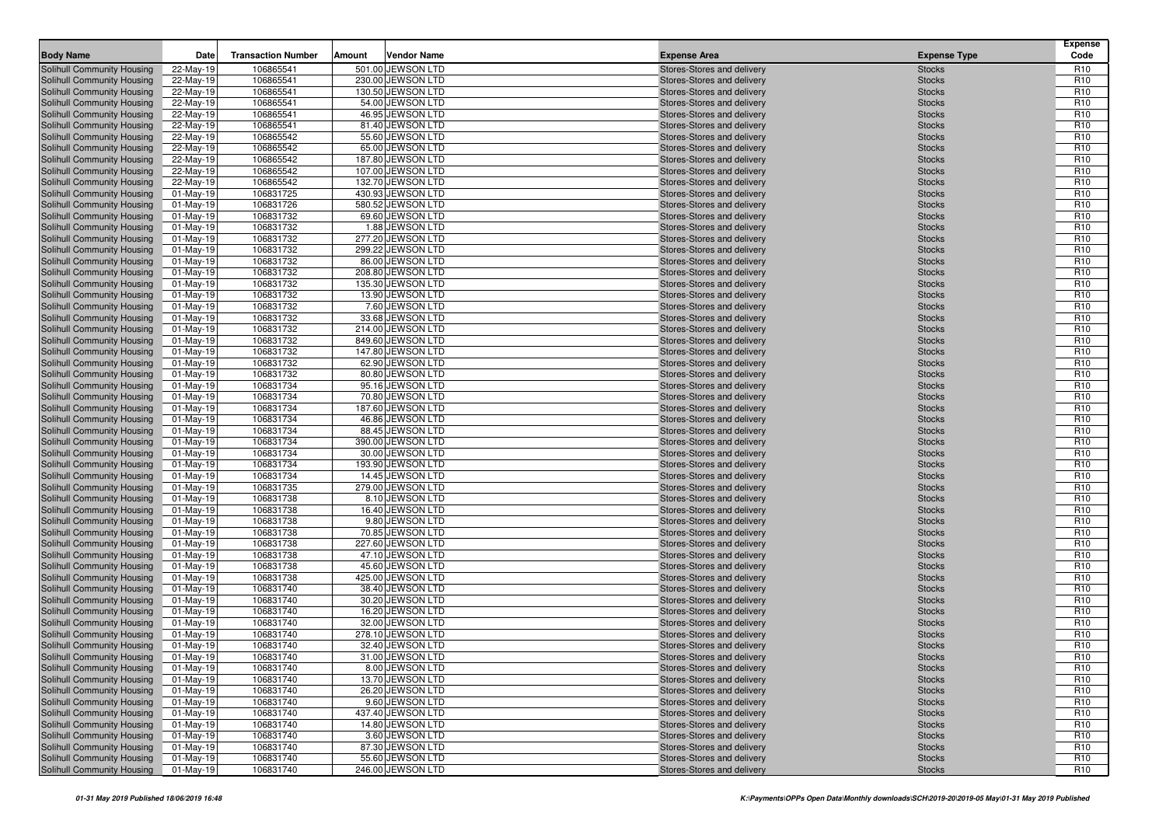| <b>Body Name</b>                                         | Date                   | <b>Transaction Number</b> | Amount | <b>Vendor Name</b>                  | <b>Expense Area</b>                                      | <b>Expense Type</b>            | <b>Expense</b><br>Code             |
|----------------------------------------------------------|------------------------|---------------------------|--------|-------------------------------------|----------------------------------------------------------|--------------------------------|------------------------------------|
| Solihull Community Housing                               | 22-May-19              | 106865541                 |        | 501.00 JEWSON LTD                   | Stores-Stores and delivery                               | <b>Stocks</b>                  | R <sub>10</sub>                    |
| Solihull Community Housing                               | 22-May-19              | 106865541                 |        | 230.00 JEWSON LTD                   | Stores-Stores and delivery                               | <b>Stocks</b>                  | R <sub>10</sub>                    |
| Solihull Community Housing                               | 22-May-19              | 106865541                 |        | 130.50 JEWSON LTD                   | Stores-Stores and delivery                               | <b>Stocks</b>                  | R <sub>10</sub>                    |
| Solihull Community Housing                               | 22-May-19              | 106865541                 |        | 54.00 JEWSON LTD                    | Stores-Stores and delivery                               | <b>Stocks</b>                  | R <sub>10</sub>                    |
| Solihull Community Housing                               | 22-May-19              | 106865541                 |        | 46.95 JEWSON LTD                    | Stores-Stores and delivery                               | <b>Stocks</b>                  | R <sub>10</sub>                    |
| Solihull Community Housing                               | 22-May-19              | 106865541                 |        | 81.40 JEWSON LTD                    | Stores-Stores and delivery                               | <b>Stocks</b>                  | R <sub>10</sub>                    |
| Solihull Community Housing                               | 22-May-19              | 106865542                 |        | 55.60 JEWSON LTD                    | Stores-Stores and delivery                               | <b>Stocks</b>                  | R <sub>10</sub>                    |
| Solihull Community Housing                               | 22-May-19              | 106865542                 |        | 65.00 JEWSON LTD                    | Stores-Stores and delivery                               | <b>Stocks</b>                  | R <sub>10</sub>                    |
| Solihull Community Housing                               | 22-May-19              | 106865542                 |        | 187.80 JEWSON LTD                   | Stores-Stores and delivery                               | <b>Stocks</b>                  | R <sub>10</sub>                    |
| Solihull Community Housing                               | 22-May-19              | 106865542                 |        | 107.00 JEWSON LTD                   | Stores-Stores and delivery                               | <b>Stocks</b>                  | R <sub>10</sub>                    |
| Solihull Community Housing                               | 22-May-19              | 106865542                 |        | 132.70 JEWSON LTD                   | Stores-Stores and delivery                               | <b>Stocks</b>                  | R <sub>10</sub>                    |
| Solihull Community Housing                               | 01-May-19              | 106831725                 |        | 430.93 JEWSON LTD                   | Stores-Stores and delivery                               | <b>Stocks</b>                  | R <sub>10</sub>                    |
| Solihull Community Housing                               | 01-May-19              | 106831726                 |        | 580.52 JEWSON LTD                   | Stores-Stores and delivery                               | <b>Stocks</b>                  | R <sub>10</sub>                    |
| <b>Solihull Community Housing</b>                        | 01-May-19              | 106831732                 |        | 69.60 JEWSON LTD                    | Stores-Stores and delivery                               | <b>Stocks</b>                  | R <sub>10</sub>                    |
| Solihull Community Housing                               | $01$ -May-19           | 106831732                 |        | 1.88 JEWSON LTD                     | Stores-Stores and delivery                               | <b>Stocks</b>                  | R <sub>10</sub>                    |
| Solihull Community Housing                               | 01-May-19              | 106831732                 |        | 277.20 JEWSON LTD                   | Stores-Stores and delivery                               | <b>Stocks</b>                  | R <sub>10</sub>                    |
| Solihull Community Housing                               | 01-May-19              | 106831732                 |        | 299.22 JEWSON LTD                   | Stores-Stores and delivery                               | <b>Stocks</b>                  | R <sub>10</sub>                    |
| Solihull Community Housing                               | 01-May-19              | 106831732                 |        | 86.00 JEWSON LTD                    | Stores-Stores and delivery                               | <b>Stocks</b>                  | R <sub>10</sub>                    |
| Solihull Community Housing                               | 01-May-19              | 106831732                 |        | 208.80 JEWSON LTD                   | Stores-Stores and delivery                               | <b>Stocks</b>                  | R <sub>10</sub>                    |
| Solihull Community Housing                               | 01-May-19              | 106831732                 |        | 135.30 JEWSON LTD                   | Stores-Stores and delivery                               | <b>Stocks</b>                  | R <sub>10</sub>                    |
| Solihull Community Housing                               | 01-May-19              | 106831732                 |        | 13.90 JEWSON LTD                    | Stores-Stores and delivery                               | <b>Stocks</b>                  | R <sub>10</sub>                    |
| Solihull Community Housing<br>Solihull Community Housing | 01-May-19<br>01-May-19 | 106831732<br>106831732    |        | 7.60 JEWSON LTD<br>33.68 JEWSON LTD | Stores-Stores and delivery<br>Stores-Stores and delivery | <b>Stocks</b><br><b>Stocks</b> | R <sub>10</sub><br>R <sub>10</sub> |
| Solihull Community Housing                               | 01-May-19              | 106831732                 |        | 214.00 JEWSON LTD                   | Stores-Stores and delivery                               | <b>Stocks</b>                  | R <sub>10</sub>                    |
| Solihull Community Housing                               | 01-May-19              | 106831732                 |        | 849.60 JEWSON LTD                   | Stores-Stores and delivery                               | <b>Stocks</b>                  | R <sub>10</sub>                    |
| Solihull Community Housing                               | $01$ -May-19           | 106831732                 |        | 147.80 JEWSON LTD                   | Stores-Stores and delivery                               | <b>Stocks</b>                  | R <sub>10</sub>                    |
| Solihull Community Housing                               | 01-May-19              | 106831732                 |        | 62.90 JEWSON LTD                    | Stores-Stores and delivery                               | <b>Stocks</b>                  | R <sub>10</sub>                    |
| Solihull Community Housing                               | 01-May-19              | 106831732                 |        | 80.80 JEWSON LTD                    | Stores-Stores and delivery                               | <b>Stocks</b>                  | R <sub>10</sub>                    |
| Solihull Community Housing                               | 01-May-19              | 106831734                 |        | 95.16 JEWSON LTD                    | Stores-Stores and delivery                               | <b>Stocks</b>                  | R <sub>10</sub>                    |
| Solihull Community Housing                               | 01-May-19              | 106831734                 |        | 70.80 JEWSON LTD                    | Stores-Stores and delivery                               | <b>Stocks</b>                  | R <sub>10</sub>                    |
| Solihull Community Housing                               | 01-May-19              | 106831734                 |        | 187.60 JEWSON LTD                   | Stores-Stores and delivery                               | <b>Stocks</b>                  | R <sub>10</sub>                    |
| Solihull Community Housing                               | 01-May-19              | 106831734                 |        | 46.86 JEWSON LTD                    | Stores-Stores and delivery                               | <b>Stocks</b>                  | R <sub>10</sub>                    |
| Solihull Community Housing                               | 01-May-19              | 106831734                 |        | 88.45 JEWSON LTD                    | Stores-Stores and delivery                               | <b>Stocks</b>                  | R <sub>10</sub>                    |
| Solihull Community Housing                               | 01-May-19              | 106831734                 |        | 390.00 JEWSON LTD                   | Stores-Stores and delivery                               | <b>Stocks</b>                  | R <sub>10</sub>                    |
| Solihull Community Housing                               | $01$ -May-19           | 106831734                 |        | 30.00 JEWSON LTD                    | Stores-Stores and delivery                               | <b>Stocks</b>                  | R <sub>10</sub>                    |
| Solihull Community Housing                               | 01-May-19              | 106831734                 |        | 193.90 JEWSON LTD                   | Stores-Stores and delivery                               | <b>Stocks</b>                  | R <sub>10</sub>                    |
| Solihull Community Housing                               | 01-May-19              | 106831734                 |        | 14.45 JEWSON LTD                    | Stores-Stores and delivery                               | <b>Stocks</b>                  | R <sub>10</sub>                    |
| Solihull Community Housing                               | 01-May-19              | 106831735                 |        | 279.00 JEWSON LTD                   | Stores-Stores and delivery                               | <b>Stocks</b>                  | R <sub>10</sub>                    |
| Solihull Community Housing                               | 01-May-19              | 106831738                 |        | 8.10 JEWSON LTD                     | Stores-Stores and delivery                               | <b>Stocks</b>                  | R <sub>10</sub>                    |
| Solihull Community Housing                               | $01$ -May-19           | 106831738                 |        | 16.40 JEWSON LTD                    | Stores-Stores and delivery                               | <b>Stocks</b>                  | R <sub>10</sub>                    |
| Solihull Community Housing                               | 01-May-19              | 106831738                 |        | 9.80 JEWSON LTD                     | Stores-Stores and delivery                               | <b>Stocks</b>                  | R <sub>10</sub>                    |
| Solihull Community Housing                               | 01-May-19              | 106831738                 |        | 70.85 JEWSON LTD                    | Stores-Stores and delivery                               | <b>Stocks</b>                  | R <sub>10</sub>                    |
| Solihull Community Housing                               | 01-May-19              | 106831738                 |        | 227.60 JEWSON LTD                   | Stores-Stores and delivery                               | <b>Stocks</b>                  | R <sub>10</sub>                    |
| Solihull Community Housing                               | 01-May-19              | 106831738                 |        | 47.10 JEWSON LTD                    | Stores-Stores and delivery                               | <b>Stocks</b>                  | R <sub>10</sub>                    |
| Solihull Community Housing                               | 01-May-19              | 106831738                 |        | 45.60 JEWSON LTD                    | Stores-Stores and delivery                               | <b>Stocks</b>                  | R <sub>10</sub>                    |
| Solihull Community Housing                               | 01-May-19              | 106831738                 |        | 425.00 JEWSON LTD                   | Stores-Stores and delivery                               | <b>Stocks</b>                  | R <sub>10</sub>                    |
| Solihull Community Housing                               | 01-May-19              | 106831740                 |        | 38.40 JEWSON LTD                    | Stores-Stores and delivery                               | <b>Stocks</b>                  | R <sub>10</sub>                    |
| Solihull Community Housing                               | 01-May-19              | 106831740                 |        | 30.20 JEWSON LTD                    | Stores-Stores and delivery                               | <b>Stocks</b>                  | R <sub>10</sub>                    |
| Solihull Community Housing                               | 01-May-19              | 106831740                 |        | 16.20 JEWSON LTD                    | Stores-Stores and delivery                               | <b>Stocks</b>                  | R <sub>10</sub>                    |
| Solihull Community Housing                               | 01-May-19              | 106831740                 |        | 32.00 JEWSON LTD                    | Stores-Stores and delivery                               | <b>Stocks</b>                  | R <sub>10</sub>                    |
| Solihull Community Housing                               | $01$ -May-19           | 106831740                 |        | 278.10 JEWSON LTD                   | Stores-Stores and delivery                               | <b>Stocks</b>                  | R <sub>10</sub>                    |
| Solihull Community Housing                               | 01-May-19              | 106831740                 |        | 32.40 JEWSON LTD                    | Stores-Stores and delivery                               | <b>Stocks</b>                  | R <sub>10</sub>                    |
| Solihull Community Housing                               | $01-May-19$            | 106831740                 |        | 31.00 JEWSON LTD                    | Stores-Stores and delivery                               | <b>Stocks</b>                  | R <sub>10</sub>                    |
| Solihull Community Housing                               | 01-May-19              | 106831740                 |        | 8.00 JEWSON LTD                     | Stores-Stores and delivery                               | <b>Stocks</b>                  | R <sub>10</sub>                    |
| Solihull Community Housing                               | 01-May-19              | 106831740                 |        | 13.70 JEWSON LTD                    | Stores-Stores and delivery                               | <b>Stocks</b>                  | R <sub>10</sub>                    |
| Solihull Community Housing<br>Solihull Community Housing | 01-May-19<br>01-May-19 | 106831740<br>106831740    |        | 26.20 JEWSON LTD<br>9.60 JEWSON LTD | Stores-Stores and delivery<br>Stores-Stores and delivery | <b>Stocks</b><br><b>Stocks</b> | R <sub>10</sub><br>R <sub>10</sub> |
| Solihull Community Housing                               | 01-May-19              | 106831740                 |        | 437.40 JEWSON LTD                   | Stores-Stores and delivery                               | <b>Stocks</b>                  | R <sub>10</sub>                    |
| Solihull Community Housing                               | 01-May-19              | 106831740                 |        | 14.80 JEWSON LTD                    | Stores-Stores and delivery                               | <b>Stocks</b>                  | R <sub>10</sub>                    |
| Solihull Community Housing                               | 01-May-19              | 106831740                 |        | 3.60 JEWSON LTD                     | Stores-Stores and delivery                               | <b>Stocks</b>                  | R <sub>10</sub>                    |
| Solihull Community Housing                               | 01-May-19              | 106831740                 |        | 87.30 JEWSON LTD                    | Stores-Stores and delivery                               | <b>Stocks</b>                  | R <sub>10</sub>                    |
| Solihull Community Housing                               | 01-May-19              | 106831740                 |        | 55.60 JEWSON LTD                    | Stores-Stores and delivery                               | <b>Stocks</b>                  | R <sub>10</sub>                    |
| Solihull Community Housing                               | 01-May-19              | 106831740                 |        | 246.00 JEWSON LTD                   | Stores-Stores and delivery                               | <b>Stocks</b>                  | R <sub>10</sub>                    |
|                                                          |                        |                           |        |                                     |                                                          |                                |                                    |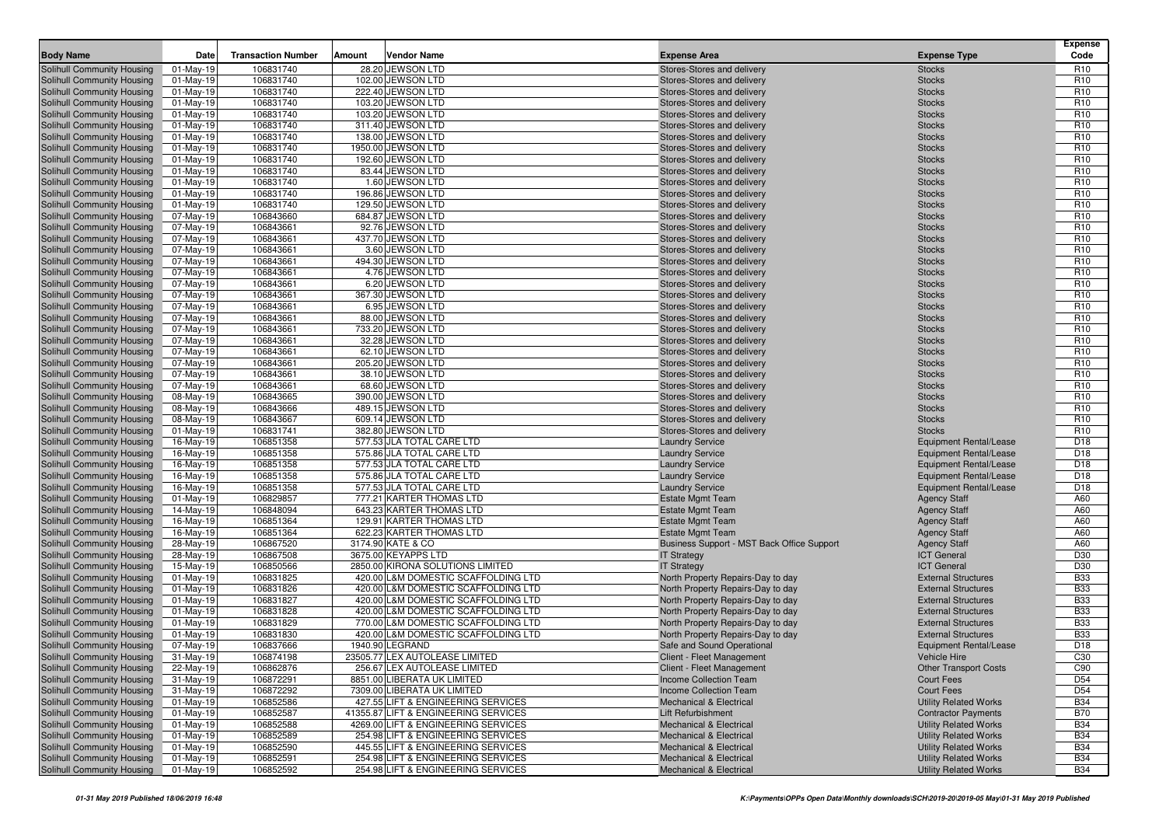| <b>Body Name</b>                                         | Date                   | <b>Transaction Number</b> | Amount | Vendor Name                                    |                                                                            | <b>Expense Area</b>                                             | <b>Expense Type</b>                                            | <b>Expense</b><br>Code             |
|----------------------------------------------------------|------------------------|---------------------------|--------|------------------------------------------------|----------------------------------------------------------------------------|-----------------------------------------------------------------|----------------------------------------------------------------|------------------------------------|
| Solihull Community Housing                               | $01-May-19$            | 106831740                 |        | 28.20 JEWSON LTD                               |                                                                            | Stores-Stores and delivery                                      | <b>Stocks</b>                                                  | R <sub>10</sub>                    |
| Solihull Community Housing                               | $01$ -May-19           | 106831740                 |        | 102.00 JEWSON LTD                              |                                                                            | Stores-Stores and delivery                                      | <b>Stocks</b>                                                  | R <sub>10</sub>                    |
| Solihull Community Housing                               | $01-May-19$            | 106831740                 |        | 222.40 JEWSON LTD                              |                                                                            | Stores-Stores and delivery                                      | <b>Stocks</b>                                                  | R <sub>10</sub>                    |
| Solihull Community Housing                               | $01-May-19$            | 106831740                 |        | 103.20 JEWSON LTD                              |                                                                            | Stores-Stores and delivery                                      | <b>Stocks</b>                                                  | R <sub>10</sub>                    |
| Solihull Community Housing                               | 01-May-19              | 106831740                 |        | 103.20 JEWSON LTD                              |                                                                            | Stores-Stores and delivery                                      | <b>Stocks</b>                                                  | R <sub>10</sub>                    |
| Solihull Community Housing                               | 01-May-19              | 106831740                 |        | 311.40 JEWSON LTD                              |                                                                            | Stores-Stores and delivery                                      | <b>Stocks</b>                                                  | R <sub>10</sub>                    |
| Solihull Community Housing                               | $01-May-19$            | 106831740                 |        | 138.00 JEWSON LTD                              |                                                                            | Stores-Stores and delivery                                      | <b>Stocks</b>                                                  | R <sub>10</sub>                    |
| Solihull Community Housing                               | 01-May-19              | 106831740                 |        | 1950.00 JEWSON LTD                             |                                                                            | Stores-Stores and delivery                                      | <b>Stocks</b>                                                  | R <sub>10</sub>                    |
| Solihull Community Housing                               | $01-May-19$            | 106831740                 |        | 192.60 JEWSON LTD                              |                                                                            | Stores-Stores and delivery                                      | <b>Stocks</b>                                                  | R <sub>10</sub>                    |
| Solihull Community Housing                               | 01-May-19              | 106831740                 |        | 83.44 JEWSON LTD                               |                                                                            | Stores-Stores and delivery                                      | <b>Stocks</b>                                                  | R <sub>10</sub>                    |
| Solihull Community Housing                               | $01-May-19$            | 106831740                 |        | 1.60 JEWSON LTD                                |                                                                            | Stores-Stores and delivery                                      | <b>Stocks</b>                                                  | R <sub>10</sub>                    |
| Solihull Community Housing                               | 01-May-19              | 106831740                 |        | 196.86 JEWSON LTD                              |                                                                            | Stores-Stores and delivery                                      | <b>Stocks</b>                                                  | R <sub>10</sub>                    |
| Solihull Community Housing                               | $01$ -May-19           | 106831740                 |        | 129.50 JEWSON LTD                              |                                                                            | Stores-Stores and delivery                                      | <b>Stocks</b>                                                  | R <sub>10</sub>                    |
| Solihull Community Housing                               | 07-May-19              | 106843660                 |        | 684.87 JEWSON LTD                              |                                                                            | Stores-Stores and delivery                                      | <b>Stocks</b>                                                  | R <sub>10</sub><br>R <sub>10</sub> |
| Solihull Community Housing                               | 07-May-19<br>07-May-19 | 106843661<br>106843661    |        | 92.76 JEWSON LTD<br>437.70 JEWSON LTD          |                                                                            | Stores-Stores and delivery<br>Stores-Stores and delivery        | <b>Stocks</b><br><b>Stocks</b>                                 | R <sub>10</sub>                    |
| Solihull Community Housing<br>Solihull Community Housing | 07-May-19              | 106843661                 |        | 3.60 JEWSON LTD                                |                                                                            | Stores-Stores and delivery                                      | <b>Stocks</b>                                                  | R <sub>10</sub>                    |
| Solihull Community Housing                               | 07-May-19              | 106843661                 |        | 494.30 JEWSON LTD                              |                                                                            | Stores-Stores and delivery                                      | <b>Stocks</b>                                                  | R <sub>10</sub>                    |
| Solihull Community Housing                               | 07-May-19              | 106843661                 |        | 4.76 JEWSON LTD                                |                                                                            | Stores-Stores and delivery                                      | <b>Stocks</b>                                                  | R <sub>10</sub>                    |
| Solihull Community Housing                               | 07-May-19              | 106843661                 |        | 6.20 JEWSON LTD                                |                                                                            | Stores-Stores and delivery                                      | <b>Stocks</b>                                                  | R <sub>10</sub>                    |
| Solihull Community Housing                               | 07-May-19              | 106843661                 |        | 367.30 JEWSON LTD                              |                                                                            | Stores-Stores and delivery                                      | <b>Stocks</b>                                                  | R <sub>10</sub>                    |
| Solihull Community Housing                               | 07-May-19              | 106843661                 |        | 6.95 JEWSON LTD                                |                                                                            | Stores-Stores and delivery                                      | <b>Stocks</b>                                                  | R <sub>10</sub>                    |
| Solihull Community Housing                               | 07-May-19              | 106843661                 |        | 88.00 JEWSON LTD                               |                                                                            | Stores-Stores and delivery                                      | <b>Stocks</b>                                                  | R <sub>10</sub>                    |
| Solihull Community Housing                               | 07-May-19              | 106843661                 |        | 733.20 JEWSON LTD                              |                                                                            | Stores-Stores and delivery                                      | <b>Stocks</b>                                                  | R <sub>10</sub>                    |
| Solihull Community Housing                               | 07-May-19              | 106843661                 |        | 32.28 JEWSON LTD                               |                                                                            | Stores-Stores and delivery                                      | <b>Stocks</b>                                                  | R <sub>10</sub>                    |
| Solihull Community Housing                               | 07-May-19              | 106843661                 |        | 62.10 JEWSON LTD                               |                                                                            | Stores-Stores and delivery                                      | <b>Stocks</b>                                                  | R <sub>10</sub>                    |
| Solihull Community Housing                               | 07-May-19              | 106843661                 |        | 205.20 JEWSON LTD                              |                                                                            | Stores-Stores and delivery                                      | <b>Stocks</b>                                                  | R <sub>10</sub>                    |
| Solihull Community Housing                               | 07-May-19              | 106843661                 |        | 38.10 JEWSON LTD                               |                                                                            | Stores-Stores and delivery                                      | <b>Stocks</b>                                                  | R <sub>10</sub>                    |
| Solihull Community Housing                               | 07-May-19              | 106843661                 |        | 68.60 JEWSON LTD                               |                                                                            | Stores-Stores and delivery                                      | <b>Stocks</b>                                                  | R <sub>10</sub>                    |
| Solihull Community Housing                               | 08-May-19              | 106843665                 |        | 390.00 JEWSON LTD                              |                                                                            | Stores-Stores and delivery                                      | <b>Stocks</b>                                                  | R <sub>10</sub>                    |
| Solihull Community Housing                               | 08-May-19              | 106843666                 |        | 489.15 JEWSON LTD                              |                                                                            | Stores-Stores and delivery                                      | <b>Stocks</b>                                                  | R <sub>10</sub>                    |
| Solihull Community Housing                               | 08-May-19              | 106843667                 |        | 609.14 JEWSON LTD                              |                                                                            | Stores-Stores and delivery                                      | <b>Stocks</b>                                                  | R <sub>10</sub>                    |
| Solihull Community Housing                               | 01-May-19              | 106831741                 |        | 382.80 JEWSON LTD<br>577.53 JLA TOTAL CARE LTD |                                                                            | Stores-Stores and delivery                                      | <b>Stocks</b>                                                  | R <sub>10</sub><br>D <sub>18</sub> |
| Solihull Community Housing<br>Solihull Community Housing | 16-May-19<br>16-May-19 | 106851358<br>106851358    |        | 575.86 JLA TOTAL CARE LTD                      |                                                                            | <b>Laundry Service</b><br><b>Laundry Service</b>                | <b>Equipment Rental/Lease</b><br><b>Equipment Rental/Lease</b> | D <sub>18</sub>                    |
| Solihull Community Housing                               | 16-May-19              | 106851358                 |        | 577.53 JLA TOTAL CARE LTD                      |                                                                            | <b>Laundry Service</b>                                          | <b>Equipment Rental/Lease</b>                                  | D <sub>18</sub>                    |
| Solihull Community Housing                               | 16-May-19              | 106851358                 |        | 575.86 JLA TOTAL CARE LTD                      |                                                                            | <b>Laundry Service</b>                                          | <b>Equipment Rental/Lease</b>                                  | D <sub>18</sub>                    |
| Solihull Community Housing                               | 16-May-19              | 106851358                 |        | 577.53 JLA TOTAL CARE LTD                      |                                                                            | <b>Laundry Service</b>                                          | <b>Equipment Rental/Lease</b>                                  | D <sub>18</sub>                    |
| Solihull Community Housing                               | $01$ -May-19           | 106829857                 |        | 777.21 KARTER THOMAS LTD                       |                                                                            | <b>Estate Mgmt Team</b>                                         | <b>Agency Staff</b>                                            | A60                                |
| Solihull Community Housing                               | 14-May-19              | 106848094                 |        | 643.23 KARTER THOMAS LTD                       |                                                                            | <b>Estate Mgmt Team</b>                                         | <b>Agency Staff</b>                                            | A60                                |
| Solihull Community Housing                               | 16-May-19              | 106851364                 |        | 129.91 KARTER THOMAS LTD                       |                                                                            | <b>Estate Mgmt Team</b>                                         | <b>Agency Staff</b>                                            | A60                                |
| Solihull Community Housing                               | 16-May-19              | 106851364                 |        | 622.23 KARTER THOMAS LTD                       |                                                                            | <b>Estate Mgmt Team</b>                                         | <b>Agency Staff</b>                                            | A60                                |
| Solihull Community Housing                               | 28-May-19              | 106867520                 |        | 3174.90 KATE & CO                              |                                                                            | Business Support - MST Back Office Support                      | <b>Agency Staff</b>                                            | A60                                |
| Solihull Community Housing                               | 28-May-19              | 106867508                 |        | 3675.00 KEYAPPS LTD                            |                                                                            | <b>IT Strategy</b>                                              | <b>ICT General</b>                                             | D30                                |
| Solihull Community Housing                               | 15-May-19              | 106850566                 |        | 2850.00 KIRONA SOLUTIONS LIMITED               |                                                                            | <b>IT Strategy</b>                                              | <b>ICT General</b>                                             | D30                                |
| Solihull Community Housing                               | 01-May-19              | 106831825                 |        |                                                | 420.00 L&M DOMESTIC SCAFFOLDING LTD                                        | North Property Repairs-Day to day                               | <b>External Structures</b>                                     | <b>B33</b>                         |
| Solihull Community Housing                               | $01-May-19$            | 106831826                 |        |                                                | 420.00 L&M DOMESTIC SCAFFOLDING LTD                                        | North Property Repairs-Day to day                               | <b>External Structures</b>                                     | <b>B33</b>                         |
| Solihull Community Housing                               | 01-May-19              | 106831827                 |        |                                                | 420.00 L&M DOMESTIC SCAFFOLDING LTD                                        | North Property Repairs-Day to day                               | <b>External Structures</b>                                     | <b>B33</b>                         |
| Solihull Community Housing                               | 01-May-19              | 106831828                 |        |                                                | 420.00 L&M DOMESTIC SCAFFOLDING LTD                                        | North Property Repairs-Day to day                               | <b>External Structures</b><br><b>External Structures</b>       | <b>B33</b><br><b>B33</b>           |
| Solihull Community Housing<br>Solihull Community Housing | $01-May-19$            | 106831829<br>106831830    |        |                                                | 770.00 L&M DOMESTIC SCAFFOLDING LTD<br>420.00 L&M DOMESTIC SCAFFOLDING LTD | North Property Repairs-Day to day                               | <b>External Structures</b>                                     | <b>B33</b>                         |
| <b>Solihull Community Housing</b>                        | 01-May-19<br>07-May-19 | 106837666                 |        | 1940.90 LEGRAND                                |                                                                            | North Property Repairs-Day to day<br>Safe and Sound Operational | <b>Equipment Rental/Lease</b>                                  | D <sub>18</sub>                    |
| Solihull Community Housing                               | 31-May-19              | 106874198                 |        | 23505.77 LEX AUTOLEASE LIMITED                 |                                                                            | Client - Fleet Management                                       | Vehicle Hire                                                   | C30                                |
| Solihull Community Housing                               | 22-May-19              | 106862876                 |        | 256.67 LEX AUTOLEASE LIMITED                   |                                                                            | Client - Fleet Management                                       | <b>Other Transport Costs</b>                                   | C90                                |
| Solihull Community Housing                               | 31-May-19              | 106872291                 |        | 8851.00 LIBERATA UK LIMITED                    |                                                                            | Income Collection Team                                          | Court Fees                                                     | D <sub>54</sub>                    |
| Solihull Community Housing                               | 31-May-19              | 106872292                 |        | 7309.00 LIBERATA UK LIMITED                    |                                                                            | <b>Income Collection Team</b>                                   | Court Fees                                                     | D <sub>54</sub>                    |
| Solihull Community Housing                               | 01-May-19              | 106852586                 |        |                                                | 427.55 LIFT & ENGINEERING SERVICES                                         | <b>Mechanical &amp; Electrical</b>                              | <b>Utility Related Works</b>                                   | <b>B34</b>                         |
| Solihull Community Housing                               | 01-May-19              | 106852587                 |        |                                                | 41355.87 LIFT & ENGINEERING SERVICES                                       | Lift Refurbishment                                              | <b>Contractor Payments</b>                                     | <b>B70</b>                         |
| Solihull Community Housing                               | 01-May-19              | 106852588                 |        |                                                | 4269.00 LIFT & ENGINEERING SERVICES                                        | <b>Mechanical &amp; Electrical</b>                              | <b>Utility Related Works</b>                                   | <b>B34</b>                         |
| Solihull Community Housing                               | 01-May-19              | 106852589                 |        |                                                | 254.98 LIFT & ENGINEERING SERVICES                                         | <b>Mechanical &amp; Electrical</b>                              | <b>Utility Related Works</b>                                   | <b>B34</b>                         |
| Solihull Community Housing                               | 01-May-19              | 106852590                 |        |                                                | 445.55 LIFT & ENGINEERING SERVICES                                         | <b>Mechanical &amp; Electrical</b>                              | <b>Utility Related Works</b>                                   | <b>B34</b>                         |
| Solihull Community Housing                               | 01-May-19              | 106852591                 |        |                                                | 254.98 LIFT & ENGINEERING SERVICES                                         | <b>Mechanical &amp; Electrical</b>                              | <b>Utility Related Works</b>                                   | <b>B34</b>                         |
| <b>Solihull Community Housing</b>                        | 01-May-19              | 106852592                 |        |                                                | 254.98 LIFT & ENGINEERING SERVICES                                         | <b>Mechanical &amp; Electrical</b>                              | <b>Utility Related Works</b>                                   | <b>B34</b>                         |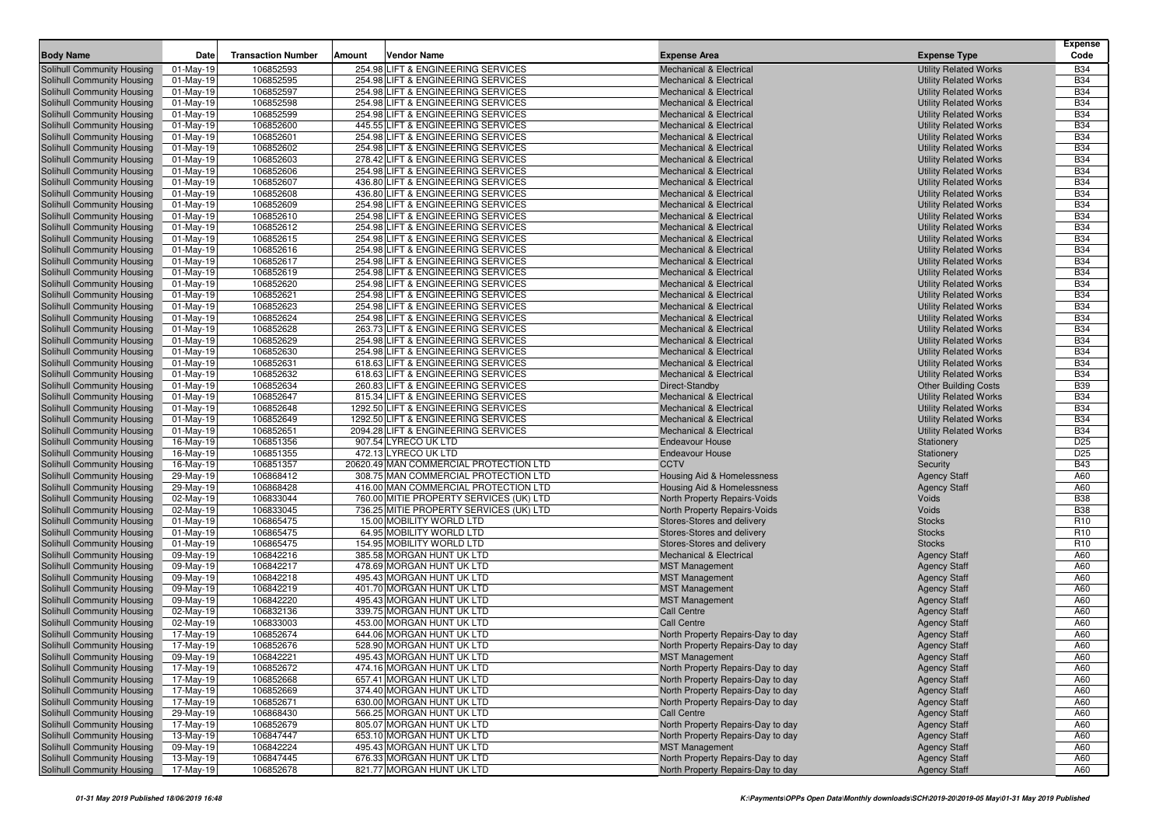|                                                          |                              |                           |        |                                                                          |                                                               |                                                              | <b>Expense</b>           |
|----------------------------------------------------------|------------------------------|---------------------------|--------|--------------------------------------------------------------------------|---------------------------------------------------------------|--------------------------------------------------------------|--------------------------|
| <b>Body Name</b>                                         | Date                         | <b>Transaction Number</b> | Amount | <b>Vendor Name</b>                                                       | <b>Expense Area</b>                                           | <b>Expense Type</b>                                          | Code                     |
| Solihull Community Housing                               | 01-May-19                    | 106852593                 |        | 254.98 LIFT & ENGINEERING SERVICES                                       | <b>Mechanical &amp; Electrical</b>                            | <b>Utility Related Works</b>                                 | <b>B34</b>               |
| Solihull Community Housing                               | 01-May-19                    | 106852595                 |        | 254.98 LIFT & ENGINEERING SERVICES                                       | <b>Mechanical &amp; Electrical</b>                            | <b>Utility Related Works</b>                                 | <b>B34</b>               |
| Solihull Community Housing                               | $01$ -May-19                 | 106852597<br>106852598    |        | 254.98 LIFT & ENGINEERING SERVICES<br>254.98 LIFT & ENGINEERING SERVICES | Mechanical & Electrical<br><b>Mechanical &amp; Electrical</b> | <b>Utility Related Works</b><br><b>Utility Related Works</b> | <b>B34</b><br><b>B34</b> |
| Solihull Community Housing<br>Solihull Community Housing | 01-May-19<br>$01$ -May-19    | 106852599                 |        | 254.98 LIFT & ENGINEERING SERVICES                                       | <b>Mechanical &amp; Electrical</b>                            | <b>Utility Related Works</b>                                 | <b>B34</b>               |
| Solihull Community Housing                               | 01-May-19                    | 106852600                 |        | 445.55 LIFT & ENGINEERING SERVICES                                       | <b>Mechanical &amp; Electrical</b>                            | <b>Utility Related Works</b>                                 | <b>B34</b>               |
| Solihull Community Housing                               | $01$ -May-19                 | 106852601                 |        | 254.98 LIFT & ENGINEERING SERVICES                                       | <b>Mechanical &amp; Electrical</b>                            | <b>Utility Related Works</b>                                 | <b>B34</b>               |
| Solihull Community Housing                               | $01$ -May-19                 | 106852602                 |        | 254.98 LIFT & ENGINEERING SERVICES                                       | <b>Mechanical &amp; Electrical</b>                            | <b>Utility Related Works</b>                                 | <b>B34</b>               |
| Solihull Community Housing                               | $01$ -May-19                 | 106852603                 |        | 278.42 LIFT & ENGINEERING SERVICES                                       | <b>Mechanical &amp; Electrical</b>                            | <b>Utility Related Works</b>                                 | <b>B34</b>               |
| Solihull Community Housing                               | $01$ -May-19                 | 106852606                 |        | 254.98 LIFT & ENGINEERING SERVICES                                       | Mechanical & Electrical                                       | <b>Utility Related Works</b>                                 | <b>B34</b>               |
| Solihull Community Housing                               | 01-May-19                    | 106852607                 |        | 436.80 LIFT & ENGINEERING SERVICES                                       | <b>Mechanical &amp; Electrical</b>                            | <b>Utility Related Works</b>                                 | <b>B34</b>               |
| Solihull Community Housing                               | $01$ -May-19                 | 106852608                 |        | 436.80 LIFT & ENGINEERING SERVICES                                       | <b>Mechanical &amp; Electrical</b>                            | <b>Utility Related Works</b>                                 | <b>B34</b>               |
| Solihull Community Housing                               | 01-May-19                    | 106852609                 |        | 254.98 LIFT & ENGINEERING SERVICES                                       | <b>Mechanical &amp; Electrical</b>                            | <b>Utility Related Works</b>                                 | <b>B34</b>               |
| Solihull Community Housing                               | 01-May-19                    | 106852610                 |        | 254.98 LIFT & ENGINEERING SERVICES                                       | <b>Mechanical &amp; Electrical</b>                            | <b>Utility Related Works</b>                                 | <b>B34</b>               |
| Solihull Community Housing                               | 01-May-19                    | 106852612                 |        | 254.98 LIFT & ENGINEERING SERVICES                                       | <b>Mechanical &amp; Electrical</b>                            | <b>Utility Related Works</b>                                 | <b>B34</b>               |
| Solihull Community Housing                               | 01-May-19                    | 106852615                 |        | 254.98 LIFT & ENGINEERING SERVICES                                       | <b>Mechanical &amp; Electrical</b>                            | <b>Utility Related Works</b>                                 | <b>B34</b>               |
| Solihull Community Housing                               | 01-May-19                    | 106852616                 |        | 254.98 LIFT & ENGINEERING SERVICES                                       | <b>Mechanical &amp; Electrical</b>                            | <b>Utility Related Works</b>                                 | <b>B34</b>               |
| Solihull Community Housing                               | $01$ -May-19                 | 106852617                 |        | 254.98 LIFT & ENGINEERING SERVICES                                       | <b>Mechanical &amp; Electrical</b>                            | <b>Utility Related Works</b>                                 | <b>B34</b>               |
| Solihull Community Housing                               | $01$ -May-19                 | 106852619                 |        | 254.98 LIFT & ENGINEERING SERVICES                                       | <b>Mechanical &amp; Electrical</b>                            | <b>Utility Related Works</b>                                 | <b>B34</b>               |
| Solihull Community Housing                               | 01-May-19                    | 106852620                 |        | 254.98 LIFT & ENGINEERING SERVICES                                       | <b>Mechanical &amp; Electrical</b>                            | <b>Utility Related Works</b>                                 | <b>B34</b>               |
| Solihull Community Housing                               | $01$ -May-19                 | 106852621                 |        | 254.98 LIFT & ENGINEERING SERVICES                                       | <b>Mechanical &amp; Electrical</b>                            | <b>Utility Related Works</b>                                 | <b>B34</b>               |
| Solihull Community Housing                               | 01-May-19                    | 106852623                 |        | 254.98 LIFT & ENGINEERING SERVICES                                       | <b>Mechanical &amp; Electrical</b>                            | <b>Utility Related Works</b>                                 | <b>B34</b>               |
| Solihull Community Housing                               | 01-May-19                    | 106852624                 |        | 254.98 LIFT & ENGINEERING SERVICES                                       | <b>Mechanical &amp; Electrical</b>                            | <b>Utility Related Works</b>                                 | <b>B34</b>               |
| Solihull Community Housing                               | 01-May-19                    | 106852628                 |        | 263.73 LIFT & ENGINEERING SERVICES                                       | <b>Mechanical &amp; Electrical</b>                            | <b>Utility Related Works</b>                                 | <b>B34</b>               |
| Solihull Community Housing                               | 01-May-19                    | 106852629                 |        | 254.98 LIFT & ENGINEERING SERVICES                                       | <b>Mechanical &amp; Electrical</b>                            | <b>Utility Related Works</b>                                 | <b>B34</b>               |
| Solihull Community Housing                               | $01-May-19$                  | 106852630                 |        | 254.98 LIFT & ENGINEERING SERVICES                                       | <b>Mechanical &amp; Electrical</b>                            | <b>Utility Related Works</b>                                 | <b>B34</b>               |
| Solihull Community Housing<br>Solihull Community Housing | 01-May-19                    | 106852631<br>106852632    |        | 618.63 LIFT & ENGINEERING SERVICES<br>618.63 LIFT & ENGINEERING SERVICES | <b>Mechanical &amp; Electrical</b>                            | <b>Utility Related Works</b>                                 | <b>B34</b><br><b>B34</b> |
| Solihull Community Housing                               | $01$ -May-19<br>$01$ -May-19 | 106852634                 |        | 260.83 LIFT & ENGINEERING SERVICES                                       | <b>Mechanical &amp; Electrical</b><br>Direct-Standby          | <b>Utility Related Works</b><br><b>Other Building Costs</b>  | <b>B39</b>               |
| Solihull Community Housing                               | $01$ -May-19                 | 106852647                 |        | 815.34 LIFT & ENGINEERING SERVICES                                       | <b>Mechanical &amp; Electrical</b>                            | <b>Utility Related Works</b>                                 | <b>B34</b>               |
| Solihull Community Housing                               | 01-May-19                    | 106852648                 |        | 1292.50 LIFT & ENGINEERING SERVICES                                      | <b>Mechanical &amp; Electrical</b>                            | <b>Utility Related Works</b>                                 | <b>B34</b>               |
| Solihull Community Housing                               | $01$ -May-19                 | 106852649                 |        | 1292.50 LIFT & ENGINEERING SERVICES                                      | <b>Mechanical &amp; Electrical</b>                            | <b>Utility Related Works</b>                                 | <b>B34</b>               |
| Solihull Community Housing                               | $01$ -May-19                 | 106852651                 |        | 2094.28 LIFT & ENGINEERING SERVICES                                      | <b>Mechanical &amp; Electrical</b>                            | <b>Utility Related Works</b>                                 | <b>B34</b>               |
| Solihull Community Housing                               | 16-May-19                    | 106851356                 |        | 907.54 LYRECO UK LTD                                                     | <b>Endeavour House</b>                                        | Stationery                                                   | D <sub>25</sub>          |
| Solihull Community Housing                               | 16-May-19                    | 106851355                 |        | 472.13 LYRECO UK LTD                                                     | <b>Endeavour House</b>                                        | Stationery                                                   | D <sub>25</sub>          |
| Solihull Community Housing                               | 16-May-19                    | 106851357                 |        | 20620.49 MAN COMMERCIAL PROTECTION LTD                                   | <b>CCTV</b>                                                   | Security                                                     | <b>B43</b>               |
| Solihull Community Housing                               | 29-May-19                    | 106868412                 |        | 308.75 MAN COMMERCIAL PROTECTION LTD                                     | Housing Aid & Homelessness                                    | <b>Agency Staff</b>                                          | A60                      |
| Solihull Community Housing                               | 29-May-19                    | 106868428                 |        | 416.00 MAN COMMERCIAL PROTECTION LTD                                     | Housing Aid & Homelessness                                    | <b>Agency Staff</b>                                          | A60                      |
| Solihull Community Housing                               | 02-May-19                    | 106833044                 |        | 760.00 MITIE PROPERTY SERVICES (UK) LTD                                  | North Property Repairs-Voids                                  | Voids                                                        | <b>B38</b>               |
| Solihull Community Housing                               | 02-May-19                    | 106833045                 |        | 736.25 MITIE PROPERTY SERVICES (UK) LTD                                  | North Property Repairs-Voids                                  | Voids                                                        | <b>B38</b>               |
| Solihull Community Housing                               | 01-May-19                    | 106865475                 |        | 15.00 MOBILITY WORLD LTD                                                 | Stores-Stores and delivery                                    | <b>Stocks</b>                                                | R <sub>10</sub>          |
| Solihull Community Housing                               | $01$ -May-19                 | 106865475                 |        | 64.95 MOBILITY WORLD LTD                                                 | Stores-Stores and delivery                                    | <b>Stocks</b>                                                | R <sub>10</sub>          |
| Solihull Community Housing                               | $01$ -May-19                 | 106865475                 |        | 154.95 MOBILITY WORLD LTD                                                | Stores-Stores and delivery                                    | <b>Stocks</b>                                                | R <sub>10</sub>          |
| Solihull Community Housing                               | 09-May-19                    | 106842216                 |        | 385.58 MORGAN HUNT UK LTD                                                | <b>Mechanical &amp; Electrical</b>                            | <b>Agency Staff</b>                                          | A60                      |
| Solihull Community Housing                               | 09-May-19                    | 106842217                 |        | 478.69 MORGAN HUNT UK LTD                                                | <b>MST Management</b>                                         | <b>Agency Staff</b>                                          | A60                      |
| Solihull Community Housing                               | 09-May-19                    | 106842218                 |        | 495.43 MORGAN HUNT UK LTD                                                | <b>MST Management</b>                                         | <b>Agency Staff</b>                                          | A60                      |
| Solihull Community Housing                               | 09-May-19                    | 106842219<br>106842220    |        | 401.70 MORGAN HUNT UK LTD<br>495.43 MORGAN HUNT UK LTD                   | <b>MST Management</b>                                         | <b>Agency Staff</b>                                          | A60<br>A60               |
| Solihull Community Housing<br>Solihull Community Housing | 09-May-19<br>02-May-19       | 106832136                 |        | 339.75 MORGAN HUNT UK LTD                                                | <b>MST Management</b><br><b>Call Centre</b>                   | <b>Agency Staff</b><br><b>Agency Staff</b>                   | A60                      |
| Solihull Community Housing                               | 02-May-19                    | 106833003                 |        | 453.00 MORGAN HUNT UK LTD                                                | <b>Call Centre</b>                                            | <b>Agency Staff</b>                                          | A60                      |
| Solihull Community Housing                               | 17-May-19                    | 106852674                 |        | 644.06 MORGAN HUNT UK LTD                                                | North Property Repairs-Day to day                             | <b>Agency Staff</b>                                          | A60                      |
| Solihull Community Housing                               | 17-May-19                    | 106852676                 |        | 528.90 MORGAN HUNT UK LTD                                                | North Property Repairs-Day to day                             | <b>Agency Staff</b>                                          | A60                      |
| Solihull Community Housing                               | 09-May-19                    | 106842221                 |        | 495.43 MORGAN HUNT UK LTD                                                | <b>MST Management</b>                                         | <b>Agency Staff</b>                                          | A60                      |
| Solihull Community Housing                               | 17-May-19                    | 106852672                 |        | 474.16 MORGAN HUNT UK LTD                                                | North Property Repairs-Day to day                             | <b>Agency Staff</b>                                          | A60                      |
| Solihull Community Housing                               | $\overline{17}$ -May-19      | 106852668                 |        | 657.41 MORGAN HUNT UK LTD                                                | North Property Repairs-Day to day                             | <b>Agency Staff</b>                                          | A60                      |
| Solihull Community Housing                               | 17-May-19                    | 106852669                 |        | 374.40 MORGAN HUNT UK LTD                                                | North Property Repairs-Day to day                             | <b>Agency Staff</b>                                          | A60                      |
| Solihull Community Housing                               | 17-May-19                    | 106852671                 |        | 630.00 MORGAN HUNT UK LTD                                                | North Property Repairs-Day to day                             | <b>Agency Staff</b>                                          | A60                      |
| Solihull Community Housing                               | 29-May-19                    | 106868430                 |        | 566.25 MORGAN HUNT UK LTD                                                | Call Centre                                                   | <b>Agency Staff</b>                                          | A60                      |
| Solihull Community Housing                               | 17-May-19                    | 106852679                 |        | 805.07 MORGAN HUNT UK LTD                                                | North Property Repairs-Day to day                             | <b>Agency Staff</b>                                          | A60                      |
| Solihull Community Housing                               | 13-May-19                    | 106847447                 |        | 653.10 MORGAN HUNT UK LTD                                                | North Property Repairs-Day to day                             | <b>Agency Staff</b>                                          | A60                      |
| Solihull Community Housing                               | 09-May-19                    | 106842224                 |        | 495.43 MORGAN HUNT UK LTD                                                | <b>MST Management</b>                                         | <b>Agency Staff</b>                                          | A60                      |
| Solihull Community Housing                               | 13-May-19                    | 106847445                 |        | 676.33 MORGAN HUNT UK LTD                                                | North Property Repairs-Day to day                             | <b>Agency Staff</b>                                          | A60                      |
| Solihull Community Housing                               | 17-May-19                    | 106852678                 |        | 821.77 MORGAN HUNT UK LTD                                                | North Property Repairs-Day to day                             | <b>Agency Staff</b>                                          | A60                      |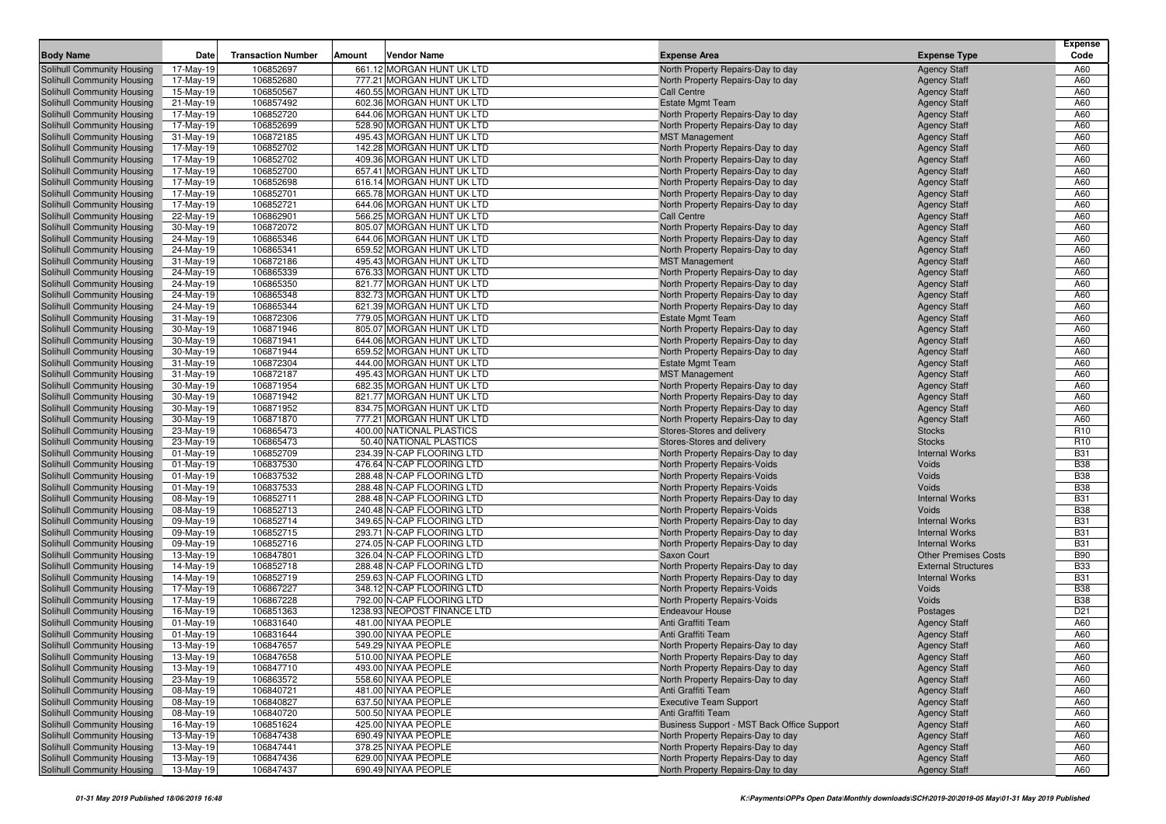| <b>Body Name</b>                                         | Date                   | <b>Transaction Number</b> | Amount | Vendor Name                                            | <b>Expense Area</b>                                                    | <b>Expense Type</b>                        | <b>Expense</b><br>Code |
|----------------------------------------------------------|------------------------|---------------------------|--------|--------------------------------------------------------|------------------------------------------------------------------------|--------------------------------------------|------------------------|
| Solihull Community Housing                               | 17-May-19              | 106852697                 |        | 661.12 MORGAN HUNT UK LTD                              | North Property Repairs-Day to day                                      | <b>Agency Staff</b>                        | A60                    |
| Solihull Community Housing                               | 17-May-19              | 106852680                 |        | 777.21 MORGAN HUNT UK LTD                              | North Property Repairs-Day to day                                      | <b>Agency Staff</b>                        | A60                    |
| Solihull Community Housing                               | 15-May-19              | 106850567                 |        | 460.55 MORGAN HUNT UK LTD                              | <b>Call Centre</b>                                                     | <b>Agency Staff</b>                        | A60                    |
| Solihull Community Housing                               | 21-May-19              | 106857492                 |        | 602.36 MORGAN HUNT UK LTD                              | <b>Estate Mgmt Team</b>                                                | <b>Agency Staff</b>                        | A60                    |
| Solihull Community Housing                               | 17-May-19              | 106852720                 |        | 644.06 MORGAN HUNT UK LTD                              | North Property Repairs-Day to day                                      | <b>Agency Staff</b>                        | A60                    |
| Solihull Community Housing                               | 17-May-19              | 106852699                 |        | 528.90 MORGAN HUNT UK LTD                              | North Property Repairs-Day to day                                      | <b>Agency Staff</b>                        | A60                    |
| Solihull Community Housing                               | 31-May-19              | 106872185                 |        | 495.43 MORGAN HUNT UK LTD                              | <b>MST Management</b>                                                  | <b>Agency Staff</b>                        | A60                    |
| Solihull Community Housing                               | 17-May-19              | 106852702                 |        | 142.28 MORGAN HUNT UK LTD                              | North Property Repairs-Day to day                                      | <b>Agency Staff</b>                        | A60                    |
| Solihull Community Housing                               | 17-May-19              | 106852702                 |        | 409.36 MORGAN HUNT UK LTD                              | North Property Repairs-Day to day                                      | <b>Agency Staff</b>                        | A60                    |
| Solihull Community Housing                               | 17-May-19              | 106852700                 |        | 657.41 MORGAN HUNT UK LTD                              | North Property Repairs-Day to day                                      | <b>Agency Staff</b>                        | A60                    |
| Solihull Community Housing                               | 17-May-19              | 106852698                 |        | 616.14 MORGAN HUNT UK LTD                              | North Property Repairs-Day to day                                      | <b>Agency Staff</b>                        | A60                    |
| Solihull Community Housing                               | 17-May-19              | 106852701                 |        | 665.78 MORGAN HUNT UK LTD                              | North Property Repairs-Day to day                                      | <b>Agency Staff</b>                        | A60                    |
| Solihull Community Housing                               | 17-May-19              | 106852721                 |        | 644.06 MORGAN HUNT UK LTD                              | North Property Repairs-Day to day                                      | <b>Agency Staff</b>                        | A60                    |
| Solihull Community Housing                               | 22-May-19              | 106862901                 |        | 566.25 MORGAN HUNT UK LTD                              | <b>Call Centre</b>                                                     | <b>Agency Staff</b>                        | A60                    |
| Solihull Community Housing                               | 30-May-19              | 106872072                 |        | 805.07 MORGAN HUNT UK LTD                              | North Property Repairs-Day to day                                      | <b>Agency Staff</b>                        | A60                    |
| Solihull Community Housing                               | 24-May-19              | 106865346                 |        | 644.06 MORGAN HUNT UK LTD                              | North Property Repairs-Day to day                                      | <b>Agency Staff</b>                        | A60                    |
| Solihull Community Housing                               | 24-May-19              | 106865341                 |        | 659.52 MORGAN HUNT UK LTD                              | North Property Repairs-Day to day                                      | <b>Agency Staff</b>                        | A60                    |
| Solihull Community Housing                               | 31-May-19              | 106872186                 |        | 495.43 MORGAN HUNT UK LTD                              | <b>MST Management</b>                                                  | <b>Agency Staff</b>                        | A60                    |
| Solihull Community Housing                               | 24-May-19              | 106865339                 |        | 676.33 MORGAN HUNT UK LTD                              | North Property Repairs-Day to day                                      | <b>Agency Staff</b>                        | A60                    |
| Solihull Community Housing                               | 24-May-19              | 106865350                 |        | 821.77 MORGAN HUNT UK LTD                              | North Property Repairs-Day to day                                      | <b>Agency Staff</b>                        | A60                    |
| Solihull Community Housing                               | 24-May-19              | 106865348                 |        | 832.73 MORGAN HUNT UK LTD                              | North Property Repairs-Day to day                                      | <b>Agency Staff</b>                        | A60                    |
| Solihull Community Housing                               | 24-May-19              | 106865344                 |        | 621.39 MORGAN HUNT UK LTD<br>779.05 MORGAN HUNT UK LTD | North Property Repairs-Day to day                                      | <b>Agency Staff</b>                        | A60<br>A60             |
| Solihull Community Housing<br>Solihull Community Housing | 31-May-19<br>30-May-19 | 106872306<br>106871946    |        | 805.07 MORGAN HUNT UK LTD                              | <b>Estate Mgmt Team</b><br>North Property Repairs-Day to day           | <b>Agency Staff</b><br><b>Agency Staff</b> | A60                    |
| Solihull Community Housing                               | 30-May-19              | 106871941                 |        | 644.06 MORGAN HUNT UK LTD                              | North Property Repairs-Day to day                                      | <b>Agency Staff</b>                        | A60                    |
| Solihull Community Housing                               | 30-May-19              | 106871944                 |        | 659.52 MORGAN HUNT UK LTD                              | North Property Repairs-Day to day                                      | <b>Agency Staff</b>                        | A60                    |
| Solihull Community Housing                               | 31-May-19              | 106872304                 |        | 444.00 MORGAN HUNT UK LTD                              | <b>Estate Mgmt Team</b>                                                | <b>Agency Staff</b>                        | A60                    |
| Solihull Community Housing                               | 31-May-19              | 106872187                 |        | 495.43 MORGAN HUNT UK LTD                              | <b>MST Management</b>                                                  | <b>Agency Staff</b>                        | A60                    |
| Solihull Community Housing                               | 30-May-19              | 106871954                 |        | 682.35 MORGAN HUNT UK LTD                              | North Property Repairs-Day to day                                      | <b>Agency Staff</b>                        | A60                    |
| Solihull Community Housing                               | 30-May-19              | 106871942                 |        | 821.77 MORGAN HUNT UK LTD                              | North Property Repairs-Day to day                                      | <b>Agency Staff</b>                        | A60                    |
| Solihull Community Housing                               | 30-May-19              | 106871952                 |        | 834.75 MORGAN HUNT UK LTD                              | North Property Repairs-Day to day                                      | <b>Agency Staff</b>                        | A60                    |
| Solihull Community Housing                               | 30-May-19              | 106871870                 |        | 777.21 MORGAN HUNT UK LTD                              | North Property Repairs-Day to day                                      | <b>Agency Staff</b>                        | A60                    |
| Solihull Community Housing                               | 23-May-19              | 106865473                 |        | 400.00 NATIONAL PLASTICS                               | Stores-Stores and delivery                                             | <b>Stocks</b>                              | R <sub>10</sub>        |
| Solihull Community Housing                               | 23-May-19              | 106865473                 |        | 50.40 NATIONAL PLASTICS                                | Stores-Stores and delivery                                             | <b>Stocks</b>                              | R <sub>10</sub>        |
| Solihull Community Housing                               | 01-May-19              | 106852709                 |        | 234.39 N-CAP FLOORING LTD                              | North Property Repairs-Day to day                                      | <b>Internal Works</b>                      | <b>B31</b>             |
| Solihull Community Housing                               | 01-May-19              | 106837530                 |        | 476.64 N-CAP FLOORING LTD                              | North Property Repairs-Voids                                           | Voids                                      | <b>B38</b>             |
| Solihull Community Housing                               | $01-May-19$            | 106837532                 |        | 288.48 N-CAP FLOORING LTD                              | North Property Repairs-Voids                                           | Voids                                      | <b>B38</b>             |
| Solihull Community Housing                               | 01-May-19              | 106837533                 |        | 288.48 N-CAP FLOORING LTD                              | North Property Repairs-Voids                                           | Voids                                      | <b>B38</b>             |
| Solihull Community Housing                               | 08-May-19              | 106852711                 |        | 288.48 N-CAP FLOORING LTD                              | North Property Repairs-Day to day                                      | <b>Internal Works</b>                      | <b>B31</b>             |
| Solihull Community Housing                               | 08-May-19              | 106852713                 |        | 240.48 N-CAP FLOORING LTD                              | North Property Repairs-Voids                                           | Voids                                      | <b>B38</b>             |
| Solihull Community Housing                               | 09-May-19              | 106852714                 |        | 349.65 N-CAP FLOORING LTD                              | North Property Repairs-Day to day                                      | <b>Internal Works</b>                      | <b>B31</b>             |
| Solihull Community Housing                               | 09-May-19              | 106852715                 |        | 293.71 N-CAP FLOORING LTD                              | North Property Repairs-Day to day                                      | <b>Internal Works</b>                      | <b>B31</b>             |
| Solihull Community Housing                               | 09-May-19              | 106852716                 |        | 274.05 N-CAP FLOORING LTD                              | North Property Repairs-Day to day                                      | <b>Internal Works</b>                      | <b>B31</b>             |
| Solihull Community Housing                               | 13-May-19              | 106847801                 |        | 326.04 N-CAP FLOORING LTD                              | Saxon Court                                                            | <b>Other Premises Costs</b>                | <b>B90</b>             |
| Solihull Community Housing                               | 14-May-19              | 106852718                 |        | 288.48 N-CAP FLOORING LTD                              | North Property Repairs-Day to day                                      | <b>External Structures</b>                 | <b>B33</b>             |
| Solihull Community Housing                               | 14-May-19              | 106852719                 |        | 259.63 N-CAP FLOORING LTD                              | North Property Repairs-Day to day                                      | <b>Internal Works</b>                      | <b>B31</b>             |
| Solihull Community Housing                               | 17-May-19              | 106867227                 |        | 348.12 N-CAP FLOORING LTD                              | North Property Repairs-Voids                                           | Voids                                      | <b>B38</b>             |
| Solihull Community Housing                               | 17-May-19              | 106867228                 |        | 792.00 N-CAP FLOORING LTD                              | North Property Repairs-Voids                                           | Voids                                      | <b>B38</b>             |
| Solihull Community Housing                               | 16-May-19              | 106851363                 |        | 1238.93 NEOPOST FINANCE LTD                            | <b>Endeavour House</b>                                                 | Postages                                   | D <sub>21</sub>        |
| Solihull Community Housing                               | 01-May-19              | 106831640                 |        | 481.00 NIYAA PEOPLE                                    | Anti Graffiti Team                                                     | <b>Agency Staff</b>                        | A60                    |
| Solihull Community Housing<br>Solihull Community Housing | 01-May-19              | 106831644                 |        | 390.00 NIYAA PEOPLE                                    | Anti Graffiti Team                                                     | <b>Agency Staff</b>                        | A60                    |
| Solihull Community Housing                               | 13-May-19<br>13-May-19 | 106847657<br>106847658    |        | 549.29 NIYAA PEOPLE<br>510.00 NIYAA PEOPLE             | North Property Repairs-Day to day                                      | <b>Agency Staff</b>                        | A60<br>A60             |
|                                                          | 13-May-19              | 106847710                 |        | 493.00 NIYAA PEOPLE                                    | North Property Repairs-Day to day                                      | <b>Agency Staff</b>                        | A60                    |
| Solihull Community Housing<br>Solihull Community Housing | 23-May-19              | 106863572                 |        | 558.60 NIYAA PEOPLE                                    | North Property Repairs-Day to day<br>North Property Repairs-Day to day | <b>Agency Staff</b><br><b>Agency Staff</b> | A60                    |
|                                                          |                        |                           |        | 481.00 NIYAA PEOPLE                                    | Anti Graffiti Team                                                     |                                            |                        |
| Solihull Community Housing<br>Solihull Community Housing | 08-May-19<br>08-May-19 | 106840721<br>106840827    |        | 637.50 NIYAA PEOPLE                                    | <b>Executive Team Support</b>                                          | <b>Agency Staff</b><br><b>Agency Staff</b> | A60<br>A60             |
| Solihull Community Housing                               | 08-May-19              | 106840720                 |        | 500.50 NIYAA PEOPLE                                    | Anti Graffiti Team                                                     | <b>Agency Staff</b>                        | A60                    |
| Solihull Community Housing                               | 16-May-19              | 106851624                 |        | 425.00 NIYAA PEOPLE                                    | Business Support - MST Back Office Support                             | <b>Agency Staff</b>                        | A60                    |
| Solihull Community Housing                               | 13-May-19              | 106847438                 |        | 690.49 NIYAA PEOPLE                                    | North Property Repairs-Day to day                                      | <b>Agency Staff</b>                        | A60                    |
| Solihull Community Housing                               | 13-May-19              | 106847441                 |        | 378.25 NIYAA PEOPLE                                    | North Property Repairs-Day to day                                      | <b>Agency Staff</b>                        | A60                    |
| Solihull Community Housing                               | 13-May-19              | 106847436                 |        | 629.00 NIYAA PEOPLE                                    | North Property Repairs-Day to day                                      | <b>Agency Staff</b>                        | A60                    |
| Solihull Community Housing                               | 13-May-19              | 106847437                 |        | 690.49 NIYAA PEOPLE                                    | North Property Repairs-Day to day                                      | <b>Agency Staff</b>                        | A60                    |
|                                                          |                        |                           |        |                                                        |                                                                        |                                            |                        |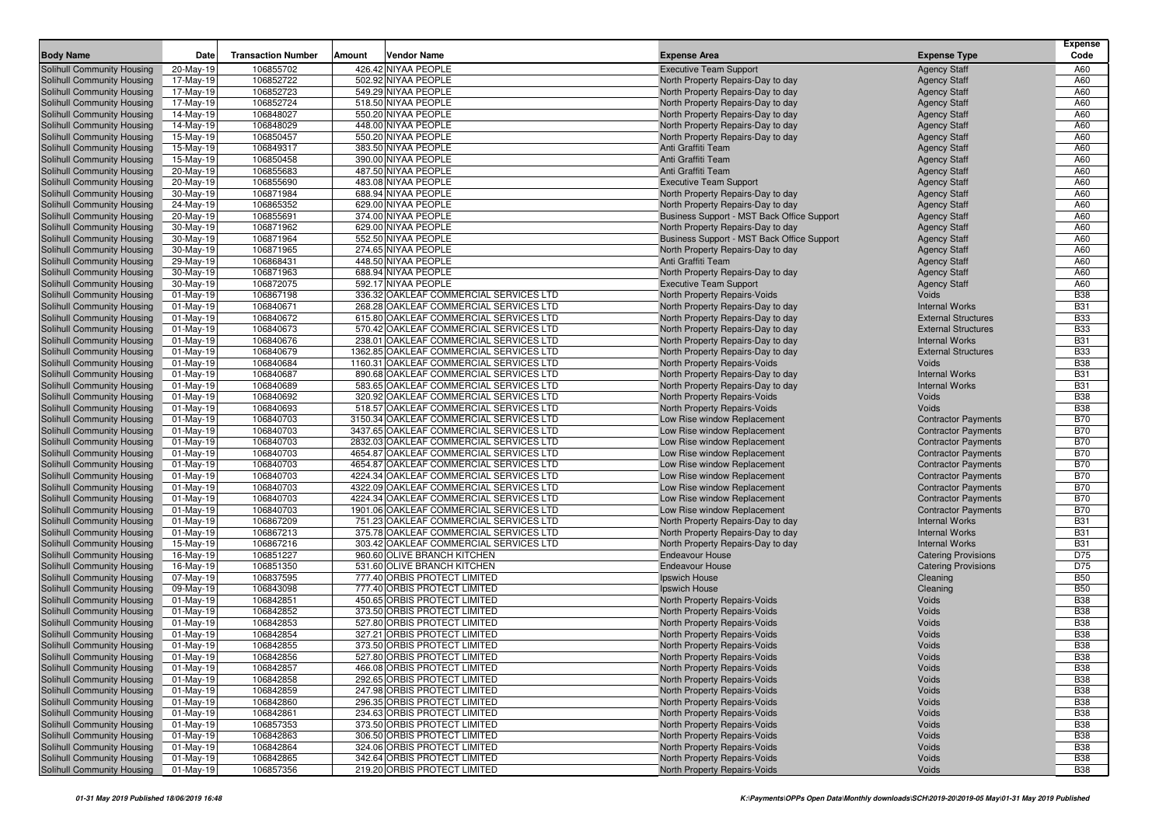| <b>Body Name</b>                                         | Date                        | <b>Transaction Number</b> | Vendor Name<br>Amount                                                            | <b>Expense Area</b>                                                        | <b>Expense Type</b>            | <b>Expense</b><br>Code   |
|----------------------------------------------------------|-----------------------------|---------------------------|----------------------------------------------------------------------------------|----------------------------------------------------------------------------|--------------------------------|--------------------------|
| Solihull Community Housing                               | 20-May-19                   | 106855702                 | 426.42 NIYAA PEOPLE                                                              | <b>Executive Team Support</b>                                              | <b>Agency Staff</b>            | A60                      |
| Solihull Community Housing                               | 17-May-19                   | 106852722                 | 502.92 NIYAA PEOPLE                                                              | North Property Repairs-Day to day                                          | <b>Agency Staff</b>            | A60                      |
| Solihull Community Housing                               | 17-May-19                   | 106852723                 | 549.29 NIYAA PEOPLE                                                              | North Property Repairs-Day to day                                          | <b>Agency Staff</b>            | A60                      |
| Solihull Community Housing                               | 17-May-19                   | 106852724                 | 518.50 NIYAA PEOPLE                                                              | North Property Repairs-Day to day                                          | <b>Agency Staff</b>            | A60                      |
| Solihull Community Housing                               | 14-May-19                   | 106848027                 | 550.20 NIYAA PEOPLE                                                              | North Property Repairs-Day to day                                          | <b>Agency Staff</b>            | A60                      |
| Solihull Community Housing                               | 14-May-19                   | 106848029                 | 448.00 NIYAA PEOPLE                                                              | North Property Repairs-Day to day                                          | <b>Agency Staff</b>            | A60                      |
| Solihull Community Housing                               | 15-May-19                   | 106850457                 | 550.20 NIYAA PEOPLE                                                              | North Property Repairs-Day to day                                          | <b>Agency Staff</b>            | A60                      |
| Solihull Community Housing                               | 15-May-19                   | 106849317                 | 383.50 NIYAA PEOPLE                                                              | Anti Graffiti Team                                                         | <b>Agency Staff</b>            | A60                      |
| Solihull Community Housing                               | 15-May-19                   | 106850458                 | 390.00 NIYAA PEOPLE                                                              | Anti Graffiti Team                                                         | <b>Agency Staff</b>            | A60                      |
| Solihull Community Housing                               | 20-May-19                   | 106855683                 | 487.50 NIYAA PEOPLE                                                              | Anti Graffiti Team                                                         | <b>Agency Staff</b>            | A60                      |
| Solihull Community Housing                               | 20-May-19                   | 106855690                 | 483.08 NIYAA PEOPLE                                                              | <b>Executive Team Support</b>                                              | <b>Agency Staff</b>            | A60                      |
| Solihull Community Housing                               | 30-May-19                   | 106871984                 | 688.94 NIYAA PEOPLE                                                              | North Property Repairs-Day to day                                          | <b>Agency Staff</b>            | A60                      |
| Solihull Community Housing                               | 24-May-19                   | 106865352                 | 629.00 NIYAA PEOPLE                                                              | North Property Repairs-Day to day                                          | <b>Agency Staff</b>            | A60                      |
| Solihull Community Housing                               | 20-May-19                   | 106855691                 | 374.00 NIYAA PEOPLE                                                              | Business Support - MST Back Office Support                                 | <b>Agency Staff</b>            | A60                      |
| Solihull Community Housing                               | 30-May-19                   | 106871962                 | 629.00 NIYAA PEOPLE                                                              | North Property Repairs-Day to day                                          | <b>Agency Staff</b>            | A60                      |
| Solihull Community Housing                               | 30-May-19                   | 106871964                 | 552.50 NIYAA PEOPLE                                                              | Business Support - MST Back Office Support                                 | <b>Agency Staff</b>            | A60                      |
| Solihull Community Housing                               | 30-May-19                   | 106871965                 | 274.65 NIYAA PEOPLE                                                              | North Property Repairs-Day to day                                          | <b>Agency Staff</b>            | A60                      |
| Solihull Community Housing                               | 29-May-19                   | 106868431                 | 448.50 NIYAA PEOPLE                                                              | Anti Graffiti Team                                                         | <b>Agency Staff</b>            | A60                      |
| Solihull Community Housing                               | 30-May-19                   | 106871963                 | 688.94 NIYAA PEOPLE                                                              | North Property Repairs-Day to day                                          | <b>Agency Staff</b>            | A60                      |
| Solihull Community Housing                               | 30-May-19                   | 106872075                 | 592.17 NIYAA PEOPLE                                                              | <b>Executive Team Support</b>                                              | <b>Agency Staff</b>            | A60                      |
| Solihull Community Housing                               | $01-May-19$                 | 106867198                 | 336.32 OAKLEAF COMMERCIAL SERVICES LTD                                           | <b>North Property Repairs-Voids</b>                                        | Voids                          | <b>B38</b>               |
| Solihull Community Housing                               | $01$ -May-19                | 106840671                 | 268.28 OAKLEAF COMMERCIAL SERVICES LTD                                           | North Property Repairs-Day to day                                          | <b>Internal Works</b>          | <b>B31</b>               |
| Solihull Community Housing                               | $01-May-19$                 | 106840672                 | 615.80 OAKLEAF COMMERCIAL SERVICES LTD                                           | North Property Repairs-Day to day                                          | <b>External Structures</b>     | <b>B33</b>               |
| Solihull Community Housing                               | $01$ -May-19                | 106840673                 | 570.42 OAKLEAF COMMERCIAL SERVICES LTD                                           | North Property Repairs-Day to day                                          | <b>External Structures</b>     | <b>B33</b>               |
| Solihull Community Housing                               | $01$ -May-19                | 106840676                 | 238.01 OAKLEAF COMMERCIAL SERVICES LTD                                           | North Property Repairs-Day to day                                          | <b>Internal Works</b>          | <b>B31</b>               |
| Solihull Community Housing                               | $01-May-19$                 | 106840679                 | 1362.85 OAKLEAF COMMERCIAL SERVICES LTD                                          | North Property Repairs-Day to day                                          | <b>External Structures</b>     | <b>B33</b>               |
| Solihull Community Housing                               | $01-May-19$                 | 106840684                 | 1160.31 OAKLEAF COMMERCIAL SERVICES LTD                                          | <b>North Property Repairs-Voids</b>                                        | Voids<br><b>Internal Works</b> | <b>B38</b><br><b>B31</b> |
| Solihull Community Housing                               | $01$ -May-19                | 106840687<br>106840689    | 890.68 OAKLEAF COMMERCIAL SERVICES LTD<br>583.65 OAKLEAF COMMERCIAL SERVICES LTD | North Property Repairs-Day to day                                          | <b>Internal Works</b>          | <b>B31</b>               |
| Solihull Community Housing                               | $01-May-19$                 |                           | 320.92 OAKLEAF COMMERCIAL SERVICES LTD                                           | North Property Repairs-Day to day                                          | Voids                          | <b>B38</b>               |
| Solihull Community Housing<br>Solihull Community Housing | $01-May-19$<br>$01$ -May-19 | 106840692<br>106840693    | 518.57 OAKLEAF COMMERCIAL SERVICES LTD                                           | <b>North Property Repairs-Voids</b><br><b>North Property Repairs-Voids</b> | Voids                          | <b>B38</b>               |
| Solihull Community Housing                               | $01-May-19$                 | 106840703                 | 3150.34 OAKLEAF COMMERCIAL SERVICES LTD                                          | Low Rise window Replacement                                                | <b>Contractor Payments</b>     | <b>B70</b>               |
| Solihull Community Housing                               | $01$ -May-19                | 106840703                 | 3437.65 OAKLEAF COMMERCIAL SERVICES LTD                                          | Low Rise window Replacement                                                | <b>Contractor Payments</b>     | <b>B70</b>               |
| Solihull Community Housing                               | $01-May-19$                 | 106840703                 | 2832.03 OAKLEAF COMMERCIAL SERVICES LTD                                          | Low Rise window Replacement                                                | <b>Contractor Payments</b>     | <b>B70</b>               |
| Solihull Community Housing                               | $01$ -May-19                | 106840703                 | 4654.87 OAKLEAF COMMERCIAL SERVICES LTD                                          | Low Rise window Replacement                                                | <b>Contractor Payments</b>     | <b>B70</b>               |
| Solihull Community Housing                               | $01$ -May-19                | 106840703                 | 4654.87 OAKLEAF COMMERCIAL SERVICES LTD                                          | Low Rise window Replacement                                                | <b>Contractor Payments</b>     | <b>B70</b>               |
| Solihull Community Housing                               | $01-May-19$                 | 106840703                 | 4224.34 OAKLEAF COMMERCIAL SERVICES LTD                                          | Low Rise window Replacement                                                | <b>Contractor Payments</b>     | <b>B70</b>               |
| Solihull Community Housing                               | 01-May-19                   | 106840703                 | 4322.09 OAKLEAF COMMERCIAL SERVICES LTD                                          | Low Rise window Replacement                                                | <b>Contractor Payments</b>     | <b>B70</b>               |
| Solihull Community Housing                               | $01$ -May-19                | 106840703                 | 4224.34 OAKLEAF COMMERCIAL SERVICES LTD                                          | Low Rise window Replacement                                                | <b>Contractor Payments</b>     | <b>B70</b>               |
| Solihull Community Housing                               | $01$ -May-19                | 106840703                 | 1901.06 OAKLEAF COMMERCIAL SERVICES LTD                                          | Low Rise window Replacement                                                | <b>Contractor Payments</b>     | <b>B70</b>               |
| Solihull Community Housing                               | 01-May-19                   | 106867209                 | 751.23 OAKLEAF COMMERCIAL SERVICES LTD                                           | North Property Repairs-Day to day                                          | <b>Internal Works</b>          | <b>B31</b>               |
| Solihull Community Housing                               | $01$ -May-19                | 106867213                 | 375.78 OAKLEAF COMMERCIAL SERVICES LTD                                           | North Property Repairs-Day to day                                          | <b>Internal Works</b>          | <b>B31</b>               |
| Solihull Community Housing                               | 15-May-19                   | 106867216                 | 303.42 OAKLEAF COMMERCIAL SERVICES LTD                                           | North Property Repairs-Day to day                                          | <b>Internal Works</b>          | <b>B31</b>               |
| Solihull Community Housing                               | 16-May-19                   | 106851227                 | 960.60 OLIVE BRANCH KITCHEN                                                      | <b>Endeavour House</b>                                                     | <b>Catering Provisions</b>     | D75                      |
| Solihull Community Housing                               | 16-May-19                   | 106851350                 | 531.60 OLIVE BRANCH KITCHEN                                                      | <b>Endeavour House</b>                                                     | <b>Catering Provisions</b>     | D75                      |
| Solihull Community Housing                               | 07-May-19                   | 106837595                 | 777.40 ORBIS PROTECT LIMITED                                                     | Ipswich House                                                              | Cleaning                       | <b>B50</b>               |
| Solihull Community Housing                               | 09-May-19                   | 106843098                 | 777.40 ORBIS PROTECT LIMITED                                                     | Ipswich House                                                              | Cleaning                       | <b>B50</b>               |
| Solihull Community Housing                               | $01-May-19$                 | 106842851                 | 450.65 ORBIS PROTECT LIMITED                                                     | North Property Repairs-Voids                                               | Voids                          | <b>B38</b>               |
| Solihull Community Housing                               | $01$ -May-19                | 106842852                 | 373.50 ORBIS PROTECT LIMITED                                                     | <b>North Property Repairs-Voids</b>                                        | Voids                          | <b>B38</b>               |
| Solihull Community Housing                               | $01-May-19$                 | 106842853                 | 527.80 ORBIS PROTECT LIMITED                                                     | North Property Repairs-Voids                                               | Voids                          | <b>B38</b>               |
| Solihull Community Housing                               | $01$ -May-19                | 106842854                 | 327.21 ORBIS PROTECT LIMITED                                                     | North Property Repairs-Voids                                               | Voids                          | <b>B38</b>               |
| Solihull Community Housing                               | $01$ -May-19                | 106842855                 | 373.50 ORBIS PROTECT LIMITED                                                     | <b>North Property Repairs-Voids</b>                                        | Voids                          | <b>B38</b>               |
| Solihull Community Housing                               | $\boxed{01}$ -May-19        | 106842856                 | 527.80 ORBIS PROTECT LIMITED                                                     | North Property Repairs-Voids                                               | Voids                          | <b>B38</b>               |
| Solihull Community Housing                               | $01-May-19$                 | 106842857                 | 466.08 ORBIS PROTECT LIMITED                                                     | North Property Repairs-Voids                                               | Voids                          | <b>B38</b>               |
| Solihull Community Housing                               | 01-May-19                   | 106842858                 | 292.65 ORBIS PROTECT LIMITED                                                     | North Property Repairs-Voids                                               | Voids                          | <b>B38</b>               |
| Solihull Community Housing                               | 01-May-19                   | 106842859                 | 247.98 ORBIS PROTECT LIMITED                                                     | <b>North Property Repairs-Voids</b>                                        | Voids                          | <b>B38</b>               |
| Solihull Community Housing                               | 01-May-19                   | 106842860                 | 296.35 ORBIS PROTECT LIMITED                                                     | North Property Repairs-Voids                                               | Voids                          | <b>B38</b>               |
| Solihull Community Housing                               | 01-May-19                   | 106842861                 | 234.63 ORBIS PROTECT LIMITED                                                     | North Property Repairs-Voids                                               | Voids                          | <b>B38</b>               |
| Solihull Community Housing                               | 01-May-19                   | 106857353                 | 373.50 ORBIS PROTECT LIMITED                                                     | North Property Repairs-Voids                                               | Voids                          | <b>B38</b>               |
| Solihull Community Housing                               | 01-May-19                   | 106842863                 | 306.50 ORBIS PROTECT LIMITED                                                     | North Property Repairs-Voids                                               | Voids                          | <b>B38</b>               |
| Solihull Community Housing                               | 01-May-19                   | 106842864                 | 324.06 ORBIS PROTECT LIMITED                                                     | North Property Repairs-Voids                                               | Voids                          | <b>B38</b>               |
| Solihull Community Housing                               | 01-May-19                   | 106842865                 | 342.64 ORBIS PROTECT LIMITED                                                     | North Property Repairs-Voids                                               | Voids                          | <b>B38</b>               |
| Solihull Community Housing                               | 01-May-19                   | 106857356                 | 219.20 ORBIS PROTECT LIMITED                                                     | North Property Repairs-Voids                                               | Voids                          | <b>B38</b>               |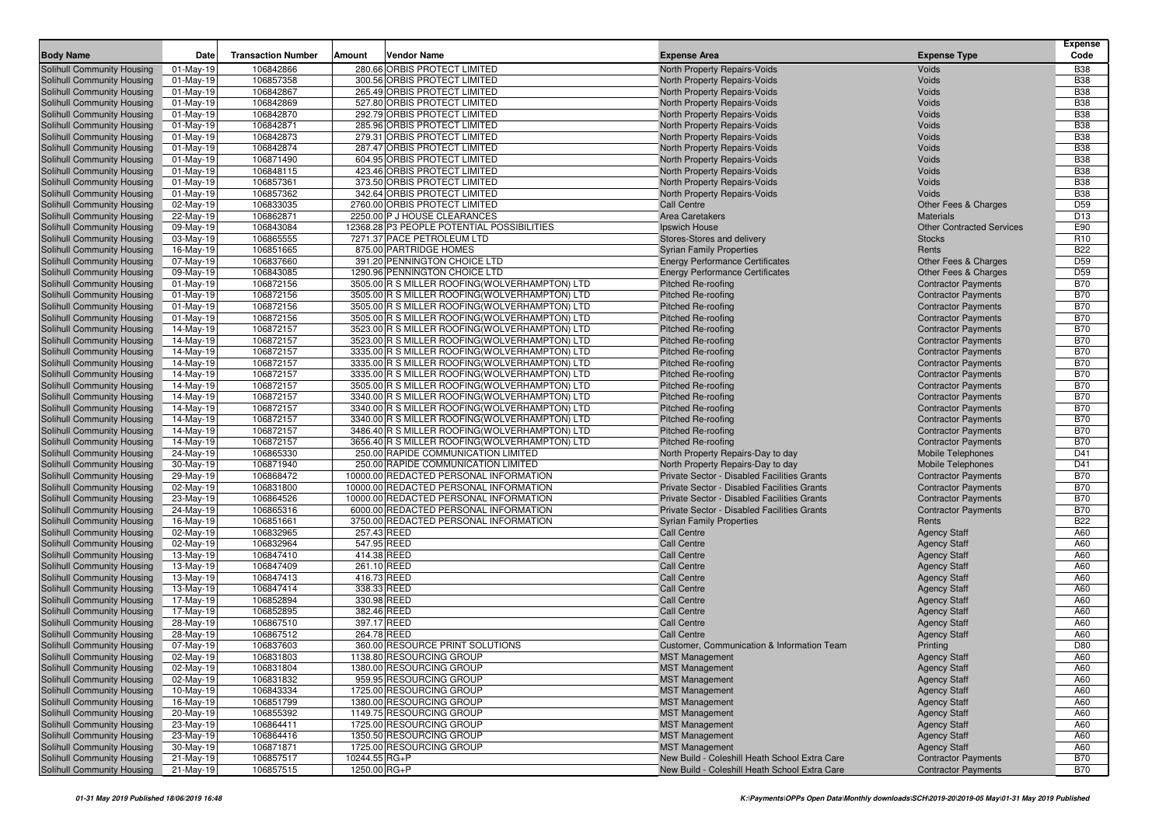| 280.66 ORBIS PROTECT LIMITED<br>106842866<br><b>B38</b><br>Solihull Community Housing<br>01-May-19<br>North Property Repairs-Voids<br>Voids<br>106857358<br>300.56 ORBIS PROTECT LIMITED<br><b>B38</b><br>Solihull Community Housing<br>$01-May-19$<br>North Property Repairs-Voids<br>Voids<br><b>B38</b><br>106842867<br>265.49 ORBIS PROTECT LIMITED<br>Voids<br>Solihull Community Housing<br>01-May-19<br>North Property Repairs-Voids<br>106842869<br>527.80 ORBIS PROTECT LIMITED<br>Voids<br><b>B38</b><br>Solihull Community Housing<br>01-May-19<br>North Property Repairs-Voids<br><b>B38</b><br>106842870<br>292.79 ORBIS PROTECT LIMITED<br>North Property Repairs-Voids<br>Solihull Community Housing<br>01-May-19<br>Voids<br><b>B38</b><br>Solihull Community Housing<br>01-May-19<br>106842871<br>285.96 ORBIS PROTECT LIMITED<br>North Property Repairs-Voids<br>Voids<br>106842873<br>279.31 ORBIS PROTECT LIMITED<br>Voids<br><b>B38</b><br>Solihull Community Housing<br>01-May-19<br>North Property Repairs-Voids<br><b>B38</b><br>287.47 ORBIS PROTECT LIMITED<br>Solihull Community Housing<br>01-May-19<br>106842874<br>North Property Repairs-Voids<br>Voids<br>106871490<br>604.95 ORBIS PROTECT LIMITED<br><b>B38</b><br>Solihull Community Housing<br>01-May-19<br>North Property Repairs-Voids<br>Voids<br><b>B38</b><br>423.46 ORBIS PROTECT LIMITED<br>Voids<br>01-May-19<br>106848115<br>North Property Repairs-Voids<br>106857361<br>373.50 ORBIS PROTECT LIMITED<br><b>B38</b><br>$01-May-19$<br>North Property Repairs-Voids<br>Voids<br><b>B38</b><br>106857362<br>342.64 ORBIS PROTECT LIMITED<br>01-May-19<br>North Property Repairs-Voids<br>Voids<br>02-May-19<br>106833035<br>2760.00 ORBIS PROTECT LIMITED<br>D <sub>59</sub><br><b>Call Centre</b><br>Other Fees & Charges<br>D <sub>13</sub><br>22-May-19<br>106862871<br>2250.00 P J HOUSE CLEARANCES<br>Area Caretakers<br><b>Materials</b><br>E90<br>106843084<br>12368.28 P3 PEOPLE POTENTIAL POSSIBILITIES<br>09-May-19<br>Ipswich House<br><b>Other Contracted Services</b><br>106865555<br>7271.37 PACE PETROLEUM LTD<br>R <sub>10</sub><br>03-May-19<br>Stores-Stores and delivery<br><b>Stocks</b><br><b>B22</b><br>106851665<br>875.00 PARTRIDGE HOMES<br>16-May-19<br><b>Syrian Family Properties</b><br>Rents<br>106837660<br>391.20 PENNINGTON CHOICE LTD<br><b>Energy Performance Certificates</b><br>D <sub>59</sub><br>07-May-19<br>Other Fees & Charges<br>106843085<br>1290.96 PENNINGTON CHOICE LTD<br>D <sub>59</sub><br>Solihull Community Housing<br>09-May-19<br><b>Energy Performance Certificates</b><br>Other Fees & Charges<br>106872156<br>3505.00 R S MILLER ROOFING (WOLVERHAMPTON) LTD<br><b>B70</b><br>Solihull Community Housing<br>$01-May-19$<br>Pitched Re-roofing<br><b>Contractor Payments</b><br><b>B70</b><br>106872156<br>Solihull Community Housing<br>01-May-19<br>3505.00 R S MILLER ROOFING (WOLVERHAMPTON) LTD<br><b>Pitched Re-roofing</b><br><b>Contractor Payments</b><br>106872156<br>3505.00 R S MILLER ROOFING(WOLVERHAMPTON) LTD<br><b>B70</b><br>Solihull Community Housing<br>01-May-19<br><b>Pitched Re-roofing</b><br><b>Contractor Payments</b><br>106872156<br><b>B70</b><br>Solihull Community Housing<br>01-May-19<br>3505.00 R S MILLER ROOFING (WOLVERHAMPTON) LTD<br><b>Pitched Re-roofing</b><br><b>Contractor Payments</b><br><b>B70</b><br>106872157<br>Solihull Community Housing<br>14-May-19<br>3523.00 R S MILLER ROOFING (WOLVERHAMPTON) LTD<br><b>Pitched Re-roofing</b><br><b>Contractor Payments</b><br><b>B70</b><br>106872157<br>3523.00 R S MILLER ROOFING (WOLVERHAMPTON) LTD<br>Solihull Community Housing<br>14-May-19<br><b>Pitched Re-roofing</b><br><b>Contractor Payments</b><br>106872157<br>3335.00 R S MILLER ROOFING(WOLVERHAMPTON) LTD<br><b>B70</b><br>Solihull Community Housing<br>14-May-19<br><b>Pitched Re-roofing</b><br><b>Contractor Payments</b><br>106872157<br>3335.00 R S MILLER ROOFING(WOLVERHAMPTON) LTD<br><b>B70</b><br>Solihull Community Housing<br>14-May-19<br><b>Pitched Re-roofing</b><br><b>Contractor Payments</b><br><b>B70</b><br>106872157<br>Solihull Community Housing<br>14-May-19<br>3335.00 R S MILLER ROOFING (WOLVERHAMPTON) LTD<br><b>Pitched Re-roofing</b><br><b>Contractor Payments</b><br>106872157<br>3505.00 R S MILLER ROOFING(WOLVERHAMPTON) LTD<br><b>B70</b><br>Solihull Community Housing<br>14-May-19<br><b>Pitched Re-roofing</b><br><b>Contractor Payments</b><br>3340.00 R S MILLER ROOFING (WOLVERHAMPTON) LTD<br><b>B70</b><br>Solihull Community Housing<br>14-May-19<br>106872157<br><b>Pitched Re-roofing</b><br><b>Contractor Payments</b><br><b>B70</b><br>Solihull Community Housing<br>14-May-19<br>106872157<br>3340.00 R S MILLER ROOFING (WOLVERHAMPTON) LTD<br><b>Pitched Re-roofing</b><br><b>Contractor Payments</b><br>106872157<br>3340.00 R S MILLER ROOFING (WOLVERHAMPTON) LTD<br><b>B70</b><br>Solihull Community Housing<br>14-May-19<br><b>Pitched Re-roofing</b><br><b>Contractor Payments</b><br><b>B70</b><br>Solihull Community Housing<br>14-May-19<br>106872157<br>3486.40 R S MILLER ROOFING (WOLVERHAMPTON) LTD<br><b>Pitched Re-roofing</b><br><b>Contractor Payments</b><br>106872157<br>3656.40 R S MILLER ROOFING(WOLVERHAMPTON) LTD<br><b>B70</b><br>Solihull Community Housing<br>14-May-19<br><b>Pitched Re-roofing</b><br><b>Contractor Payments</b><br>106865330<br>250.00 RAPIDE COMMUNICATION LIMITED<br>D41<br>Solihull Community Housing<br>24-May-19<br>North Property Repairs-Day to day<br><b>Mobile Telephones</b><br>250.00 RAPIDE COMMUNICATION LIMITED<br>D41<br>30-May-19<br>106871940<br>North Property Repairs-Day to day<br>Mobile Telephones<br><b>B70</b><br>106868472<br>10000.00 REDACTED PERSONAL INFORMATION<br>29-May-19<br>Private Sector - Disabled Facilities Grants<br><b>Contractor Payments</b><br>106831800<br>10000.00 REDACTED PERSONAL INFORMATION<br>Private Sector - Disabled Facilities Grants<br><b>B70</b><br>02-May-19<br><b>Contractor Payments</b><br><b>B70</b><br>10000.00 REDACTED PERSONAL INFORMATION<br>Private Sector - Disabled Facilities Grants<br>23-May-19<br>106864526<br><b>Contractor Payments</b><br><b>B70</b><br>24-May-19<br>106865316<br>6000.00 REDACTED PERSONAL INFORMATION<br>Private Sector - Disabled Facilities Grants<br><b>Contractor Payments</b><br>16-May-19<br>106851661<br>3750.00 REDACTED PERSONAL INFORMATION<br><b>B22</b><br><b>Syrian Family Properties</b><br>Rents<br>A60<br>106832965<br>257.43 REED<br>02-May-19<br><b>Call Centre</b><br><b>Agency Staff</b><br>106832964<br>547.95 REED<br><b>Agency Staff</b><br>A60<br>02-May-19<br><b>Call Centre</b><br>414.38 REED<br>A60<br>Solihull Community Housing<br>13-May-19<br>106847410<br><b>Call Centre</b><br><b>Agency Staff</b><br>106847409<br>261.10 REED<br>A60<br>Solihull Community Housing<br>13-May-19<br><b>Call Centre</b><br><b>Agency Staff</b><br>A60<br>106847413<br>416.73 REED<br>Solihull Community Housing<br>13-May-19<br><b>Call Centre</b><br><b>Agency Staff</b><br>338.33 REED<br><b>Agency Staff</b><br>A60<br>Solihull Community Housing<br>13-May-19<br>106847414<br><b>Call Centre</b><br>106852894<br>330.98 REED<br>A60<br>Solihull Community Housing<br>17-May-19<br><b>Call Centre</b><br><b>Agency Staff</b><br>A60<br>382.46 REED<br>Solihull Community Housing<br>17-May-19<br>106852895<br><b>Call Centre</b><br><b>Agency Staff</b><br>106867510<br>397.17 REED<br>A60<br>Solihull Community Housing<br>28-May-19<br><b>Call Centre</b><br><b>Agency Staff</b><br>106867512<br>264.78 REED<br>A60<br>Solihull Community Housing<br>28-May-19<br><b>Call Centre</b><br><b>Agency Staff</b><br>360.00 RESOURCE PRINT SOLUTIONS<br>Solihull Community Housing<br>07-May-19<br>106837603<br>D80<br><b>Customer, Communication &amp; Information Team</b><br>Printing<br>Solihull Community Housing<br>1138.80 RESOURCING GROUP<br>A60<br>02-May-19<br>106831803<br><b>MST Management</b><br><b>Agency Staff</b><br><b>Solihull Community Housing</b><br><b>Agency Staff</b><br>A60<br>02-May-19<br>106831804<br>1380.00 RESOURCING GROUP<br><b>MST Management</b><br>959.95 RESOURCING GROUP<br>Solihull Community Housing<br>02-May-19<br>106831832<br><b>MST Management</b><br><b>Agency Staff</b><br>A60<br>Solihull Community Housing<br>10-May-19<br>106843334<br>1725.00 RESOURCING GROUP<br><b>MST Management</b><br><b>Agency Staff</b><br>A60<br>Solihull Community Housing<br>106851799<br>1380.00 RESOURCING GROUP<br><b>MST Management</b><br><b>Agency Staff</b><br>A60<br>16-May-19<br>106855392<br>Solihull Community Housing<br>1149.75 RESOURCING GROUP<br><b>MST Management</b><br><b>Agency Staff</b><br>A60<br>20-May-19<br>Solihull Community Housing<br>23-May-19<br>106864411<br>1725.00 RESOURCING GROUP<br><b>MST Management</b><br><b>Agency Staff</b><br>A60<br>Solihull Community Housing<br>23-May-19<br>106864416<br>1350.50 RESOURCING GROUP<br><b>MST Management</b><br><b>Agency Staff</b><br>A60<br>Solihull Community Housing<br>106871871<br>1725.00 RESOURCING GROUP<br><b>MST Management</b><br><b>Agency Staff</b><br>A60<br>30-May-19<br>106857517<br>10244.55 RG+P<br>Solihull Community Housing<br>21-May-19<br>New Build - Coleshill Heath School Extra Care<br><b>Contractor Payments</b><br><b>B70</b><br>1250.00 RG+P<br>Solihull Community Housing<br>21-May-19<br>106857515<br>New Build - Coleshill Heath School Extra Care<br><b>Contractor Payments</b><br><b>B70</b> | <b>Body Name</b>           | Date | <b>Transaction Number</b> | Amount | <b>Vendor Name</b> | <b>Expense Area</b> | <b>Expense Type</b> | <b>Expense</b><br>Code |
|--------------------------------------------------------------------------------------------------------------------------------------------------------------------------------------------------------------------------------------------------------------------------------------------------------------------------------------------------------------------------------------------------------------------------------------------------------------------------------------------------------------------------------------------------------------------------------------------------------------------------------------------------------------------------------------------------------------------------------------------------------------------------------------------------------------------------------------------------------------------------------------------------------------------------------------------------------------------------------------------------------------------------------------------------------------------------------------------------------------------------------------------------------------------------------------------------------------------------------------------------------------------------------------------------------------------------------------------------------------------------------------------------------------------------------------------------------------------------------------------------------------------------------------------------------------------------------------------------------------------------------------------------------------------------------------------------------------------------------------------------------------------------------------------------------------------------------------------------------------------------------------------------------------------------------------------------------------------------------------------------------------------------------------------------------------------------------------------------------------------------------------------------------------------------------------------------------------------------------------------------------------------------------------------------------------------------------------------------------------------------------------------------------------------------------------------------------------------------------------------------------------------------------------------------------------------------------------------------------------------------------------------------------------------------------------------------------------------------------------------------------------------------------------------------------------------------------------------------------------------------------------------------------------------------------------------------------------------------------------------------------------------------------------------------------------------------------------------------------------------------------------------------------------------------------------------------------------------------------------------------------------------------------------------------------------------------------------------------------------------------------------------------------------------------------------------------------------------------------------------------------------------------------------------------------------------------------------------------------------------------------------------------------------------------------------------------------------------------------------------------------------------------------------------------------------------------------------------------------------------------------------------------------------------------------------------------------------------------------------------------------------------------------------------------------------------------------------------------------------------------------------------------------------------------------------------------------------------------------------------------------------------------------------------------------------------------------------------------------------------------------------------------------------------------------------------------------------------------------------------------------------------------------------------------------------------------------------------------------------------------------------------------------------------------------------------------------------------------------------------------------------------------------------------------------------------------------------------------------------------------------------------------------------------------------------------------------------------------------------------------------------------------------------------------------------------------------------------------------------------------------------------------------------------------------------------------------------------------------------------------------------------------------------------------------------------------------------------------------------------------------------------------------------------------------------------------------------------------------------------------------------------------------------------------------------------------------------------------------------------------------------------------------------------------------------------------------------------------------------------------------------------------------------------------------------------------------------------------------------------------------------------------------------------------------------------------------------------------------------------------------------------------------------------------------------------------------------------------------------------------------------------------------------------------------------------------------------------------------------------------------------------------------------------------------------------------------------------------------------------------------------------------------------------------------------------------------------------------------------------------------------------------------------------------------------------------------------------------------------------------------------------------------------------------------------------------------------------------------------------------------------------------------------------------------------------------------------------------------------------------------------------------------------------------------------------------------------------------------------------------------------------------------------------------------------------------------------------------------------------------------------------------------------------------------------------------------------------------------------------------------------------------------------------------------------------------------------------------------------------------------------------------------------------------------------------------------------------------------------------------------------------------------------------------------------------------------------------------------------------------------------------------------------------------------------------------------------------------------------------------------------------------------------------------------------------------------------------------------------------------------------------------------------------------------------------------------------------------------------------------------------------------------------------------------------------------------------------------------------------------------------------------------------------------------------------------------------------------------------------------------------------------------------------------------------------------------------------------------------------------------------------------------------------------------------------------------------------------------------------------------------------------------------------------------------------------------------------------------------------------------------------------------------------------------------------------------------------------------------------------------------------------------------------------------------------------------------------------------------------------------------------------------------------------------------------------------------------------------------------------------------------------------------------------------------------------------------------------------------------------------------------------------------------------------------------------------------------------------------------------------------------------------------------------------------------------------------------------------------------------------------------------------------------------------------------------------------------------------------------------------------------------------------------------------------------------------------|----------------------------|------|---------------------------|--------|--------------------|---------------------|---------------------|------------------------|
|                                                                                                                                                                                                                                                                                                                                                                                                                                                                                                                                                                                                                                                                                                                                                                                                                                                                                                                                                                                                                                                                                                                                                                                                                                                                                                                                                                                                                                                                                                                                                                                                                                                                                                                                                                                                                                                                                                                                                                                                                                                                                                                                                                                                                                                                                                                                                                                                                                                                                                                                                                                                                                                                                                                                                                                                                                                                                                                                                                                                                                                                                                                                                                                                                                                                                                                                                                                                                                                                                                                                                                                                                                                                                                                                                                                                                                                                                                                                                                                                                                                                                                                                                                                                                                                                                                                                                                                                                                                                                                                                                                                                                                                                                                                                                                                                                                                                                                                                                                                                                                                                                                                                                                                                                                                                                                                                                                                                                                                                                                                                                                                                                                                                                                                                                                                                                                                                                                                                                                                                                                                                                                                                                                                                                                                                                                                                                                                                                                                                                                                                                                                                                                                                                                                                                                                                                                                                                                                                                                                                                                                                                                                                                                                                                                                                                                                                                                                                                                                                                                                                                                                                                                                                                                                                                                                                                                                                                                                                                                                                                                                                                                                                                                                                                                                                                                                                                                                                                                                                                                                                                                                                                                                                                                                                                                                                                                                                                                                                                                                                                                                                                                                                                                                                                                                                                                                                                                                                                                                                                                                                                                                      |                            |      |                           |        |                    |                     |                     |                        |
|                                                                                                                                                                                                                                                                                                                                                                                                                                                                                                                                                                                                                                                                                                                                                                                                                                                                                                                                                                                                                                                                                                                                                                                                                                                                                                                                                                                                                                                                                                                                                                                                                                                                                                                                                                                                                                                                                                                                                                                                                                                                                                                                                                                                                                                                                                                                                                                                                                                                                                                                                                                                                                                                                                                                                                                                                                                                                                                                                                                                                                                                                                                                                                                                                                                                                                                                                                                                                                                                                                                                                                                                                                                                                                                                                                                                                                                                                                                                                                                                                                                                                                                                                                                                                                                                                                                                                                                                                                                                                                                                                                                                                                                                                                                                                                                                                                                                                                                                                                                                                                                                                                                                                                                                                                                                                                                                                                                                                                                                                                                                                                                                                                                                                                                                                                                                                                                                                                                                                                                                                                                                                                                                                                                                                                                                                                                                                                                                                                                                                                                                                                                                                                                                                                                                                                                                                                                                                                                                                                                                                                                                                                                                                                                                                                                                                                                                                                                                                                                                                                                                                                                                                                                                                                                                                                                                                                                                                                                                                                                                                                                                                                                                                                                                                                                                                                                                                                                                                                                                                                                                                                                                                                                                                                                                                                                                                                                                                                                                                                                                                                                                                                                                                                                                                                                                                                                                                                                                                                                                                                                                                                                      |                            |      |                           |        |                    |                     |                     |                        |
|                                                                                                                                                                                                                                                                                                                                                                                                                                                                                                                                                                                                                                                                                                                                                                                                                                                                                                                                                                                                                                                                                                                                                                                                                                                                                                                                                                                                                                                                                                                                                                                                                                                                                                                                                                                                                                                                                                                                                                                                                                                                                                                                                                                                                                                                                                                                                                                                                                                                                                                                                                                                                                                                                                                                                                                                                                                                                                                                                                                                                                                                                                                                                                                                                                                                                                                                                                                                                                                                                                                                                                                                                                                                                                                                                                                                                                                                                                                                                                                                                                                                                                                                                                                                                                                                                                                                                                                                                                                                                                                                                                                                                                                                                                                                                                                                                                                                                                                                                                                                                                                                                                                                                                                                                                                                                                                                                                                                                                                                                                                                                                                                                                                                                                                                                                                                                                                                                                                                                                                                                                                                                                                                                                                                                                                                                                                                                                                                                                                                                                                                                                                                                                                                                                                                                                                                                                                                                                                                                                                                                                                                                                                                                                                                                                                                                                                                                                                                                                                                                                                                                                                                                                                                                                                                                                                                                                                                                                                                                                                                                                                                                                                                                                                                                                                                                                                                                                                                                                                                                                                                                                                                                                                                                                                                                                                                                                                                                                                                                                                                                                                                                                                                                                                                                                                                                                                                                                                                                                                                                                                                                                                      |                            |      |                           |        |                    |                     |                     |                        |
|                                                                                                                                                                                                                                                                                                                                                                                                                                                                                                                                                                                                                                                                                                                                                                                                                                                                                                                                                                                                                                                                                                                                                                                                                                                                                                                                                                                                                                                                                                                                                                                                                                                                                                                                                                                                                                                                                                                                                                                                                                                                                                                                                                                                                                                                                                                                                                                                                                                                                                                                                                                                                                                                                                                                                                                                                                                                                                                                                                                                                                                                                                                                                                                                                                                                                                                                                                                                                                                                                                                                                                                                                                                                                                                                                                                                                                                                                                                                                                                                                                                                                                                                                                                                                                                                                                                                                                                                                                                                                                                                                                                                                                                                                                                                                                                                                                                                                                                                                                                                                                                                                                                                                                                                                                                                                                                                                                                                                                                                                                                                                                                                                                                                                                                                                                                                                                                                                                                                                                                                                                                                                                                                                                                                                                                                                                                                                                                                                                                                                                                                                                                                                                                                                                                                                                                                                                                                                                                                                                                                                                                                                                                                                                                                                                                                                                                                                                                                                                                                                                                                                                                                                                                                                                                                                                                                                                                                                                                                                                                                                                                                                                                                                                                                                                                                                                                                                                                                                                                                                                                                                                                                                                                                                                                                                                                                                                                                                                                                                                                                                                                                                                                                                                                                                                                                                                                                                                                                                                                                                                                                                                                      |                            |      |                           |        |                    |                     |                     |                        |
|                                                                                                                                                                                                                                                                                                                                                                                                                                                                                                                                                                                                                                                                                                                                                                                                                                                                                                                                                                                                                                                                                                                                                                                                                                                                                                                                                                                                                                                                                                                                                                                                                                                                                                                                                                                                                                                                                                                                                                                                                                                                                                                                                                                                                                                                                                                                                                                                                                                                                                                                                                                                                                                                                                                                                                                                                                                                                                                                                                                                                                                                                                                                                                                                                                                                                                                                                                                                                                                                                                                                                                                                                                                                                                                                                                                                                                                                                                                                                                                                                                                                                                                                                                                                                                                                                                                                                                                                                                                                                                                                                                                                                                                                                                                                                                                                                                                                                                                                                                                                                                                                                                                                                                                                                                                                                                                                                                                                                                                                                                                                                                                                                                                                                                                                                                                                                                                                                                                                                                                                                                                                                                                                                                                                                                                                                                                                                                                                                                                                                                                                                                                                                                                                                                                                                                                                                                                                                                                                                                                                                                                                                                                                                                                                                                                                                                                                                                                                                                                                                                                                                                                                                                                                                                                                                                                                                                                                                                                                                                                                                                                                                                                                                                                                                                                                                                                                                                                                                                                                                                                                                                                                                                                                                                                                                                                                                                                                                                                                                                                                                                                                                                                                                                                                                                                                                                                                                                                                                                                                                                                                                                                      |                            |      |                           |        |                    |                     |                     |                        |
|                                                                                                                                                                                                                                                                                                                                                                                                                                                                                                                                                                                                                                                                                                                                                                                                                                                                                                                                                                                                                                                                                                                                                                                                                                                                                                                                                                                                                                                                                                                                                                                                                                                                                                                                                                                                                                                                                                                                                                                                                                                                                                                                                                                                                                                                                                                                                                                                                                                                                                                                                                                                                                                                                                                                                                                                                                                                                                                                                                                                                                                                                                                                                                                                                                                                                                                                                                                                                                                                                                                                                                                                                                                                                                                                                                                                                                                                                                                                                                                                                                                                                                                                                                                                                                                                                                                                                                                                                                                                                                                                                                                                                                                                                                                                                                                                                                                                                                                                                                                                                                                                                                                                                                                                                                                                                                                                                                                                                                                                                                                                                                                                                                                                                                                                                                                                                                                                                                                                                                                                                                                                                                                                                                                                                                                                                                                                                                                                                                                                                                                                                                                                                                                                                                                                                                                                                                                                                                                                                                                                                                                                                                                                                                                                                                                                                                                                                                                                                                                                                                                                                                                                                                                                                                                                                                                                                                                                                                                                                                                                                                                                                                                                                                                                                                                                                                                                                                                                                                                                                                                                                                                                                                                                                                                                                                                                                                                                                                                                                                                                                                                                                                                                                                                                                                                                                                                                                                                                                                                                                                                                                                                      |                            |      |                           |        |                    |                     |                     |                        |
|                                                                                                                                                                                                                                                                                                                                                                                                                                                                                                                                                                                                                                                                                                                                                                                                                                                                                                                                                                                                                                                                                                                                                                                                                                                                                                                                                                                                                                                                                                                                                                                                                                                                                                                                                                                                                                                                                                                                                                                                                                                                                                                                                                                                                                                                                                                                                                                                                                                                                                                                                                                                                                                                                                                                                                                                                                                                                                                                                                                                                                                                                                                                                                                                                                                                                                                                                                                                                                                                                                                                                                                                                                                                                                                                                                                                                                                                                                                                                                                                                                                                                                                                                                                                                                                                                                                                                                                                                                                                                                                                                                                                                                                                                                                                                                                                                                                                                                                                                                                                                                                                                                                                                                                                                                                                                                                                                                                                                                                                                                                                                                                                                                                                                                                                                                                                                                                                                                                                                                                                                                                                                                                                                                                                                                                                                                                                                                                                                                                                                                                                                                                                                                                                                                                                                                                                                                                                                                                                                                                                                                                                                                                                                                                                                                                                                                                                                                                                                                                                                                                                                                                                                                                                                                                                                                                                                                                                                                                                                                                                                                                                                                                                                                                                                                                                                                                                                                                                                                                                                                                                                                                                                                                                                                                                                                                                                                                                                                                                                                                                                                                                                                                                                                                                                                                                                                                                                                                                                                                                                                                                                                                      |                            |      |                           |        |                    |                     |                     |                        |
|                                                                                                                                                                                                                                                                                                                                                                                                                                                                                                                                                                                                                                                                                                                                                                                                                                                                                                                                                                                                                                                                                                                                                                                                                                                                                                                                                                                                                                                                                                                                                                                                                                                                                                                                                                                                                                                                                                                                                                                                                                                                                                                                                                                                                                                                                                                                                                                                                                                                                                                                                                                                                                                                                                                                                                                                                                                                                                                                                                                                                                                                                                                                                                                                                                                                                                                                                                                                                                                                                                                                                                                                                                                                                                                                                                                                                                                                                                                                                                                                                                                                                                                                                                                                                                                                                                                                                                                                                                                                                                                                                                                                                                                                                                                                                                                                                                                                                                                                                                                                                                                                                                                                                                                                                                                                                                                                                                                                                                                                                                                                                                                                                                                                                                                                                                                                                                                                                                                                                                                                                                                                                                                                                                                                                                                                                                                                                                                                                                                                                                                                                                                                                                                                                                                                                                                                                                                                                                                                                                                                                                                                                                                                                                                                                                                                                                                                                                                                                                                                                                                                                                                                                                                                                                                                                                                                                                                                                                                                                                                                                                                                                                                                                                                                                                                                                                                                                                                                                                                                                                                                                                                                                                                                                                                                                                                                                                                                                                                                                                                                                                                                                                                                                                                                                                                                                                                                                                                                                                                                                                                                                                                      |                            |      |                           |        |                    |                     |                     |                        |
|                                                                                                                                                                                                                                                                                                                                                                                                                                                                                                                                                                                                                                                                                                                                                                                                                                                                                                                                                                                                                                                                                                                                                                                                                                                                                                                                                                                                                                                                                                                                                                                                                                                                                                                                                                                                                                                                                                                                                                                                                                                                                                                                                                                                                                                                                                                                                                                                                                                                                                                                                                                                                                                                                                                                                                                                                                                                                                                                                                                                                                                                                                                                                                                                                                                                                                                                                                                                                                                                                                                                                                                                                                                                                                                                                                                                                                                                                                                                                                                                                                                                                                                                                                                                                                                                                                                                                                                                                                                                                                                                                                                                                                                                                                                                                                                                                                                                                                                                                                                                                                                                                                                                                                                                                                                                                                                                                                                                                                                                                                                                                                                                                                                                                                                                                                                                                                                                                                                                                                                                                                                                                                                                                                                                                                                                                                                                                                                                                                                                                                                                                                                                                                                                                                                                                                                                                                                                                                                                                                                                                                                                                                                                                                                                                                                                                                                                                                                                                                                                                                                                                                                                                                                                                                                                                                                                                                                                                                                                                                                                                                                                                                                                                                                                                                                                                                                                                                                                                                                                                                                                                                                                                                                                                                                                                                                                                                                                                                                                                                                                                                                                                                                                                                                                                                                                                                                                                                                                                                                                                                                                                                                      |                            |      |                           |        |                    |                     |                     |                        |
|                                                                                                                                                                                                                                                                                                                                                                                                                                                                                                                                                                                                                                                                                                                                                                                                                                                                                                                                                                                                                                                                                                                                                                                                                                                                                                                                                                                                                                                                                                                                                                                                                                                                                                                                                                                                                                                                                                                                                                                                                                                                                                                                                                                                                                                                                                                                                                                                                                                                                                                                                                                                                                                                                                                                                                                                                                                                                                                                                                                                                                                                                                                                                                                                                                                                                                                                                                                                                                                                                                                                                                                                                                                                                                                                                                                                                                                                                                                                                                                                                                                                                                                                                                                                                                                                                                                                                                                                                                                                                                                                                                                                                                                                                                                                                                                                                                                                                                                                                                                                                                                                                                                                                                                                                                                                                                                                                                                                                                                                                                                                                                                                                                                                                                                                                                                                                                                                                                                                                                                                                                                                                                                                                                                                                                                                                                                                                                                                                                                                                                                                                                                                                                                                                                                                                                                                                                                                                                                                                                                                                                                                                                                                                                                                                                                                                                                                                                                                                                                                                                                                                                                                                                                                                                                                                                                                                                                                                                                                                                                                                                                                                                                                                                                                                                                                                                                                                                                                                                                                                                                                                                                                                                                                                                                                                                                                                                                                                                                                                                                                                                                                                                                                                                                                                                                                                                                                                                                                                                                                                                                                                                                      | Solihull Community Housing |      |                           |        |                    |                     |                     |                        |
|                                                                                                                                                                                                                                                                                                                                                                                                                                                                                                                                                                                                                                                                                                                                                                                                                                                                                                                                                                                                                                                                                                                                                                                                                                                                                                                                                                                                                                                                                                                                                                                                                                                                                                                                                                                                                                                                                                                                                                                                                                                                                                                                                                                                                                                                                                                                                                                                                                                                                                                                                                                                                                                                                                                                                                                                                                                                                                                                                                                                                                                                                                                                                                                                                                                                                                                                                                                                                                                                                                                                                                                                                                                                                                                                                                                                                                                                                                                                                                                                                                                                                                                                                                                                                                                                                                                                                                                                                                                                                                                                                                                                                                                                                                                                                                                                                                                                                                                                                                                                                                                                                                                                                                                                                                                                                                                                                                                                                                                                                                                                                                                                                                                                                                                                                                                                                                                                                                                                                                                                                                                                                                                                                                                                                                                                                                                                                                                                                                                                                                                                                                                                                                                                                                                                                                                                                                                                                                                                                                                                                                                                                                                                                                                                                                                                                                                                                                                                                                                                                                                                                                                                                                                                                                                                                                                                                                                                                                                                                                                                                                                                                                                                                                                                                                                                                                                                                                                                                                                                                                                                                                                                                                                                                                                                                                                                                                                                                                                                                                                                                                                                                                                                                                                                                                                                                                                                                                                                                                                                                                                                                                                      | Solihull Community Housing |      |                           |        |                    |                     |                     |                        |
|                                                                                                                                                                                                                                                                                                                                                                                                                                                                                                                                                                                                                                                                                                                                                                                                                                                                                                                                                                                                                                                                                                                                                                                                                                                                                                                                                                                                                                                                                                                                                                                                                                                                                                                                                                                                                                                                                                                                                                                                                                                                                                                                                                                                                                                                                                                                                                                                                                                                                                                                                                                                                                                                                                                                                                                                                                                                                                                                                                                                                                                                                                                                                                                                                                                                                                                                                                                                                                                                                                                                                                                                                                                                                                                                                                                                                                                                                                                                                                                                                                                                                                                                                                                                                                                                                                                                                                                                                                                                                                                                                                                                                                                                                                                                                                                                                                                                                                                                                                                                                                                                                                                                                                                                                                                                                                                                                                                                                                                                                                                                                                                                                                                                                                                                                                                                                                                                                                                                                                                                                                                                                                                                                                                                                                                                                                                                                                                                                                                                                                                                                                                                                                                                                                                                                                                                                                                                                                                                                                                                                                                                                                                                                                                                                                                                                                                                                                                                                                                                                                                                                                                                                                                                                                                                                                                                                                                                                                                                                                                                                                                                                                                                                                                                                                                                                                                                                                                                                                                                                                                                                                                                                                                                                                                                                                                                                                                                                                                                                                                                                                                                                                                                                                                                                                                                                                                                                                                                                                                                                                                                                                                      | Solihull Community Housing |      |                           |        |                    |                     |                     |                        |
|                                                                                                                                                                                                                                                                                                                                                                                                                                                                                                                                                                                                                                                                                                                                                                                                                                                                                                                                                                                                                                                                                                                                                                                                                                                                                                                                                                                                                                                                                                                                                                                                                                                                                                                                                                                                                                                                                                                                                                                                                                                                                                                                                                                                                                                                                                                                                                                                                                                                                                                                                                                                                                                                                                                                                                                                                                                                                                                                                                                                                                                                                                                                                                                                                                                                                                                                                                                                                                                                                                                                                                                                                                                                                                                                                                                                                                                                                                                                                                                                                                                                                                                                                                                                                                                                                                                                                                                                                                                                                                                                                                                                                                                                                                                                                                                                                                                                                                                                                                                                                                                                                                                                                                                                                                                                                                                                                                                                                                                                                                                                                                                                                                                                                                                                                                                                                                                                                                                                                                                                                                                                                                                                                                                                                                                                                                                                                                                                                                                                                                                                                                                                                                                                                                                                                                                                                                                                                                                                                                                                                                                                                                                                                                                                                                                                                                                                                                                                                                                                                                                                                                                                                                                                                                                                                                                                                                                                                                                                                                                                                                                                                                                                                                                                                                                                                                                                                                                                                                                                                                                                                                                                                                                                                                                                                                                                                                                                                                                                                                                                                                                                                                                                                                                                                                                                                                                                                                                                                                                                                                                                                                                      | Solihull Community Housing |      |                           |        |                    |                     |                     |                        |
|                                                                                                                                                                                                                                                                                                                                                                                                                                                                                                                                                                                                                                                                                                                                                                                                                                                                                                                                                                                                                                                                                                                                                                                                                                                                                                                                                                                                                                                                                                                                                                                                                                                                                                                                                                                                                                                                                                                                                                                                                                                                                                                                                                                                                                                                                                                                                                                                                                                                                                                                                                                                                                                                                                                                                                                                                                                                                                                                                                                                                                                                                                                                                                                                                                                                                                                                                                                                                                                                                                                                                                                                                                                                                                                                                                                                                                                                                                                                                                                                                                                                                                                                                                                                                                                                                                                                                                                                                                                                                                                                                                                                                                                                                                                                                                                                                                                                                                                                                                                                                                                                                                                                                                                                                                                                                                                                                                                                                                                                                                                                                                                                                                                                                                                                                                                                                                                                                                                                                                                                                                                                                                                                                                                                                                                                                                                                                                                                                                                                                                                                                                                                                                                                                                                                                                                                                                                                                                                                                                                                                                                                                                                                                                                                                                                                                                                                                                                                                                                                                                                                                                                                                                                                                                                                                                                                                                                                                                                                                                                                                                                                                                                                                                                                                                                                                                                                                                                                                                                                                                                                                                                                                                                                                                                                                                                                                                                                                                                                                                                                                                                                                                                                                                                                                                                                                                                                                                                                                                                                                                                                                                                      | Solihull Community Housing |      |                           |        |                    |                     |                     |                        |
|                                                                                                                                                                                                                                                                                                                                                                                                                                                                                                                                                                                                                                                                                                                                                                                                                                                                                                                                                                                                                                                                                                                                                                                                                                                                                                                                                                                                                                                                                                                                                                                                                                                                                                                                                                                                                                                                                                                                                                                                                                                                                                                                                                                                                                                                                                                                                                                                                                                                                                                                                                                                                                                                                                                                                                                                                                                                                                                                                                                                                                                                                                                                                                                                                                                                                                                                                                                                                                                                                                                                                                                                                                                                                                                                                                                                                                                                                                                                                                                                                                                                                                                                                                                                                                                                                                                                                                                                                                                                                                                                                                                                                                                                                                                                                                                                                                                                                                                                                                                                                                                                                                                                                                                                                                                                                                                                                                                                                                                                                                                                                                                                                                                                                                                                                                                                                                                                                                                                                                                                                                                                                                                                                                                                                                                                                                                                                                                                                                                                                                                                                                                                                                                                                                                                                                                                                                                                                                                                                                                                                                                                                                                                                                                                                                                                                                                                                                                                                                                                                                                                                                                                                                                                                                                                                                                                                                                                                                                                                                                                                                                                                                                                                                                                                                                                                                                                                                                                                                                                                                                                                                                                                                                                                                                                                                                                                                                                                                                                                                                                                                                                                                                                                                                                                                                                                                                                                                                                                                                                                                                                                                                      | Solihull Community Housing |      |                           |        |                    |                     |                     |                        |
|                                                                                                                                                                                                                                                                                                                                                                                                                                                                                                                                                                                                                                                                                                                                                                                                                                                                                                                                                                                                                                                                                                                                                                                                                                                                                                                                                                                                                                                                                                                                                                                                                                                                                                                                                                                                                                                                                                                                                                                                                                                                                                                                                                                                                                                                                                                                                                                                                                                                                                                                                                                                                                                                                                                                                                                                                                                                                                                                                                                                                                                                                                                                                                                                                                                                                                                                                                                                                                                                                                                                                                                                                                                                                                                                                                                                                                                                                                                                                                                                                                                                                                                                                                                                                                                                                                                                                                                                                                                                                                                                                                                                                                                                                                                                                                                                                                                                                                                                                                                                                                                                                                                                                                                                                                                                                                                                                                                                                                                                                                                                                                                                                                                                                                                                                                                                                                                                                                                                                                                                                                                                                                                                                                                                                                                                                                                                                                                                                                                                                                                                                                                                                                                                                                                                                                                                                                                                                                                                                                                                                                                                                                                                                                                                                                                                                                                                                                                                                                                                                                                                                                                                                                                                                                                                                                                                                                                                                                                                                                                                                                                                                                                                                                                                                                                                                                                                                                                                                                                                                                                                                                                                                                                                                                                                                                                                                                                                                                                                                                                                                                                                                                                                                                                                                                                                                                                                                                                                                                                                                                                                                                                      | Solihull Community Housing |      |                           |        |                    |                     |                     |                        |
|                                                                                                                                                                                                                                                                                                                                                                                                                                                                                                                                                                                                                                                                                                                                                                                                                                                                                                                                                                                                                                                                                                                                                                                                                                                                                                                                                                                                                                                                                                                                                                                                                                                                                                                                                                                                                                                                                                                                                                                                                                                                                                                                                                                                                                                                                                                                                                                                                                                                                                                                                                                                                                                                                                                                                                                                                                                                                                                                                                                                                                                                                                                                                                                                                                                                                                                                                                                                                                                                                                                                                                                                                                                                                                                                                                                                                                                                                                                                                                                                                                                                                                                                                                                                                                                                                                                                                                                                                                                                                                                                                                                                                                                                                                                                                                                                                                                                                                                                                                                                                                                                                                                                                                                                                                                                                                                                                                                                                                                                                                                                                                                                                                                                                                                                                                                                                                                                                                                                                                                                                                                                                                                                                                                                                                                                                                                                                                                                                                                                                                                                                                                                                                                                                                                                                                                                                                                                                                                                                                                                                                                                                                                                                                                                                                                                                                                                                                                                                                                                                                                                                                                                                                                                                                                                                                                                                                                                                                                                                                                                                                                                                                                                                                                                                                                                                                                                                                                                                                                                                                                                                                                                                                                                                                                                                                                                                                                                                                                                                                                                                                                                                                                                                                                                                                                                                                                                                                                                                                                                                                                                                                                      | Solihull Community Housing |      |                           |        |                    |                     |                     |                        |
|                                                                                                                                                                                                                                                                                                                                                                                                                                                                                                                                                                                                                                                                                                                                                                                                                                                                                                                                                                                                                                                                                                                                                                                                                                                                                                                                                                                                                                                                                                                                                                                                                                                                                                                                                                                                                                                                                                                                                                                                                                                                                                                                                                                                                                                                                                                                                                                                                                                                                                                                                                                                                                                                                                                                                                                                                                                                                                                                                                                                                                                                                                                                                                                                                                                                                                                                                                                                                                                                                                                                                                                                                                                                                                                                                                                                                                                                                                                                                                                                                                                                                                                                                                                                                                                                                                                                                                                                                                                                                                                                                                                                                                                                                                                                                                                                                                                                                                                                                                                                                                                                                                                                                                                                                                                                                                                                                                                                                                                                                                                                                                                                                                                                                                                                                                                                                                                                                                                                                                                                                                                                                                                                                                                                                                                                                                                                                                                                                                                                                                                                                                                                                                                                                                                                                                                                                                                                                                                                                                                                                                                                                                                                                                                                                                                                                                                                                                                                                                                                                                                                                                                                                                                                                                                                                                                                                                                                                                                                                                                                                                                                                                                                                                                                                                                                                                                                                                                                                                                                                                                                                                                                                                                                                                                                                                                                                                                                                                                                                                                                                                                                                                                                                                                                                                                                                                                                                                                                                                                                                                                                                                                      | Solihull Community Housing |      |                           |        |                    |                     |                     |                        |
|                                                                                                                                                                                                                                                                                                                                                                                                                                                                                                                                                                                                                                                                                                                                                                                                                                                                                                                                                                                                                                                                                                                                                                                                                                                                                                                                                                                                                                                                                                                                                                                                                                                                                                                                                                                                                                                                                                                                                                                                                                                                                                                                                                                                                                                                                                                                                                                                                                                                                                                                                                                                                                                                                                                                                                                                                                                                                                                                                                                                                                                                                                                                                                                                                                                                                                                                                                                                                                                                                                                                                                                                                                                                                                                                                                                                                                                                                                                                                                                                                                                                                                                                                                                                                                                                                                                                                                                                                                                                                                                                                                                                                                                                                                                                                                                                                                                                                                                                                                                                                                                                                                                                                                                                                                                                                                                                                                                                                                                                                                                                                                                                                                                                                                                                                                                                                                                                                                                                                                                                                                                                                                                                                                                                                                                                                                                                                                                                                                                                                                                                                                                                                                                                                                                                                                                                                                                                                                                                                                                                                                                                                                                                                                                                                                                                                                                                                                                                                                                                                                                                                                                                                                                                                                                                                                                                                                                                                                                                                                                                                                                                                                                                                                                                                                                                                                                                                                                                                                                                                                                                                                                                                                                                                                                                                                                                                                                                                                                                                                                                                                                                                                                                                                                                                                                                                                                                                                                                                                                                                                                                                                                      |                            |      |                           |        |                    |                     |                     |                        |
|                                                                                                                                                                                                                                                                                                                                                                                                                                                                                                                                                                                                                                                                                                                                                                                                                                                                                                                                                                                                                                                                                                                                                                                                                                                                                                                                                                                                                                                                                                                                                                                                                                                                                                                                                                                                                                                                                                                                                                                                                                                                                                                                                                                                                                                                                                                                                                                                                                                                                                                                                                                                                                                                                                                                                                                                                                                                                                                                                                                                                                                                                                                                                                                                                                                                                                                                                                                                                                                                                                                                                                                                                                                                                                                                                                                                                                                                                                                                                                                                                                                                                                                                                                                                                                                                                                                                                                                                                                                                                                                                                                                                                                                                                                                                                                                                                                                                                                                                                                                                                                                                                                                                                                                                                                                                                                                                                                                                                                                                                                                                                                                                                                                                                                                                                                                                                                                                                                                                                                                                                                                                                                                                                                                                                                                                                                                                                                                                                                                                                                                                                                                                                                                                                                                                                                                                                                                                                                                                                                                                                                                                                                                                                                                                                                                                                                                                                                                                                                                                                                                                                                                                                                                                                                                                                                                                                                                                                                                                                                                                                                                                                                                                                                                                                                                                                                                                                                                                                                                                                                                                                                                                                                                                                                                                                                                                                                                                                                                                                                                                                                                                                                                                                                                                                                                                                                                                                                                                                                                                                                                                                                                      |                            |      |                           |        |                    |                     |                     |                        |
|                                                                                                                                                                                                                                                                                                                                                                                                                                                                                                                                                                                                                                                                                                                                                                                                                                                                                                                                                                                                                                                                                                                                                                                                                                                                                                                                                                                                                                                                                                                                                                                                                                                                                                                                                                                                                                                                                                                                                                                                                                                                                                                                                                                                                                                                                                                                                                                                                                                                                                                                                                                                                                                                                                                                                                                                                                                                                                                                                                                                                                                                                                                                                                                                                                                                                                                                                                                                                                                                                                                                                                                                                                                                                                                                                                                                                                                                                                                                                                                                                                                                                                                                                                                                                                                                                                                                                                                                                                                                                                                                                                                                                                                                                                                                                                                                                                                                                                                                                                                                                                                                                                                                                                                                                                                                                                                                                                                                                                                                                                                                                                                                                                                                                                                                                                                                                                                                                                                                                                                                                                                                                                                                                                                                                                                                                                                                                                                                                                                                                                                                                                                                                                                                                                                                                                                                                                                                                                                                                                                                                                                                                                                                                                                                                                                                                                                                                                                                                                                                                                                                                                                                                                                                                                                                                                                                                                                                                                                                                                                                                                                                                                                                                                                                                                                                                                                                                                                                                                                                                                                                                                                                                                                                                                                                                                                                                                                                                                                                                                                                                                                                                                                                                                                                                                                                                                                                                                                                                                                                                                                                                                                      |                            |      |                           |        |                    |                     |                     |                        |
|                                                                                                                                                                                                                                                                                                                                                                                                                                                                                                                                                                                                                                                                                                                                                                                                                                                                                                                                                                                                                                                                                                                                                                                                                                                                                                                                                                                                                                                                                                                                                                                                                                                                                                                                                                                                                                                                                                                                                                                                                                                                                                                                                                                                                                                                                                                                                                                                                                                                                                                                                                                                                                                                                                                                                                                                                                                                                                                                                                                                                                                                                                                                                                                                                                                                                                                                                                                                                                                                                                                                                                                                                                                                                                                                                                                                                                                                                                                                                                                                                                                                                                                                                                                                                                                                                                                                                                                                                                                                                                                                                                                                                                                                                                                                                                                                                                                                                                                                                                                                                                                                                                                                                                                                                                                                                                                                                                                                                                                                                                                                                                                                                                                                                                                                                                                                                                                                                                                                                                                                                                                                                                                                                                                                                                                                                                                                                                                                                                                                                                                                                                                                                                                                                                                                                                                                                                                                                                                                                                                                                                                                                                                                                                                                                                                                                                                                                                                                                                                                                                                                                                                                                                                                                                                                                                                                                                                                                                                                                                                                                                                                                                                                                                                                                                                                                                                                                                                                                                                                                                                                                                                                                                                                                                                                                                                                                                                                                                                                                                                                                                                                                                                                                                                                                                                                                                                                                                                                                                                                                                                                                                                      |                            |      |                           |        |                    |                     |                     |                        |
|                                                                                                                                                                                                                                                                                                                                                                                                                                                                                                                                                                                                                                                                                                                                                                                                                                                                                                                                                                                                                                                                                                                                                                                                                                                                                                                                                                                                                                                                                                                                                                                                                                                                                                                                                                                                                                                                                                                                                                                                                                                                                                                                                                                                                                                                                                                                                                                                                                                                                                                                                                                                                                                                                                                                                                                                                                                                                                                                                                                                                                                                                                                                                                                                                                                                                                                                                                                                                                                                                                                                                                                                                                                                                                                                                                                                                                                                                                                                                                                                                                                                                                                                                                                                                                                                                                                                                                                                                                                                                                                                                                                                                                                                                                                                                                                                                                                                                                                                                                                                                                                                                                                                                                                                                                                                                                                                                                                                                                                                                                                                                                                                                                                                                                                                                                                                                                                                                                                                                                                                                                                                                                                                                                                                                                                                                                                                                                                                                                                                                                                                                                                                                                                                                                                                                                                                                                                                                                                                                                                                                                                                                                                                                                                                                                                                                                                                                                                                                                                                                                                                                                                                                                                                                                                                                                                                                                                                                                                                                                                                                                                                                                                                                                                                                                                                                                                                                                                                                                                                                                                                                                                                                                                                                                                                                                                                                                                                                                                                                                                                                                                                                                                                                                                                                                                                                                                                                                                                                                                                                                                                                                                      |                            |      |                           |        |                    |                     |                     |                        |
|                                                                                                                                                                                                                                                                                                                                                                                                                                                                                                                                                                                                                                                                                                                                                                                                                                                                                                                                                                                                                                                                                                                                                                                                                                                                                                                                                                                                                                                                                                                                                                                                                                                                                                                                                                                                                                                                                                                                                                                                                                                                                                                                                                                                                                                                                                                                                                                                                                                                                                                                                                                                                                                                                                                                                                                                                                                                                                                                                                                                                                                                                                                                                                                                                                                                                                                                                                                                                                                                                                                                                                                                                                                                                                                                                                                                                                                                                                                                                                                                                                                                                                                                                                                                                                                                                                                                                                                                                                                                                                                                                                                                                                                                                                                                                                                                                                                                                                                                                                                                                                                                                                                                                                                                                                                                                                                                                                                                                                                                                                                                                                                                                                                                                                                                                                                                                                                                                                                                                                                                                                                                                                                                                                                                                                                                                                                                                                                                                                                                                                                                                                                                                                                                                                                                                                                                                                                                                                                                                                                                                                                                                                                                                                                                                                                                                                                                                                                                                                                                                                                                                                                                                                                                                                                                                                                                                                                                                                                                                                                                                                                                                                                                                                                                                                                                                                                                                                                                                                                                                                                                                                                                                                                                                                                                                                                                                                                                                                                                                                                                                                                                                                                                                                                                                                                                                                                                                                                                                                                                                                                                                                                      |                            |      |                           |        |                    |                     |                     |                        |
|                                                                                                                                                                                                                                                                                                                                                                                                                                                                                                                                                                                                                                                                                                                                                                                                                                                                                                                                                                                                                                                                                                                                                                                                                                                                                                                                                                                                                                                                                                                                                                                                                                                                                                                                                                                                                                                                                                                                                                                                                                                                                                                                                                                                                                                                                                                                                                                                                                                                                                                                                                                                                                                                                                                                                                                                                                                                                                                                                                                                                                                                                                                                                                                                                                                                                                                                                                                                                                                                                                                                                                                                                                                                                                                                                                                                                                                                                                                                                                                                                                                                                                                                                                                                                                                                                                                                                                                                                                                                                                                                                                                                                                                                                                                                                                                                                                                                                                                                                                                                                                                                                                                                                                                                                                                                                                                                                                                                                                                                                                                                                                                                                                                                                                                                                                                                                                                                                                                                                                                                                                                                                                                                                                                                                                                                                                                                                                                                                                                                                                                                                                                                                                                                                                                                                                                                                                                                                                                                                                                                                                                                                                                                                                                                                                                                                                                                                                                                                                                                                                                                                                                                                                                                                                                                                                                                                                                                                                                                                                                                                                                                                                                                                                                                                                                                                                                                                                                                                                                                                                                                                                                                                                                                                                                                                                                                                                                                                                                                                                                                                                                                                                                                                                                                                                                                                                                                                                                                                                                                                                                                                                                      |                            |      |                           |        |                    |                     |                     |                        |
|                                                                                                                                                                                                                                                                                                                                                                                                                                                                                                                                                                                                                                                                                                                                                                                                                                                                                                                                                                                                                                                                                                                                                                                                                                                                                                                                                                                                                                                                                                                                                                                                                                                                                                                                                                                                                                                                                                                                                                                                                                                                                                                                                                                                                                                                                                                                                                                                                                                                                                                                                                                                                                                                                                                                                                                                                                                                                                                                                                                                                                                                                                                                                                                                                                                                                                                                                                                                                                                                                                                                                                                                                                                                                                                                                                                                                                                                                                                                                                                                                                                                                                                                                                                                                                                                                                                                                                                                                                                                                                                                                                                                                                                                                                                                                                                                                                                                                                                                                                                                                                                                                                                                                                                                                                                                                                                                                                                                                                                                                                                                                                                                                                                                                                                                                                                                                                                                                                                                                                                                                                                                                                                                                                                                                                                                                                                                                                                                                                                                                                                                                                                                                                                                                                                                                                                                                                                                                                                                                                                                                                                                                                                                                                                                                                                                                                                                                                                                                                                                                                                                                                                                                                                                                                                                                                                                                                                                                                                                                                                                                                                                                                                                                                                                                                                                                                                                                                                                                                                                                                                                                                                                                                                                                                                                                                                                                                                                                                                                                                                                                                                                                                                                                                                                                                                                                                                                                                                                                                                                                                                                                                                      |                            |      |                           |        |                    |                     |                     |                        |
|                                                                                                                                                                                                                                                                                                                                                                                                                                                                                                                                                                                                                                                                                                                                                                                                                                                                                                                                                                                                                                                                                                                                                                                                                                                                                                                                                                                                                                                                                                                                                                                                                                                                                                                                                                                                                                                                                                                                                                                                                                                                                                                                                                                                                                                                                                                                                                                                                                                                                                                                                                                                                                                                                                                                                                                                                                                                                                                                                                                                                                                                                                                                                                                                                                                                                                                                                                                                                                                                                                                                                                                                                                                                                                                                                                                                                                                                                                                                                                                                                                                                                                                                                                                                                                                                                                                                                                                                                                                                                                                                                                                                                                                                                                                                                                                                                                                                                                                                                                                                                                                                                                                                                                                                                                                                                                                                                                                                                                                                                                                                                                                                                                                                                                                                                                                                                                                                                                                                                                                                                                                                                                                                                                                                                                                                                                                                                                                                                                                                                                                                                                                                                                                                                                                                                                                                                                                                                                                                                                                                                                                                                                                                                                                                                                                                                                                                                                                                                                                                                                                                                                                                                                                                                                                                                                                                                                                                                                                                                                                                                                                                                                                                                                                                                                                                                                                                                                                                                                                                                                                                                                                                                                                                                                                                                                                                                                                                                                                                                                                                                                                                                                                                                                                                                                                                                                                                                                                                                                                                                                                                                                                      |                            |      |                           |        |                    |                     |                     |                        |
|                                                                                                                                                                                                                                                                                                                                                                                                                                                                                                                                                                                                                                                                                                                                                                                                                                                                                                                                                                                                                                                                                                                                                                                                                                                                                                                                                                                                                                                                                                                                                                                                                                                                                                                                                                                                                                                                                                                                                                                                                                                                                                                                                                                                                                                                                                                                                                                                                                                                                                                                                                                                                                                                                                                                                                                                                                                                                                                                                                                                                                                                                                                                                                                                                                                                                                                                                                                                                                                                                                                                                                                                                                                                                                                                                                                                                                                                                                                                                                                                                                                                                                                                                                                                                                                                                                                                                                                                                                                                                                                                                                                                                                                                                                                                                                                                                                                                                                                                                                                                                                                                                                                                                                                                                                                                                                                                                                                                                                                                                                                                                                                                                                                                                                                                                                                                                                                                                                                                                                                                                                                                                                                                                                                                                                                                                                                                                                                                                                                                                                                                                                                                                                                                                                                                                                                                                                                                                                                                                                                                                                                                                                                                                                                                                                                                                                                                                                                                                                                                                                                                                                                                                                                                                                                                                                                                                                                                                                                                                                                                                                                                                                                                                                                                                                                                                                                                                                                                                                                                                                                                                                                                                                                                                                                                                                                                                                                                                                                                                                                                                                                                                                                                                                                                                                                                                                                                                                                                                                                                                                                                                                                      |                            |      |                           |        |                    |                     |                     |                        |
|                                                                                                                                                                                                                                                                                                                                                                                                                                                                                                                                                                                                                                                                                                                                                                                                                                                                                                                                                                                                                                                                                                                                                                                                                                                                                                                                                                                                                                                                                                                                                                                                                                                                                                                                                                                                                                                                                                                                                                                                                                                                                                                                                                                                                                                                                                                                                                                                                                                                                                                                                                                                                                                                                                                                                                                                                                                                                                                                                                                                                                                                                                                                                                                                                                                                                                                                                                                                                                                                                                                                                                                                                                                                                                                                                                                                                                                                                                                                                                                                                                                                                                                                                                                                                                                                                                                                                                                                                                                                                                                                                                                                                                                                                                                                                                                                                                                                                                                                                                                                                                                                                                                                                                                                                                                                                                                                                                                                                                                                                                                                                                                                                                                                                                                                                                                                                                                                                                                                                                                                                                                                                                                                                                                                                                                                                                                                                                                                                                                                                                                                                                                                                                                                                                                                                                                                                                                                                                                                                                                                                                                                                                                                                                                                                                                                                                                                                                                                                                                                                                                                                                                                                                                                                                                                                                                                                                                                                                                                                                                                                                                                                                                                                                                                                                                                                                                                                                                                                                                                                                                                                                                                                                                                                                                                                                                                                                                                                                                                                                                                                                                                                                                                                                                                                                                                                                                                                                                                                                                                                                                                                                                      |                            |      |                           |        |                    |                     |                     |                        |
|                                                                                                                                                                                                                                                                                                                                                                                                                                                                                                                                                                                                                                                                                                                                                                                                                                                                                                                                                                                                                                                                                                                                                                                                                                                                                                                                                                                                                                                                                                                                                                                                                                                                                                                                                                                                                                                                                                                                                                                                                                                                                                                                                                                                                                                                                                                                                                                                                                                                                                                                                                                                                                                                                                                                                                                                                                                                                                                                                                                                                                                                                                                                                                                                                                                                                                                                                                                                                                                                                                                                                                                                                                                                                                                                                                                                                                                                                                                                                                                                                                                                                                                                                                                                                                                                                                                                                                                                                                                                                                                                                                                                                                                                                                                                                                                                                                                                                                                                                                                                                                                                                                                                                                                                                                                                                                                                                                                                                                                                                                                                                                                                                                                                                                                                                                                                                                                                                                                                                                                                                                                                                                                                                                                                                                                                                                                                                                                                                                                                                                                                                                                                                                                                                                                                                                                                                                                                                                                                                                                                                                                                                                                                                                                                                                                                                                                                                                                                                                                                                                                                                                                                                                                                                                                                                                                                                                                                                                                                                                                                                                                                                                                                                                                                                                                                                                                                                                                                                                                                                                                                                                                                                                                                                                                                                                                                                                                                                                                                                                                                                                                                                                                                                                                                                                                                                                                                                                                                                                                                                                                                                                                      |                            |      |                           |        |                    |                     |                     |                        |
|                                                                                                                                                                                                                                                                                                                                                                                                                                                                                                                                                                                                                                                                                                                                                                                                                                                                                                                                                                                                                                                                                                                                                                                                                                                                                                                                                                                                                                                                                                                                                                                                                                                                                                                                                                                                                                                                                                                                                                                                                                                                                                                                                                                                                                                                                                                                                                                                                                                                                                                                                                                                                                                                                                                                                                                                                                                                                                                                                                                                                                                                                                                                                                                                                                                                                                                                                                                                                                                                                                                                                                                                                                                                                                                                                                                                                                                                                                                                                                                                                                                                                                                                                                                                                                                                                                                                                                                                                                                                                                                                                                                                                                                                                                                                                                                                                                                                                                                                                                                                                                                                                                                                                                                                                                                                                                                                                                                                                                                                                                                                                                                                                                                                                                                                                                                                                                                                                                                                                                                                                                                                                                                                                                                                                                                                                                                                                                                                                                                                                                                                                                                                                                                                                                                                                                                                                                                                                                                                                                                                                                                                                                                                                                                                                                                                                                                                                                                                                                                                                                                                                                                                                                                                                                                                                                                                                                                                                                                                                                                                                                                                                                                                                                                                                                                                                                                                                                                                                                                                                                                                                                                                                                                                                                                                                                                                                                                                                                                                                                                                                                                                                                                                                                                                                                                                                                                                                                                                                                                                                                                                                                                      |                            |      |                           |        |                    |                     |                     |                        |
|                                                                                                                                                                                                                                                                                                                                                                                                                                                                                                                                                                                                                                                                                                                                                                                                                                                                                                                                                                                                                                                                                                                                                                                                                                                                                                                                                                                                                                                                                                                                                                                                                                                                                                                                                                                                                                                                                                                                                                                                                                                                                                                                                                                                                                                                                                                                                                                                                                                                                                                                                                                                                                                                                                                                                                                                                                                                                                                                                                                                                                                                                                                                                                                                                                                                                                                                                                                                                                                                                                                                                                                                                                                                                                                                                                                                                                                                                                                                                                                                                                                                                                                                                                                                                                                                                                                                                                                                                                                                                                                                                                                                                                                                                                                                                                                                                                                                                                                                                                                                                                                                                                                                                                                                                                                                                                                                                                                                                                                                                                                                                                                                                                                                                                                                                                                                                                                                                                                                                                                                                                                                                                                                                                                                                                                                                                                                                                                                                                                                                                                                                                                                                                                                                                                                                                                                                                                                                                                                                                                                                                                                                                                                                                                                                                                                                                                                                                                                                                                                                                                                                                                                                                                                                                                                                                                                                                                                                                                                                                                                                                                                                                                                                                                                                                                                                                                                                                                                                                                                                                                                                                                                                                                                                                                                                                                                                                                                                                                                                                                                                                                                                                                                                                                                                                                                                                                                                                                                                                                                                                                                                                                      |                            |      |                           |        |                    |                     |                     |                        |
|                                                                                                                                                                                                                                                                                                                                                                                                                                                                                                                                                                                                                                                                                                                                                                                                                                                                                                                                                                                                                                                                                                                                                                                                                                                                                                                                                                                                                                                                                                                                                                                                                                                                                                                                                                                                                                                                                                                                                                                                                                                                                                                                                                                                                                                                                                                                                                                                                                                                                                                                                                                                                                                                                                                                                                                                                                                                                                                                                                                                                                                                                                                                                                                                                                                                                                                                                                                                                                                                                                                                                                                                                                                                                                                                                                                                                                                                                                                                                                                                                                                                                                                                                                                                                                                                                                                                                                                                                                                                                                                                                                                                                                                                                                                                                                                                                                                                                                                                                                                                                                                                                                                                                                                                                                                                                                                                                                                                                                                                                                                                                                                                                                                                                                                                                                                                                                                                                                                                                                                                                                                                                                                                                                                                                                                                                                                                                                                                                                                                                                                                                                                                                                                                                                                                                                                                                                                                                                                                                                                                                                                                                                                                                                                                                                                                                                                                                                                                                                                                                                                                                                                                                                                                                                                                                                                                                                                                                                                                                                                                                                                                                                                                                                                                                                                                                                                                                                                                                                                                                                                                                                                                                                                                                                                                                                                                                                                                                                                                                                                                                                                                                                                                                                                                                                                                                                                                                                                                                                                                                                                                                                                      |                            |      |                           |        |                    |                     |                     |                        |
|                                                                                                                                                                                                                                                                                                                                                                                                                                                                                                                                                                                                                                                                                                                                                                                                                                                                                                                                                                                                                                                                                                                                                                                                                                                                                                                                                                                                                                                                                                                                                                                                                                                                                                                                                                                                                                                                                                                                                                                                                                                                                                                                                                                                                                                                                                                                                                                                                                                                                                                                                                                                                                                                                                                                                                                                                                                                                                                                                                                                                                                                                                                                                                                                                                                                                                                                                                                                                                                                                                                                                                                                                                                                                                                                                                                                                                                                                                                                                                                                                                                                                                                                                                                                                                                                                                                                                                                                                                                                                                                                                                                                                                                                                                                                                                                                                                                                                                                                                                                                                                                                                                                                                                                                                                                                                                                                                                                                                                                                                                                                                                                                                                                                                                                                                                                                                                                                                                                                                                                                                                                                                                                                                                                                                                                                                                                                                                                                                                                                                                                                                                                                                                                                                                                                                                                                                                                                                                                                                                                                                                                                                                                                                                                                                                                                                                                                                                                                                                                                                                                                                                                                                                                                                                                                                                                                                                                                                                                                                                                                                                                                                                                                                                                                                                                                                                                                                                                                                                                                                                                                                                                                                                                                                                                                                                                                                                                                                                                                                                                                                                                                                                                                                                                                                                                                                                                                                                                                                                                                                                                                                                                      |                            |      |                           |        |                    |                     |                     |                        |
|                                                                                                                                                                                                                                                                                                                                                                                                                                                                                                                                                                                                                                                                                                                                                                                                                                                                                                                                                                                                                                                                                                                                                                                                                                                                                                                                                                                                                                                                                                                                                                                                                                                                                                                                                                                                                                                                                                                                                                                                                                                                                                                                                                                                                                                                                                                                                                                                                                                                                                                                                                                                                                                                                                                                                                                                                                                                                                                                                                                                                                                                                                                                                                                                                                                                                                                                                                                                                                                                                                                                                                                                                                                                                                                                                                                                                                                                                                                                                                                                                                                                                                                                                                                                                                                                                                                                                                                                                                                                                                                                                                                                                                                                                                                                                                                                                                                                                                                                                                                                                                                                                                                                                                                                                                                                                                                                                                                                                                                                                                                                                                                                                                                                                                                                                                                                                                                                                                                                                                                                                                                                                                                                                                                                                                                                                                                                                                                                                                                                                                                                                                                                                                                                                                                                                                                                                                                                                                                                                                                                                                                                                                                                                                                                                                                                                                                                                                                                                                                                                                                                                                                                                                                                                                                                                                                                                                                                                                                                                                                                                                                                                                                                                                                                                                                                                                                                                                                                                                                                                                                                                                                                                                                                                                                                                                                                                                                                                                                                                                                                                                                                                                                                                                                                                                                                                                                                                                                                                                                                                                                                                                                      | Solihull Community Housing |      |                           |        |                    |                     |                     |                        |
|                                                                                                                                                                                                                                                                                                                                                                                                                                                                                                                                                                                                                                                                                                                                                                                                                                                                                                                                                                                                                                                                                                                                                                                                                                                                                                                                                                                                                                                                                                                                                                                                                                                                                                                                                                                                                                                                                                                                                                                                                                                                                                                                                                                                                                                                                                                                                                                                                                                                                                                                                                                                                                                                                                                                                                                                                                                                                                                                                                                                                                                                                                                                                                                                                                                                                                                                                                                                                                                                                                                                                                                                                                                                                                                                                                                                                                                                                                                                                                                                                                                                                                                                                                                                                                                                                                                                                                                                                                                                                                                                                                                                                                                                                                                                                                                                                                                                                                                                                                                                                                                                                                                                                                                                                                                                                                                                                                                                                                                                                                                                                                                                                                                                                                                                                                                                                                                                                                                                                                                                                                                                                                                                                                                                                                                                                                                                                                                                                                                                                                                                                                                                                                                                                                                                                                                                                                                                                                                                                                                                                                                                                                                                                                                                                                                                                                                                                                                                                                                                                                                                                                                                                                                                                                                                                                                                                                                                                                                                                                                                                                                                                                                                                                                                                                                                                                                                                                                                                                                                                                                                                                                                                                                                                                                                                                                                                                                                                                                                                                                                                                                                                                                                                                                                                                                                                                                                                                                                                                                                                                                                                                                      | Solihull Community Housing |      |                           |        |                    |                     |                     |                        |
|                                                                                                                                                                                                                                                                                                                                                                                                                                                                                                                                                                                                                                                                                                                                                                                                                                                                                                                                                                                                                                                                                                                                                                                                                                                                                                                                                                                                                                                                                                                                                                                                                                                                                                                                                                                                                                                                                                                                                                                                                                                                                                                                                                                                                                                                                                                                                                                                                                                                                                                                                                                                                                                                                                                                                                                                                                                                                                                                                                                                                                                                                                                                                                                                                                                                                                                                                                                                                                                                                                                                                                                                                                                                                                                                                                                                                                                                                                                                                                                                                                                                                                                                                                                                                                                                                                                                                                                                                                                                                                                                                                                                                                                                                                                                                                                                                                                                                                                                                                                                                                                                                                                                                                                                                                                                                                                                                                                                                                                                                                                                                                                                                                                                                                                                                                                                                                                                                                                                                                                                                                                                                                                                                                                                                                                                                                                                                                                                                                                                                                                                                                                                                                                                                                                                                                                                                                                                                                                                                                                                                                                                                                                                                                                                                                                                                                                                                                                                                                                                                                                                                                                                                                                                                                                                                                                                                                                                                                                                                                                                                                                                                                                                                                                                                                                                                                                                                                                                                                                                                                                                                                                                                                                                                                                                                                                                                                                                                                                                                                                                                                                                                                                                                                                                                                                                                                                                                                                                                                                                                                                                                                                      | Solihull Community Housing |      |                           |        |                    |                     |                     |                        |
|                                                                                                                                                                                                                                                                                                                                                                                                                                                                                                                                                                                                                                                                                                                                                                                                                                                                                                                                                                                                                                                                                                                                                                                                                                                                                                                                                                                                                                                                                                                                                                                                                                                                                                                                                                                                                                                                                                                                                                                                                                                                                                                                                                                                                                                                                                                                                                                                                                                                                                                                                                                                                                                                                                                                                                                                                                                                                                                                                                                                                                                                                                                                                                                                                                                                                                                                                                                                                                                                                                                                                                                                                                                                                                                                                                                                                                                                                                                                                                                                                                                                                                                                                                                                                                                                                                                                                                                                                                                                                                                                                                                                                                                                                                                                                                                                                                                                                                                                                                                                                                                                                                                                                                                                                                                                                                                                                                                                                                                                                                                                                                                                                                                                                                                                                                                                                                                                                                                                                                                                                                                                                                                                                                                                                                                                                                                                                                                                                                                                                                                                                                                                                                                                                                                                                                                                                                                                                                                                                                                                                                                                                                                                                                                                                                                                                                                                                                                                                                                                                                                                                                                                                                                                                                                                                                                                                                                                                                                                                                                                                                                                                                                                                                                                                                                                                                                                                                                                                                                                                                                                                                                                                                                                                                                                                                                                                                                                                                                                                                                                                                                                                                                                                                                                                                                                                                                                                                                                                                                                                                                                                                                      | Solihull Community Housing |      |                           |        |                    |                     |                     |                        |
|                                                                                                                                                                                                                                                                                                                                                                                                                                                                                                                                                                                                                                                                                                                                                                                                                                                                                                                                                                                                                                                                                                                                                                                                                                                                                                                                                                                                                                                                                                                                                                                                                                                                                                                                                                                                                                                                                                                                                                                                                                                                                                                                                                                                                                                                                                                                                                                                                                                                                                                                                                                                                                                                                                                                                                                                                                                                                                                                                                                                                                                                                                                                                                                                                                                                                                                                                                                                                                                                                                                                                                                                                                                                                                                                                                                                                                                                                                                                                                                                                                                                                                                                                                                                                                                                                                                                                                                                                                                                                                                                                                                                                                                                                                                                                                                                                                                                                                                                                                                                                                                                                                                                                                                                                                                                                                                                                                                                                                                                                                                                                                                                                                                                                                                                                                                                                                                                                                                                                                                                                                                                                                                                                                                                                                                                                                                                                                                                                                                                                                                                                                                                                                                                                                                                                                                                                                                                                                                                                                                                                                                                                                                                                                                                                                                                                                                                                                                                                                                                                                                                                                                                                                                                                                                                                                                                                                                                                                                                                                                                                                                                                                                                                                                                                                                                                                                                                                                                                                                                                                                                                                                                                                                                                                                                                                                                                                                                                                                                                                                                                                                                                                                                                                                                                                                                                                                                                                                                                                                                                                                                                                                      | Solihull Community Housing |      |                           |        |                    |                     |                     |                        |
|                                                                                                                                                                                                                                                                                                                                                                                                                                                                                                                                                                                                                                                                                                                                                                                                                                                                                                                                                                                                                                                                                                                                                                                                                                                                                                                                                                                                                                                                                                                                                                                                                                                                                                                                                                                                                                                                                                                                                                                                                                                                                                                                                                                                                                                                                                                                                                                                                                                                                                                                                                                                                                                                                                                                                                                                                                                                                                                                                                                                                                                                                                                                                                                                                                                                                                                                                                                                                                                                                                                                                                                                                                                                                                                                                                                                                                                                                                                                                                                                                                                                                                                                                                                                                                                                                                                                                                                                                                                                                                                                                                                                                                                                                                                                                                                                                                                                                                                                                                                                                                                                                                                                                                                                                                                                                                                                                                                                                                                                                                                                                                                                                                                                                                                                                                                                                                                                                                                                                                                                                                                                                                                                                                                                                                                                                                                                                                                                                                                                                                                                                                                                                                                                                                                                                                                                                                                                                                                                                                                                                                                                                                                                                                                                                                                                                                                                                                                                                                                                                                                                                                                                                                                                                                                                                                                                                                                                                                                                                                                                                                                                                                                                                                                                                                                                                                                                                                                                                                                                                                                                                                                                                                                                                                                                                                                                                                                                                                                                                                                                                                                                                                                                                                                                                                                                                                                                                                                                                                                                                                                                                                                      | Solihull Community Housing |      |                           |        |                    |                     |                     |                        |
|                                                                                                                                                                                                                                                                                                                                                                                                                                                                                                                                                                                                                                                                                                                                                                                                                                                                                                                                                                                                                                                                                                                                                                                                                                                                                                                                                                                                                                                                                                                                                                                                                                                                                                                                                                                                                                                                                                                                                                                                                                                                                                                                                                                                                                                                                                                                                                                                                                                                                                                                                                                                                                                                                                                                                                                                                                                                                                                                                                                                                                                                                                                                                                                                                                                                                                                                                                                                                                                                                                                                                                                                                                                                                                                                                                                                                                                                                                                                                                                                                                                                                                                                                                                                                                                                                                                                                                                                                                                                                                                                                                                                                                                                                                                                                                                                                                                                                                                                                                                                                                                                                                                                                                                                                                                                                                                                                                                                                                                                                                                                                                                                                                                                                                                                                                                                                                                                                                                                                                                                                                                                                                                                                                                                                                                                                                                                                                                                                                                                                                                                                                                                                                                                                                                                                                                                                                                                                                                                                                                                                                                                                                                                                                                                                                                                                                                                                                                                                                                                                                                                                                                                                                                                                                                                                                                                                                                                                                                                                                                                                                                                                                                                                                                                                                                                                                                                                                                                                                                                                                                                                                                                                                                                                                                                                                                                                                                                                                                                                                                                                                                                                                                                                                                                                                                                                                                                                                                                                                                                                                                                                                                      | Solihull Community Housing |      |                           |        |                    |                     |                     |                        |
|                                                                                                                                                                                                                                                                                                                                                                                                                                                                                                                                                                                                                                                                                                                                                                                                                                                                                                                                                                                                                                                                                                                                                                                                                                                                                                                                                                                                                                                                                                                                                                                                                                                                                                                                                                                                                                                                                                                                                                                                                                                                                                                                                                                                                                                                                                                                                                                                                                                                                                                                                                                                                                                                                                                                                                                                                                                                                                                                                                                                                                                                                                                                                                                                                                                                                                                                                                                                                                                                                                                                                                                                                                                                                                                                                                                                                                                                                                                                                                                                                                                                                                                                                                                                                                                                                                                                                                                                                                                                                                                                                                                                                                                                                                                                                                                                                                                                                                                                                                                                                                                                                                                                                                                                                                                                                                                                                                                                                                                                                                                                                                                                                                                                                                                                                                                                                                                                                                                                                                                                                                                                                                                                                                                                                                                                                                                                                                                                                                                                                                                                                                                                                                                                                                                                                                                                                                                                                                                                                                                                                                                                                                                                                                                                                                                                                                                                                                                                                                                                                                                                                                                                                                                                                                                                                                                                                                                                                                                                                                                                                                                                                                                                                                                                                                                                                                                                                                                                                                                                                                                                                                                                                                                                                                                                                                                                                                                                                                                                                                                                                                                                                                                                                                                                                                                                                                                                                                                                                                                                                                                                                                                      | Solihull Community Housing |      |                           |        |                    |                     |                     |                        |
|                                                                                                                                                                                                                                                                                                                                                                                                                                                                                                                                                                                                                                                                                                                                                                                                                                                                                                                                                                                                                                                                                                                                                                                                                                                                                                                                                                                                                                                                                                                                                                                                                                                                                                                                                                                                                                                                                                                                                                                                                                                                                                                                                                                                                                                                                                                                                                                                                                                                                                                                                                                                                                                                                                                                                                                                                                                                                                                                                                                                                                                                                                                                                                                                                                                                                                                                                                                                                                                                                                                                                                                                                                                                                                                                                                                                                                                                                                                                                                                                                                                                                                                                                                                                                                                                                                                                                                                                                                                                                                                                                                                                                                                                                                                                                                                                                                                                                                                                                                                                                                                                                                                                                                                                                                                                                                                                                                                                                                                                                                                                                                                                                                                                                                                                                                                                                                                                                                                                                                                                                                                                                                                                                                                                                                                                                                                                                                                                                                                                                                                                                                                                                                                                                                                                                                                                                                                                                                                                                                                                                                                                                                                                                                                                                                                                                                                                                                                                                                                                                                                                                                                                                                                                                                                                                                                                                                                                                                                                                                                                                                                                                                                                                                                                                                                                                                                                                                                                                                                                                                                                                                                                                                                                                                                                                                                                                                                                                                                                                                                                                                                                                                                                                                                                                                                                                                                                                                                                                                                                                                                                                                                      |                            |      |                           |        |                    |                     |                     |                        |
|                                                                                                                                                                                                                                                                                                                                                                                                                                                                                                                                                                                                                                                                                                                                                                                                                                                                                                                                                                                                                                                                                                                                                                                                                                                                                                                                                                                                                                                                                                                                                                                                                                                                                                                                                                                                                                                                                                                                                                                                                                                                                                                                                                                                                                                                                                                                                                                                                                                                                                                                                                                                                                                                                                                                                                                                                                                                                                                                                                                                                                                                                                                                                                                                                                                                                                                                                                                                                                                                                                                                                                                                                                                                                                                                                                                                                                                                                                                                                                                                                                                                                                                                                                                                                                                                                                                                                                                                                                                                                                                                                                                                                                                                                                                                                                                                                                                                                                                                                                                                                                                                                                                                                                                                                                                                                                                                                                                                                                                                                                                                                                                                                                                                                                                                                                                                                                                                                                                                                                                                                                                                                                                                                                                                                                                                                                                                                                                                                                                                                                                                                                                                                                                                                                                                                                                                                                                                                                                                                                                                                                                                                                                                                                                                                                                                                                                                                                                                                                                                                                                                                                                                                                                                                                                                                                                                                                                                                                                                                                                                                                                                                                                                                                                                                                                                                                                                                                                                                                                                                                                                                                                                                                                                                                                                                                                                                                                                                                                                                                                                                                                                                                                                                                                                                                                                                                                                                                                                                                                                                                                                                                                      |                            |      |                           |        |                    |                     |                     |                        |
|                                                                                                                                                                                                                                                                                                                                                                                                                                                                                                                                                                                                                                                                                                                                                                                                                                                                                                                                                                                                                                                                                                                                                                                                                                                                                                                                                                                                                                                                                                                                                                                                                                                                                                                                                                                                                                                                                                                                                                                                                                                                                                                                                                                                                                                                                                                                                                                                                                                                                                                                                                                                                                                                                                                                                                                                                                                                                                                                                                                                                                                                                                                                                                                                                                                                                                                                                                                                                                                                                                                                                                                                                                                                                                                                                                                                                                                                                                                                                                                                                                                                                                                                                                                                                                                                                                                                                                                                                                                                                                                                                                                                                                                                                                                                                                                                                                                                                                                                                                                                                                                                                                                                                                                                                                                                                                                                                                                                                                                                                                                                                                                                                                                                                                                                                                                                                                                                                                                                                                                                                                                                                                                                                                                                                                                                                                                                                                                                                                                                                                                                                                                                                                                                                                                                                                                                                                                                                                                                                                                                                                                                                                                                                                                                                                                                                                                                                                                                                                                                                                                                                                                                                                                                                                                                                                                                                                                                                                                                                                                                                                                                                                                                                                                                                                                                                                                                                                                                                                                                                                                                                                                                                                                                                                                                                                                                                                                                                                                                                                                                                                                                                                                                                                                                                                                                                                                                                                                                                                                                                                                                                                                      |                            |      |                           |        |                    |                     |                     |                        |
|                                                                                                                                                                                                                                                                                                                                                                                                                                                                                                                                                                                                                                                                                                                                                                                                                                                                                                                                                                                                                                                                                                                                                                                                                                                                                                                                                                                                                                                                                                                                                                                                                                                                                                                                                                                                                                                                                                                                                                                                                                                                                                                                                                                                                                                                                                                                                                                                                                                                                                                                                                                                                                                                                                                                                                                                                                                                                                                                                                                                                                                                                                                                                                                                                                                                                                                                                                                                                                                                                                                                                                                                                                                                                                                                                                                                                                                                                                                                                                                                                                                                                                                                                                                                                                                                                                                                                                                                                                                                                                                                                                                                                                                                                                                                                                                                                                                                                                                                                                                                                                                                                                                                                                                                                                                                                                                                                                                                                                                                                                                                                                                                                                                                                                                                                                                                                                                                                                                                                                                                                                                                                                                                                                                                                                                                                                                                                                                                                                                                                                                                                                                                                                                                                                                                                                                                                                                                                                                                                                                                                                                                                                                                                                                                                                                                                                                                                                                                                                                                                                                                                                                                                                                                                                                                                                                                                                                                                                                                                                                                                                                                                                                                                                                                                                                                                                                                                                                                                                                                                                                                                                                                                                                                                                                                                                                                                                                                                                                                                                                                                                                                                                                                                                                                                                                                                                                                                                                                                                                                                                                                                                                      |                            |      |                           |        |                    |                     |                     |                        |
|                                                                                                                                                                                                                                                                                                                                                                                                                                                                                                                                                                                                                                                                                                                                                                                                                                                                                                                                                                                                                                                                                                                                                                                                                                                                                                                                                                                                                                                                                                                                                                                                                                                                                                                                                                                                                                                                                                                                                                                                                                                                                                                                                                                                                                                                                                                                                                                                                                                                                                                                                                                                                                                                                                                                                                                                                                                                                                                                                                                                                                                                                                                                                                                                                                                                                                                                                                                                                                                                                                                                                                                                                                                                                                                                                                                                                                                                                                                                                                                                                                                                                                                                                                                                                                                                                                                                                                                                                                                                                                                                                                                                                                                                                                                                                                                                                                                                                                                                                                                                                                                                                                                                                                                                                                                                                                                                                                                                                                                                                                                                                                                                                                                                                                                                                                                                                                                                                                                                                                                                                                                                                                                                                                                                                                                                                                                                                                                                                                                                                                                                                                                                                                                                                                                                                                                                                                                                                                                                                                                                                                                                                                                                                                                                                                                                                                                                                                                                                                                                                                                                                                                                                                                                                                                                                                                                                                                                                                                                                                                                                                                                                                                                                                                                                                                                                                                                                                                                                                                                                                                                                                                                                                                                                                                                                                                                                                                                                                                                                                                                                                                                                                                                                                                                                                                                                                                                                                                                                                                                                                                                                                                      |                            |      |                           |        |                    |                     |                     |                        |
|                                                                                                                                                                                                                                                                                                                                                                                                                                                                                                                                                                                                                                                                                                                                                                                                                                                                                                                                                                                                                                                                                                                                                                                                                                                                                                                                                                                                                                                                                                                                                                                                                                                                                                                                                                                                                                                                                                                                                                                                                                                                                                                                                                                                                                                                                                                                                                                                                                                                                                                                                                                                                                                                                                                                                                                                                                                                                                                                                                                                                                                                                                                                                                                                                                                                                                                                                                                                                                                                                                                                                                                                                                                                                                                                                                                                                                                                                                                                                                                                                                                                                                                                                                                                                                                                                                                                                                                                                                                                                                                                                                                                                                                                                                                                                                                                                                                                                                                                                                                                                                                                                                                                                                                                                                                                                                                                                                                                                                                                                                                                                                                                                                                                                                                                                                                                                                                                                                                                                                                                                                                                                                                                                                                                                                                                                                                                                                                                                                                                                                                                                                                                                                                                                                                                                                                                                                                                                                                                                                                                                                                                                                                                                                                                                                                                                                                                                                                                                                                                                                                                                                                                                                                                                                                                                                                                                                                                                                                                                                                                                                                                                                                                                                                                                                                                                                                                                                                                                                                                                                                                                                                                                                                                                                                                                                                                                                                                                                                                                                                                                                                                                                                                                                                                                                                                                                                                                                                                                                                                                                                                                                                      |                            |      |                           |        |                    |                     |                     |                        |
|                                                                                                                                                                                                                                                                                                                                                                                                                                                                                                                                                                                                                                                                                                                                                                                                                                                                                                                                                                                                                                                                                                                                                                                                                                                                                                                                                                                                                                                                                                                                                                                                                                                                                                                                                                                                                                                                                                                                                                                                                                                                                                                                                                                                                                                                                                                                                                                                                                                                                                                                                                                                                                                                                                                                                                                                                                                                                                                                                                                                                                                                                                                                                                                                                                                                                                                                                                                                                                                                                                                                                                                                                                                                                                                                                                                                                                                                                                                                                                                                                                                                                                                                                                                                                                                                                                                                                                                                                                                                                                                                                                                                                                                                                                                                                                                                                                                                                                                                                                                                                                                                                                                                                                                                                                                                                                                                                                                                                                                                                                                                                                                                                                                                                                                                                                                                                                                                                                                                                                                                                                                                                                                                                                                                                                                                                                                                                                                                                                                                                                                                                                                                                                                                                                                                                                                                                                                                                                                                                                                                                                                                                                                                                                                                                                                                                                                                                                                                                                                                                                                                                                                                                                                                                                                                                                                                                                                                                                                                                                                                                                                                                                                                                                                                                                                                                                                                                                                                                                                                                                                                                                                                                                                                                                                                                                                                                                                                                                                                                                                                                                                                                                                                                                                                                                                                                                                                                                                                                                                                                                                                                                                      |                            |      |                           |        |                    |                     |                     |                        |
|                                                                                                                                                                                                                                                                                                                                                                                                                                                                                                                                                                                                                                                                                                                                                                                                                                                                                                                                                                                                                                                                                                                                                                                                                                                                                                                                                                                                                                                                                                                                                                                                                                                                                                                                                                                                                                                                                                                                                                                                                                                                                                                                                                                                                                                                                                                                                                                                                                                                                                                                                                                                                                                                                                                                                                                                                                                                                                                                                                                                                                                                                                                                                                                                                                                                                                                                                                                                                                                                                                                                                                                                                                                                                                                                                                                                                                                                                                                                                                                                                                                                                                                                                                                                                                                                                                                                                                                                                                                                                                                                                                                                                                                                                                                                                                                                                                                                                                                                                                                                                                                                                                                                                                                                                                                                                                                                                                                                                                                                                                                                                                                                                                                                                                                                                                                                                                                                                                                                                                                                                                                                                                                                                                                                                                                                                                                                                                                                                                                                                                                                                                                                                                                                                                                                                                                                                                                                                                                                                                                                                                                                                                                                                                                                                                                                                                                                                                                                                                                                                                                                                                                                                                                                                                                                                                                                                                                                                                                                                                                                                                                                                                                                                                                                                                                                                                                                                                                                                                                                                                                                                                                                                                                                                                                                                                                                                                                                                                                                                                                                                                                                                                                                                                                                                                                                                                                                                                                                                                                                                                                                                                                      |                            |      |                           |        |                    |                     |                     |                        |
|                                                                                                                                                                                                                                                                                                                                                                                                                                                                                                                                                                                                                                                                                                                                                                                                                                                                                                                                                                                                                                                                                                                                                                                                                                                                                                                                                                                                                                                                                                                                                                                                                                                                                                                                                                                                                                                                                                                                                                                                                                                                                                                                                                                                                                                                                                                                                                                                                                                                                                                                                                                                                                                                                                                                                                                                                                                                                                                                                                                                                                                                                                                                                                                                                                                                                                                                                                                                                                                                                                                                                                                                                                                                                                                                                                                                                                                                                                                                                                                                                                                                                                                                                                                                                                                                                                                                                                                                                                                                                                                                                                                                                                                                                                                                                                                                                                                                                                                                                                                                                                                                                                                                                                                                                                                                                                                                                                                                                                                                                                                                                                                                                                                                                                                                                                                                                                                                                                                                                                                                                                                                                                                                                                                                                                                                                                                                                                                                                                                                                                                                                                                                                                                                                                                                                                                                                                                                                                                                                                                                                                                                                                                                                                                                                                                                                                                                                                                                                                                                                                                                                                                                                                                                                                                                                                                                                                                                                                                                                                                                                                                                                                                                                                                                                                                                                                                                                                                                                                                                                                                                                                                                                                                                                                                                                                                                                                                                                                                                                                                                                                                                                                                                                                                                                                                                                                                                                                                                                                                                                                                                                                                      |                            |      |                           |        |                    |                     |                     |                        |
|                                                                                                                                                                                                                                                                                                                                                                                                                                                                                                                                                                                                                                                                                                                                                                                                                                                                                                                                                                                                                                                                                                                                                                                                                                                                                                                                                                                                                                                                                                                                                                                                                                                                                                                                                                                                                                                                                                                                                                                                                                                                                                                                                                                                                                                                                                                                                                                                                                                                                                                                                                                                                                                                                                                                                                                                                                                                                                                                                                                                                                                                                                                                                                                                                                                                                                                                                                                                                                                                                                                                                                                                                                                                                                                                                                                                                                                                                                                                                                                                                                                                                                                                                                                                                                                                                                                                                                                                                                                                                                                                                                                                                                                                                                                                                                                                                                                                                                                                                                                                                                                                                                                                                                                                                                                                                                                                                                                                                                                                                                                                                                                                                                                                                                                                                                                                                                                                                                                                                                                                                                                                                                                                                                                                                                                                                                                                                                                                                                                                                                                                                                                                                                                                                                                                                                                                                                                                                                                                                                                                                                                                                                                                                                                                                                                                                                                                                                                                                                                                                                                                                                                                                                                                                                                                                                                                                                                                                                                                                                                                                                                                                                                                                                                                                                                                                                                                                                                                                                                                                                                                                                                                                                                                                                                                                                                                                                                                                                                                                                                                                                                                                                                                                                                                                                                                                                                                                                                                                                                                                                                                                                                      |                            |      |                           |        |                    |                     |                     |                        |
|                                                                                                                                                                                                                                                                                                                                                                                                                                                                                                                                                                                                                                                                                                                                                                                                                                                                                                                                                                                                                                                                                                                                                                                                                                                                                                                                                                                                                                                                                                                                                                                                                                                                                                                                                                                                                                                                                                                                                                                                                                                                                                                                                                                                                                                                                                                                                                                                                                                                                                                                                                                                                                                                                                                                                                                                                                                                                                                                                                                                                                                                                                                                                                                                                                                                                                                                                                                                                                                                                                                                                                                                                                                                                                                                                                                                                                                                                                                                                                                                                                                                                                                                                                                                                                                                                                                                                                                                                                                                                                                                                                                                                                                                                                                                                                                                                                                                                                                                                                                                                                                                                                                                                                                                                                                                                                                                                                                                                                                                                                                                                                                                                                                                                                                                                                                                                                                                                                                                                                                                                                                                                                                                                                                                                                                                                                                                                                                                                                                                                                                                                                                                                                                                                                                                                                                                                                                                                                                                                                                                                                                                                                                                                                                                                                                                                                                                                                                                                                                                                                                                                                                                                                                                                                                                                                                                                                                                                                                                                                                                                                                                                                                                                                                                                                                                                                                                                                                                                                                                                                                                                                                                                                                                                                                                                                                                                                                                                                                                                                                                                                                                                                                                                                                                                                                                                                                                                                                                                                                                                                                                                                                      |                            |      |                           |        |                    |                     |                     |                        |
|                                                                                                                                                                                                                                                                                                                                                                                                                                                                                                                                                                                                                                                                                                                                                                                                                                                                                                                                                                                                                                                                                                                                                                                                                                                                                                                                                                                                                                                                                                                                                                                                                                                                                                                                                                                                                                                                                                                                                                                                                                                                                                                                                                                                                                                                                                                                                                                                                                                                                                                                                                                                                                                                                                                                                                                                                                                                                                                                                                                                                                                                                                                                                                                                                                                                                                                                                                                                                                                                                                                                                                                                                                                                                                                                                                                                                                                                                                                                                                                                                                                                                                                                                                                                                                                                                                                                                                                                                                                                                                                                                                                                                                                                                                                                                                                                                                                                                                                                                                                                                                                                                                                                                                                                                                                                                                                                                                                                                                                                                                                                                                                                                                                                                                                                                                                                                                                                                                                                                                                                                                                                                                                                                                                                                                                                                                                                                                                                                                                                                                                                                                                                                                                                                                                                                                                                                                                                                                                                                                                                                                                                                                                                                                                                                                                                                                                                                                                                                                                                                                                                                                                                                                                                                                                                                                                                                                                                                                                                                                                                                                                                                                                                                                                                                                                                                                                                                                                                                                                                                                                                                                                                                                                                                                                                                                                                                                                                                                                                                                                                                                                                                                                                                                                                                                                                                                                                                                                                                                                                                                                                                                                      |                            |      |                           |        |                    |                     |                     |                        |
|                                                                                                                                                                                                                                                                                                                                                                                                                                                                                                                                                                                                                                                                                                                                                                                                                                                                                                                                                                                                                                                                                                                                                                                                                                                                                                                                                                                                                                                                                                                                                                                                                                                                                                                                                                                                                                                                                                                                                                                                                                                                                                                                                                                                                                                                                                                                                                                                                                                                                                                                                                                                                                                                                                                                                                                                                                                                                                                                                                                                                                                                                                                                                                                                                                                                                                                                                                                                                                                                                                                                                                                                                                                                                                                                                                                                                                                                                                                                                                                                                                                                                                                                                                                                                                                                                                                                                                                                                                                                                                                                                                                                                                                                                                                                                                                                                                                                                                                                                                                                                                                                                                                                                                                                                                                                                                                                                                                                                                                                                                                                                                                                                                                                                                                                                                                                                                                                                                                                                                                                                                                                                                                                                                                                                                                                                                                                                                                                                                                                                                                                                                                                                                                                                                                                                                                                                                                                                                                                                                                                                                                                                                                                                                                                                                                                                                                                                                                                                                                                                                                                                                                                                                                                                                                                                                                                                                                                                                                                                                                                                                                                                                                                                                                                                                                                                                                                                                                                                                                                                                                                                                                                                                                                                                                                                                                                                                                                                                                                                                                                                                                                                                                                                                                                                                                                                                                                                                                                                                                                                                                                                                                      |                            |      |                           |        |                    |                     |                     |                        |
|                                                                                                                                                                                                                                                                                                                                                                                                                                                                                                                                                                                                                                                                                                                                                                                                                                                                                                                                                                                                                                                                                                                                                                                                                                                                                                                                                                                                                                                                                                                                                                                                                                                                                                                                                                                                                                                                                                                                                                                                                                                                                                                                                                                                                                                                                                                                                                                                                                                                                                                                                                                                                                                                                                                                                                                                                                                                                                                                                                                                                                                                                                                                                                                                                                                                                                                                                                                                                                                                                                                                                                                                                                                                                                                                                                                                                                                                                                                                                                                                                                                                                                                                                                                                                                                                                                                                                                                                                                                                                                                                                                                                                                                                                                                                                                                                                                                                                                                                                                                                                                                                                                                                                                                                                                                                                                                                                                                                                                                                                                                                                                                                                                                                                                                                                                                                                                                                                                                                                                                                                                                                                                                                                                                                                                                                                                                                                                                                                                                                                                                                                                                                                                                                                                                                                                                                                                                                                                                                                                                                                                                                                                                                                                                                                                                                                                                                                                                                                                                                                                                                                                                                                                                                                                                                                                                                                                                                                                                                                                                                                                                                                                                                                                                                                                                                                                                                                                                                                                                                                                                                                                                                                                                                                                                                                                                                                                                                                                                                                                                                                                                                                                                                                                                                                                                                                                                                                                                                                                                                                                                                                                                      |                            |      |                           |        |                    |                     |                     |                        |
|                                                                                                                                                                                                                                                                                                                                                                                                                                                                                                                                                                                                                                                                                                                                                                                                                                                                                                                                                                                                                                                                                                                                                                                                                                                                                                                                                                                                                                                                                                                                                                                                                                                                                                                                                                                                                                                                                                                                                                                                                                                                                                                                                                                                                                                                                                                                                                                                                                                                                                                                                                                                                                                                                                                                                                                                                                                                                                                                                                                                                                                                                                                                                                                                                                                                                                                                                                                                                                                                                                                                                                                                                                                                                                                                                                                                                                                                                                                                                                                                                                                                                                                                                                                                                                                                                                                                                                                                                                                                                                                                                                                                                                                                                                                                                                                                                                                                                                                                                                                                                                                                                                                                                                                                                                                                                                                                                                                                                                                                                                                                                                                                                                                                                                                                                                                                                                                                                                                                                                                                                                                                                                                                                                                                                                                                                                                                                                                                                                                                                                                                                                                                                                                                                                                                                                                                                                                                                                                                                                                                                                                                                                                                                                                                                                                                                                                                                                                                                                                                                                                                                                                                                                                                                                                                                                                                                                                                                                                                                                                                                                                                                                                                                                                                                                                                                                                                                                                                                                                                                                                                                                                                                                                                                                                                                                                                                                                                                                                                                                                                                                                                                                                                                                                                                                                                                                                                                                                                                                                                                                                                                                                      |                            |      |                           |        |                    |                     |                     |                        |
|                                                                                                                                                                                                                                                                                                                                                                                                                                                                                                                                                                                                                                                                                                                                                                                                                                                                                                                                                                                                                                                                                                                                                                                                                                                                                                                                                                                                                                                                                                                                                                                                                                                                                                                                                                                                                                                                                                                                                                                                                                                                                                                                                                                                                                                                                                                                                                                                                                                                                                                                                                                                                                                                                                                                                                                                                                                                                                                                                                                                                                                                                                                                                                                                                                                                                                                                                                                                                                                                                                                                                                                                                                                                                                                                                                                                                                                                                                                                                                                                                                                                                                                                                                                                                                                                                                                                                                                                                                                                                                                                                                                                                                                                                                                                                                                                                                                                                                                                                                                                                                                                                                                                                                                                                                                                                                                                                                                                                                                                                                                                                                                                                                                                                                                                                                                                                                                                                                                                                                                                                                                                                                                                                                                                                                                                                                                                                                                                                                                                                                                                                                                                                                                                                                                                                                                                                                                                                                                                                                                                                                                                                                                                                                                                                                                                                                                                                                                                                                                                                                                                                                                                                                                                                                                                                                                                                                                                                                                                                                                                                                                                                                                                                                                                                                                                                                                                                                                                                                                                                                                                                                                                                                                                                                                                                                                                                                                                                                                                                                                                                                                                                                                                                                                                                                                                                                                                                                                                                                                                                                                                                                                      |                            |      |                           |        |                    |                     |                     |                        |
|                                                                                                                                                                                                                                                                                                                                                                                                                                                                                                                                                                                                                                                                                                                                                                                                                                                                                                                                                                                                                                                                                                                                                                                                                                                                                                                                                                                                                                                                                                                                                                                                                                                                                                                                                                                                                                                                                                                                                                                                                                                                                                                                                                                                                                                                                                                                                                                                                                                                                                                                                                                                                                                                                                                                                                                                                                                                                                                                                                                                                                                                                                                                                                                                                                                                                                                                                                                                                                                                                                                                                                                                                                                                                                                                                                                                                                                                                                                                                                                                                                                                                                                                                                                                                                                                                                                                                                                                                                                                                                                                                                                                                                                                                                                                                                                                                                                                                                                                                                                                                                                                                                                                                                                                                                                                                                                                                                                                                                                                                                                                                                                                                                                                                                                                                                                                                                                                                                                                                                                                                                                                                                                                                                                                                                                                                                                                                                                                                                                                                                                                                                                                                                                                                                                                                                                                                                                                                                                                                                                                                                                                                                                                                                                                                                                                                                                                                                                                                                                                                                                                                                                                                                                                                                                                                                                                                                                                                                                                                                                                                                                                                                                                                                                                                                                                                                                                                                                                                                                                                                                                                                                                                                                                                                                                                                                                                                                                                                                                                                                                                                                                                                                                                                                                                                                                                                                                                                                                                                                                                                                                                                                      |                            |      |                           |        |                    |                     |                     |                        |
|                                                                                                                                                                                                                                                                                                                                                                                                                                                                                                                                                                                                                                                                                                                                                                                                                                                                                                                                                                                                                                                                                                                                                                                                                                                                                                                                                                                                                                                                                                                                                                                                                                                                                                                                                                                                                                                                                                                                                                                                                                                                                                                                                                                                                                                                                                                                                                                                                                                                                                                                                                                                                                                                                                                                                                                                                                                                                                                                                                                                                                                                                                                                                                                                                                                                                                                                                                                                                                                                                                                                                                                                                                                                                                                                                                                                                                                                                                                                                                                                                                                                                                                                                                                                                                                                                                                                                                                                                                                                                                                                                                                                                                                                                                                                                                                                                                                                                                                                                                                                                                                                                                                                                                                                                                                                                                                                                                                                                                                                                                                                                                                                                                                                                                                                                                                                                                                                                                                                                                                                                                                                                                                                                                                                                                                                                                                                                                                                                                                                                                                                                                                                                                                                                                                                                                                                                                                                                                                                                                                                                                                                                                                                                                                                                                                                                                                                                                                                                                                                                                                                                                                                                                                                                                                                                                                                                                                                                                                                                                                                                                                                                                                                                                                                                                                                                                                                                                                                                                                                                                                                                                                                                                                                                                                                                                                                                                                                                                                                                                                                                                                                                                                                                                                                                                                                                                                                                                                                                                                                                                                                                                                      |                            |      |                           |        |                    |                     |                     |                        |
|                                                                                                                                                                                                                                                                                                                                                                                                                                                                                                                                                                                                                                                                                                                                                                                                                                                                                                                                                                                                                                                                                                                                                                                                                                                                                                                                                                                                                                                                                                                                                                                                                                                                                                                                                                                                                                                                                                                                                                                                                                                                                                                                                                                                                                                                                                                                                                                                                                                                                                                                                                                                                                                                                                                                                                                                                                                                                                                                                                                                                                                                                                                                                                                                                                                                                                                                                                                                                                                                                                                                                                                                                                                                                                                                                                                                                                                                                                                                                                                                                                                                                                                                                                                                                                                                                                                                                                                                                                                                                                                                                                                                                                                                                                                                                                                                                                                                                                                                                                                                                                                                                                                                                                                                                                                                                                                                                                                                                                                                                                                                                                                                                                                                                                                                                                                                                                                                                                                                                                                                                                                                                                                                                                                                                                                                                                                                                                                                                                                                                                                                                                                                                                                                                                                                                                                                                                                                                                                                                                                                                                                                                                                                                                                                                                                                                                                                                                                                                                                                                                                                                                                                                                                                                                                                                                                                                                                                                                                                                                                                                                                                                                                                                                                                                                                                                                                                                                                                                                                                                                                                                                                                                                                                                                                                                                                                                                                                                                                                                                                                                                                                                                                                                                                                                                                                                                                                                                                                                                                                                                                                                                                      |                            |      |                           |        |                    |                     |                     |                        |